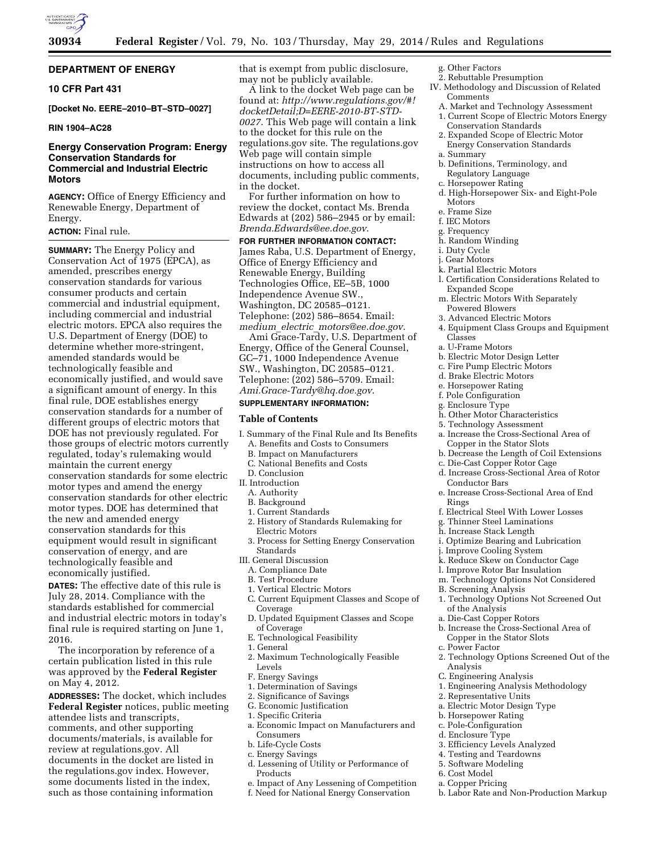

# **DEPARTMENT OF ENERGY**

# **10 CFR Part 431**

**[Docket No. EERE–2010–BT–STD–0027]** 

# **RIN 1904–AC28**

# **Energy Conservation Program: Energy Conservation Standards for Commercial and Industrial Electric Motors**

**AGENCY:** Office of Energy Efficiency and Renewable Energy, Department of Energy.

# **ACTION:** Final rule.

**SUMMARY:** The Energy Policy and Conservation Act of 1975 (EPCA), as amended, prescribes energy conservation standards for various consumer products and certain commercial and industrial equipment, including commercial and industrial electric motors. EPCA also requires the U.S. Department of Energy (DOE) to determine whether more-stringent, amended standards would be technologically feasible and economically justified, and would save a significant amount of energy. In this final rule, DOE establishes energy conservation standards for a number of different groups of electric motors that DOE has not previously regulated. For those groups of electric motors currently regulated, today's rulemaking would maintain the current energy conservation standards for some electric motor types and amend the energy conservation standards for other electric motor types. DOE has determined that the new and amended energy conservation standards for this equipment would result in significant conservation of energy, and are technologically feasible and economically justified.

**DATES:** The effective date of this rule is July 28, 2014. Compliance with the standards established for commercial and industrial electric motors in today's final rule is required starting on June 1, 2016.

The incorporation by reference of a certain publication listed in this rule was approved by the **Federal Register**  on May 4, 2012.

**ADDRESSES:** The docket, which includes **Federal Register** notices, public meeting attendee lists and transcripts, comments, and other supporting documents/materials, is available for review at regulations.gov. All documents in the docket are listed in the regulations.gov index. However, some documents listed in the index, such as those containing information

that is exempt from public disclosure, may not be publicly available.

A link to the docket Web page can be found at: *[http://www.regulations.gov/#!](http://www.regulations.gov/#!docketDetail;D=EERE-2010-BT-STD-0027) [docketDetail;D=EERE-2010-BT-STD-](http://www.regulations.gov/#!docketDetail;D=EERE-2010-BT-STD-0027)[0027](http://www.regulations.gov/#!docketDetail;D=EERE-2010-BT-STD-0027)*. This Web page will contain a link to the docket for this rule on the regulations.gov site. The regulations.gov Web page will contain simple instructions on how to access all documents, including public comments, in the docket.

For further information on how to review the docket, contact Ms. Brenda Edwards at (202) 586–2945 or by email: *[Brenda.Edwards@ee.doe.gov](mailto:Brenda.Edwards@ee.doe.gov)*.

**FOR FURTHER INFORMATION CONTACT:**  James Raba, U.S. Department of Energy, Office of Energy Efficiency and Renewable Energy, Building Technologies Office, EE–5B, 1000 Independence Avenue SW., Washington, DC 20585–0121. Telephone: (202) 586–8654. Email: *medium*\_*electric*\_*[motors@ee.doe.gov](mailto:medium_electric_motors@ee.doe.gov)*. Ami Grace-Tardy, U.S. Department of Energy, Office of the General Counsel, GC–71, 1000 Independence Avenue SW., Washington, DC 20585–0121.

Telephone: (202) 586–5709. Email: *[Ami.Grace-Tardy@hq.doe.gov](mailto:Ami.Grace-Tardy@hq.doe.gov)*.

# **SUPPLEMENTARY INFORMATION:**

### **Table of Contents**

- I. Summary of the Final Rule and Its Benefits A. Benefits and Costs to Consumers
	- B. Impact on Manufacturers
	- C. National Benefits and Costs
- D. Conclusion
- II. Introduction
	- A. Authority
	- B. Background 1. Current Standards
	- 2. History of Standards Rulemaking for Electric Motors
	- 3. Process for Setting Energy Conservation **Standards**
- III. General Discussion
	- A. Compliance Date
	- B. Test Procedure
	- 1. Vertical Electric Motors C. Current Equipment Classes and Scope of
	- Coverage
	- D. Updated Equipment Classes and Scope of Coverage
	- E. Technological Feasibility
	- 1. General
- 2. Maximum Technologically Feasible Levels
- F. Energy Savings
- 1. Determination of Savings
- 2. Significance of Savings
- G. Economic Justification
- 1. Specific Criteria
- a. Economic Impact on Manufacturers and Consumers
- b. Life-Cycle Costs
- c. Energy Savings
- d. Lessening of Utility or Performance of Products
- e. Impact of Any Lessening of Competition
- f. Need for National Energy Conservation
- g. Other Factors
- 2. Rebuttable Presumption
- IV. Methodology and Discussion of Related Comments
- A. Market and Technology Assessment
	- 1. Current Scope of Electric Motors Energy Conservation Standards
	- 2. Expanded Scope of Electric Motor Energy Conservation Standards
	- a. Summary
	- b. Definitions, Terminology, and Regulatory Language
	- c. Horsepower Rating
	- d. High-Horsepower Six- and Eight-Pole Motors
	- e. Frame Size
	- f. IEC Motors
	- g. Frequency
- h. Random Winding
- i. Duty Cycle
- j. Gear Motors
- k. Partial Electric Motors
- l. Certification Considerations Related to Expanded Scope
- m. Electric Motors With Separately Powered Blowers
- 3. Advanced Electric Motors
- 4. Equipment Class Groups and Equipment Classes
- a. U-Frame Motors
- b. Electric Motor Design Letter
- c. Fire Pump Electric Motors
- d. Brake Electric Motors
- e. Horsepower Rating
- f. Pole Configuration
- g. Enclosure Type
- h. Other Motor Characteristics
- 5. Technology Assessment
- a. Increase the Cross-Sectional Area of Copper in the Stator Slots
- b. Decrease the Length of Coil Extensions
- c. Die-Cast Copper Rotor Cage
- d. Increase Cross-Sectional Area of Rotor Conductor Bars
- e. Increase Cross-Sectional Area of End Rings
- f. Electrical Steel With Lower Losses
- g. Thinner Steel Laminations
- h. Increase Stack Length
- i. Optimize Bearing and Lubrication
- Improve Cooling System
- k. Reduce Skew on Conductor Cage
- l. Improve Rotor Bar Insulation
- m. Technology Options Not Considered
- B. Screening Analysis
- 1. Technology Options Not Screened Out of the Analysis
- a. Die-Cast Copper Rotors
- b. Increase the Cross-Sectional Area of Copper in the Stator Slots
- c. Power Factor
- 2. Technology Options Screened Out of the Analysis

b. Labor Rate and Non-Production Markup

C. Engineering Analysis 2. Representative Units

a. Electric Motor Design Type b. Horsepower Rating c. Pole-Configuration d. Enclosure Type

3. Efficiency Levels Analyzed 4. Testing and Teardowns 5. Software Modeling 6. Cost Model a. Copper Pricing

1. Engineering Analysis Methodology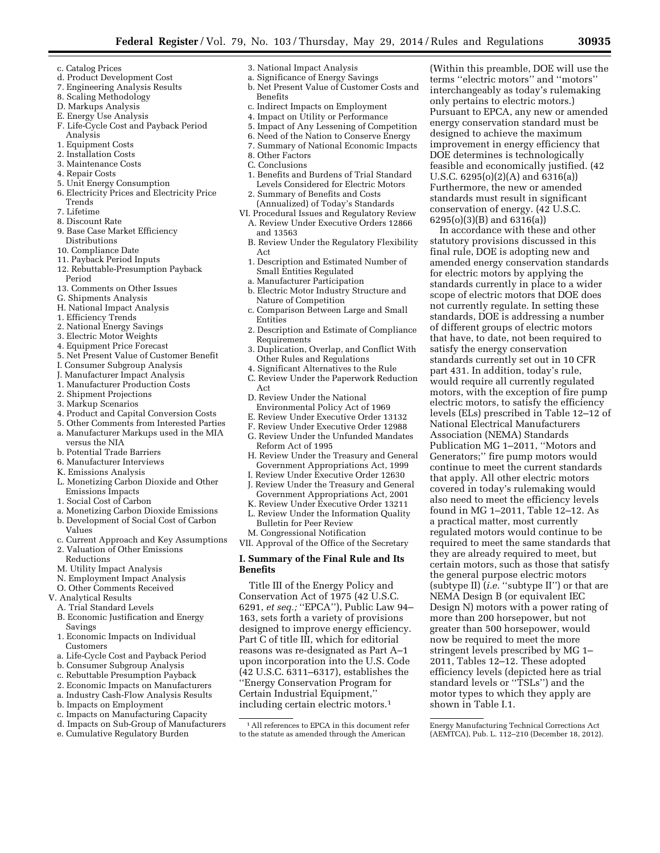- c. Catalog Prices
- d. Product Development Cost
- 7. Engineering Analysis Results
- 8. Scaling Methodology
- D. Markups Analysis
- E. Energy Use Analysis
- F. Life-Cycle Cost and Payback Period Analysis
- 1. Equipment Costs
- 2. Installation Costs
- 3. Maintenance Costs
- 4. Repair Costs
- 5. Unit Energy Consumption
- 6. Electricity Prices and Electricity Price Trends
- 7. Lifetime
- 8. Discount Rate
- 9. Base Case Market Efficiency Distributions
- 10. Compliance Date
- 11. Payback Period Inputs
- 12. Rebuttable-Presumption Payback Period
- 13. Comments on Other Issues
- G. Shipments Analysis
- H. National Impact Analysis
- 1. Efficiency Trends
- 2. National Energy Savings
- 3. Electric Motor Weights
- 
- 4. Equipment Price Forecast 5. Net Present Value of Customer Benefit
- I. Consumer Subgroup Analysis
- J. Manufacturer Impact Analysis
- 1. Manufacturer Production Costs
- 2. Shipment Projections
- 3. Markup Scenarios
- 
- 4. Product and Capital Conversion Costs 5. Other Comments from Interested Parties
- a. Manufacturer Markups used in the MIA versus the NIA
- b. Potential Trade Barriers
- 6. Manufacturer Interviews
- K. Emissions Analysis
- L. Monetizing Carbon Dioxide and Other Emissions Impacts
- 1. Social Cost of Carbon
- a. Monetizing Carbon Dioxide Emissions
- b. Development of Social Cost of Carbon Values
- c. Current Approach and Key Assumptions
- 2. Valuation of Other Emissions Reductions
- M. Utility Impact Analysis
- 
- N. Employment Impact Analysis O. Other Comments Received
- V. Analytical Results
	- A. Trial Standard Levels
	- B. Economic Justification and Energy Savings
	- 1. Economic Impacts on Individual Customers
	- a. Life-Cycle Cost and Payback Period
	- b. Consumer Subgroup Analysis
	- c. Rebuttable Presumption Payback
	- 2. Economic Impacts on Manufacturers
	- a. Industry Cash-Flow Analysis Results
	- b. Impacts on Employment
	- c. Impacts on Manufacturing Capacity
	- d. Impacts on Sub-Group of Manufacturers
	- e. Cumulative Regulatory Burden
	-
- 3. National Impact Analysis
- a. Significance of Energy Savings b. Net Present Value of Customer Costs and
- Benefits
- c. Indirect Impacts on Employment
- 4. Impact on Utility or Performance
- 5. Impact of Any Lessening of Competition
- 6. Need of the Nation to Conserve Energy
- 7. Summary of National Economic Impacts
- 8. Other Factors
- C. Conclusions
- 1. Benefits and Burdens of Trial Standard Levels Considered for Electric Motors 2. Summary of Benefits and Costs
	- (Annualized) of Today's Standards
- VI. Procedural Issues and Regulatory Review A. Review Under Executive Orders 12866
	- and 13563
	- B. Review Under the Regulatory Flexibility Act
	- 1. Description and Estimated Number of Small Entities Regulated
	- a. Manufacturer Participation
	- b. Electric Motor Industry Structure and Nature of Competition
	- c. Comparison Between Large and Small Entities
	- 2. Description and Estimate of Compliance Requirements
	- 3. Duplication, Overlap, and Conflict With Other Rules and Regulations
	- 4. Significant Alternatives to the Rule
	- C. Review Under the Paperwork Reduction
	- Act
	- D. Review Under the National Environmental Policy Act of 1969
	- E. Review Under Executive Order 13132
	- F. Review Under Executive Order 12988
	- G. Review Under the Unfunded Mandates
	- Reform Act of 1995 H. Review Under the Treasury and General
	- Government Appropriations Act, 1999 I. Review Under Executive Order 12630
	- J. Review Under the Treasury and General Government Appropriations Act, 2001
	- K. Review Under Executive Order 13211
	- L. Review Under the Information Quality Bulletin for Peer Review

M. Congressional Notification VII. Approval of the Office of the Secretary

# **I. Summary of the Final Rule and Its Benefits**

Title III of the Energy Policy and Conservation Act of 1975 (42 U.S.C. 6291, *et seq.;* ''EPCA''), Public Law 94– 163, sets forth a variety of provisions designed to improve energy efficiency. Part C of title III, which for editorial reasons was re-designated as Part A–1 upon incorporation into the U.S. Code (42 U.S.C. 6311–6317), establishes the ''Energy Conservation Program for Certain Industrial Equipment,'' including certain electric motors.1

(Within this preamble, DOE will use the terms ''electric motors'' and ''motors'' interchangeably as today's rulemaking only pertains to electric motors.) Pursuant to EPCA, any new or amended energy conservation standard must be designed to achieve the maximum improvement in energy efficiency that DOE determines is technologically feasible and economically justified. (42 U.S.C. 6295(o)(2)(A) and 6316(a)) Furthermore, the new or amended standards must result in significant conservation of energy. (42 U.S.C. 6295(o)(3)(B) and 6316(a))

In accordance with these and other statutory provisions discussed in this final rule, DOE is adopting new and amended energy conservation standards for electric motors by applying the standards currently in place to a wider scope of electric motors that DOE does not currently regulate. In setting these standards, DOE is addressing a number of different groups of electric motors that have, to date, not been required to satisfy the energy conservation standards currently set out in 10 CFR part 431. In addition, today's rule, would require all currently regulated motors, with the exception of fire pump electric motors, to satisfy the efficiency levels (ELs) prescribed in Table 12–12 of National Electrical Manufacturers Association (NEMA) Standards Publication MG 1–2011, ''Motors and Generators;'' fire pump motors would continue to meet the current standards that apply. All other electric motors covered in today's rulemaking would also need to meet the efficiency levels found in MG 1–2011, Table 12–12. As a practical matter, most currently regulated motors would continue to be required to meet the same standards that they are already required to meet, but certain motors, such as those that satisfy the general purpose electric motors (subtype II) (*i.e.* ''subtype II'') or that are NEMA Design B (or equivalent IEC Design N) motors with a power rating of more than 200 horsepower, but not greater than 500 horsepower, would now be required to meet the more stringent levels prescribed by MG 1– 2011, Tables 12–12. These adopted efficiency levels (depicted here as trial standard levels or "TSLs") and the motor types to which they apply are

Energy Manufacturing Technical Corrections Act (AEMTCA), Pub. L. 112–210 (December 18, 2012).

shown in Table I.1.

<sup>1</sup>All references to EPCA in this document refer to the statute as amended through the American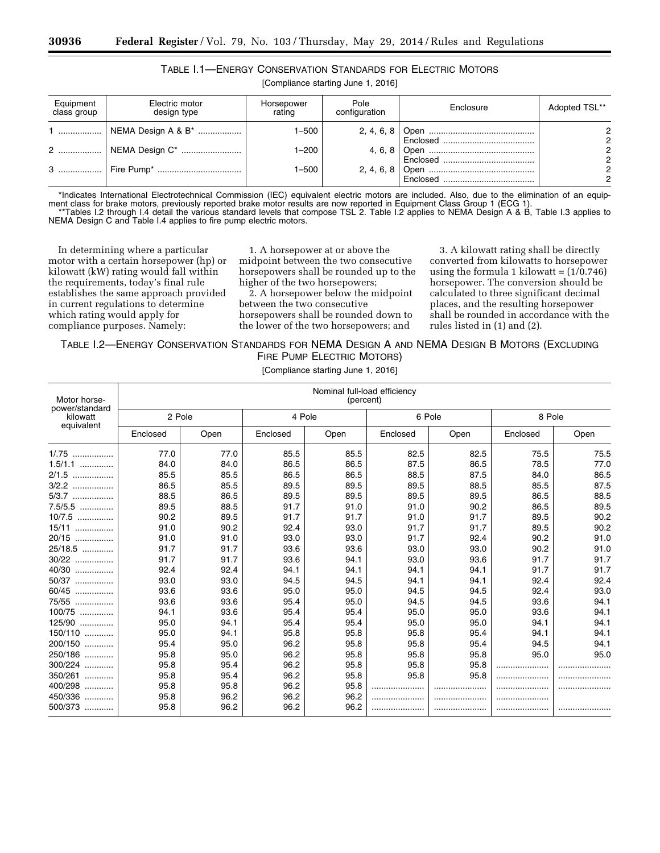| Table 1.1—Energy Conservation Standards for Electric Motors |  |  |
|-------------------------------------------------------------|--|--|
|                                                             |  |  |

[Compliance starting June 1, 2016]

| Equipment<br>class group | Electric motor<br>design type       | Horsepower<br>rating | Pole<br>configuration | Enclosure | Adopted TSL**      |
|--------------------------|-------------------------------------|----------------------|-----------------------|-----------|--------------------|
|                          | 1    NEMA Design A & B <sup>*</sup> | 1–500                |                       |           | റ                  |
|                          |                                     | $1 - 200$            |                       |           | 2<br>2             |
| 3                        |                                     | $1 - 500$            |                       |           | 2<br>$\mathcal{D}$ |

\*Indicates International Electrotechnical Commission (IEC) equivalent electric motors are included. Also, due to the elimination of an equipment class for brake motors, previously reported brake motor results are now reported in Equipment Class Group 1 (ECG 1). \*\*Tables I.2 through I.4 detail the various standard levels that compose TSL 2. Table I.2 applies to NEMA Design A & B, Table I.3 applies to NEMA Design C and Table I.4 applies to fire pump electric motors.

In determining where a particular motor with a certain horsepower (hp) or kilowatt (kW) rating would fall within the requirements, today's final rule establishes the same approach provided in current regulations to determine which rating would apply for compliance purposes. Namely:

1. A horsepower at or above the midpoint between the two consecutive horsepowers shall be rounded up to the higher of the two horsepowers;

2. A horsepower below the midpoint between the two consecutive horsepowers shall be rounded down to the lower of the two horsepowers; and

3. A kilowatt rating shall be directly converted from kilowatts to horsepower using the formula 1 kilowatt =  $(1/0.746)$ horsepower. The conversion should be calculated to three significant decimal places, and the resulting horsepower shall be rounded in accordance with the rules listed in (1) and (2).

# TABLE I.2—ENERGY CONSERVATION STANDARDS FOR NEMA DESIGN A AND NEMA DESIGN B MOTORS (EXCLUDING FIRE PUMP ELECTRIC MOTORS)

[Compliance starting June 1, 2016]

| Motor horse-               |          |      |          | Nominal full-load efficiency<br>(percent) |          |        |          |      |
|----------------------------|----------|------|----------|-------------------------------------------|----------|--------|----------|------|
| power/standard<br>kilowatt | 2 Pole   |      |          | 4 Pole                                    |          | 6 Pole | 8 Pole   |      |
| equivalent                 | Enclosed | Open | Enclosed | Open                                      | Enclosed | Open   | Enclosed | Open |
| $1/0.75$                   | 77.0     | 77.0 | 85.5     | 85.5                                      | 82.5     | 82.5   | 75.5     | 75.5 |
| $1.5/1.1$                  | 84.0     | 84.0 | 86.5     | 86.5                                      | 87.5     | 86.5   | 78.5     | 77.0 |
| 2/1.5<br>.                 | 85.5     | 85.5 | 86.5     | 86.5                                      | 88.5     | 87.5   | 84.0     | 86.5 |
| 3/2.2<br>.                 | 86.5     | 85.5 | 89.5     | 89.5                                      | 89.5     | 88.5   | 85.5     | 87.5 |
| 5/3.7<br>.                 | 88.5     | 86.5 | 89.5     | 89.5                                      | 89.5     | 89.5   | 86.5     | 88.5 |
| $7.5/5.5$                  | 89.5     | 88.5 | 91.7     | 91.0                                      | 91.0     | 90.2   | 86.5     | 89.5 |
| 10/7.5<br>.                | 90.2     | 89.5 | 91.7     | 91.7                                      | 91.0     | 91.7   | 89.5     | 90.2 |
| 15/11<br>.                 | 91.0     | 90.2 | 92.4     | 93.0                                      | 91.7     | 91.7   | 89.5     | 90.2 |
| 20/15<br>.                 | 91.0     | 91.0 | 93.0     | 93.0                                      | 91.7     | 92.4   | 90.2     | 91.0 |
| 25/18.5                    | 91.7     | 91.7 | 93.6     | 93.6                                      | 93.0     | 93.0   | 90.2     | 91.0 |
| 30/22<br>.                 | 91.7     | 91.7 | 93.6     | 94.1                                      | 93.0     | 93.6   | 91.7     | 91.7 |
| 40/30<br>.                 | 92.4     | 92.4 | 94.1     | 94.1                                      | 94.1     | 94.1   | 91.7     | 91.7 |
| 50/37<br>.                 | 93.0     | 93.0 | 94.5     | 94.5                                      | 94.1     | 94.1   | 92.4     | 92.4 |
| 60/45<br>.                 | 93.6     | 93.6 | 95.0     | 95.0                                      | 94.5     | 94.5   | 92.4     | 93.0 |
| 75/55<br>.                 | 93.6     | 93.6 | 95.4     | 95.0                                      | 94.5     | 94.5   | 93.6     | 94.1 |
| 100/75                     | 94.1     | 93.6 | 95.4     | 95.4                                      | 95.0     | 95.0   | 93.6     | 94.1 |
| 125/90                     | 95.0     | 94.1 | 95.4     | 95.4                                      | 95.0     | 95.0   | 94.1     | 94.1 |
| 150/110                    | 95.0     | 94.1 | 95.8     | 95.8                                      | 95.8     | 95.4   | 94.1     | 94.1 |
| 200/150                    | 95.4     | 95.0 | 96.2     | 95.8                                      | 95.8     | 95.4   | 94.5     | 94.1 |
| 250/186                    | 95.8     | 95.0 | 96.2     | 95.8                                      | 95.8     | 95.8   | 95.0     | 95.0 |
| 300/224                    | 95.8     | 95.4 | 96.2     | 95.8                                      | 95.8     | 95.8   |          |      |
| 350/261<br>                | 95.8     | 95.4 | 96.2     | 95.8                                      | 95.8     | 95.8   |          |      |
| 400/298                    | 95.8     | 95.8 | 96.2     | 95.8                                      |          |        |          |      |
| 450/336<br>.               | 95.8     | 96.2 | 96.2     | 96.2                                      |          |        |          |      |
| 500/373                    | 95.8     | 96.2 | 96.2     | 96.2                                      |          |        |          |      |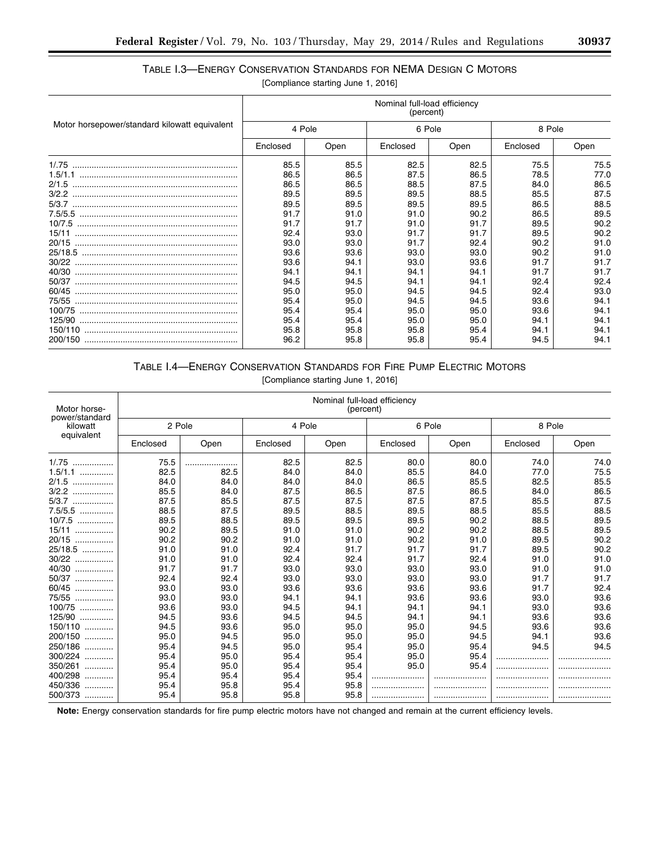# TABLE I.3—ENERGY CONSERVATION STANDARDS FOR NEMA DESIGN C MOTORS

[Compliance starting June 1, 2016]

|                                               | Nominal full-load efficiency<br>(percent) |      |          |      |          |      |
|-----------------------------------------------|-------------------------------------------|------|----------|------|----------|------|
| Motor horsepower/standard kilowatt equivalent | 4 Pole                                    |      | 6 Pole   |      | 8 Pole   |      |
|                                               | Enclosed                                  | Open | Enclosed | Open | Enclosed | Open |
|                                               | 85.5                                      | 85.5 | 82.5     | 82.5 | 75.5     | 75.5 |
|                                               | 86.5                                      | 86.5 | 87.5     | 86.5 | 78.5     | 77.0 |
|                                               | 86.5                                      | 86.5 | 88.5     | 87.5 | 84.0     | 86.5 |
|                                               | 89.5                                      | 89.5 | 89.5     | 88.5 | 85.5     | 87.5 |
|                                               | 89.5                                      | 89.5 | 89.5     | 89.5 | 86.5     | 88.5 |
|                                               | 91.7                                      | 91.0 | 91.0     | 90.2 | 86.5     | 89.5 |
|                                               | 91.7                                      | 91.7 | 91.0     | 91.7 | 89.5     | 90.2 |
| 15/11                                         | 92.4                                      | 93.0 | 91.7     | 91.7 | 89.5     | 90.2 |
| 20/15                                         | 93.0                                      | 93.0 | 91.7     | 92.4 | 90.2     | 91.0 |
|                                               | 93.6                                      | 93.6 | 93.0     | 93.0 | 90.2     | 91.0 |
|                                               | 93.6                                      | 94.1 | 93.0     | 93.6 | 91.7     | 91.7 |
| 40/30                                         | 94.1                                      | 94.1 | 94.1     | 94.1 | 91.7     | 91.7 |
| 50/37                                         | 94.5                                      | 94.5 | 94.1     | 94.1 | 92.4     | 92.4 |
| 60/45                                         | 95.0                                      | 95.0 | 94.5     | 94.5 | 92.4     | 93.0 |
| 75/55                                         | 95.4                                      | 95.0 | 94.5     | 94.5 | 93.6     | 94.1 |
|                                               | 95.4                                      | 95.4 | 95.0     | 95.0 | 93.6     | 94.1 |
|                                               | 95.4                                      | 95.4 | 95.0     | 95.0 | 94.1     | 94.1 |
|                                               | 95.8                                      | 95.8 | 95.8     | 95.4 | 94.1     | 94.1 |
|                                               | 96.2                                      | 95.8 | 95.8     | 95.4 | 94.5     | 94.1 |

# TABLE I.4—ENERGY CONSERVATION STANDARDS FOR FIRE PUMP ELECTRIC MOTORS

| Motor horse-<br>power/standard | Nominal full-load efficiency<br>(percent) |        |          |        |          |        |          |      |
|--------------------------------|-------------------------------------------|--------|----------|--------|----------|--------|----------|------|
| kilowatt<br>equivalent         |                                           | 2 Pole |          | 4 Pole |          | 6 Pole | 8 Pole   |      |
|                                | Enclosed                                  | Open   | Enclosed | Open   | Enclosed | Open   | Enclosed | Open |
| $1/0.75$                       | 75.5                                      |        | 82.5     | 82.5   | 80.0     | 80.0   | 74.0     | 74.0 |
| $1.5/1.1$                      | 82.5                                      | 82.5   | 84.0     | 84.0   | 85.5     | 84.0   | 77.0     | 75.5 |
| 2/1.5<br>.                     | 84.0                                      | 84.0   | 84.0     | 84.0   | 86.5     | 85.5   | 82.5     | 85.5 |
| 3/2.2<br>.                     | 85.5                                      | 84.0   | 87.5     | 86.5   | 87.5     | 86.5   | 84.0     | 86.5 |
| $5/3.7$                        | 87.5                                      | 85.5   | 87.5     | 87.5   | 87.5     | 87.5   | 85.5     | 87.5 |
| $7.5/5.5$                      | 88.5                                      | 87.5   | 89.5     | 88.5   | 89.5     | 88.5   | 85.5     | 88.5 |
| $10/7.5$                       | 89.5                                      | 88.5   | 89.5     | 89.5   | 89.5     | 90.2   | 88.5     | 89.5 |
| 15/11<br>.                     | 90.2                                      | 89.5   | 91.0     | 91.0   | 90.2     | 90.2   | 88.5     | 89.5 |
| 20/15<br>.                     | 90.2                                      | 90.2   | 91.0     | 91.0   | 90.2     | 91.0   | 89.5     | 90.2 |
| 25/18.5                        | 91.0                                      | 91.0   | 92.4     | 91.7   | 91.7     | 91.7   | 89.5     | 90.2 |
| 30/22<br>.                     | 91.0                                      | 91.0   | 92.4     | 92.4   | 91.7     | 92.4   | 91.0     | 91.0 |
| 40/30<br>.                     | 91.7                                      | 91.7   | 93.0     | 93.0   | 93.0     | 93.0   | 91.0     | 91.0 |
| 50/37<br>.                     | 92.4                                      | 92.4   | 93.0     | 93.0   | 93.0     | 93.0   | 91.7     | 91.7 |
| 60/45<br>.                     | 93.0                                      | 93.0   | 93.6     | 93.6   | 93.6     | 93.6   | 91.7     | 92.4 |
| 75/55<br>.                     | 93.0                                      | 93.0   | 94.1     | 94.1   | 93.6     | 93.6   | 93.0     | 93.6 |
| 100/75<br>.                    | 93.6                                      | 93.0   | 94.5     | 94.1   | 94.1     | 94.1   | 93.0     | 93.6 |
| 125/90<br>.                    | 94.5                                      | 93.6   | 94.5     | 94.5   | 94.1     | 94.1   | 93.6     | 93.6 |
| 150/110                        | 94.5                                      | 93.6   | 95.0     | 95.0   | 95.0     | 94.5   | 93.6     | 93.6 |
| 200/150                        | 95.0                                      | 94.5   | 95.0     | 95.0   | 95.0     | 94.5   | 94.1     | 93.6 |
| 250/186                        | 95.4                                      | 94.5   | 95.0     | 95.4   | 95.0     | 95.4   | 94.5     | 94.5 |
| 300/224                        | 95.4                                      | 95.0   | 95.4     | 95.4   | 95.0     | 95.4   |          |      |
| 350/261<br>.                   | 95.4                                      | 95.0   | 95.4     | 95.4   | 95.0     | 95.4   |          |      |
| 400/298<br>.                   | 95.4                                      | 95.4   | 95.4     | 95.4   |          |        |          |      |
| 450/336<br>                    | 95.4                                      | 95.8   | 95.4     | 95.8   |          |        |          |      |
| 500/373                        | 95.4                                      | 95.8   | 95.8     | 95.8   |          |        |          |      |

[Compliance starting June 1, 2016]

**Note:** Energy conservation standards for fire pump electric motors have not changed and remain at the current efficiency levels.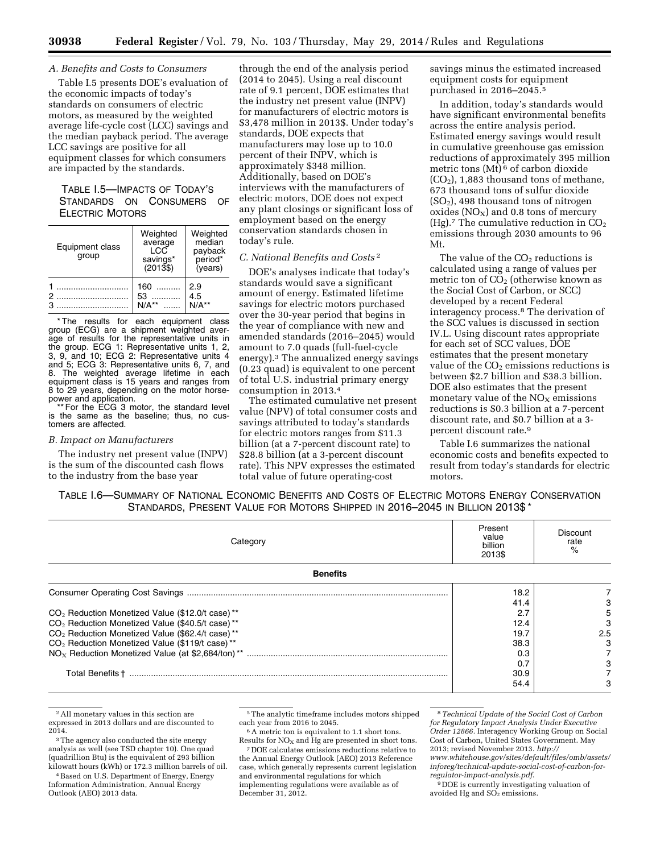#### *A. Benefits and Costs to Consumers*

Table I.5 presents DOE's evaluation of the economic impacts of today's standards on consumers of electric motors, as measured by the weighted average life-cycle cost (LCC) savings and the median payback period. The average LCC savings are positive for all equipment classes for which consumers are impacted by the standards.

# TABLE I.5—IMPACTS OF TODAY'S STANDARDS ON CONSUMERS OF ELECTRIC MOTORS

| Equipment class<br>group | Weighted<br>average<br>LCC<br>savings*<br>$(2013\$ | Weighted<br>median<br>payback<br>*eriod<br>(years) |
|--------------------------|----------------------------------------------------|----------------------------------------------------|
|                          | 160<br>53<br>$N/A**$                               | 2.9<br>4.5<br>$N/A**$                              |

\* The results for each equipment class group (ECG) are a shipment weighted average of results for the representative units in the group. ECG 1: Representative units 1, 2, 3, 9, and 10; ECG 2: Representative units 4 and 5; ECG 3: Representative units 6, 7, and 8. The weighted average lifetime in each equipment class is 15 years and ranges from 8 to 29 years, depending on the motor horse-

power and application. \*\* For the ECG 3 motor, the standard level is the same as the baseline; thus, no customers are affected.

#### *B. Impact on Manufacturers*

The industry net present value (INPV) is the sum of the discounted cash flows to the industry from the base year

through the end of the analysis period (2014 to 2045). Using a real discount rate of 9.1 percent, DOE estimates that the industry net present value (INPV) for manufacturers of electric motors is \$3,478 million in 2013\$. Under today's standards, DOE expects that manufacturers may lose up to 10.0 percent of their INPV, which is approximately \$348 million. Additionally, based on DOE's interviews with the manufacturers of electric motors, DOE does not expect any plant closings or significant loss of employment based on the energy conservation standards chosen in today's rule.

#### *C. National Benefits and Costs* 2

DOE's analyses indicate that today's standards would save a significant amount of energy. Estimated lifetime savings for electric motors purchased over the 30-year period that begins in the year of compliance with new and amended standards (2016–2045) would amount to 7.0 quads (full-fuel-cycle energy).3 The annualized energy savings (0.23 quad) is equivalent to one percent of total U.S. industrial primary energy consumption in 2013.4

The estimated cumulative net present value (NPV) of total consumer costs and savings attributed to today's standards for electric motors ranges from \$11.3 billion (at a 7-percent discount rate) to \$28.8 billion (at a 3-percent discount rate). This NPV expresses the estimated total value of future operating-cost

savings minus the estimated increased equipment costs for equipment purchased in 2016–2045.5

In addition, today's standards would have significant environmental benefits across the entire analysis period. Estimated energy savings would result in cumulative greenhouse gas emission reductions of approximately 395 million metric tons (Mt) 6 of carbon dioxide  $(CO<sub>2</sub>)$ , 1,883 thousand tons of methane, 673 thousand tons of sulfur dioxide  $(SO<sub>2</sub>)$ , 498 thousand tons of nitrogen oxides  $(NO<sub>X</sub>)$  and 0.8 tons of mercury (Hg).<sup>7</sup> The cumulative reduction in  $CO<sub>2</sub>$ emissions through 2030 amounts to 96 Mt.

The value of the  $CO<sub>2</sub>$  reductions is calculated using a range of values per metric ton of  $C\breve{O}_2$  (otherwise known as the Social Cost of Carbon, or SCC) developed by a recent Federal interagency process.8 The derivation of the SCC values is discussed in section IV.L. Using discount rates appropriate for each set of SCC values, DOE estimates that the present monetary value of the  $CO<sub>2</sub>$  emissions reductions is between \$2.7 billion and \$38.3 billion. DOE also estimates that the present monetary value of the  $NO<sub>X</sub>$  emissions reductions is \$0.3 billion at a 7-percent discount rate, and \$0.7 billion at a 3 percent discount rate.9

Table I.6 summarizes the national economic costs and benefits expected to result from today's standards for electric motors.

| TABLE 1.6—SUMMARY OF NATIONAL ECONOMIC BENEFITS AND COSTS OF ELECTRIC MOTORS ENERGY CONSERVATION |  |
|--------------------------------------------------------------------------------------------------|--|
| STANDARDS, PRESENT VALUE FOR MOTORS SHIPPED IN 2016-2045 IN BILLION 2013\$*                      |  |

| Category                                                    | Present<br>value<br>billion<br>2013\$ | Discount<br>rate |
|-------------------------------------------------------------|---------------------------------------|------------------|
| <b>Benefits</b>                                             |                                       |                  |
|                                                             | 18.2                                  |                  |
|                                                             | 41.4                                  |                  |
| CO <sub>2</sub> Reduction Monetized Value (\$12.0/t case)** | 2.7                                   | 5                |
| CO <sub>2</sub> Reduction Monetized Value (\$40.5/t case)** | 12.4                                  | З                |
| CO <sub>2</sub> Reduction Monetized Value (\$62.4/t case)** | 19.7                                  | 2.5              |
| CO <sub>2</sub> Reduction Monetized Value (\$119/t case)**  | 38.3                                  |                  |
|                                                             | 0.3                                   |                  |
|                                                             | 0.7                                   |                  |
|                                                             | 30.9                                  |                  |
|                                                             | 54.4                                  |                  |

<sup>2</sup>All monetary values in this section are expressed in 2013 dollars and are discounted to 2014.

6A metric ton is equivalent to 1.1 short tons. Results for  $NO<sub>x</sub>$  and Hg are presented in short tons. 7 DOE calculates emissions reductions relative to

the Annual Energy Outlook (AEO) 2013 Reference case, which generally represents current legislation and environmental regulations for which implementing regulations were available as of December 31, 2012.

8*Technical Update of the Social Cost of Carbon for Regulatory Impact Analysis Under Executive Order 12866.* Interagency Working Group on Social Cost of Carbon, United States Government. May 2013; revised November 2013. *[http://](http://www.whitehouse.gov/sites/default/files/omb/assets/inforeg/technical-update-social-cost-of-carbon-for-regulator-impact-analysis.pdf) [www.whitehouse.gov/sites/default/files/omb/assets/](http://www.whitehouse.gov/sites/default/files/omb/assets/inforeg/technical-update-social-cost-of-carbon-for-regulator-impact-analysis.pdf) [inforeg/technical-update-social-cost-of-carbon-for](http://www.whitehouse.gov/sites/default/files/omb/assets/inforeg/technical-update-social-cost-of-carbon-for-regulator-impact-analysis.pdf)[regulator-impact-analysis.pdf](http://www.whitehouse.gov/sites/default/files/omb/assets/inforeg/technical-update-social-cost-of-carbon-for-regulator-impact-analysis.pdf)*.

9 DOE is currently investigating valuation of avoided Hg and  $SO<sub>2</sub>$  emissions.

<sup>&</sup>lt;sup>3</sup>The agency also conducted the site energy analysis as well (see TSD chapter 10). One quad (quadrillion Btu) is the equivalent of 293 billion kilowatt hours (kWh) or 172.3 million barrels of oil.

<sup>4</sup>Based on U.S. Department of Energy, Energy Information Administration, Annual Energy Outlook (AEO) 2013 data.

<sup>5</sup>The analytic timeframe includes motors shipped each year from 2016 to 2045.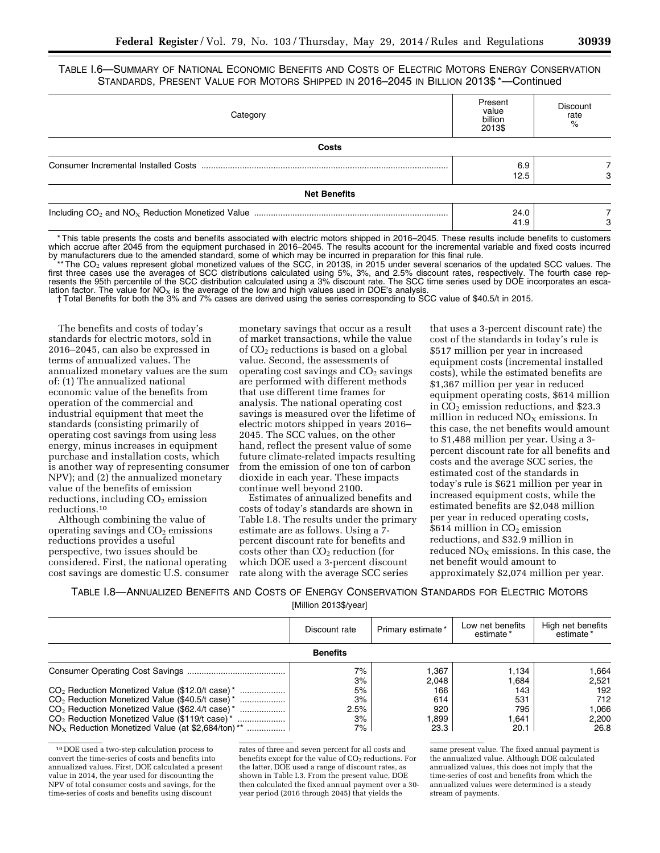TABLE I.6—SUMMARY OF NATIONAL ECONOMIC BENEFITS AND COSTS OF ELECTRIC MOTORS ENERGY CONSERVATION STANDARDS, PRESENT VALUE FOR MOTORS SHIPPED IN 2016–2045 IN BILLION 2013\$ \*—Continued

| Category            | Present<br>value<br>billion<br>2013\$ | <b>Discount</b><br>rate<br>$\%$ |
|---------------------|---------------------------------------|---------------------------------|
| Costs               |                                       |                                 |
|                     | 6.9<br>12.5                           | Э                               |
| <b>Net Benefits</b> |                                       |                                 |
|                     | 24.0<br>41.9                          | З                               |

\* This table presents the costs and benefits associated with electric motors shipped in 2016–2045. These results include benefits to customers which accrue after 2045 from the equipment purchased in 2016–2045. The results account for the incremental variable and fixed costs incurred by manufacturers due to the amended standard, some of which may be incurred in preparation for this final rule.

<sup>\*\*</sup>The CO<sub>2</sub> values represent global monetized values of the SCC, in 2013\$, in 2015 under several scenarios of the updated SCC values. The fourth case rep-<br>first three cases use the averages of SCC distributions calculat resents the 95th percentile of the SCC distribution calculated using a 3% discount rate. The SCC time series used by DOE incorporates an escalation factor. The value for  $NO<sub>x</sub>$  is the average of the low and high values used in DOE's analysis.

† Total Benefits for both the 3% and 7% cases are derived using the series corresponding to SCC value of \$40.5/t in 2015.

The benefits and costs of today's standards for electric motors, sold in 2016–2045, can also be expressed in terms of annualized values. The annualized monetary values are the sum of: (1) The annualized national economic value of the benefits from operation of the commercial and industrial equipment that meet the standards (consisting primarily of operating cost savings from using less energy, minus increases in equipment purchase and installation costs, which is another way of representing consumer NPV); and (2) the annualized monetary value of the benefits of emission reductions, including  $CO<sub>2</sub>$  emission reductions.10

Although combining the value of operating savings and  $CO<sub>2</sub>$  emissions reductions provides a useful perspective, two issues should be considered. First, the national operating cost savings are domestic U.S. consumer

monetary savings that occur as a result of market transactions, while the value of  $CO<sub>2</sub>$  reductions is based on a global value. Second, the assessments of operating cost savings and  $CO<sub>2</sub>$  savings are performed with different methods that use different time frames for analysis. The national operating cost savings is measured over the lifetime of electric motors shipped in years 2016– 2045. The SCC values, on the other hand, reflect the present value of some future climate-related impacts resulting from the emission of one ton of carbon dioxide in each year. These impacts continue well beyond 2100.

Estimates of annualized benefits and costs of today's standards are shown in Table I.8. The results under the primary estimate are as follows. Using a 7 percent discount rate for benefits and  $\overline{\text{costs}}$  other than  $\text{CO}_2$  reduction (for which DOE used a 3-percent discount rate along with the average SCC series

that uses a 3-percent discount rate) the cost of the standards in today's rule is \$517 million per year in increased equipment costs (incremental installed costs), while the estimated benefits are \$1,367 million per year in reduced equipment operating costs, \$614 million in  $CO<sub>2</sub>$  emission reductions, and \$23.3 million in reduced  $NO<sub>x</sub>$  emissions. In this case, the net benefits would amount to \$1,488 million per year. Using a 3 percent discount rate for all benefits and costs and the average SCC series, the estimated cost of the standards in today's rule is \$621 million per year in increased equipment costs, while the estimated benefits are \$2,048 million per year in reduced operating costs,  $$614$  million in  $CO<sub>2</sub>$  emission reductions, and \$32.9 million in reduced  $NO<sub>X</sub>$  emissions. In this case, the net benefit would amount to approximately \$2,074 million per year.

TABLE I.8—ANNUALIZED BENEFITS AND COSTS OF ENERGY CONSERVATION STANDARDS FOR ELECTRIC MOTORS [Million 2013\$/year]

|                                                             | Discount rate | Primary estimate* | Low net benefits<br>estimate* | High net benefits<br>estimate* |  |  |  |
|-------------------------------------------------------------|---------------|-------------------|-------------------------------|--------------------------------|--|--|--|
| <b>Benefits</b>                                             |               |                   |                               |                                |  |  |  |
|                                                             | 7%<br>3%      | .367<br>2.048     | 1.134<br>1.684                | 1,664<br>2.521                 |  |  |  |
| $CO2$ Reduction Monetized Value (\$12.0/t case) *           | 5%            | 166               | 143                           | 192                            |  |  |  |
| CO <sub>2</sub> Reduction Monetized Value (\$40.5/t case) * | 3%            | 614               | 531                           | 712                            |  |  |  |
| $CO2$ Reduction Monetized Value (\$62.4/t case) *           | 2.5%          | 920               | 795                           | 1.066                          |  |  |  |
| $CO2$ Reduction Monetized Value (\$119/t case) *            | 3%            | .899              | 1.641                         | 2,200                          |  |  |  |
| $NOx$ Reduction Monetized Value (at \$2,684/ton) **         | 7%            | 23.3              | 20.1                          | 26.8                           |  |  |  |

10 DOE used a two-step calculation process to convert the time-series of costs and benefits into annualized values. First, DOE calculated a present value in 2014, the year used for discounting the NPV of total consumer costs and savings, for the time-series of costs and benefits using discount

rates of three and seven percent for all costs and benefits except for the value of CO<sub>2</sub> reductions. For the latter, DOE used a range of discount rates, as shown in Table I.3. From the present value, DOE then calculated the fixed annual payment over a 30 year period (2016 through 2045) that yields the

same present value. The fixed annual payment is the annualized value. Although DOE calculated annualized values, this does not imply that the time-series of cost and benefits from which the annualized values were determined is a steady stream of payments.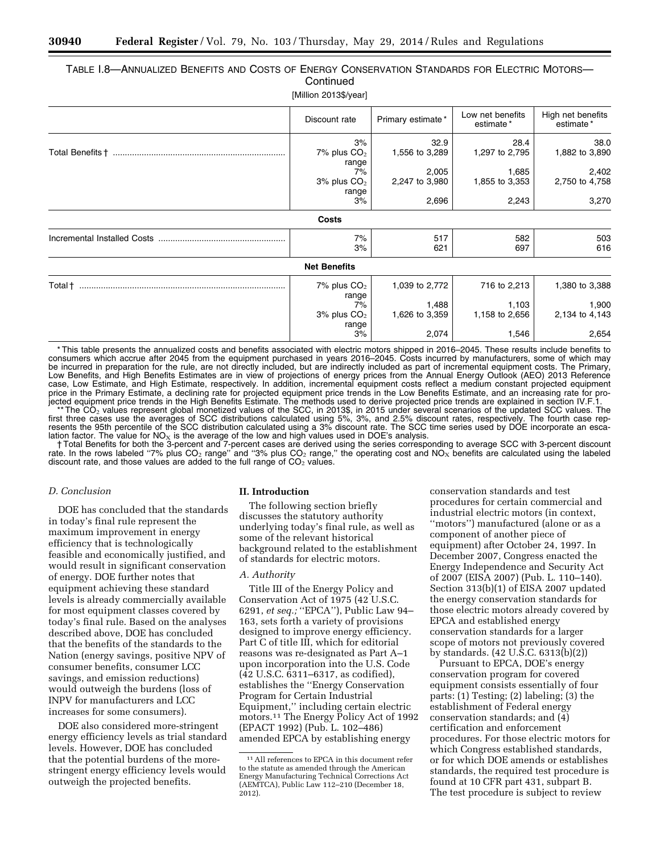# TABLE I.8—ANNUALIZED BENEFITS AND COSTS OF ENERGY CONSERVATION STANDARDS FOR ELECTRIC MOTORS— **Continued**

[Million 2013\$/year]

|                             | Discount rate       | Primary estimate* | Low net benefits<br>estimate* | High net benefits<br>estimate* |
|-----------------------------|---------------------|-------------------|-------------------------------|--------------------------------|
|                             | 3%                  | 32.9              | 28.4                          | 38.0                           |
|                             | 7% plus $CO2$       | 1,556 to 3,289    | 1,297 to 2,795                | 1,882 to 3,890                 |
|                             | range               |                   |                               |                                |
|                             | 7%                  | 2,005             | 1,685                         | 2,402                          |
|                             | 3% plus $CO2$       | 2,247 to 3,980    | 1,855 to 3,353                | 2,750 to 4,758                 |
|                             | range               |                   |                               |                                |
|                             | 3%                  | 2,696             | 2,243                         | 3,270                          |
|                             | Costs               |                   |                               |                                |
| Incremental Installed Costs | 7%                  | 517               | 582                           | 503                            |
|                             | 3%                  | 621               | 697                           | 616                            |
|                             | <b>Net Benefits</b> |                   |                               |                                |
| Total †                     | 7% plus $CO2$       | 1,039 to 2,772    | 716 to 2,213                  | 1,380 to 3,388                 |
|                             | range               |                   |                               |                                |
|                             | 7%                  | 1,488             | 1,103                         | 1,900                          |
|                             | $3\%$ plus $CO2$    | 1,626 to 3,359    | 1,158 to 2,656                | 2,134 to 4,143                 |
|                             | range               |                   |                               |                                |
|                             | 3%                  | 2,074             | 1,546                         | 2,654                          |

\* This table presents the annualized costs and benefits associated with electric motors shipped in 2016–2045. These results include benefits to consumers which accrue after 2045 from the equipment purchased in years 2016–2045. Costs incurred by manufacturers, some of which may be incurred in preparation for the rule, are not directly included, but are indirectly included as part of incremental equipment costs. The Primary, Low Benefits, and High Benefits Estimates are in view of projections of energy prices from the Annual Energy Outlook (AEO) 2013 Reference case, Low Estimate, and High Estimate, respectively. In addition, incremental equipment costs reflect a medium constant projected equipment price in the Primary Estimate, a declining rate for projected equipment price trends in the Low Benefits Estimate, and an increasing rate for pro-

jected equipment price trends in the High Benefits Estimate. The methods used to derive projected price trends are explained in section IV.F.1.<br>\*\*The CO<sub>2</sub> values represent global monetized values of the SCC, in 2013\$, in resents the 95th percentile of the SCC distribution calculated using a 3% discount rate. The SCC time series used by DOE incorporate an escalation factor. The value for NO<sub>X</sub> is the average of the low and high values used in DOE's analysis.<br>†Total Benefits for both the 3-percent and 7-percent cases are derived using the series corresponding to average SCC wit

rate. In the rows labeled "7% plus CO<sub>2</sub> range" and "3% plus CO<sub>2</sub> range," the operating cost and NO<sub>X</sub> benefits are calculated using the labeled discount rate, and those values are added to the full range of  $CO<sub>2</sub>$  values.

# *D. Conclusion*

DOE has concluded that the standards in today's final rule represent the maximum improvement in energy efficiency that is technologically feasible and economically justified, and would result in significant conservation of energy. DOE further notes that equipment achieving these standard levels is already commercially available for most equipment classes covered by today's final rule. Based on the analyses described above, DOE has concluded that the benefits of the standards to the Nation (energy savings, positive NPV of consumer benefits, consumer LCC savings, and emission reductions) would outweigh the burdens (loss of INPV for manufacturers and LCC increases for some consumers).

DOE also considered more-stringent energy efficiency levels as trial standard levels. However, DOE has concluded that the potential burdens of the morestringent energy efficiency levels would outweigh the projected benefits.

#### **II. Introduction**

The following section briefly discusses the statutory authority underlying today's final rule, as well as some of the relevant historical background related to the establishment of standards for electric motors.

# *A. Authority*

Title III of the Energy Policy and Conservation Act of 1975 (42 U.S.C. 6291, *et seq.;* ''EPCA''), Public Law 94– 163, sets forth a variety of provisions designed to improve energy efficiency. Part C of title III, which for editorial reasons was re-designated as Part A–1 upon incorporation into the U.S. Code (42 U.S.C. 6311–6317, as codified), establishes the ''Energy Conservation Program for Certain Industrial Equipment,'' including certain electric motors.11 The Energy Policy Act of 1992 (EPACT 1992) (Pub. L. 102–486) amended EPCA by establishing energy

conservation standards and test procedures for certain commercial and industrial electric motors (in context, ''motors'') manufactured (alone or as a component of another piece of equipment) after October 24, 1997. In December 2007, Congress enacted the Energy Independence and Security Act of 2007 (EISA 2007) (Pub. L. 110–140). Section 313(b)(1) of EISA 2007 updated the energy conservation standards for those electric motors already covered by EPCA and established energy conservation standards for a larger scope of motors not previously covered by standards. (42 U.S.C. 6313(b)(2))

Pursuant to EPCA, DOE's energy conservation program for covered equipment consists essentially of four parts: (1) Testing; (2) labeling; (3) the establishment of Federal energy conservation standards; and (4) certification and enforcement procedures. For those electric motors for which Congress established standards, or for which DOE amends or establishes standards, the required test procedure is found at 10 CFR part 431, subpart B. The test procedure is subject to review

<sup>11</sup>All references to EPCA in this document refer to the statute as amended through the American Energy Manufacturing Technical Corrections Act (AEMTCA), Public Law 112–210 (December 18, 2012).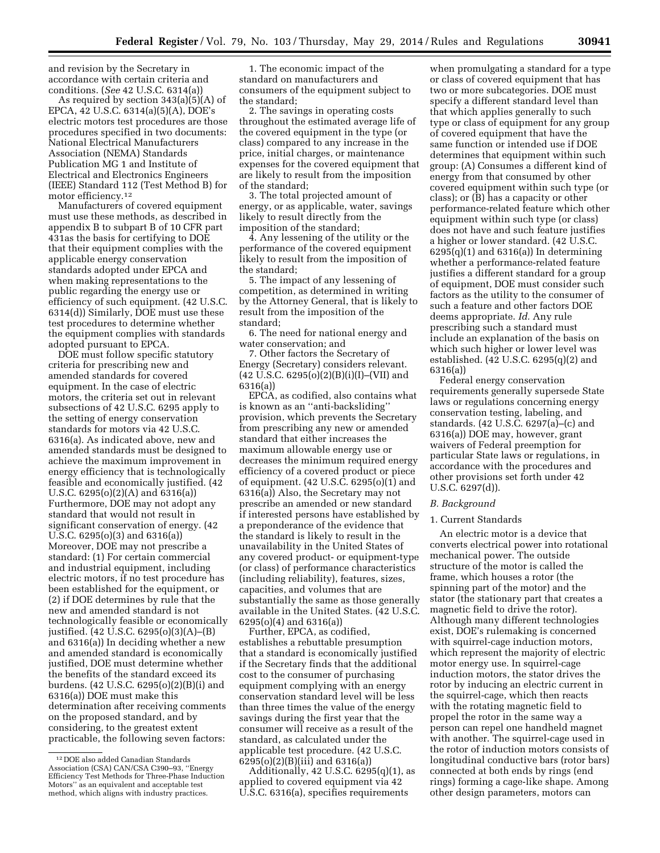and revision by the Secretary in accordance with certain criteria and conditions. (*See* 42 U.S.C. 6314(a))

As required by section 343(a)(5)(A) of EPCA, 42 U.S.C. 6314(a)(5)(A), DOE's electric motors test procedures are those procedures specified in two documents: National Electrical Manufacturers Association (NEMA) Standards Publication MG 1 and Institute of Electrical and Electronics Engineers (IEEE) Standard 112 (Test Method B) for motor efficiency.12

Manufacturers of covered equipment must use these methods, as described in appendix B to subpart B of 10 CFR part 431as the basis for certifying to DOE that their equipment complies with the applicable energy conservation standards adopted under EPCA and when making representations to the public regarding the energy use or efficiency of such equipment. (42 U.S.C. 6314(d)) Similarly, DOE must use these test procedures to determine whether the equipment complies with standards adopted pursuant to EPCA.

DOE must follow specific statutory criteria for prescribing new and amended standards for covered equipment. In the case of electric motors, the criteria set out in relevant subsections of 42 U.S.C. 6295 apply to the setting of energy conservation standards for motors via 42 U.S.C. 6316(a). As indicated above, new and amended standards must be designed to achieve the maximum improvement in energy efficiency that is technologically feasible and economically justified. (42 U.S.C. 6295(o)(2)(A) and 6316(a)) Furthermore, DOE may not adopt any standard that would not result in significant conservation of energy. (42 U.S.C. 6295(o)(3) and 6316(a)) Moreover, DOE may not prescribe a standard: (1) For certain commercial and industrial equipment, including electric motors, if no test procedure has been established for the equipment, or (2) if DOE determines by rule that the new and amended standard is not technologically feasible or economically justified. (42 U.S.C. 6295(o)(3)(A)–(B) and 6316(a)) In deciding whether a new and amended standard is economically justified, DOE must determine whether the benefits of the standard exceed its burdens. (42 U.S.C. 6295(o)(2)(B)(i) and 6316(a)) DOE must make this determination after receiving comments on the proposed standard, and by considering, to the greatest extent practicable, the following seven factors:

1. The economic impact of the standard on manufacturers and consumers of the equipment subject to the standard;

2. The savings in operating costs throughout the estimated average life of the covered equipment in the type (or class) compared to any increase in the price, initial charges, or maintenance expenses for the covered equipment that are likely to result from the imposition of the standard;

3. The total projected amount of energy, or as applicable, water, savings likely to result directly from the imposition of the standard;

4. Any lessening of the utility or the performance of the covered equipment likely to result from the imposition of the standard;

5. The impact of any lessening of competition, as determined in writing by the Attorney General, that is likely to result from the imposition of the standard;

6. The need for national energy and water conservation; and

7. Other factors the Secretary of Energy (Secretary) considers relevant.  $(42 \text{ U.S.C. } 6295(0)(2)(B)(i)(I) - (VII)$  and 6316(a))

EPCA, as codified, also contains what is known as an ''anti-backsliding'' provision, which prevents the Secretary from prescribing any new or amended standard that either increases the maximum allowable energy use or decreases the minimum required energy efficiency of a covered product or piece of equipment. (42 U.S.C. 6295(o)(1) and 6316(a)) Also, the Secretary may not prescribe an amended or new standard if interested persons have established by a preponderance of the evidence that the standard is likely to result in the unavailability in the United States of any covered product- or equipment-type (or class) of performance characteristics (including reliability), features, sizes, capacities, and volumes that are substantially the same as those generally available in the United States. (42 U.S.C. 6295(o)(4) and 6316(a))

Further, EPCA, as codified, establishes a rebuttable presumption that a standard is economically justified if the Secretary finds that the additional cost to the consumer of purchasing equipment complying with an energy conservation standard level will be less than three times the value of the energy savings during the first year that the consumer will receive as a result of the standard, as calculated under the applicable test procedure. (42 U.S.C. 6295(o)(2)(B)(iii) and 6316(a))

Additionally, 42 U.S.C. 6295(q)(1), as applied to covered equipment via 42 U.S.C. 6316(a), specifies requirements

when promulgating a standard for a type or class of covered equipment that has two or more subcategories. DOE must specify a different standard level than that which applies generally to such type or class of equipment for any group of covered equipment that have the same function or intended use if DOE determines that equipment within such group: (A) Consumes a different kind of energy from that consumed by other covered equipment within such type (or class); or (B) has a capacity or other performance-related feature which other equipment within such type (or class) does not have and such feature justifies a higher or lower standard. (42 U.S.C.  $6295(q)(1)$  and  $6316(q)$ ) In determining whether a performance-related feature justifies a different standard for a group of equipment, DOE must consider such factors as the utility to the consumer of such a feature and other factors DOE deems appropriate. *Id.* Any rule prescribing such a standard must include an explanation of the basis on which such higher or lower level was established. (42 U.S.C. 6295(q)(2) and 6316(a))

Federal energy conservation requirements generally supersede State laws or regulations concerning energy conservation testing, labeling, and standards. (42 U.S.C. 6297(a)–(c) and 6316(a)) DOE may, however, grant waivers of Federal preemption for particular State laws or regulations, in accordance with the procedures and other provisions set forth under 42 U.S.C. 6297(d)).

# *B. Background*

# 1. Current Standards

An electric motor is a device that converts electrical power into rotational mechanical power. The outside structure of the motor is called the frame, which houses a rotor (the spinning part of the motor) and the stator (the stationary part that creates a magnetic field to drive the rotor). Although many different technologies exist, DOE's rulemaking is concerned with squirrel-cage induction motors, which represent the majority of electric motor energy use. In squirrel-cage induction motors, the stator drives the rotor by inducing an electric current in the squirrel-cage, which then reacts with the rotating magnetic field to propel the rotor in the same way a person can repel one handheld magnet with another. The squirrel-cage used in the rotor of induction motors consists of longitudinal conductive bars (rotor bars) connected at both ends by rings (end rings) forming a cage-like shape. Among other design parameters, motors can

<sup>12</sup> DOE also added Canadian Standards Association (CSA) CAN/CSA C390–93, ''Energy Efficiency Test Methods for Three-Phase Induction Motors'' as an equivalent and acceptable test method, which aligns with industry practices.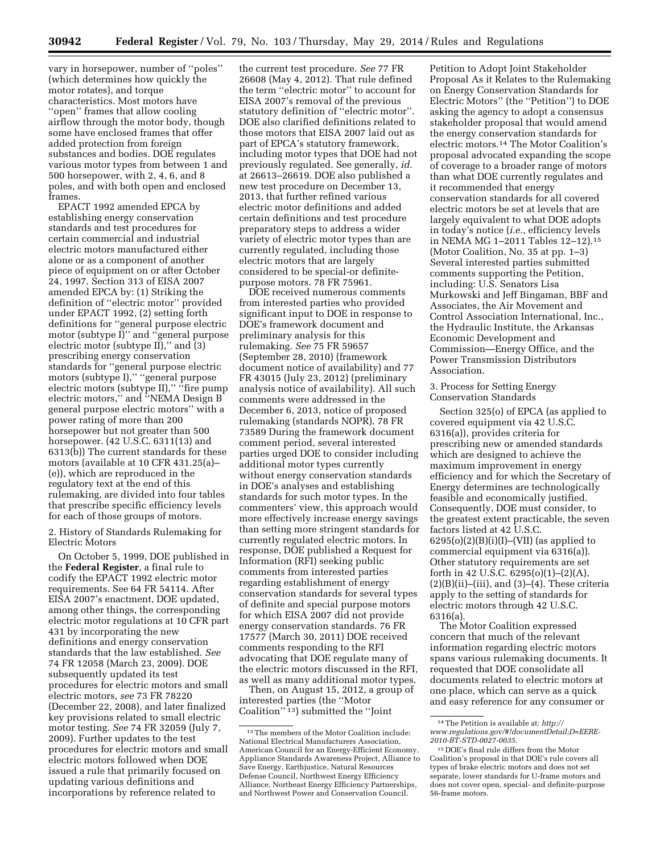vary in horsepower, number of ''poles'' (which determines how quickly the motor rotates), and torque characteristics. Most motors have ''open'' frames that allow cooling airflow through the motor body, though some have enclosed frames that offer added protection from foreign substances and bodies. DOE regulates various motor types from between 1 and 500 horsepower, with 2, 4, 6, and 8 poles, and with both open and enclosed frames.

EPACT 1992 amended EPCA by establishing energy conservation standards and test procedures for certain commercial and industrial electric motors manufactured either alone or as a component of another piece of equipment on or after October 24, 1997. Section 313 of EISA 2007 amended EPCA by: (1) Striking the definition of ''electric motor'' provided under EPACT 1992, (2) setting forth definitions for ''general purpose electric motor (subtype I)'' and ''general purpose electric motor (subtype  $II$ )," and (3) prescribing energy conservation standards for ''general purpose electric motors (subtype I),'' ''general purpose electric motors (subtype II)," "fire pump electric motors,'' and ''NEMA Design B general purpose electric motors'' with a power rating of more than 200 horsepower but not greater than 500 horsepower. (42 U.S.C. 6311(13) and 6313(b)) The current standards for these motors (available at 10 CFR 431.25(a)– (e)), which are reproduced in the regulatory text at the end of this rulemaking, are divided into four tables that prescribe specific efficiency levels for each of those groups of motors.

2. History of Standards Rulemaking for Electric Motors

On October 5, 1999, DOE published in the **Federal Register**, a final rule to codify the EPACT 1992 electric motor requirements. See 64 FR 54114. After EISA 2007's enactment, DOE updated, among other things, the corresponding electric motor regulations at 10 CFR part 431 by incorporating the new definitions and energy conservation standards that the law established. *See*  74 FR 12058 (March 23, 2009). DOE subsequently updated its test procedures for electric motors and small electric motors, *see* 73 FR 78220 (December 22, 2008), and later finalized key provisions related to small electric motor testing. *See* 74 FR 32059 (July 7, 2009). Further updates to the test procedures for electric motors and small electric motors followed when DOE issued a rule that primarily focused on updating various definitions and incorporations by reference related to

the current test procedure. *See* 77 FR 26608 (May 4, 2012). That rule defined the term ''electric motor'' to account for EISA 2007's removal of the previous statutory definition of ''electric motor''. DOE also clarified definitions related to those motors that EISA 2007 laid out as part of EPCA's statutory framework, including motor types that DOE had not previously regulated. See generally, *id.*  at 26613–26619. DOE also published a new test procedure on December 13, 2013, that further refined various electric motor definitions and added certain definitions and test procedure preparatory steps to address a wider variety of electric motor types than are currently regulated, including those electric motors that are largely considered to be special-or definitepurpose motors. 78 FR 75961.

DOE received numerous comments from interested parties who provided significant input to DOE in response to DOE's framework document and preliminary analysis for this rulemaking. *See* 75 FR 59657 (September 28, 2010) (framework document notice of availability) and 77 FR 43015 (July 23, 2012) (preliminary analysis notice of availability). All such comments were addressed in the December 6, 2013, notice of proposed rulemaking (standards NOPR). 78 FR 73589 During the framework document comment period, several interested parties urged DOE to consider including additional motor types currently without energy conservation standards in DOE's analyses and establishing standards for such motor types. In the commenters' view, this approach would more effectively increase energy savings than setting more stringent standards for currently regulated electric motors. In response, DOE published a Request for Information (RFI) seeking public comments from interested parties regarding establishment of energy conservation standards for several types of definite and special purpose motors for which EISA 2007 did not provide energy conservation standards. 76 FR 17577 (March 30, 2011) DOE received comments responding to the RFI advocating that DOE regulate many of the electric motors discussed in the RFI, as well as many additional motor types.

Then, on August 15, 2012, a group of interested parties (the ''Motor Coalition'' 13) submitted the ''Joint

Petition to Adopt Joint Stakeholder Proposal As it Relates to the Rulemaking on Energy Conservation Standards for Electric Motors'' (the ''Petition'') to DOE asking the agency to adopt a consensus stakeholder proposal that would amend the energy conservation standards for electric motors.14 The Motor Coalition's proposal advocated expanding the scope of coverage to a broader range of motors than what DOE currently regulates and it recommended that energy conservation standards for all covered electric motors be set at levels that are largely equivalent to what DOE adopts in today's notice (*i.e.,* efficiency levels in NEMA MG 1–2011 Tables 12–12).15 (Motor Coalition, No. 35 at pp. 1–3) Several interested parties submitted comments supporting the Petition, including: U.S. Senators Lisa Murkowski and Jeff Bingaman, BBF and Associates, the Air Movement and Control Association International, Inc., the Hydraulic Institute, the Arkansas Economic Development and Commission—Energy Office, and the Power Transmission Distributors Association.

3. Process for Setting Energy Conservation Standards

Section 325(o) of EPCA (as applied to covered equipment via 42 U.S.C. 6316(a)), provides criteria for prescribing new or amended standards which are designed to achieve the maximum improvement in energy efficiency and for which the Secretary of Energy determines are technologically feasible and economically justified. Consequently, DOE must consider, to the greatest extent practicable, the seven factors listed at 42 U.S.C.  $6295(o)(2)(B)(i)(I)$ –(VII) (as applied to commercial equipment via 6316(a)). Other statutory requirements are set forth in 42 U.S.C. 6295(o)(1)–(2)(A),  $(2)(B)(ii)$ –(iii), and  $(3)$ –(4). These criteria apply to the setting of standards for electric motors through 42 U.S.C. 6316(a).

The Motor Coalition expressed concern that much of the relevant information regarding electric motors spans various rulemaking documents. It requested that DOE consolidate all documents related to electric motors at one place, which can serve as a quick and easy reference for any consumer or

 $^{\rm 13}$  The members of the Motor Coalition include: National Electrical Manufacturers Association, American Council for an Energy-Efficient Economy, Appliance Standards Awareness Project, Alliance to Save Energy, Earthjustice, Natural Resources Defense Council, Northwest Energy Efficiency Alliance, Northeast Energy Efficiency Partnerships, and Northwest Power and Conservation Council.

<sup>14</sup>The Petition is available at: *[http://](http://www.regulations.gov/#!documentDetail;D=EERE-2010-BT-STD-0027-0035) [www.regulations.gov/#!documentDetail;D=EERE-](http://www.regulations.gov/#!documentDetail;D=EERE-2010-BT-STD-0027-0035)[2010-BT-STD-0027-0035](http://www.regulations.gov/#!documentDetail;D=EERE-2010-BT-STD-0027-0035)*.

<sup>15</sup> DOE's final rule differs from the Motor Coalition's proposal in that DOE's rule covers all types of brake electric motors and does not set separate, lower standards for U-frame motors and does not cover open, special- and definite-purpose 56-frame motors.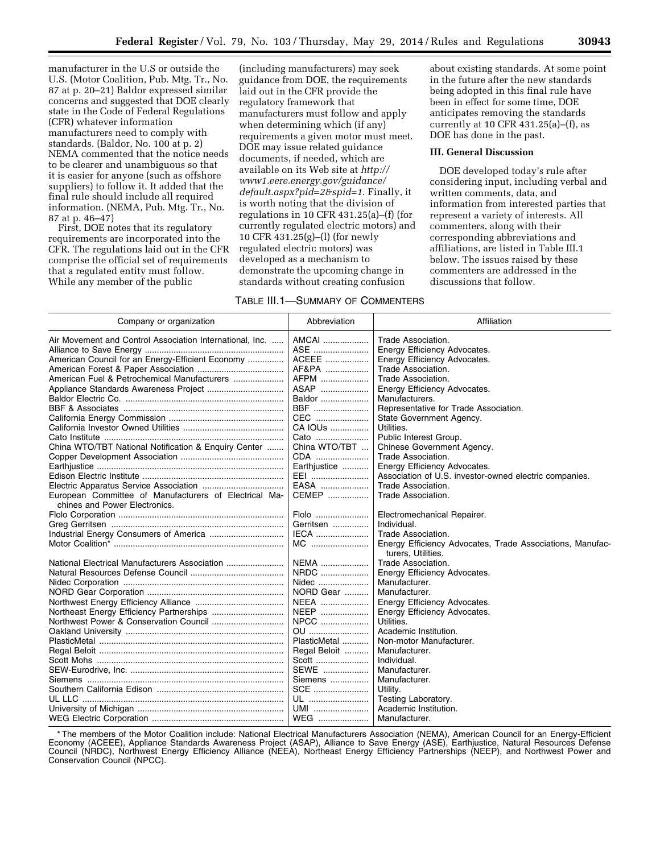manufacturer in the U.S or outside the U.S. (Motor Coalition, Pub. Mtg. Tr., No. 87 at p. 20–21) Baldor expressed similar concerns and suggested that DOE clearly state in the Code of Federal Regulations (CFR) whatever information manufacturers need to comply with standards. (Baldor, No. 100 at p. 2) NEMA commented that the notice needs to be clearer and unambiguous so that it is easier for anyone (such as offshore suppliers) to follow it. It added that the final rule should include all required information. (NEMA, Pub. Mtg. Tr., No. 87 at p. 46–47)

First, DOE notes that its regulatory requirements are incorporated into the CFR. The regulations laid out in the CFR comprise the official set of requirements that a regulated entity must follow. While any member of the public

(including manufacturers) may seek guidance from DOE, the requirements laid out in the CFR provide the regulatory framework that manufacturers must follow and apply when determining which (if any) requirements a given motor must meet. DOE may issue related guidance documents, if needed, which are available on its Web site at *[http://](http://www1.eere.energy.gov/guidance/default.aspx?pid=2&spid=1) [www1.eere.energy.gov/guidance/](http://www1.eere.energy.gov/guidance/default.aspx?pid=2&spid=1) [default.aspx?pid=2&spid=1](http://www1.eere.energy.gov/guidance/default.aspx?pid=2&spid=1)*. Finally, it is worth noting that the division of regulations in 10 CFR 431.25(a)–(f) (for currently regulated electric motors) and 10 CFR 431.25(g)–(l) (for newly regulated electric motors) was developed as a mechanism to demonstrate the upcoming change in standards without creating confusion

| Table III.1—Summary of Commenters |  |
|-----------------------------------|--|
|                                   |  |

about existing standards. At some point in the future after the new standards being adopted in this final rule have been in effect for some time, DOE anticipates removing the standards currently at 10 CFR  $431.25(a)$ –(f), as DOE has done in the past.

#### **III. General Discussion**

DOE developed today's rule after considering input, including verbal and written comments, data, and information from interested parties that represent a variety of interests. All commenters, along with their corresponding abbreviations and affiliations, are listed in Table III.1 below. The issues raised by these commenters are addressed in the discussions that follow.

| Company or organization                                                                | Abbreviation  | Affiliation                                                                     |
|----------------------------------------------------------------------------------------|---------------|---------------------------------------------------------------------------------|
| Air Movement and Control Association International, Inc.                               | AMCAI         | Trade Association.                                                              |
|                                                                                        | ASE           | Energy Efficiency Advocates.                                                    |
| American Council for an Energy-Efficient Economy                                       | ACEEE         | Energy Efficiency Advocates.                                                    |
|                                                                                        | AF&PA         | Trade Association.                                                              |
| American Fuel & Petrochemical Manufacturers                                            | AFPM          | Trade Association.                                                              |
|                                                                                        | ASAP          | Energy Efficiency Advocates.                                                    |
|                                                                                        | Baldor        | Manufacturers.                                                                  |
|                                                                                        | <b>BBF</b>    | Representative for Trade Association.                                           |
|                                                                                        | CEC           | State Government Agency.                                                        |
|                                                                                        | CA IOUs       | Utilities.                                                                      |
|                                                                                        | Cato          | Public Interest Group.                                                          |
| China WTO/TBT National Notification & Enguiry Center                                   | China WTO/TBT | Chinese Government Agency.                                                      |
|                                                                                        | CDA           | Trade Association.                                                              |
|                                                                                        | Earthjustice  | Energy Efficiency Advocates.                                                    |
|                                                                                        | EEI           | Association of U.S. investor-owned electric companies.                          |
|                                                                                        | EASA          | Trade Association.                                                              |
| European Committee of Manufacturers of Electrical Ma-<br>chines and Power Electronics. | CEMEP         | Trade Association.                                                              |
|                                                                                        | Flolo         | Electromechanical Repairer.                                                     |
|                                                                                        | Gerritsen     | Individual.                                                                     |
|                                                                                        | IECA          | Trade Association.                                                              |
|                                                                                        | MC            | Energy Efficiency Advocates, Trade Associations, Manufac-<br>turers, Utilities. |
| National Electrical Manufacturers Association                                          | NEMA          | Trade Association.                                                              |
|                                                                                        | NRDC          | Energy Efficiency Advocates.                                                    |
|                                                                                        | Nidec         | Manufacturer.                                                                   |
|                                                                                        | NORD Gear     | Manufacturer.                                                                   |
|                                                                                        | <b>NEEA</b>   | Energy Efficiency Advocates.                                                    |
|                                                                                        | NEEP          | Energy Efficiency Advocates.                                                    |
| Northwest Power & Conservation Council                                                 | NPCC          | Utilities.                                                                      |
|                                                                                        | OU            | Academic Institution.                                                           |
|                                                                                        | PlasticMetal  | Non-motor Manufacturer.                                                         |
|                                                                                        | Regal Beloit  | Manufacturer.                                                                   |
|                                                                                        | Scott         | Individual.                                                                     |
|                                                                                        | SEWE          | Manufacturer.                                                                   |
|                                                                                        | Siemens       | Manufacturer.                                                                   |
|                                                                                        | SCE           | Utility.                                                                        |
|                                                                                        | UL            | Testing Laboratory.                                                             |
|                                                                                        | UMI           | Academic Institution.                                                           |
|                                                                                        | WEG           | Manufacturer.                                                                   |

\* The members of the Motor Coalition include: National Electrical Manufacturers Association (NEMA), American Council for an Energy-Efficient Economy (ACEEE), Appliance Standards Awareness Project (ASAP), Alliance to Save Energy (ASE), Earthjustice, Natural Resources Defense Council (NRDC), Northwest Energy Efficiency Alliance (NEEA), Northeast Energy Efficiency Partnerships (NEEP), and Northwest Power and Conservation Council (NPCC).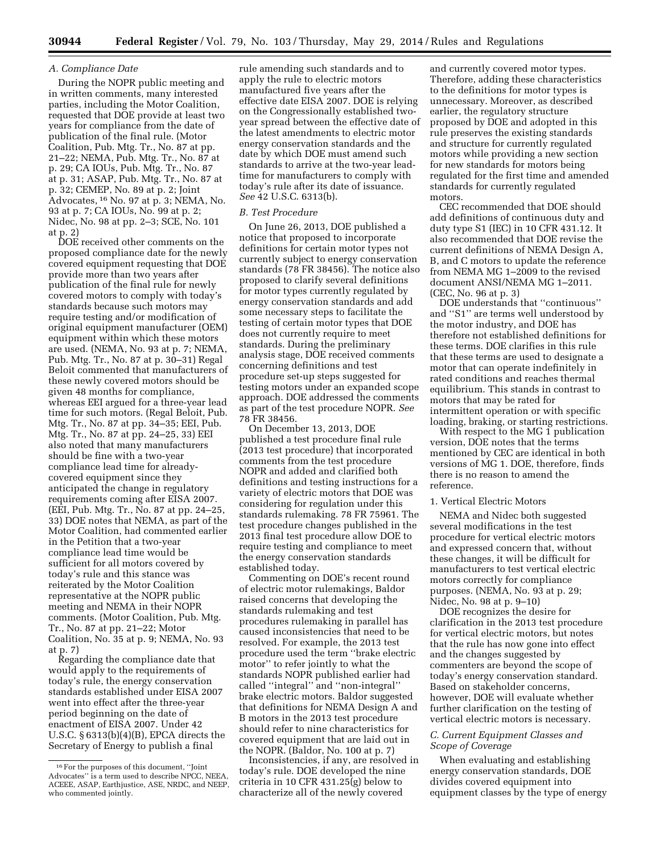# *A. Compliance Date*

During the NOPR public meeting and in written comments, many interested parties, including the Motor Coalition, requested that DOE provide at least two years for compliance from the date of publication of the final rule. (Motor Coalition, Pub. Mtg. Tr., No. 87 at pp. 21–22; NEMA, Pub. Mtg. Tr., No. 87 at p. 29; CA IOUs, Pub. Mtg. Tr., No. 87 at p. 31; ASAP, Pub. Mtg. Tr., No. 87 at p. 32; CEMEP, No. 89 at p. 2; Joint Advocates, 16 No. 97 at p. 3; NEMA, No. 93 at p. 7; CA IOUs, No. 99 at p. 2; Nidec, No. 98 at pp. 2–3; SCE, No. 101 at p. 2)

DOE received other comments on the proposed compliance date for the newly covered equipment requesting that DOE provide more than two years after publication of the final rule for newly covered motors to comply with today's standards because such motors may require testing and/or modification of original equipment manufacturer (OEM) equipment within which these motors are used. (NEMA, No. 93 at p. 7; NEMA, Pub. Mtg. Tr., No. 87 at p. 30–31) Regal Beloit commented that manufacturers of these newly covered motors should be given 48 months for compliance, whereas EEI argued for a three-year lead time for such motors. (Regal Beloit, Pub. Mtg. Tr., No. 87 at pp. 34–35; EEI, Pub. Mtg. Tr., No. 87 at pp. 24–25, 33) EEI also noted that many manufacturers should be fine with a two-year compliance lead time for alreadycovered equipment since they anticipated the change in regulatory requirements coming after EISA 2007. (EEI, Pub. Mtg. Tr., No. 87 at pp. 24–25, 33) DOE notes that NEMA, as part of the Motor Coalition, had commented earlier in the Petition that a two-year compliance lead time would be sufficient for all motors covered by today's rule and this stance was reiterated by the Motor Coalition representative at the NOPR public meeting and NEMA in their NOPR comments. (Motor Coalition, Pub. Mtg. Tr., No. 87 at pp. 21–22; Motor Coalition, No. 35 at p. 9; NEMA, No. 93 at p. 7)

Regarding the compliance date that would apply to the requirements of today's rule, the energy conservation standards established under EISA 2007 went into effect after the three-year period beginning on the date of enactment of EISA 2007. Under 42 U.S.C. § 6313(b)(4)(B), EPCA directs the Secretary of Energy to publish a final

rule amending such standards and to apply the rule to electric motors manufactured five years after the effective date EISA 2007. DOE is relying on the Congressionally established twoyear spread between the effective date of the latest amendments to electric motor energy conservation standards and the date by which DOE must amend such standards to arrive at the two-year leadtime for manufacturers to comply with today's rule after its date of issuance. *See* 42 U.S.C. 6313(b).

#### *B. Test Procedure*

On June 26, 2013, DOE published a notice that proposed to incorporate definitions for certain motor types not currently subject to energy conservation standards (78 FR 38456). The notice also proposed to clarify several definitions for motor types currently regulated by energy conservation standards and add some necessary steps to facilitate the testing of certain motor types that DOE does not currently require to meet standards. During the preliminary analysis stage, DOE received comments concerning definitions and test procedure set-up steps suggested for testing motors under an expanded scope approach. DOE addressed the comments as part of the test procedure NOPR. *See*  78 FR 38456.

On December 13, 2013, DOE published a test procedure final rule (2013 test procedure) that incorporated comments from the test procedure NOPR and added and clarified both definitions and testing instructions for a variety of electric motors that DOE was considering for regulation under this standards rulemaking. 78 FR 75961. The test procedure changes published in the 2013 final test procedure allow DOE to require testing and compliance to meet the energy conservation standards established today.

Commenting on DOE's recent round of electric motor rulemakings, Baldor raised concerns that developing the standards rulemaking and test procedures rulemaking in parallel has caused inconsistencies that need to be resolved. For example, the 2013 test procedure used the term ''brake electric motor'' to refer jointly to what the standards NOPR published earlier had called ''integral'' and ''non-integral'' brake electric motors. Baldor suggested that definitions for NEMA Design A and B motors in the 2013 test procedure should refer to nine characteristics for covered equipment that are laid out in the NOPR. (Baldor, No. 100 at p. 7)

Inconsistencies, if any, are resolved in today's rule. DOE developed the nine criteria in 10 CFR 431.25(g) below to characterize all of the newly covered

and currently covered motor types. Therefore, adding these characteristics to the definitions for motor types is unnecessary. Moreover, as described earlier, the regulatory structure proposed by DOE and adopted in this rule preserves the existing standards and structure for currently regulated motors while providing a new section for new standards for motors being regulated for the first time and amended standards for currently regulated motors.

CEC recommended that DOE should add definitions of continuous duty and duty type S1 (IEC) in 10 CFR 431.12. It also recommended that DOE revise the current definitions of NEMA Design A, B, and C motors to update the reference from NEMA MG 1–2009 to the revised document ANSI/NEMA MG 1–2011. (CEC, No. 96 at p. 3)

DOE understands that ''continuous'' and ''S1'' are terms well understood by the motor industry, and DOE has therefore not established definitions for these terms. DOE clarifies in this rule that these terms are used to designate a motor that can operate indefinitely in rated conditions and reaches thermal equilibrium. This stands in contrast to motors that may be rated for intermittent operation or with specific loading, braking, or starting restrictions.

With respect to the MG 1 publication version, DOE notes that the terms mentioned by CEC are identical in both versions of MG 1. DOE, therefore, finds there is no reason to amend the reference.

## 1. Vertical Electric Motors

NEMA and Nidec both suggested several modifications in the test procedure for vertical electric motors and expressed concern that, without these changes, it will be difficult for manufacturers to test vertical electric motors correctly for compliance purposes. (NEMA, No. 93 at p. 29; Nidec, No. 98 at p. 9–10)

DOE recognizes the desire for clarification in the 2013 test procedure for vertical electric motors, but notes that the rule has now gone into effect and the changes suggested by commenters are beyond the scope of today's energy conservation standard. Based on stakeholder concerns, however, DOE will evaluate whether further clarification on the testing of vertical electric motors is necessary.

# *C. Current Equipment Classes and Scope of Coverage*

When evaluating and establishing energy conservation standards, DOE divides covered equipment into equipment classes by the type of energy

<sup>16</sup>For the purposes of this document, ''Joint Advocates'' is a term used to describe NPCC, NEEA, ACEEE, ASAP, Earthjustice, ASE, NRDC, and NEEP, who commented jointly.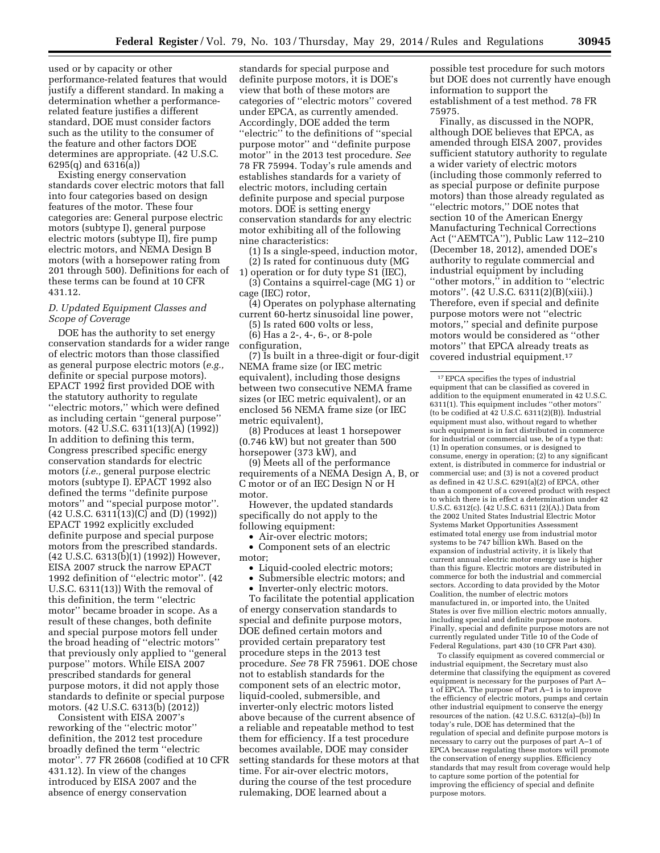used or by capacity or other performance-related features that would justify a different standard. In making a determination whether a performancerelated feature justifies a different standard, DOE must consider factors such as the utility to the consumer of the feature and other factors DOE determines are appropriate. (42 U.S.C. 6295(q) and 6316(a))

Existing energy conservation standards cover electric motors that fall into four categories based on design features of the motor. These four categories are: General purpose electric motors (subtype I), general purpose electric motors (subtype II), fire pump electric motors, and NEMA Design B motors (with a horsepower rating from 201 through 500). Definitions for each of these terms can be found at 10 CFR 431.12.

# *D. Updated Equipment Classes and Scope of Coverage*

DOE has the authority to set energy conservation standards for a wider range of electric motors than those classified as general purpose electric motors (*e.g.,*  definite or special purpose motors). EPACT 1992 first provided DOE with the statutory authority to regulate ''electric motors,'' which were defined as including certain ''general purpose'' motors. (42 U.S.C. 6311(13)(A) (1992)) In addition to defining this term, Congress prescribed specific energy conservation standards for electric motors (*i.e.,* general purpose electric motors (subtype I). EPACT 1992 also defined the terms ''definite purpose motors'' and ''special purpose motor''. (42 U.S.C. 6311(13)(C) and (D) (1992)) EPACT 1992 explicitly excluded definite purpose and special purpose motors from the prescribed standards. (42 U.S.C. 6313(b)(1) (1992)) However, EISA 2007 struck the narrow EPACT 1992 definition of ''electric motor''. (42 U.S.C. 6311(13)) With the removal of this definition, the term ''electric motor'' became broader in scope. As a result of these changes, both definite and special purpose motors fell under the broad heading of ''electric motors'' that previously only applied to ''general purpose'' motors. While EISA 2007 prescribed standards for general purpose motors, it did not apply those standards to definite or special purpose motors. (42 U.S.C. 6313(b) (2012))

Consistent with EISA 2007's reworking of the ''electric motor'' definition, the 2012 test procedure broadly defined the term ''electric motor''. 77 FR 26608 (codified at 10 CFR 431.12). In view of the changes introduced by EISA 2007 and the absence of energy conservation

standards for special purpose and definite purpose motors, it is DOE's view that both of these motors are categories of ''electric motors'' covered under EPCA, as currently amended. Accordingly, DOE added the term ''electric'' to the definitions of ''special purpose motor'' and ''definite purpose motor'' in the 2013 test procedure. *See*  78 FR 75994. Today's rule amends and establishes standards for a variety of electric motors, including certain definite purpose and special purpose motors. DOE is setting energy conservation standards for any electric motor exhibiting all of the following nine characteristics:

(1) Is a single-speed, induction motor, (2) Is rated for continuous duty (MG

1) operation or for duty type S1 (IEC), (3) Contains a squirrel-cage (MG 1) or cage (IEC) rotor,

(4) Operates on polyphase alternating current 60-hertz sinusoidal line power,

(5) Is rated 600 volts or less,

(6) Has a 2-, 4-, 6-, or 8-pole configuration,

(7) Is built in a three-digit or four-digit NEMA frame size (or IEC metric equivalent), including those designs between two consecutive NEMA frame sizes (or IEC metric equivalent), or an enclosed 56 NEMA frame size (or IEC metric equivalent),

(8) Produces at least 1 horsepower (0.746 kW) but not greater than 500 horsepower (373 kW), and

(9) Meets all of the performance requirements of a NEMA Design A, B, or C motor or of an IEC Design N or H motor.

However, the updated standards specifically do not apply to the following equipment:

• Air-over electric motors;

• Component sets of an electric motor;

• Liquid-cooled electric motors;

• Submersible electric motors; and

• Inverter-only electric motors.

To facilitate the potential application of energy conservation standards to special and definite purpose motors, DOE defined certain motors and provided certain preparatory test procedure steps in the 2013 test procedure. *See* 78 FR 75961. DOE chose not to establish standards for the component sets of an electric motor, liquid-cooled, submersible, and inverter-only electric motors listed above because of the current absence of a reliable and repeatable method to test them for efficiency. If a test procedure becomes available, DOE may consider setting standards for these motors at that time. For air-over electric motors, during the course of the test procedure rulemaking, DOE learned about a

possible test procedure for such motors but DOE does not currently have enough information to support the establishment of a test method. 78 FR 75975.

Finally, as discussed in the NOPR, although DOE believes that EPCA, as amended through EISA 2007, provides sufficient statutory authority to regulate a wider variety of electric motors (including those commonly referred to as special purpose or definite purpose motors) than those already regulated as ''electric motors,'' DOE notes that section 10 of the American Energy Manufacturing Technical Corrections Act (''AEMTCA''), Public Law 112–210 (December 18, 2012), amended DOE's authority to regulate commercial and industrial equipment by including ''other motors,'' in addition to ''electric motors''. (42 U.S.C. 6311(2)(B)(xiii).) Therefore, even if special and definite purpose motors were not ''electric motors,'' special and definite purpose motors would be considered as ''other motors'' that EPCA already treats as covered industrial equipment.17

To classify equipment as covered commercial or industrial equipment, the Secretary must also determine that classifying the equipment as covered equipment is necessary for the purposes of Part A– 1 of EPCA. The purpose of Part A–1 is to improve the efficiency of electric motors, pumps and certain other industrial equipment to conserve the energy resources of the nation. (42 U.S.C. 6312(a)–(b)) In today's rule, DOE has determined that the regulation of special and definite purpose motors is necessary to carry out the purposes of part A–1 of EPCA because regulating these motors will promote the conservation of energy supplies. Efficiency standards that may result from coverage would help to capture some portion of the potential for improving the efficiency of special and definite purpose motors.

 $^{\rm 17}$  EPCA specifies the types of industrial equipment that can be classified as covered in addition to the equipment enumerated in 42 U.S.C. 6311(1). This equipment includes ''other motors'' (to be codified at 42 U.S.C. 6311(2)(B)). Industrial equipment must also, without regard to whether such equipment is in fact distributed in commerce for industrial or commercial use, be of a type that: (1) In operation consumes, or is designed to consume, energy in operation; (2) to any significant extent, is distributed in commerce for industrial or commercial use; and (3) is not a covered product as defined in 42 U.S.C. 6291(a)(2) of EPCA, other than a component of a covered product with respect to which there is in effect a determination under 42 U.S.C. 6312(c). (42 U.S.C. 6311 (2)(A).) Data from the 2002 United States Industrial Electric Motor Systems Market Opportunities Assessment estimated total energy use from industrial motor systems to be 747 billion kWh. Based on the expansion of industrial activity, it is likely that current annual electric motor energy use is higher than this figure. Electric motors are distributed in commerce for both the industrial and commercial sectors. According to data provided by the Motor Coalition, the number of electric motors manufactured in, or imported into, the United States is over five million electric motors annually, including special and definite purpose motors. Finally, special and definite purpose motors are not currently regulated under Title 10 of the Code of Federal Regulations, part 430 (10 CFR Part 430).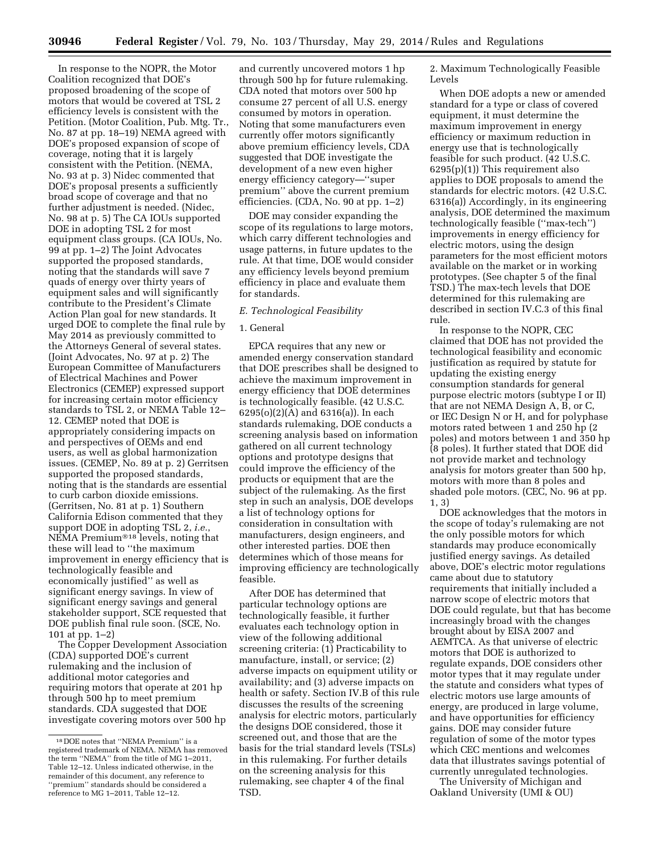In response to the NOPR, the Motor Coalition recognized that DOE's proposed broadening of the scope of motors that would be covered at TSL 2 efficiency levels is consistent with the Petition. (Motor Coalition, Pub. Mtg. Tr., No. 87 at pp. 18–19) NEMA agreed with DOE's proposed expansion of scope of coverage, noting that it is largely consistent with the Petition. (NEMA, No. 93 at p. 3) Nidec commented that DOE's proposal presents a sufficiently broad scope of coverage and that no further adjustment is needed. (Nidec, No. 98 at p. 5) The CA IOUs supported DOE in adopting TSL 2 for most equipment class groups. (CA IOUs, No. 99 at pp. 1–2) The Joint Advocates supported the proposed standards, noting that the standards will save 7 quads of energy over thirty years of equipment sales and will significantly contribute to the President's Climate Action Plan goal for new standards. It urged DOE to complete the final rule by May 2014 as previously committed to the Attorneys General of several states. (Joint Advocates, No. 97 at p. 2) The European Committee of Manufacturers of Electrical Machines and Power Electronics (CEMEP) expressed support for increasing certain motor efficiency standards to TSL 2, or NEMA Table 12– 12. CEMEP noted that DOE is appropriately considering impacts on and perspectives of OEMs and end users, as well as global harmonization issues. (CEMEP, No. 89 at p. 2) Gerritsen supported the proposed standards, noting that is the standards are essential to curb carbon dioxide emissions. (Gerritsen, No. 81 at p. 1) Southern California Edison commented that they support DOE in adopting TSL 2, *i.e.*, NEMA Premium®18 levels, noting that these will lead to ''the maximum improvement in energy efficiency that is technologically feasible and economically justified'' as well as significant energy savings. In view of significant energy savings and general stakeholder support, SCE requested that DOE publish final rule soon. (SCE, No. 101 at pp. 1–2)

The Copper Development Association (CDA) supported DOE's current rulemaking and the inclusion of additional motor categories and requiring motors that operate at 201 hp through 500 hp to meet premium standards. CDA suggested that DOE investigate covering motors over 500 hp

and currently uncovered motors 1 hp through 500 hp for future rulemaking. CDA noted that motors over 500 hp consume 27 percent of all U.S. energy consumed by motors in operation. Noting that some manufacturers even currently offer motors significantly above premium efficiency levels, CDA suggested that DOE investigate the development of a new even higher energy efficiency category—''super premium'' above the current premium efficiencies. (CDA, No. 90 at pp. 1–2)

DOE may consider expanding the scope of its regulations to large motors, which carry different technologies and usage patterns, in future updates to the rule. At that time, DOE would consider any efficiency levels beyond premium efficiency in place and evaluate them for standards.

#### *E. Technological Feasibility*

#### 1. General

EPCA requires that any new or amended energy conservation standard that DOE prescribes shall be designed to achieve the maximum improvement in energy efficiency that DOE determines is technologically feasible. (42 U.S.C. 6295(o)(2)(A) and 6316(a)). In each standards rulemaking, DOE conducts a screening analysis based on information gathered on all current technology options and prototype designs that could improve the efficiency of the products or equipment that are the subject of the rulemaking. As the first step in such an analysis, DOE develops a list of technology options for consideration in consultation with manufacturers, design engineers, and other interested parties. DOE then determines which of those means for improving efficiency are technologically feasible.

After DOE has determined that particular technology options are technologically feasible, it further evaluates each technology option in view of the following additional screening criteria: (1) Practicability to manufacture, install, or service; (2) adverse impacts on equipment utility or availability; and (3) adverse impacts on health or safety. Section IV.B of this rule discusses the results of the screening analysis for electric motors, particularly the designs DOE considered, those it screened out, and those that are the basis for the trial standard levels (TSLs) in this rulemaking. For further details on the screening analysis for this rulemaking, see chapter 4 of the final TSD.

2. Maximum Technologically Feasible Levels

When DOE adopts a new or amended standard for a type or class of covered equipment, it must determine the maximum improvement in energy efficiency or maximum reduction in energy use that is technologically feasible for such product. (42 U.S.C. 6295(p)(1)) This requirement also applies to DOE proposals to amend the standards for electric motors. (42 U.S.C. 6316(a)) Accordingly, in its engineering analysis, DOE determined the maximum technologically feasible (''max-tech'') improvements in energy efficiency for electric motors, using the design parameters for the most efficient motors available on the market or in working prototypes. (See chapter 5 of the final TSD.) The max-tech levels that DOE determined for this rulemaking are described in section IV.C.3 of this final rule.

In response to the NOPR, CEC claimed that DOE has not provided the technological feasibility and economic justification as required by statute for updating the existing energy consumption standards for general purpose electric motors (subtype I or II) that are not NEMA Design A, B, or C, or IEC Design N or H, and for polyphase motors rated between 1 and 250 hp (2 poles) and motors between 1 and 350 hp (8 poles). It further stated that DOE did not provide market and technology analysis for motors greater than 500 hp, motors with more than 8 poles and shaded pole motors. (CEC, No. 96 at pp. 1, 3)

DOE acknowledges that the motors in the scope of today's rulemaking are not the only possible motors for which standards may produce economically justified energy savings. As detailed above, DOE's electric motor regulations came about due to statutory requirements that initially included a narrow scope of electric motors that DOE could regulate, but that has become increasingly broad with the changes brought about by EISA 2007 and AEMTCA. As that universe of electric motors that DOE is authorized to regulate expands, DOE considers other motor types that it may regulate under the statute and considers what types of electric motors use large amounts of energy, are produced in large volume, and have opportunities for efficiency gains. DOE may consider future regulation of some of the motor types which CEC mentions and welcomes data that illustrates savings potential of currently unregulated technologies.

The University of Michigan and Oakland University (UMI & OU)

<sup>18</sup> DOE notes that ''NEMA Premium'' is a registered trademark of NEMA. NEMA has removed the term ''NEMA'' from the title of MG 1–2011, Table 12–12. Unless indicated otherwise, in the remainder of this document, any reference to ''premium'' standards should be considered a reference to MG 1–2011, Table 12–12.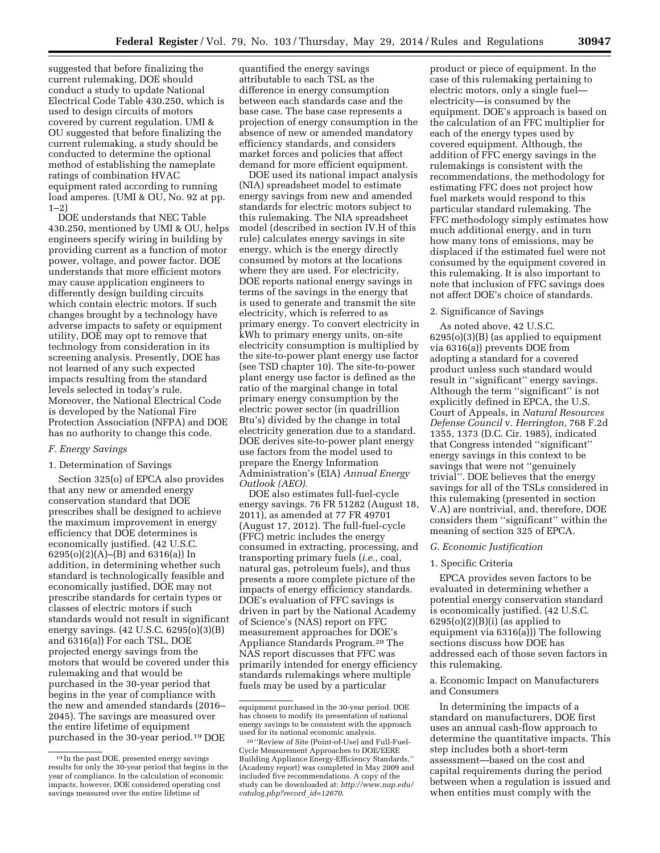suggested that before finalizing the current rulemaking, DOE should conduct a study to update National Electrical Code Table 430.250, which is used to design circuits of motors covered by current regulation. UMI & OU suggested that before finalizing the current rulemaking, a study should be conducted to determine the optional method of establishing the nameplate ratings of combination HVAC equipment rated according to running load amperes. (UMI & OU, No. 92 at pp. 1–2)

DOE understands that NEC Table 430.250, mentioned by UMI & OU, helps engineers specify wiring in building by providing current as a function of motor power, voltage, and power factor. DOE understands that more efficient motors may cause application engineers to differently design building circuits which contain electric motors. If such changes brought by a technology have adverse impacts to safety or equipment utility, DOE may opt to remove that technology from consideration in its screening analysis. Presently, DOE has not learned of any such expected impacts resulting from the standard levels selected in today's rule. Moreover, the National Electrical Code is developed by the National Fire Protection Association (NFPA) and DOE has no authority to change this code.

# *F. Energy Savings*

# 1. Determination of Savings

Section 325(o) of EPCA also provides that any new or amended energy conservation standard that DOE prescribes shall be designed to achieve the maximum improvement in energy efficiency that DOE determines is economically justified. (42 U.S.C. 6295(o)(2)(A)–(B) and 6316(a)) In addition, in determining whether such standard is technologically feasible and economically justified, DOE may not prescribe standards for certain types or classes of electric motors if such standards would not result in significant energy savings. (42 U.S.C. 6295(o)(3)(B) and 6316(a)) For each TSL, DOE projected energy savings from the motors that would be covered under this rulemaking and that would be purchased in the 30-year period that begins in the year of compliance with the new and amended standards (2016– 2045). The savings are measured over the entire lifetime of equipment purchased in the 30-year period.19 DOE

quantified the energy savings attributable to each TSL as the difference in energy consumption between each standards case and the base case. The base case represents a projection of energy consumption in the absence of new or amended mandatory efficiency standards, and considers market forces and policies that affect demand for more efficient equipment.

DOE used its national impact analysis (NIA) spreadsheet model to estimate energy savings from new and amended standards for electric motors subject to this rulemaking. The NIA spreadsheet model (described in section IV.H of this rule) calculates energy savings in site energy, which is the energy directly consumed by motors at the locations where they are used. For electricity, DOE reports national energy savings in terms of the savings in the energy that is used to generate and transmit the site electricity, which is referred to as primary energy. To convert electricity in kWh to primary energy units, on-site electricity consumption is multiplied by the site-to-power plant energy use factor (see TSD chapter 10). The site-to-power plant energy use factor is defined as the ratio of the marginal change in total primary energy consumption by the electric power sector (in quadrillion Btu's) divided by the change in total electricity generation due to a standard. DOE derives site-to-power plant energy use factors from the model used to prepare the Energy Information Administration's (EIA) *Annual Energy Outlook (AEO).* 

DOE also estimates full-fuel-cycle energy savings. 76 FR 51282 (August 18, 2011), as amended at 77 FR 49701 (August 17, 2012). The full-fuel-cycle (FFC) metric includes the energy consumed in extracting, processing, and transporting primary fuels (*i.e.,* coal, natural gas, petroleum fuels), and thus presents a more complete picture of the impacts of energy efficiency standards. DOE's evaluation of FFC savings is driven in part by the National Academy of Science's (NAS) report on FFC measurement approaches for DOE's Appliance Standards Program.20 The NAS report discusses that FFC was primarily intended for energy efficiency standards rulemakings where multiple fuels may be used by a particular

product or piece of equipment. In the case of this rulemaking pertaining to electric motors, only a single fuel electricity—is consumed by the equipment. DOE's approach is based on the calculation of an FFC multiplier for each of the energy types used by covered equipment. Although, the addition of FFC energy savings in the rulemakings is consistent with the recommendations, the methodology for estimating FFC does not project how fuel markets would respond to this particular standard rulemaking. The FFC methodology simply estimates how much additional energy, and in turn how many tons of emissions, may be displaced if the estimated fuel were not consumed by the equipment covered in this rulemaking. It is also important to note that inclusion of FFC savings does not affect DOE's choice of standards.

# 2. Significance of Savings

As noted above, 42 U.S.C. 6295(o)(3)(B) (as applied to equipment via 6316(a)) prevents DOE from adopting a standard for a covered product unless such standard would result in ''significant'' energy savings. Although the term ''significant'' is not explicitly defined in EPCA, the U.S. Court of Appeals, in *Natural Resources Defense Council* v. *Herrington,* 768 F.2d 1355, 1373 (D.C. Cir. 1985), indicated that Congress intended ''significant'' energy savings in this context to be savings that were not ''genuinely trivial''. DOE believes that the energy savings for all of the TSLs considered in this rulemaking (presented in section V.A) are nontrivial, and, therefore, DOE considers them ''significant'' within the meaning of section 325 of EPCA.

### *G. Economic Justification*

# 1. Specific Criteria

EPCA provides seven factors to be evaluated in determining whether a potential energy conservation standard is economically justified. (42 U.S.C.  $6295(o)(2)(B)(i)$  (as applied to equipment via 6316(a))) The following sections discuss how DOE has addressed each of those seven factors in this rulemaking.

### a. Economic Impact on Manufacturers and Consumers

In determining the impacts of a standard on manufacturers, DOE first uses an annual cash-flow approach to determine the quantitative impacts. This step includes both a short-term assessment—based on the cost and capital requirements during the period between when a regulation is issued and when entities must comply with the

<sup>19</sup> In the past DOE, presented energy savings results for only the 30-year period that begins in the year of compliance. In the calculation of economic impacts, however, DOE considered operating cost savings measured over the entire lifetime of

equipment purchased in the 30-year period. DOE has chosen to modify its presentation of national energy savings to be consistent with the approach used for its national economic analysis.

<sup>20</sup> ''Review of Site (Point-of-Use) and Full-Fuel-Cycle Measurement Approaches to DOE/EERE Building Appliance Energy-Efficiency Standards,'' (Academy report) was completed in May 2009 and included five recommendations. A copy of the study can be downloaded at: *[http://www.nap.edu/](http://www.nap.edu/catalog.php?record_id=12670)  [catalog.php?record](http://www.nap.edu/catalog.php?record_id=12670)*\_*id=12670*.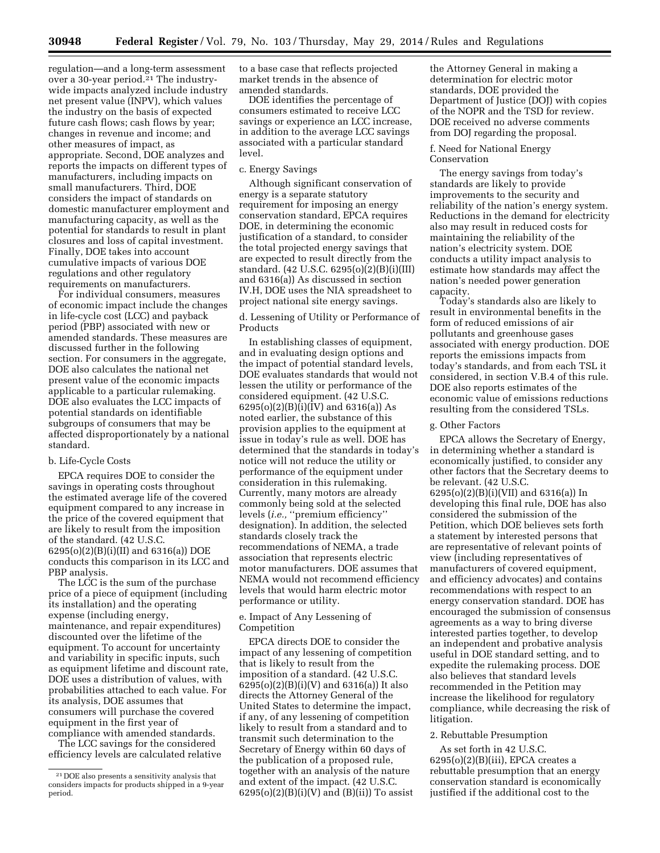regulation—and a long-term assessment over a 30-year period. $21$  The industrywide impacts analyzed include industry net present value (INPV), which values the industry on the basis of expected future cash flows; cash flows by year; changes in revenue and income; and other measures of impact, as appropriate. Second, DOE analyzes and reports the impacts on different types of manufacturers, including impacts on small manufacturers. Third, DOE considers the impact of standards on domestic manufacturer employment and manufacturing capacity, as well as the potential for standards to result in plant closures and loss of capital investment. Finally, DOE takes into account cumulative impacts of various DOE regulations and other regulatory requirements on manufacturers.

For individual consumers, measures of economic impact include the changes in life-cycle cost (LCC) and payback period (PBP) associated with new or amended standards. These measures are discussed further in the following section. For consumers in the aggregate, DOE also calculates the national net present value of the economic impacts applicable to a particular rulemaking. DOE also evaluates the LCC impacts of potential standards on identifiable subgroups of consumers that may be affected disproportionately by a national standard.

### b. Life-Cycle Costs

EPCA requires DOE to consider the savings in operating costs throughout the estimated average life of the covered equipment compared to any increase in the price of the covered equipment that are likely to result from the imposition of the standard. (42 U.S.C. 6295(o)(2)(B)(i)(II) and 6316(a)) DOE conducts this comparison in its LCC and PBP analysis.

The LCC is the sum of the purchase price of a piece of equipment (including its installation) and the operating expense (including energy, maintenance, and repair expenditures) discounted over the lifetime of the equipment. To account for uncertainty and variability in specific inputs, such as equipment lifetime and discount rate, DOE uses a distribution of values, with probabilities attached to each value. For its analysis, DOE assumes that consumers will purchase the covered equipment in the first year of compliance with amended standards.

The LCC savings for the considered efficiency levels are calculated relative to a base case that reflects projected market trends in the absence of amended standards.

DOE identifies the percentage of consumers estimated to receive LCC savings or experience an LCC increase, in addition to the average LCC savings associated with a particular standard level.

#### c. Energy Savings

Although significant conservation of energy is a separate statutory requirement for imposing an energy conservation standard, EPCA requires DOE, in determining the economic justification of a standard, to consider the total projected energy savings that are expected to result directly from the standard. (42 U.S.C. 6295(o)(2)(B)(i)(III) and 6316(a)) As discussed in section IV.H, DOE uses the NIA spreadsheet to project national site energy savings.

d. Lessening of Utility or Performance of Products

In establishing classes of equipment, and in evaluating design options and the impact of potential standard levels, DOE evaluates standards that would not lessen the utility or performance of the considered equipment. (42 U.S.C.  $6295(o)(2)(B)(i)(IV)$  and  $6316(a)$ ) As noted earlier, the substance of this provision applies to the equipment at issue in today's rule as well. DOE has determined that the standards in today's notice will not reduce the utility or performance of the equipment under consideration in this rulemaking. Currently, many motors are already commonly being sold at the selected levels (*i.e.,* ''premium efficiency'' designation). In addition, the selected standards closely track the recommendations of NEMA, a trade association that represents electric motor manufacturers. DOE assumes that NEMA would not recommend efficiency levels that would harm electric motor performance or utility.

# e. Impact of Any Lessening of Competition

EPCA directs DOE to consider the impact of any lessening of competition that is likely to result from the imposition of a standard. (42 U.S.C. 6295(o)(2)(B)(i)(V) and 6316(a)) It also directs the Attorney General of the United States to determine the impact, if any, of any lessening of competition likely to result from a standard and to transmit such determination to the Secretary of Energy within 60 days of the publication of a proposed rule, together with an analysis of the nature and extent of the impact. (42 U.S.C.  $6295(o)(2)(B)(i)(V)$  and  $(B)(ii)$  To assist

the Attorney General in making a determination for electric motor standards, DOE provided the Department of Justice (DOJ) with copies of the NOPR and the TSD for review. DOE received no adverse comments from DOJ regarding the proposal.

### f. Need for National Energy Conservation

The energy savings from today's standards are likely to provide improvements to the security and reliability of the nation's energy system. Reductions in the demand for electricity also may result in reduced costs for maintaining the reliability of the nation's electricity system. DOE conducts a utility impact analysis to estimate how standards may affect the nation's needed power generation capacity.

Today's standards also are likely to result in environmental benefits in the form of reduced emissions of air pollutants and greenhouse gases associated with energy production. DOE reports the emissions impacts from today's standards, and from each TSL it considered, in section V.B.4 of this rule. DOE also reports estimates of the economic value of emissions reductions resulting from the considered TSLs.

# g. Other Factors

EPCA allows the Secretary of Energy, in determining whether a standard is economically justified, to consider any other factors that the Secretary deems to be relevant. (42 U.S.C. 6295(o)(2)(B)(i)(VII) and 6316(a)) In developing this final rule, DOE has also considered the submission of the Petition, which DOE believes sets forth a statement by interested persons that are representative of relevant points of view (including representatives of manufacturers of covered equipment, and efficiency advocates) and contains recommendations with respect to an energy conservation standard. DOE has encouraged the submission of consensus agreements as a way to bring diverse interested parties together, to develop an independent and probative analysis useful in DOE standard setting, and to expedite the rulemaking process. DOE also believes that standard levels recommended in the Petition may increase the likelihood for regulatory compliance, while decreasing the risk of litigation.

#### 2. Rebuttable Presumption

As set forth in 42 U.S.C.  $6295(o)(2)(B)(iii)$ , EPCA creates a rebuttable presumption that an energy conservation standard is economically justified if the additional cost to the

<sup>21</sup> DOE also presents a sensitivity analysis that considers impacts for products shipped in a 9-year period.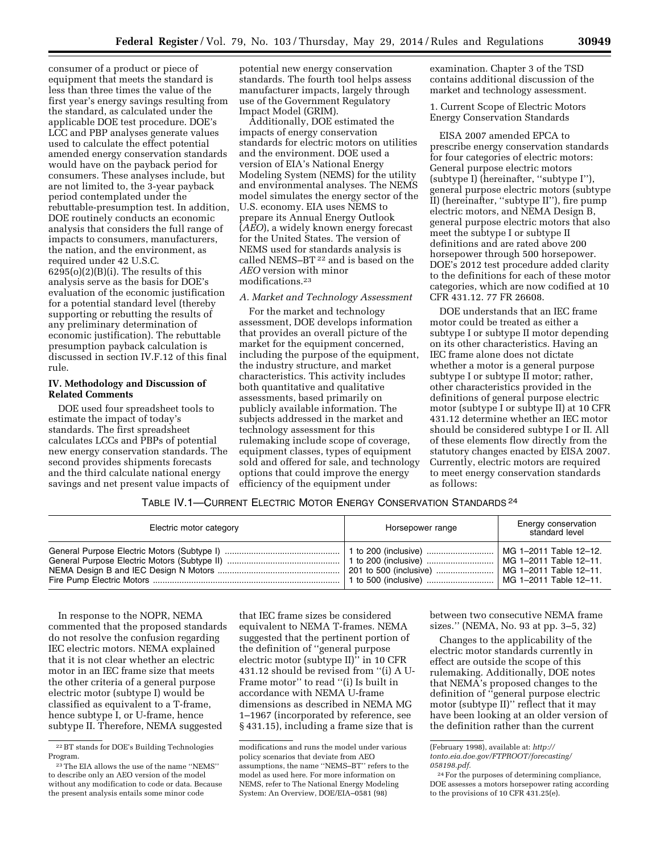consumer of a product or piece of equipment that meets the standard is less than three times the value of the first year's energy savings resulting from the standard, as calculated under the applicable DOE test procedure. DOE's LCC and PBP analyses generate values used to calculate the effect potential amended energy conservation standards would have on the payback period for consumers. These analyses include, but are not limited to, the 3-year payback period contemplated under the rebuttable-presumption test. In addition, DOE routinely conducts an economic analysis that considers the full range of impacts to consumers, manufacturers, the nation, and the environment, as required under 42 U.S.C.  $6295(o)(2)(B)(i)$ . The results of this analysis serve as the basis for DOE's evaluation of the economic justification for a potential standard level (thereby supporting or rebutting the results of any preliminary determination of economic justification). The rebuttable presumption payback calculation is discussed in section IV.F.12 of this final rule.

# **IV. Methodology and Discussion of Related Comments**

DOE used four spreadsheet tools to estimate the impact of today's standards. The first spreadsheet calculates LCCs and PBPs of potential new energy conservation standards. The second provides shipments forecasts and the third calculate national energy savings and net present value impacts of

potential new energy conservation standards. The fourth tool helps assess manufacturer impacts, largely through use of the Government Regulatory Impact Model (GRIM).

Additionally, DOE estimated the impacts of energy conservation standards for electric motors on utilities and the environment. DOE used a version of EIA's National Energy Modeling System (NEMS) for the utility and environmental analyses. The NEMS model simulates the energy sector of the U.S. economy. EIA uses NEMS to prepare its Annual Energy Outlook (*AEO*), a widely known energy forecast for the United States. The version of NEMS used for standards analysis is called NEMS-BT<sup>22</sup> and is based on the *AEO* version with minor modifications.23

#### *A. Market and Technology Assessment*

For the market and technology assessment, DOE develops information that provides an overall picture of the market for the equipment concerned, including the purpose of the equipment, the industry structure, and market characteristics. This activity includes both quantitative and qualitative assessments, based primarily on publicly available information. The subjects addressed in the market and technology assessment for this rulemaking include scope of coverage, equipment classes, types of equipment sold and offered for sale, and technology options that could improve the energy efficiency of the equipment under

examination. Chapter 3 of the TSD contains additional discussion of the market and technology assessment.

1. Current Scope of Electric Motors Energy Conservation Standards

EISA 2007 amended EPCA to prescribe energy conservation standards for four categories of electric motors: General purpose electric motors (subtype I) (hereinafter, ''subtype I''), general purpose electric motors (subtype II) (hereinafter, ''subtype II''), fire pump electric motors, and NEMA Design B, general purpose electric motors that also meet the subtype I or subtype II definitions and are rated above 200 horsepower through 500 horsepower. DOE's 2012 test procedure added clarity to the definitions for each of these motor categories, which are now codified at 10 CFR 431.12. 77 FR 26608.

DOE understands that an IEC frame motor could be treated as either a subtype I or subtype II motor depending on its other characteristics. Having an IEC frame alone does not dictate whether a motor is a general purpose subtype I or subtype II motor; rather, other characteristics provided in the definitions of general purpose electric motor (subtype I or subtype II) at 10 CFR 431.12 determine whether an IEC motor should be considered subtype I or II. All of these elements flow directly from the statutory changes enacted by EISA 2007. Currently, electric motors are required to meet energy conservation standards as follows:

# TABLE IV.1—CURRENT ELECTRIC MOTOR ENERGY CONSERVATION STANDARDS 24

| Electric motor category | Horsepower range       | Energy conservation<br>standard level                                          |  |
|-------------------------|------------------------|--------------------------------------------------------------------------------|--|
|                         | 201 to 500 (inclusive) | MG 1-2011 Table 12-12.<br>  MG 1-2011 Table 12-11.<br>  MG 1-2011 Table 12-11. |  |

In response to the NOPR, NEMA commented that the proposed standards do not resolve the confusion regarding IEC electric motors. NEMA explained that it is not clear whether an electric motor in an IEC frame size that meets the other criteria of a general purpose electric motor (subtype I) would be classified as equivalent to a T-frame, hence subtype I, or U-frame, hence subtype II. Therefore, NEMA suggested

that IEC frame sizes be considered equivalent to NEMA T-frames. NEMA suggested that the pertinent portion of the definition of ''general purpose electric motor (subtype II)'' in 10 CFR 431.12 should be revised from ''(i) A U-Frame motor" to read "(i) Is built in accordance with NEMA U-frame dimensions as described in NEMA MG 1–1967 (incorporated by reference, see § 431.15), including a frame size that is

between two consecutive NEMA frame sizes.'' (NEMA, No. 93 at pp. 3–5, 32)

Changes to the applicability of the electric motor standards currently in effect are outside the scope of this rulemaking. Additionally, DOE notes that NEMA's proposed changes to the definition of ''general purpose electric motor (subtype II)'' reflect that it may have been looking at an older version of the definition rather than the current

<sup>22</sup>BT stands for DOE's Building Technologies Program.

<sup>23</sup>The EIA allows the use of the name ''NEMS'' to describe only an AEO version of the model without any modification to code or data. Because the present analysis entails some minor code

modifications and runs the model under various policy scenarios that deviate from AEO assumptions, the name ''NEMS–BT'' refers to the model as used here. For more information on NEMS, refer to The National Energy Modeling System: An Overview, DOE/EIA–0581 (98)

<sup>(</sup>February 1998), available at: *[http://](http://tonto.eia.doe.gov/FTPROOT/forecasting/058198.pdf)*

*[tonto.eia.doe.gov/FTPROOT/forecasting/](http://tonto.eia.doe.gov/FTPROOT/forecasting/058198.pdf) [058198.pdf.](http://tonto.eia.doe.gov/FTPROOT/forecasting/058198.pdf)* 

<sup>24</sup>For the purposes of determining compliance, DOE assesses a motors horsepower rating according to the provisions of 10 CFR 431.25(e).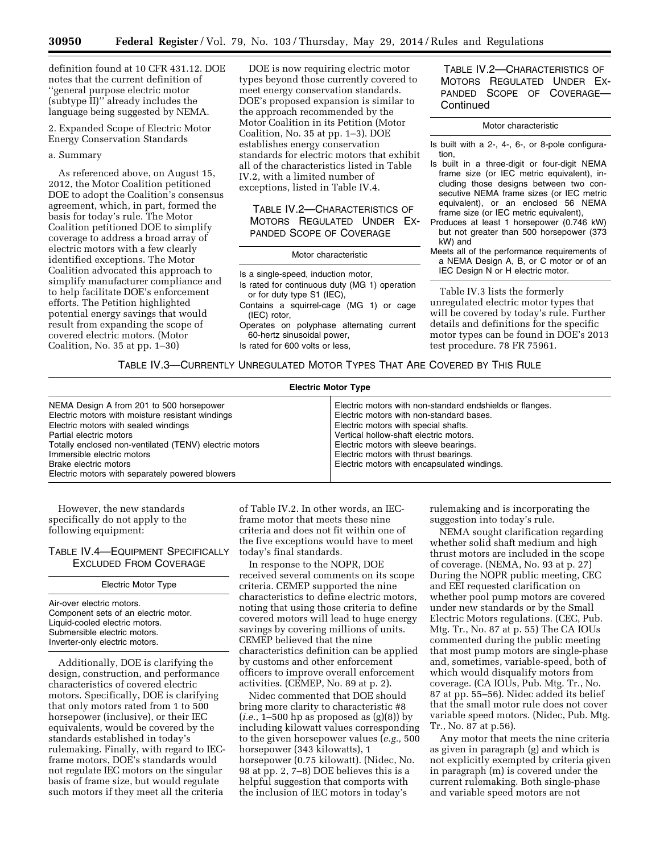definition found at 10 CFR 431.12. DOE notes that the current definition of ''general purpose electric motor (subtype II)'' already includes the language being suggested by NEMA.

2. Expanded Scope of Electric Motor Energy Conservation Standards

# a. Summary

As referenced above, on August 15, 2012, the Motor Coalition petitioned DOE to adopt the Coalition's consensus agreement, which, in part, formed the basis for today's rule. The Motor Coalition petitioned DOE to simplify coverage to address a broad array of electric motors with a few clearly identified exceptions. The Motor Coalition advocated this approach to simplify manufacturer compliance and to help facilitate DOE's enforcement efforts. The Petition highlighted potential energy savings that would result from expanding the scope of covered electric motors. (Motor Coalition, No. 35 at pp. 1–30)

DOE is now requiring electric motor types beyond those currently covered to meet energy conservation standards. DOE's proposed expansion is similar to the approach recommended by the Motor Coalition in its Petition (Motor Coalition, No. 35 at pp. 1–3). DOE establishes energy conservation standards for electric motors that exhibit all of the characteristics listed in Table IV.2, with a limited number of exceptions, listed in Table IV.4.

TABLE IV.2—CHARACTERISTICS OF MOTORS REGULATED UNDER EX-PANDED SCOPE OF COVERAGE

#### Motor characteristic

- Is a single-speed, induction motor,
- Is rated for continuous duty (MG 1) operation or for duty type S1 (IEC),
- Contains a squirrel-cage (MG 1) or cage (IEC) rotor,
- Operates on polyphase alternating current 60-hertz sinusoidal power,
- Is rated for 600 volts or less,

TABLE IV.2—CHARACTERISTICS OF MOTORS REGULATED UNDER EX-PANDED SCOPE OF COVERAGE— **Continued** 

#### Motor characteristic

- Is built with a 2-, 4-, 6-, or 8-pole configuration,
- Is built in a three-digit or four-digit NEMA frame size (or IEC metric equivalent), including those designs between two consecutive NEMA frame sizes (or IEC metric equivalent), or an enclosed 56 NEMA frame size (or IEC metric equivalent),
- Produces at least 1 horsepower (0.746 kW) but not greater than 500 horsepower (373 kW) and
- Meets all of the performance requirements of a NEMA Design A, B, or C motor or of an IEC Design N or H electric motor.

Table IV.3 lists the formerly unregulated electric motor types that will be covered by today's rule. Further details and definitions for the specific motor types can be found in DOE's 2013 test procedure. 78 FR 75961.

# TABLE IV.3—CURRENTLY UNREGULATED MOTOR TYPES THAT ARE COVERED BY THIS RULE

| <b>Electric Motor Type</b>                                                                                                                                                                                                                                                                                                          |                                                                                                                                                                                                                                                                                                                         |  |  |
|-------------------------------------------------------------------------------------------------------------------------------------------------------------------------------------------------------------------------------------------------------------------------------------------------------------------------------------|-------------------------------------------------------------------------------------------------------------------------------------------------------------------------------------------------------------------------------------------------------------------------------------------------------------------------|--|--|
| NEMA Design A from 201 to 500 horsepower<br>Electric motors with moisture resistant windings<br>Electric motors with sealed windings<br>Partial electric motors<br>Totally enclosed non-ventilated (TENV) electric motors<br>Immersible electric motors<br>Brake electric motors<br>Electric motors with separately powered blowers | Electric motors with non-standard endshields or flanges.<br>Electric motors with non-standard bases.<br>Electric motors with special shafts.<br>Vertical hollow-shaft electric motors.<br>Electric motors with sleeve bearings.<br>Electric motors with thrust bearings.<br>Electric motors with encapsulated windings. |  |  |

However, the new standards specifically do not apply to the following equipment:

# TABLE IV.4—EQUIPMENT SPECIFICALLY EXCLUDED FROM COVERAGE

Electric Motor Type

Air-over electric motors. Component sets of an electric motor. Liquid-cooled electric motors. Submersible electric motors. Inverter-only electric motors.

Additionally, DOE is clarifying the design, construction, and performance characteristics of covered electric motors. Specifically, DOE is clarifying that only motors rated from 1 to 500 horsepower (inclusive), or their IEC equivalents, would be covered by the standards established in today's rulemaking. Finally, with regard to IECframe motors, DOE's standards would not regulate IEC motors on the singular basis of frame size, but would regulate such motors if they meet all the criteria

of Table IV.2. In other words, an IECframe motor that meets these nine criteria and does not fit within one of the five exceptions would have to meet today's final standards.

In response to the NOPR, DOE received several comments on its scope criteria. CEMEP supported the nine characteristics to define electric motors, noting that using those criteria to define covered motors will lead to huge energy savings by covering millions of units. CEMEP believed that the nine characteristics definition can be applied by customs and other enforcement officers to improve overall enforcement activities. (CEMEP, No. 89 at p. 2).

Nidec commented that DOE should bring more clarity to characteristic #8 (*i.e.,* 1–500 hp as proposed as (g)(8)) by including kilowatt values corresponding to the given horsepower values (*e.g.,* 500 horsepower (343 kilowatts), 1 horsepower (0.75 kilowatt). (Nidec, No. 98 at pp. 2, 7–8) DOE believes this is a helpful suggestion that comports with the inclusion of IEC motors in today's

rulemaking and is incorporating the suggestion into today's rule.

NEMA sought clarification regarding whether solid shaft medium and high thrust motors are included in the scope of coverage. (NEMA, No. 93 at p. 27) During the NOPR public meeting, CEC and EEI requested clarification on whether pool pump motors are covered under new standards or by the Small Electric Motors regulations. (CEC, Pub. Mtg. Tr., No. 87 at p. 55) The CA IOUs commented during the public meeting that most pump motors are single-phase and, sometimes, variable-speed, both of which would disqualify motors from coverage. (CA IOUs, Pub. Mtg. Tr., No. 87 at pp. 55–56). Nidec added its belief that the small motor rule does not cover variable speed motors. (Nidec, Pub. Mtg. Tr., No. 87 at p.56).

Any motor that meets the nine criteria as given in paragraph (g) and which is not explicitly exempted by criteria given in paragraph (m) is covered under the current rulemaking. Both single-phase and variable speed motors are not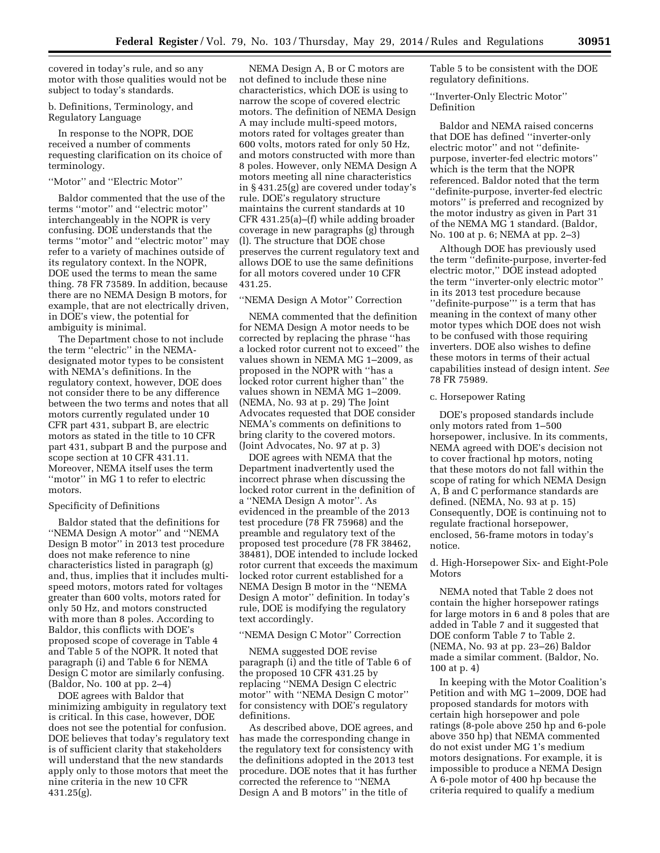covered in today's rule, and so any motor with those qualities would not be subject to today's standards.

# b. Definitions, Terminology, and Regulatory Language

In response to the NOPR, DOE received a number of comments requesting clarification on its choice of terminology.

### ''Motor'' and ''Electric Motor''

Baldor commented that the use of the terms ''motor'' and ''electric motor'' interchangeably in the NOPR is very confusing. DOE understands that the terms ''motor'' and ''electric motor'' may refer to a variety of machines outside of its regulatory context. In the NOPR, DOE used the terms to mean the same thing. 78 FR 73589. In addition, because there are no NEMA Design B motors, for example, that are not electrically driven, in DOE's view, the potential for ambiguity is minimal.

The Department chose to not include the term ''electric'' in the NEMAdesignated motor types to be consistent with NEMA's definitions. In the regulatory context, however, DOE does not consider there to be any difference between the two terms and notes that all motors currently regulated under 10 CFR part 431, subpart B, are electric motors as stated in the title to 10 CFR part 431, subpart B and the purpose and scope section at 10 CFR 431.11. Moreover, NEMA itself uses the term ''motor'' in MG 1 to refer to electric motors.

# Specificity of Definitions

Baldor stated that the definitions for ''NEMA Design A motor'' and ''NEMA Design B motor'' in 2013 test procedure does not make reference to nine characteristics listed in paragraph (g) and, thus, implies that it includes multispeed motors, motors rated for voltages greater than 600 volts, motors rated for only 50 Hz, and motors constructed with more than 8 poles. According to Baldor, this conflicts with DOE's proposed scope of coverage in Table 4 and Table 5 of the NOPR. It noted that paragraph (i) and Table 6 for NEMA Design C motor are similarly confusing. (Baldor, No. 100 at pp. 2–4)

DOE agrees with Baldor that minimizing ambiguity in regulatory text is critical. In this case, however, DOE does not see the potential for confusion. DOE believes that today's regulatory text is of sufficient clarity that stakeholders will understand that the new standards apply only to those motors that meet the nine criteria in the new 10 CFR 431.25(g).

NEMA Design A, B or C motors are not defined to include these nine characteristics, which DOE is using to narrow the scope of covered electric motors. The definition of NEMA Design A may include multi-speed motors, motors rated for voltages greater than 600 volts, motors rated for only 50 Hz, and motors constructed with more than 8 poles. However, only NEMA Design A motors meeting all nine characteristics in § 431.25(g) are covered under today's rule. DOE's regulatory structure maintains the current standards at 10 CFR 431.25(a)–(f) while adding broader coverage in new paragraphs (g) through (l). The structure that DOE chose preserves the current regulatory text and allows DOE to use the same definitions for all motors covered under 10 CFR 431.25.

# ''NEMA Design A Motor'' Correction

NEMA commented that the definition for NEMA Design A motor needs to be corrected by replacing the phrase ''has a locked rotor current not to exceed'' the values shown in NEMA MG 1–2009, as proposed in the NOPR with ''has a locked rotor current higher than'' the values shown in NEMA MG 1–2009. (NEMA, No. 93 at p. 29) The Joint Advocates requested that DOE consider NEMA's comments on definitions to bring clarity to the covered motors. (Joint Advocates, No. 97 at p. 3)

DOE agrees with NEMA that the Department inadvertently used the incorrect phrase when discussing the locked rotor current in the definition of a ''NEMA Design A motor''. As evidenced in the preamble of the 2013 test procedure (78 FR 75968) and the preamble and regulatory text of the proposed test procedure (78 FR 38462, 38481), DOE intended to include locked rotor current that exceeds the maximum locked rotor current established for a NEMA Design B motor in the ''NEMA Design A motor'' definition. In today's rule, DOE is modifying the regulatory text accordingly.

#### ''NEMA Design C Motor'' Correction

NEMA suggested DOE revise paragraph (i) and the title of Table 6 of the proposed 10 CFR 431.25 by replacing ''NEMA Design C electric motor'' with ''NEMA Design C motor'' for consistency with DOE's regulatory definitions.

As described above, DOE agrees, and has made the corresponding change in the regulatory text for consistency with the definitions adopted in the 2013 test procedure. DOE notes that it has further corrected the reference to ''NEMA Design A and B motors'' in the title of

Table 5 to be consistent with the DOE regulatory definitions.

''Inverter-Only Electric Motor'' Definition

Baldor and NEMA raised concerns that DOE has defined ''inverter-only electric motor'' and not ''definitepurpose, inverter-fed electric motors'' which is the term that the NOPR referenced. Baldor noted that the term ''definite-purpose, inverter-fed electric motors'' is preferred and recognized by the motor industry as given in Part 31 of the NEMA MG 1 standard. (Baldor, No. 100 at p. 6; NEMA at pp. 2–3)

Although DOE has previously used the term ''definite-purpose, inverter-fed electric motor,'' DOE instead adopted the term ''inverter-only electric motor'' in its 2013 test procedure because ''definite-purpose''' is a term that has meaning in the context of many other motor types which DOE does not wish to be confused with those requiring inverters. DOE also wishes to define these motors in terms of their actual capabilities instead of design intent. *See*  78 FR 75989.

#### c. Horsepower Rating

DOE's proposed standards include only motors rated from 1–500 horsepower, inclusive. In its comments, NEMA agreed with DOE's decision not to cover fractional hp motors, noting that these motors do not fall within the scope of rating for which NEMA Design A, B and C performance standards are defined. (NEMA, No. 93 at p. 15) Consequently, DOE is continuing not to regulate fractional horsepower, enclosed, 56-frame motors in today's notice.

# d. High-Horsepower Six- and Eight-Pole Motors

NEMA noted that Table 2 does not contain the higher horsepower ratings for large motors in 6 and 8 poles that are added in Table 7 and it suggested that DOE conform Table 7 to Table 2. (NEMA, No. 93 at pp. 23–26) Baldor made a similar comment. (Baldor, No. 100 at p. 4)

In keeping with the Motor Coalition's Petition and with MG 1–2009, DOE had proposed standards for motors with certain high horsepower and pole ratings (8-pole above 250 hp and 6-pole above 350 hp) that NEMA commented do not exist under MG 1's medium motors designations. For example, it is impossible to produce a NEMA Design A 6-pole motor of 400 hp because the criteria required to qualify a medium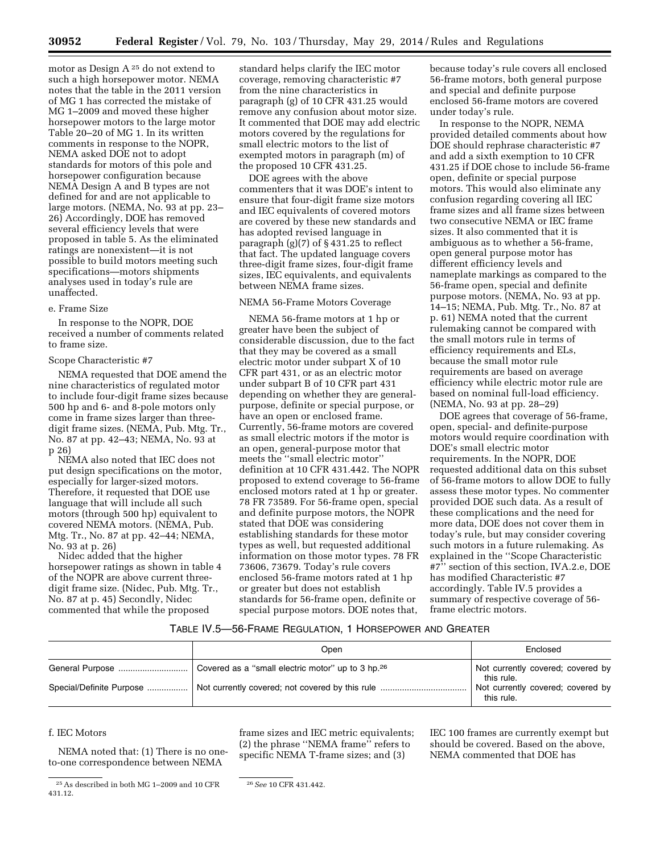motor as Design A 25 do not extend to such a high horsepower motor. NEMA notes that the table in the 2011 version of MG 1 has corrected the mistake of MG 1–2009 and moved these higher horsepower motors to the large motor Table 20–20 of MG 1. In its written comments in response to the NOPR, NEMA asked DOE not to adopt standards for motors of this pole and horsepower configuration because NEMA Design A and B types are not defined for and are not applicable to large motors. (NEMA, No. 93 at pp. 23– 26) Accordingly, DOE has removed several efficiency levels that were proposed in table 5. As the eliminated ratings are nonexistent—it is not possible to build motors meeting such specifications—motors shipments analyses used in today's rule are unaffected.

### e. Frame Size

In response to the NOPR, DOE received a number of comments related to frame size.

#### Scope Characteristic #7

NEMA requested that DOE amend the nine characteristics of regulated motor to include four-digit frame sizes because 500 hp and 6- and 8-pole motors only come in frame sizes larger than threedigit frame sizes. (NEMA, Pub. Mtg. Tr., No. 87 at pp. 42–43; NEMA, No. 93 at p 26)

NEMA also noted that IEC does not put design specifications on the motor, especially for larger-sized motors. Therefore, it requested that DOE use language that will include all such motors (through 500 hp) equivalent to covered NEMA motors. (NEMA, Pub. Mtg. Tr., No. 87 at pp. 42–44; NEMA, No. 93 at p. 26)

Nidec added that the higher horsepower ratings as shown in table 4 of the NOPR are above current threedigit frame size. (Nidec, Pub. Mtg. Tr., No. 87 at p. 45) Secondly, Nidec commented that while the proposed

standard helps clarify the IEC motor coverage, removing characteristic #7 from the nine characteristics in paragraph (g) of 10 CFR 431.25 would remove any confusion about motor size. It commented that DOE may add electric motors covered by the regulations for small electric motors to the list of exempted motors in paragraph (m) of the proposed 10 CFR 431.25.

DOE agrees with the above commenters that it was DOE's intent to ensure that four-digit frame size motors and IEC equivalents of covered motors are covered by these new standards and has adopted revised language in paragraph (g)(7) of § 431.25 to reflect that fact. The updated language covers three-digit frame sizes, four-digit frame sizes, IEC equivalents, and equivalents between NEMA frame sizes.

## NEMA 56-Frame Motors Coverage

NEMA 56-frame motors at 1 hp or greater have been the subject of considerable discussion, due to the fact that they may be covered as a small electric motor under subpart X of 10 CFR part 431, or as an electric motor under subpart B of 10 CFR part 431 depending on whether they are generalpurpose, definite or special purpose, or have an open or enclosed frame. Currently, 56-frame motors are covered as small electric motors if the motor is an open, general-purpose motor that meets the ''small electric motor'' definition at 10 CFR 431.442. The NOPR proposed to extend coverage to 56-frame enclosed motors rated at 1 hp or greater. 78 FR 73589. For 56-frame open, special and definite purpose motors, the NOPR stated that DOE was considering establishing standards for these motor types as well, but requested additional information on those motor types. 78 FR 73606, 73679. Today's rule covers enclosed 56-frame motors rated at 1 hp or greater but does not establish standards for 56-frame open, definite or special purpose motors. DOE notes that,

because today's rule covers all enclosed 56-frame motors, both general purpose and special and definite purpose enclosed 56-frame motors are covered under today's rule.

In response to the NOPR, NEMA provided detailed comments about how DOE should rephrase characteristic #7 and add a sixth exemption to 10 CFR 431.25 if DOE chose to include 56-frame open, definite or special purpose motors. This would also eliminate any confusion regarding covering all IEC frame sizes and all frame sizes between two consecutive NEMA or IEC frame sizes. It also commented that it is ambiguous as to whether a 56-frame, open general purpose motor has different efficiency levels and nameplate markings as compared to the 56-frame open, special and definite purpose motors. (NEMA, No. 93 at pp. 14–15; NEMA, Pub. Mtg. Tr., No. 87 at p. 61) NEMA noted that the current rulemaking cannot be compared with the small motors rule in terms of efficiency requirements and ELs, because the small motor rule requirements are based on average efficiency while electric motor rule are based on nominal full-load efficiency. (NEMA, No. 93 at pp. 28–29)

DOE agrees that coverage of 56-frame, open, special- and definite-purpose motors would require coordination with DOE's small electric motor requirements. In the NOPR, DOE requested additional data on this subset of 56-frame motors to allow DOE to fully assess these motor types. No commenter provided DOE such data. As a result of these complications and the need for more data, DOE does not cover them in today's rule, but may consider covering such motors in a future rulemaking. As explained in the ''Scope Characteristic #7'' section of this section, IVA.2.e, DOE has modified Characteristic #7 accordingly. Table IV.5 provides a summary of respective coverage of 56 frame electric motors.

# TABLE IV.5—56-FRAME REGULATION, 1 HORSEPOWER AND GREATER

|                          | Open | Enclosed                                                                                           |
|--------------------------|------|----------------------------------------------------------------------------------------------------|
| Special/Definite Purpose |      | Not currently covered; covered by<br>this rule.<br>Not currently covered; covered by<br>this rule. |

# f. IEC Motors

NEMA noted that: (1) There is no oneto-one correspondence between NEMA

IEC 100 frames are currently exempt but should be covered. Based on the above, NEMA commented that DOE has

<sup>25</sup>As described in both MG 1–2009 and 10 CFR 431.12.

frame sizes and IEC metric equivalents; (2) the phrase ''NEMA frame'' refers to specific NEMA T-frame sizes; and (3)

<sup>26</sup>*See* 10 CFR 431.442.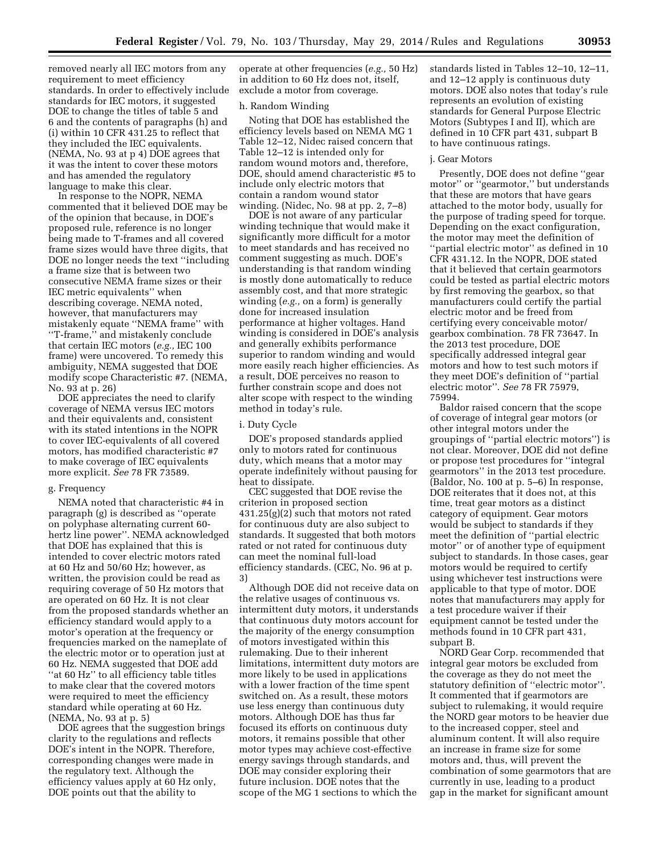removed nearly all IEC motors from any requirement to meet efficiency standards. In order to effectively include standards for IEC motors, it suggested DOE to change the titles of table 5 and 6 and the contents of paragraphs (h) and (i) within 10 CFR 431.25 to reflect that they included the IEC equivalents. (NEMA, No. 93 at p 4) DOE agrees that it was the intent to cover these motors and has amended the regulatory language to make this clear.

In response to the NOPR, NEMA commented that it believed DOE may be of the opinion that because, in DOE's proposed rule, reference is no longer being made to T-frames and all covered frame sizes would have three digits, that DOE no longer needs the text ''including a frame size that is between two consecutive NEMA frame sizes or their IEC metric equivalents'' when describing coverage. NEMA noted, however, that manufacturers may mistakenly equate ''NEMA frame'' with ''T-frame,'' and mistakenly conclude that certain IEC motors (*e.g.,* IEC 100 frame) were uncovered. To remedy this ambiguity, NEMA suggested that DOE modify scope Characteristic #7. (NEMA, No. 93 at p. 26)

DOE appreciates the need to clarify coverage of NEMA versus IEC motors and their equivalents and, consistent with its stated intentions in the NOPR to cover IEC-equivalents of all covered motors, has modified characteristic #7 to make coverage of IEC equivalents more explicit. *See* 78 FR 73589.

#### g. Frequency

NEMA noted that characteristic #4 in paragraph (g) is described as ''operate on polyphase alternating current 60 hertz line power''. NEMA acknowledged that DOE has explained that this is intended to cover electric motors rated at 60 Hz and 50/60 Hz; however, as written, the provision could be read as requiring coverage of 50 Hz motors that are operated on 60 Hz. It is not clear from the proposed standards whether an efficiency standard would apply to a motor's operation at the frequency or frequencies marked on the nameplate of the electric motor or to operation just at 60 Hz. NEMA suggested that DOE add "at 60 Hz" to all efficiency table titles to make clear that the covered motors were required to meet the efficiency standard while operating at 60 Hz. (NEMA, No. 93 at p. 5)

DOE agrees that the suggestion brings clarity to the regulations and reflects DOE's intent in the NOPR. Therefore, corresponding changes were made in the regulatory text. Although the efficiency values apply at 60 Hz only, DOE points out that the ability to

operate at other frequencies (*e.g.,* 50 Hz) in addition to 60 Hz does not, itself, exclude a motor from coverage.

# h. Random Winding

Noting that DOE has established the efficiency levels based on NEMA MG 1 Table 12–12, Nidec raised concern that Table 12–12 is intended only for random wound motors and, therefore, DOE, should amend characteristic #5 to include only electric motors that contain a random wound stator winding. (Nidec, No. 98 at pp. 2, 7–8)

DOE is not aware of any particular winding technique that would make it significantly more difficult for a motor to meet standards and has received no comment suggesting as much. DOE's understanding is that random winding is mostly done automatically to reduce assembly cost, and that more strategic winding (*e.g.,* on a form) is generally done for increased insulation performance at higher voltages. Hand winding is considered in DOE's analysis and generally exhibits performance superior to random winding and would more easily reach higher efficiencies. As a result, DOE perceives no reason to further constrain scope and does not alter scope with respect to the winding method in today's rule.

# i. Duty Cycle

DOE's proposed standards applied only to motors rated for continuous duty, which means that a motor may operate indefinitely without pausing for heat to dissipate.

CEC suggested that DOE revise the criterion in proposed section 431.25(g)(2) such that motors not rated for continuous duty are also subject to standards. It suggested that both motors rated or not rated for continuous duty can meet the nominal full-load efficiency standards. (CEC, No. 96 at p. 3)

Although DOE did not receive data on the relative usages of continuous vs. intermittent duty motors, it understands that continuous duty motors account for the majority of the energy consumption of motors investigated within this rulemaking. Due to their inherent limitations, intermittent duty motors are more likely to be used in applications with a lower fraction of the time spent switched on. As a result, these motors use less energy than continuous duty motors. Although DOE has thus far focused its efforts on continuous duty motors, it remains possible that other motor types may achieve cost-effective energy savings through standards, and DOE may consider exploring their future inclusion. DOE notes that the scope of the MG 1 sections to which the

standards listed in Tables 12–10, 12–11, and 12–12 apply is continuous duty motors. DOE also notes that today's rule represents an evolution of existing standards for General Purpose Electric Motors (Subtypes I and II), which are defined in 10 CFR part 431, subpart B to have continuous ratings.

### j. Gear Motors

Presently, DOE does not define ''gear motor'' or ''gearmotor,'' but understands that these are motors that have gears attached to the motor body, usually for the purpose of trading speed for torque. Depending on the exact configuration, the motor may meet the definition of ''partial electric motor'' as defined in 10 CFR 431.12. In the NOPR, DOE stated that it believed that certain gearmotors could be tested as partial electric motors by first removing the gearbox, so that manufacturers could certify the partial electric motor and be freed from certifying every conceivable motor/ gearbox combination. 78 FR 73647. In the 2013 test procedure, DOE specifically addressed integral gear motors and how to test such motors if they meet DOE's definition of ''partial electric motor''. *See* 78 FR 75979, 75994.

Baldor raised concern that the scope of coverage of integral gear motors (or other integral motors under the groupings of ''partial electric motors'') is not clear. Moreover, DOE did not define or propose test procedures for ''integral gearmotors'' in the 2013 test procedure. (Baldor, No. 100 at p. 5–6) In response, DOE reiterates that it does not, at this time, treat gear motors as a distinct category of equipment. Gear motors would be subject to standards if they meet the definition of ''partial electric motor'' or of another type of equipment subject to standards. In those cases, gear motors would be required to certify using whichever test instructions were applicable to that type of motor. DOE notes that manufacturers may apply for a test procedure waiver if their equipment cannot be tested under the methods found in 10 CFR part 431, subpart B.

NORD Gear Corp. recommended that integral gear motors be excluded from the coverage as they do not meet the statutory definition of ''electric motor''. It commented that if gearmotors are subject to rulemaking, it would require the NORD gear motors to be heavier due to the increased copper, steel and aluminum content. It will also require an increase in frame size for some motors and, thus, will prevent the combination of some gearmotors that are currently in use, leading to a product gap in the market for significant amount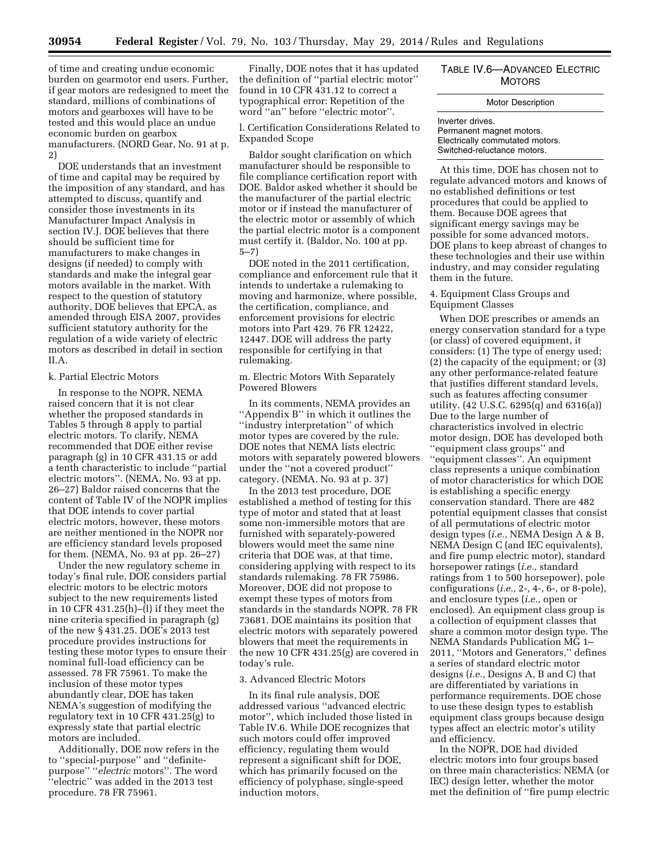of time and creating undue economic burden on gearmotor end users. Further, if gear motors are redesigned to meet the standard, millions of combinations of motors and gearboxes will have to be tested and this would place an undue economic burden on gearbox manufacturers. (NORD Gear, No. 91 at p. 2)

DOE understands that an investment of time and capital may be required by the imposition of any standard, and has attempted to discuss, quantify and consider those investments in its Manufacturer Impact Analysis in section IV.J. DOE believes that there should be sufficient time for manufacturers to make changes in designs (if needed) to comply with standards and make the integral gear motors available in the market. With respect to the question of statutory authority, DOE believes that EPCA, as amended through EISA 2007, provides sufficient statutory authority for the regulation of a wide variety of electric motors as described in detail in section II.A.

### k. Partial Electric Motors

In response to the NOPR, NEMA raised concern that it is not clear whether the proposed standards in Tables 5 through 8 apply to partial electric motors. To clarify, NEMA recommended that DOE either revise paragraph (g) in 10 CFR 431.15 or add a tenth characteristic to include ''partial electric motors''. (NEMA, No. 93 at pp. 26–27) Baldor raised concerns that the content of Table IV of the NOPR implies that DOE intends to cover partial electric motors, however, these motors are neither mentioned in the NOPR nor are efficiency standard levels proposed for them. (NEMA, No. 93 at pp. 26–27)

Under the new regulatory scheme in today's final rule, DOE considers partial electric motors to be electric motors subject to the new requirements listed in 10 CFR 431.25(h)– $\overline{1}$ ) if they meet the nine criteria specified in paragraph (g) of the new § 431.25. DOE's 2013 test procedure provides instructions for testing these motor types to ensure their nominal full-load efficiency can be assessed. 78 FR 75961. To make the inclusion of these motor types abundantly clear, DOE has taken NEMA's suggestion of modifying the regulatory text in 10 CFR 431.25(g) to expressly state that partial electric motors are included.

Additionally, DOE now refers in the to ''special-purpose'' and ''definitepurpose'' ''*electric* motors''. The word ''electric'' was added in the 2013 test procedure. 78 FR 75961.

Finally, DOE notes that it has updated the definition of ''partial electric motor'' found in 10 CFR 431.12 to correct a typographical error: Repetition of the word ''an'' before ''electric motor''.

l. Certification Considerations Related to Expanded Scope

Baldor sought clarification on which manufacturer should be responsible to file compliance certification report with DOE. Baldor asked whether it should be the manufacturer of the partial electric motor or if instead the manufacturer of the electric motor or assembly of which the partial electric motor is a component must certify it. (Baldor, No. 100 at pp. 5–7)

DOE noted in the 2011 certification, compliance and enforcement rule that it intends to undertake a rulemaking to moving and harmonize, where possible, the certification, compliance, and enforcement provisions for electric motors into Part 429. 76 FR 12422, 12447. DOE will address the party responsible for certifying in that rulemaking.

# m. Electric Motors With Separately Powered Blowers

In its comments, NEMA provides an ''Appendix B'' in which it outlines the ''industry interpretation'' of which motor types are covered by the rule. DOE notes that NEMA lists electric motors with separately powered blowers under the ''not a covered product'' category. (NEMA, No. 93 at p. 37)

In the 2013 test procedure, DOE established a method of testing for this type of motor and stated that at least some non-immersible motors that are furnished with separately-powered blowers would meet the same nine criteria that DOE was, at that time, considering applying with respect to its standards rulemaking. 78 FR 75986. Moreover, DOE did not propose to exempt these types of motors from standards in the standards NOPR. 78 FR 73681. DOE maintains its position that electric motors with separately powered blowers that meet the requirements in the new 10 CFR 431.25(g) are covered in today's rule.

#### 3. Advanced Electric Motors

In its final rule analysis, DOE addressed various ''advanced electric motor'', which included those listed in Table IV.6. While DOE recognizes that such motors could offer improved efficiency, regulating them would represent a significant shift for DOE, which has primarily focused on the efficiency of polyphase, single-speed induction motors.

# TABLE IV.6—ADVANCED ELECTRIC **MOTORS**

# Motor Description

Inverter drives. Permanent magnet motors. Electrically commutated motors. Switched-reluctance motors.

At this time, DOE has chosen not to regulate advanced motors and knows of no established definitions or test procedures that could be applied to them. Because DOE agrees that significant energy savings may be possible for some advanced motors, DOE plans to keep abreast of changes to these technologies and their use within industry, and may consider regulating them in the future.

4. Equipment Class Groups and Equipment Classes

When DOE prescribes or amends an energy conservation standard for a type (or class) of covered equipment, it considers: (1) The type of energy used; (2) the capacity of the equipment; or (3) any other performance-related feature that justifies different standard levels, such as features affecting consumer utility. (42 U.S.C. 6295(q) and 6316(a)) Due to the large number of characteristics involved in electric motor design, DOE has developed both ''equipment class groups'' and ''equipment classes''. An equipment class represents a unique combination of motor characteristics for which DOE is establishing a specific energy conservation standard. There are 482 potential equipment classes that consist of all permutations of electric motor design types (*i.e.,* NEMA Design A & B, NEMA Design C (and IEC equivalents), and fire pump electric motor), standard horsepower ratings (*i.e.,* standard ratings from 1 to 500 horsepower), pole configurations (*i.e.,* 2-, 4-, 6-, or 8-pole), and enclosure types (*i.e.,* open or enclosed). An equipment class group is a collection of equipment classes that share a common motor design type. The NEMA Standards Publication MG 1– 2011, ''Motors and Generators,'' defines a series of standard electric motor designs (*i.e.,* Designs A, B and C) that are differentiated by variations in performance requirements. DOE chose to use these design types to establish equipment class groups because design types affect an electric motor's utility and efficiency.

In the NOPR, DOE had divided electric motors into four groups based on three main characteristics: NEMA (or IEC) design letter, whether the motor met the definition of ''fire pump electric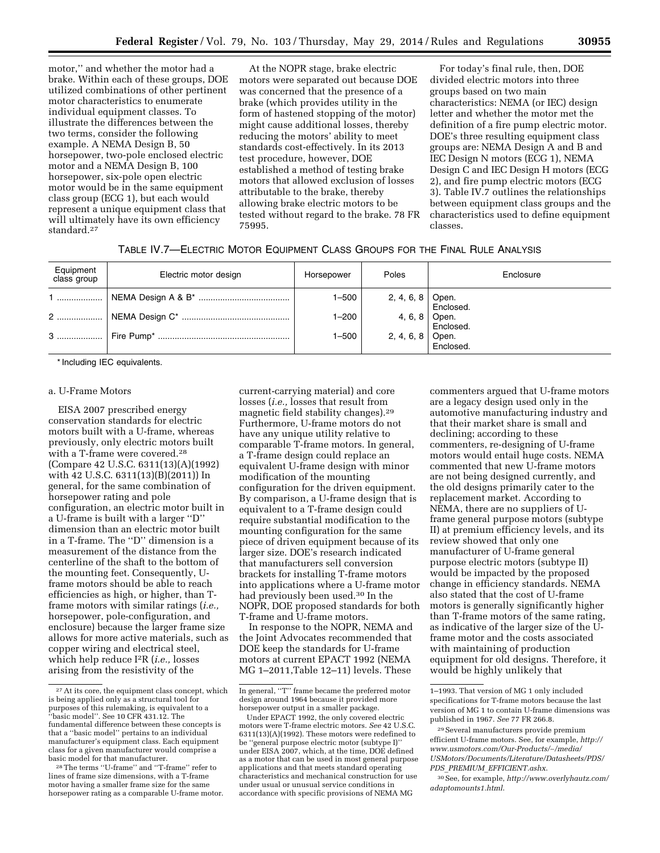motor,'' and whether the motor had a brake. Within each of these groups, DOE utilized combinations of other pertinent motor characteristics to enumerate individual equipment classes. To illustrate the differences between the two terms, consider the following example. A NEMA Design B, 50 horsepower, two-pole enclosed electric motor and a NEMA Design B, 100 horsepower, six-pole open electric motor would be in the same equipment class group (ECG 1), but each would represent a unique equipment class that will ultimately have its own efficiency standard.27

At the NOPR stage, brake electric motors were separated out because DOE was concerned that the presence of a brake (which provides utility in the form of hastened stopping of the motor) might cause additional losses, thereby reducing the motors' ability to meet standards cost-effectively. In its 2013 test procedure, however, DOE established a method of testing brake motors that allowed exclusion of losses attributable to the brake, thereby allowing brake electric motors to be tested without regard to the brake. 78 FR 75995.

For today's final rule, then, DOE divided electric motors into three groups based on two main characteristics: NEMA (or IEC) design letter and whether the motor met the definition of a fire pump electric motor. DOE's three resulting equipment class groups are: NEMA Design A and B and IEC Design N motors (ECG 1), NEMA Design C and IEC Design H motors (ECG 2), and fire pump electric motors (ECG 3). Table IV.7 outlines the relationships between equipment class groups and the characteristics used to define equipment classes.

| TABLE IV.7—ELECTRIC MOTOR EQUIPMENT CLASS GROUPS FOR THE FINAL RULE ANALYSIS |  |
|------------------------------------------------------------------------------|--|
|------------------------------------------------------------------------------|--|

| Equipment<br>class group | Electric motor design | Horsepower | Poles                         | Enclosure                  |
|--------------------------|-----------------------|------------|-------------------------------|----------------------------|
| 1                        |                       | $1 - 500$  | 2, 4, 6, 8 Open.<br>Enclosed. |                            |
| 2                        |                       | $1 - 200$  |                               | 4, 6, 8 Open.<br>Enclosed. |
| 3                        |                       | 1–500      | 2, 4, 6, 8 Open.<br>Enclosed. |                            |

\* Including IEC equivalents.

### a. U-Frame Motors

EISA 2007 prescribed energy conservation standards for electric motors built with a U-frame, whereas previously, only electric motors built with a T-frame were covered.28 (Compare 42 U.S.C. 6311(13)(A)(1992) with 42 U.S.C. 6311(13)(B)(2011)) In general, for the same combination of horsepower rating and pole configuration, an electric motor built in a U-frame is built with a larger ''D'' dimension than an electric motor built in a T-frame. The ''D'' dimension is a measurement of the distance from the centerline of the shaft to the bottom of the mounting feet. Consequently, Uframe motors should be able to reach efficiencies as high, or higher, than Tframe motors with similar ratings (*i.e.,*  horsepower, pole-configuration, and enclosure) because the larger frame size allows for more active materials, such as copper wiring and electrical steel, which help reduce I2R (*i.e.,* losses arising from the resistivity of the

current-carrying material) and core losses (*i.e.,* losses that result from magnetic field stability changes).29 Furthermore, U-frame motors do not have any unique utility relative to comparable T-frame motors. In general, a T-frame design could replace an equivalent U-frame design with minor modification of the mounting configuration for the driven equipment. By comparison, a U-frame design that is equivalent to a T-frame design could require substantial modification to the mounting configuration for the same piece of driven equipment because of its larger size. DOE's research indicated that manufacturers sell conversion brackets for installing T-frame motors into applications where a U-frame motor had previously been used.30 In the NOPR, DOE proposed standards for both T-frame and U-frame motors.

In response to the NOPR, NEMA and the Joint Advocates recommended that DOE keep the standards for U-frame motors at current EPACT 1992 (NEMA MG 1–2011,Table 12–11) levels. These

commenters argued that U-frame motors are a legacy design used only in the automotive manufacturing industry and that their market share is small and declining; according to these commenters, re-designing of U-frame motors would entail huge costs. NEMA commented that new U-frame motors are not being designed currently, and the old designs primarily cater to the replacement market. According to NEMA, there are no suppliers of Uframe general purpose motors (subtype II) at premium efficiency levels, and its review showed that only one manufacturer of U-frame general purpose electric motors (subtype II) would be impacted by the proposed change in efficiency standards. NEMA also stated that the cost of U-frame motors is generally significantly higher than T-frame motors of the same rating, as indicative of the larger size of the Uframe motor and the costs associated with maintaining of production equipment for old designs. Therefore, it would be highly unlikely that

<sup>27</sup>At its core, the equipment class concept, which is being applied only as a structural tool for purposes of this rulemaking, is equivalent to a basic model". See 10 CFR 431.12. The fundamental difference between these concepts is that a ''basic model'' pertains to an individual manufacturer's equipment class. Each equipment class for a given manufacturer would comprise a basic model for that manufacturer.

<sup>28</sup>The terms ''U-frame'' and ''T-frame'' refer to lines of frame size dimensions, with a T-frame motor having a smaller frame size for the same horsepower rating as a comparable U-frame motor.

In general, ''T'' frame became the preferred motor design around 1964 because it provided more horsepower output in a smaller package.

Under EPACT 1992, the only covered electric motors were T-frame electric motors. *See* 42 U.S.C. 6311(13)(A)(1992). These motors were redefined to be ''general purpose electric motor (subtype I)'' under EISA 2007, which, at the time, DOE defined as a motor that can be used in most general purpose applications and that meets standard operating characteristics and mechanical construction for use under usual or unusual service conditions in accordance with specific provisions of NEMA MG

<sup>1–1993.</sup> That version of MG 1 only included specifications for T-frame motors because the last version of MG 1 to contain U-frame dimensions was published in 1967. *See* 77 FR 266.8.

<sup>29</sup>Several manufacturers provide premium efficient U-frame motors. See, for example, *[http://](http://www.usmotors.com/Our-Products/~/media/USMotors/Documents/Literature/Datasheets/PDS/PDS_PREMIUM_EFFICIENT.ashx) [www.usmotors.com/Our-Products/](http://www.usmotors.com/Our-Products/~/media/USMotors/Documents/Literature/Datasheets/PDS/PDS_PREMIUM_EFFICIENT.ashx)*∼*/media/ [USMotors/Documents/Literature/Datasheets/PDS/](http://www.usmotors.com/Our-Products/~/media/USMotors/Documents/Literature/Datasheets/PDS/PDS_PREMIUM_EFFICIENT.ashx) PDS*\_*PREMIUM*\_*[EFFICIENT.ashx](http://www.usmotors.com/Our-Products/~/media/USMotors/Documents/Literature/Datasheets/PDS/PDS_PREMIUM_EFFICIENT.ashx)*.

<sup>30</sup>See, for example, *[http://www.overlyhautz.com/](http://www.overlyhautz.com/adaptomounts1.html)  [adaptomounts1.html](http://www.overlyhautz.com/adaptomounts1.html)*.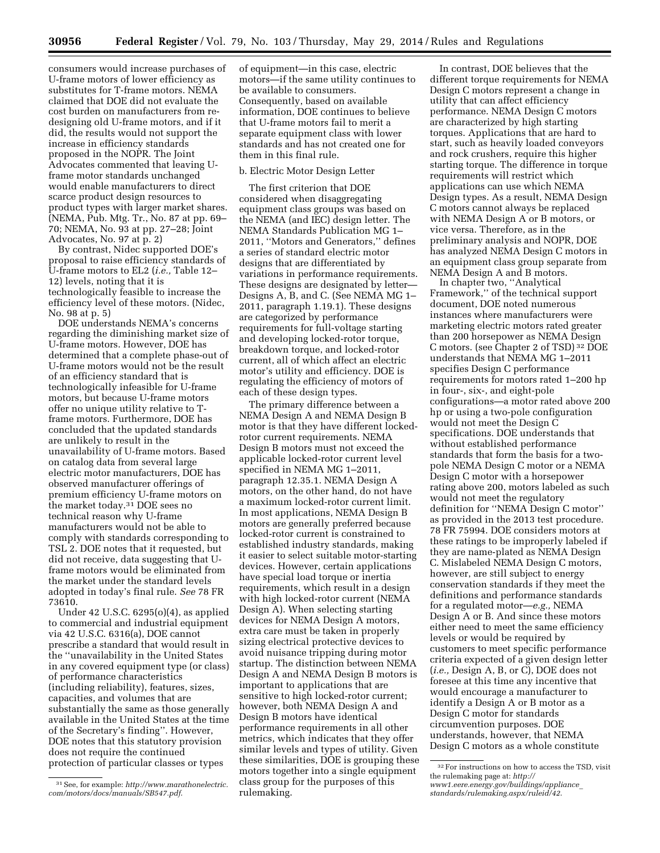consumers would increase purchases of U-frame motors of lower efficiency as substitutes for T-frame motors. NEMA claimed that DOE did not evaluate the cost burden on manufacturers from redesigning old U-frame motors, and if it did, the results would not support the increase in efficiency standards proposed in the NOPR. The Joint Advocates commented that leaving Uframe motor standards unchanged would enable manufacturers to direct scarce product design resources to product types with larger market shares. (NEMA, Pub. Mtg. Tr., No. 87 at pp. 69– 70; NEMA, No. 93 at pp. 27–28; Joint Advocates, No. 97 at p. 2)

By contrast, Nidec supported DOE's proposal to raise efficiency standards of U-frame motors to EL2 (*i.e.,* Table 12– 12) levels, noting that it is technologically feasible to increase the efficiency level of these motors. (Nidec, No. 98 at p. 5)

DOE understands NEMA's concerns regarding the diminishing market size of U-frame motors. However, DOE has determined that a complete phase-out of U-frame motors would not be the result of an efficiency standard that is technologically infeasible for U-frame motors, but because U-frame motors offer no unique utility relative to Tframe motors. Furthermore, DOE has concluded that the updated standards are unlikely to result in the unavailability of U-frame motors. Based on catalog data from several large electric motor manufacturers, DOE has observed manufacturer offerings of premium efficiency U-frame motors on the market today.31 DOE sees no technical reason why U-frame manufacturers would not be able to comply with standards corresponding to TSL 2. DOE notes that it requested, but did not receive, data suggesting that Uframe motors would be eliminated from the market under the standard levels adopted in today's final rule. *See* 78 FR 73610.

Under 42 U.S.C. 6295(o)(4), as applied to commercial and industrial equipment via 42 U.S.C. 6316(a), DOE cannot prescribe a standard that would result in the ''unavailability in the United States in any covered equipment type (or class) of performance characteristics (including reliability), features, sizes, capacities, and volumes that are substantially the same as those generally available in the United States at the time of the Secretary's finding''. However, DOE notes that this statutory provision does not require the continued protection of particular classes or types

of equipment—in this case, electric motors—if the same utility continues to be available to consumers. Consequently, based on available information, DOE continues to believe that U-frame motors fail to merit a separate equipment class with lower standards and has not created one for them in this final rule.

# b. Electric Motor Design Letter

The first criterion that DOE considered when disaggregating equipment class groups was based on the NEMA (and IEC) design letter. The NEMA Standards Publication MG 1– 2011, ''Motors and Generators,'' defines a series of standard electric motor designs that are differentiated by variations in performance requirements. These designs are designated by letter— Designs A, B, and C. (See NEMA MG 1– 2011, paragraph 1.19.1). These designs are categorized by performance requirements for full-voltage starting and developing locked-rotor torque, breakdown torque, and locked-rotor current, all of which affect an electric motor's utility and efficiency. DOE is regulating the efficiency of motors of each of these design types.

The primary difference between a NEMA Design A and NEMA Design B motor is that they have different lockedrotor current requirements. NEMA Design B motors must not exceed the applicable locked-rotor current level specified in NEMA MG 1–2011, paragraph 12.35.1. NEMA Design A motors, on the other hand, do not have a maximum locked-rotor current limit. In most applications, NEMA Design B motors are generally preferred because locked-rotor current is constrained to established industry standards, making it easier to select suitable motor-starting devices. However, certain applications have special load torque or inertia requirements, which result in a design with high locked-rotor current (NEMA Design A). When selecting starting devices for NEMA Design A motors, extra care must be taken in properly sizing electrical protective devices to avoid nuisance tripping during motor startup. The distinction between NEMA Design A and NEMA Design B motors is important to applications that are sensitive to high locked-rotor current; however, both NEMA Design A and Design B motors have identical performance requirements in all other metrics, which indicates that they offer similar levels and types of utility. Given these similarities, DOE is grouping these motors together into a single equipment class group for the purposes of this rulemaking.

In contrast, DOE believes that the different torque requirements for NEMA Design C motors represent a change in utility that can affect efficiency performance. NEMA Design C motors are characterized by high starting torques. Applications that are hard to start, such as heavily loaded conveyors and rock crushers, require this higher starting torque. The difference in torque requirements will restrict which applications can use which NEMA Design types. As a result, NEMA Design C motors cannot always be replaced with NEMA Design A or B motors, or vice versa. Therefore, as in the preliminary analysis and NOPR, DOE has analyzed NEMA Design C motors in an equipment class group separate from NEMA Design A and B motors.

In chapter two, ''Analytical Framework,'' of the technical support document, DOE noted numerous instances where manufacturers were marketing electric motors rated greater than 200 horsepower as NEMA Design C motors. (see Chapter 2 of TSD) 32 DOE understands that NEMA MG 1–2011 specifies Design C performance requirements for motors rated 1–200 hp in four-, six-, and eight-pole configurations—a motor rated above 200 hp or using a two-pole configuration would not meet the Design C specifications. DOE understands that without established performance standards that form the basis for a twopole NEMA Design C motor or a NEMA Design C motor with a horsepower rating above 200, motors labeled as such would not meet the regulatory definition for ''NEMA Design C motor'' as provided in the 2013 test procedure. 78 FR 75994. DOE considers motors at these ratings to be improperly labeled if they are name-plated as NEMA Design C. Mislabeled NEMA Design C motors, however, are still subject to energy conservation standards if they meet the definitions and performance standards for a regulated motor—*e.g.,* NEMA Design A or B. And since these motors either need to meet the same efficiency levels or would be required by customers to meet specific performance criteria expected of a given design letter (*i.e.,* Design A, B, or C), DOE does not foresee at this time any incentive that would encourage a manufacturer to identify a Design A or B motor as a Design C motor for standards circumvention purposes. DOE understands, however, that NEMA Design C motors as a whole constitute

<sup>31</sup>See, for example: *[http://www.marathonelectric.](http://www.marathonelectric.com/motors/docs/manuals/SB547.pdf)  [com/motors/docs/manuals/SB547.pdf](http://www.marathonelectric.com/motors/docs/manuals/SB547.pdf)*.

<sup>32</sup>For instructions on how to access the TSD, visit the rulemaking page at: *[http://](http://www1.eere.energy.gov/buildings/appliance_standards/rulemaking.aspx/ruleid/42) [www1.eere.energy.gov/buildings/appliance](http://www1.eere.energy.gov/buildings/appliance_standards/rulemaking.aspx/ruleid/42)*\_

*[standards/rulemaking.aspx/ruleid/42](http://www1.eere.energy.gov/buildings/appliance_standards/rulemaking.aspx/ruleid/42)*.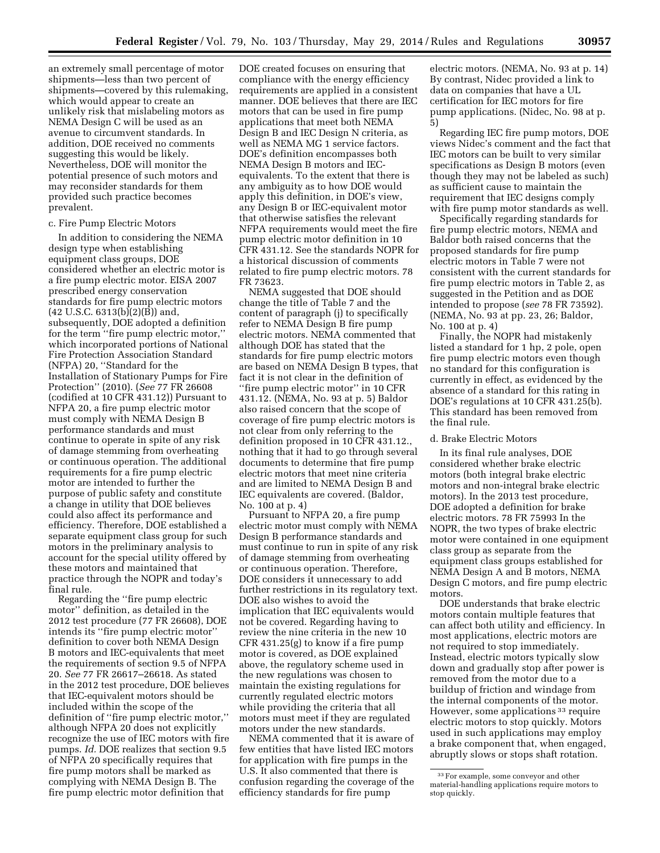an extremely small percentage of motor shipments—less than two percent of shipments—covered by this rulemaking, which would appear to create an unlikely risk that mislabeling motors as NEMA Design C will be used as an avenue to circumvent standards. In addition, DOE received no comments suggesting this would be likely. Nevertheless, DOE will monitor the potential presence of such motors and may reconsider standards for them provided such practice becomes prevalent.

# c. Fire Pump Electric Motors

In addition to considering the NEMA design type when establishing equipment class groups, DOE considered whether an electric motor is a fire pump electric motor. EISA 2007 prescribed energy conservation standards for fire pump electric motors  $(42 \text{ U.S.C. } 6313(b)(2)(\overline{B}))$  and, subsequently, DOE adopted a definition for the term ''fire pump electric motor,'' which incorporated portions of National Fire Protection Association Standard (NFPA) 20, ''Standard for the Installation of Stationary Pumps for Fire Protection'' (2010). (*See* 77 FR 26608 (codified at 10 CFR 431.12)) Pursuant to NFPA 20, a fire pump electric motor must comply with NEMA Design B performance standards and must continue to operate in spite of any risk of damage stemming from overheating or continuous operation. The additional requirements for a fire pump electric motor are intended to further the purpose of public safety and constitute a change in utility that DOE believes could also affect its performance and efficiency. Therefore, DOE established a separate equipment class group for such motors in the preliminary analysis to account for the special utility offered by these motors and maintained that practice through the NOPR and today's final rule.

Regarding the ''fire pump electric motor'' definition, as detailed in the 2012 test procedure (77 FR 26608), DOE intends its ''fire pump electric motor'' definition to cover both NEMA Design B motors and IEC-equivalents that meet the requirements of section 9.5 of NFPA 20. *See* 77 FR 26617–26618. As stated in the 2012 test procedure, DOE believes that IEC-equivalent motors should be included within the scope of the definition of ''fire pump electric motor,'' although NFPA 20 does not explicitly recognize the use of IEC motors with fire pumps. *Id.* DOE realizes that section 9.5 of NFPA 20 specifically requires that fire pump motors shall be marked as complying with NEMA Design B. The fire pump electric motor definition that

DOE created focuses on ensuring that compliance with the energy efficiency requirements are applied in a consistent manner. DOE believes that there are IEC motors that can be used in fire pump applications that meet both NEMA Design B and IEC Design N criteria, as well as NEMA MG 1 service factors. DOE's definition encompasses both NEMA Design B motors and IECequivalents. To the extent that there is any ambiguity as to how DOE would apply this definition, in DOE's view, any Design B or IEC-equivalent motor that otherwise satisfies the relevant NFPA requirements would meet the fire pump electric motor definition in 10 CFR 431.12. See the standards NOPR for a historical discussion of comments related to fire pump electric motors. 78 FR 73623.

NEMA suggested that DOE should change the title of Table 7 and the content of paragraph (j) to specifically refer to NEMA Design B fire pump electric motors. NEMA commented that although DOE has stated that the standards for fire pump electric motors are based on NEMA Design B types, that fact it is not clear in the definition of ''fire pump electric motor'' in 10 CFR 431.12. (NEMA, No. 93 at p. 5) Baldor also raised concern that the scope of coverage of fire pump electric motors is not clear from only referring to the definition proposed in 10 CFR 431.12., nothing that it had to go through several documents to determine that fire pump electric motors that meet nine criteria and are limited to NEMA Design B and IEC equivalents are covered. (Baldor, No. 100 at p. 4)

Pursuant to NFPA 20, a fire pump electric motor must comply with NEMA Design B performance standards and must continue to run in spite of any risk of damage stemming from overheating or continuous operation. Therefore, DOE considers it unnecessary to add further restrictions in its regulatory text. DOE also wishes to avoid the implication that IEC equivalents would not be covered. Regarding having to review the nine criteria in the new 10 CFR 431.25(g) to know if a fire pump motor is covered, as DOE explained above, the regulatory scheme used in the new regulations was chosen to maintain the existing regulations for currently regulated electric motors while providing the criteria that all motors must meet if they are regulated motors under the new standards.

NEMA commented that it is aware of few entities that have listed IEC motors for application with fire pumps in the U.S. It also commented that there is confusion regarding the coverage of the efficiency standards for fire pump

electric motors. (NEMA, No. 93 at p. 14) By contrast, Nidec provided a link to data on companies that have a UL certification for IEC motors for fire pump applications. (Nidec, No. 98 at p. 5)

Regarding IEC fire pump motors, DOE views Nidec's comment and the fact that IEC motors can be built to very similar specifications as Design B motors (even though they may not be labeled as such) as sufficient cause to maintain the requirement that IEC designs comply with fire pump motor standards as well.

Specifically regarding standards for fire pump electric motors, NEMA and Baldor both raised concerns that the proposed standards for fire pump electric motors in Table 7 were not consistent with the current standards for fire pump electric motors in Table 2, as suggested in the Petition and as DOE intended to propose (*see* 78 FR 73592). (NEMA, No. 93 at pp. 23, 26; Baldor, No. 100 at p. 4)

Finally, the NOPR had mistakenly listed a standard for 1 hp, 2 pole, open fire pump electric motors even though no standard for this configuration is currently in effect, as evidenced by the absence of a standard for this rating in DOE's regulations at 10 CFR 431.25(b). This standard has been removed from the final rule.

# d. Brake Electric Motors

In its final rule analyses, DOE considered whether brake electric motors (both integral brake electric motors and non-integral brake electric motors). In the 2013 test procedure, DOE adopted a definition for brake electric motors. 78 FR 75993 In the NOPR, the two types of brake electric motor were contained in one equipment class group as separate from the equipment class groups established for NEMA Design A and B motors, NEMA Design C motors, and fire pump electric motors.

DOE understands that brake electric motors contain multiple features that can affect both utility and efficiency. In most applications, electric motors are not required to stop immediately. Instead, electric motors typically slow down and gradually stop after power is removed from the motor due to a buildup of friction and windage from the internal components of the motor. However, some applications 33 require electric motors to stop quickly. Motors used in such applications may employ a brake component that, when engaged, abruptly slows or stops shaft rotation.

<sup>33</sup>For example, some conveyor and other material-handling applications require motors to stop quickly.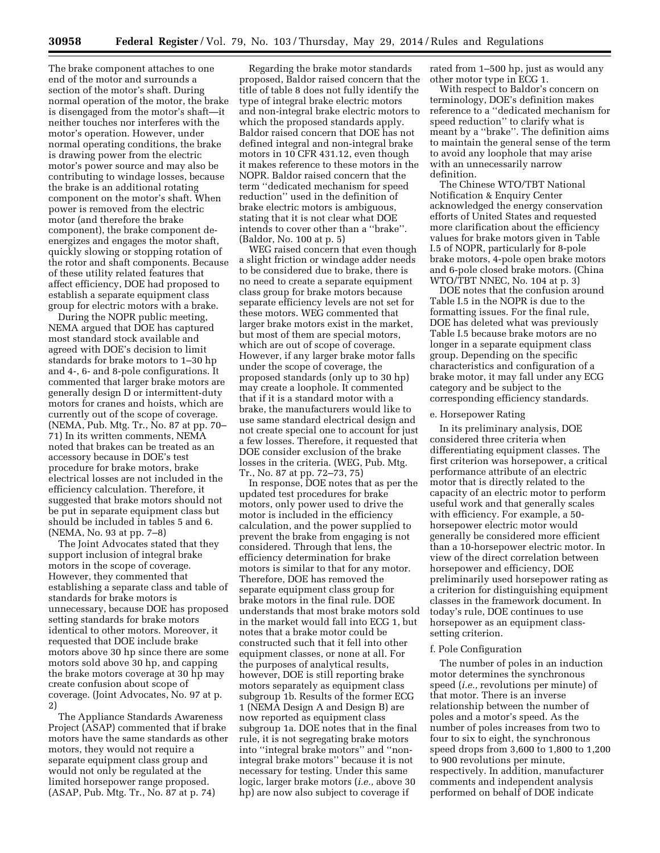The brake component attaches to one end of the motor and surrounds a section of the motor's shaft. During normal operation of the motor, the brake is disengaged from the motor's shaft—it neither touches nor interferes with the motor's operation. However, under normal operating conditions, the brake is drawing power from the electric motor's power source and may also be contributing to windage losses, because the brake is an additional rotating component on the motor's shaft. When power is removed from the electric motor (and therefore the brake component), the brake component deenergizes and engages the motor shaft, quickly slowing or stopping rotation of the rotor and shaft components. Because of these utility related features that affect efficiency, DOE had proposed to establish a separate equipment class group for electric motors with a brake.

During the NOPR public meeting, NEMA argued that DOE has captured most standard stock available and agreed with DOE's decision to limit standards for brake motors to 1–30 hp and 4-, 6- and 8-pole configurations. It commented that larger brake motors are generally design D or intermittent-duty motors for cranes and hoists, which are currently out of the scope of coverage. (NEMA, Pub. Mtg. Tr., No. 87 at pp. 70– 71) In its written comments, NEMA noted that brakes can be treated as an accessory because in DOE's test procedure for brake motors, brake electrical losses are not included in the efficiency calculation. Therefore, it suggested that brake motors should not be put in separate equipment class but should be included in tables 5 and 6. (NEMA, No. 93 at pp. 7–8)

The Joint Advocates stated that they support inclusion of integral brake motors in the scope of coverage. However, they commented that establishing a separate class and table of standards for brake motors is unnecessary, because DOE has proposed setting standards for brake motors identical to other motors. Moreover, it requested that DOE include brake motors above 30 hp since there are some motors sold above 30 hp, and capping the brake motors coverage at 30 hp may create confusion about scope of coverage. (Joint Advocates, No. 97 at p. 2)

The Appliance Standards Awareness Project (ASAP) commented that if brake motors have the same standards as other motors, they would not require a separate equipment class group and would not only be regulated at the limited horsepower range proposed. (ASAP, Pub. Mtg. Tr., No. 87 at p. 74)

Regarding the brake motor standards proposed, Baldor raised concern that the title of table 8 does not fully identify the type of integral brake electric motors and non-integral brake electric motors to which the proposed standards apply. Baldor raised concern that DOE has not defined integral and non-integral brake motors in 10 CFR 431.12, even though it makes reference to these motors in the NOPR. Baldor raised concern that the term ''dedicated mechanism for speed reduction'' used in the definition of brake electric motors is ambiguous, stating that it is not clear what DOE intends to cover other than a ''brake''. (Baldor, No. 100 at p. 5)

WEG raised concern that even though a slight friction or windage adder needs to be considered due to brake, there is no need to create a separate equipment class group for brake motors because separate efficiency levels are not set for these motors. WEG commented that larger brake motors exist in the market, but most of them are special motors, which are out of scope of coverage. However, if any larger brake motor falls under the scope of coverage, the proposed standards (only up to 30 hp) may create a loophole. It commented that if it is a standard motor with a brake, the manufacturers would like to use same standard electrical design and not create special one to account for just a few losses. Therefore, it requested that DOE consider exclusion of the brake losses in the criteria. (WEG, Pub. Mtg. Tr., No. 87 at pp. 72–73, 75)

In response, DOE notes that as per the updated test procedures for brake motors, only power used to drive the motor is included in the efficiency calculation, and the power supplied to prevent the brake from engaging is not considered. Through that lens, the efficiency determination for brake motors is similar to that for any motor. Therefore, DOE has removed the separate equipment class group for brake motors in the final rule. DOE understands that most brake motors sold in the market would fall into ECG 1, but notes that a brake motor could be constructed such that it fell into other equipment classes, or none at all. For the purposes of analytical results, however, DOE is still reporting brake motors separately as equipment class subgroup 1b. Results of the former ECG 1 (NEMA Design A and Design B) are now reported as equipment class subgroup 1a. DOE notes that in the final rule, it is not segregating brake motors into ''integral brake motors'' and ''nonintegral brake motors'' because it is not necessary for testing. Under this same logic, larger brake motors (*i.e.,* above 30 hp) are now also subject to coverage if

rated from 1–500 hp, just as would any other motor type in ECG 1.

With respect to Baldor's concern on terminology, DOE's definition makes reference to a ''dedicated mechanism for speed reduction'' to clarify what is meant by a ''brake''. The definition aims to maintain the general sense of the term to avoid any loophole that may arise with an unnecessarily narrow definition.

The Chinese WTO/TBT National Notification & Enquiry Center acknowledged the energy conservation efforts of United States and requested more clarification about the efficiency values for brake motors given in Table I.5 of NOPR, particularly for 8-pole brake motors, 4-pole open brake motors and 6-pole closed brake motors. (China WTO/TBT NNEC, No. 104 at p. 3)

DOE notes that the confusion around Table I.5 in the NOPR is due to the formatting issues. For the final rule, DOE has deleted what was previously Table I.5 because brake motors are no longer in a separate equipment class group. Depending on the specific characteristics and configuration of a brake motor, it may fall under any ECG category and be subject to the corresponding efficiency standards.

#### e. Horsepower Rating

In its preliminary analysis, DOE considered three criteria when differentiating equipment classes. The first criterion was horsepower, a critical performance attribute of an electric motor that is directly related to the capacity of an electric motor to perform useful work and that generally scales with efficiency. For example, a 50 horsepower electric motor would generally be considered more efficient than a 10-horsepower electric motor. In view of the direct correlation between horsepower and efficiency, DOE preliminarily used horsepower rating as a criterion for distinguishing equipment classes in the framework document. In today's rule, DOE continues to use horsepower as an equipment classsetting criterion.

# f. Pole Configuration

The number of poles in an induction motor determines the synchronous speed (*i.e.,* revolutions per minute) of that motor. There is an inverse relationship between the number of poles and a motor's speed. As the number of poles increases from two to four to six to eight, the synchronous speed drops from 3,600 to 1,800 to 1,200 to 900 revolutions per minute, respectively. In addition, manufacturer comments and independent analysis performed on behalf of DOE indicate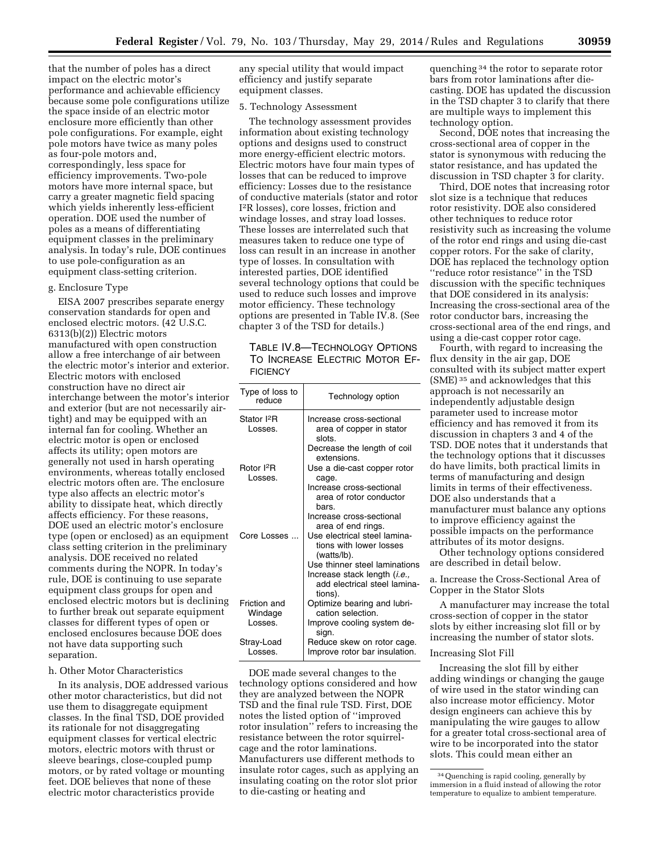that the number of poles has a direct impact on the electric motor's performance and achievable efficiency because some pole configurations utilize the space inside of an electric motor enclosure more efficiently than other pole configurations. For example, eight pole motors have twice as many poles as four-pole motors and, correspondingly, less space for efficiency improvements. Two-pole motors have more internal space, but carry a greater magnetic field spacing which yields inherently less-efficient operation. DOE used the number of poles as a means of differentiating equipment classes in the preliminary analysis. In today's rule, DOE continues to use pole-configuration as an equipment class-setting criterion.

# g. Enclosure Type

EISA 2007 prescribes separate energy conservation standards for open and enclosed electric motors. (42 U.S.C. 6313(b)(2)) Electric motors manufactured with open construction allow a free interchange of air between the electric motor's interior and exterior. Electric motors with enclosed construction have no direct air interchange between the motor's interior and exterior (but are not necessarily airtight) and may be equipped with an internal fan for cooling. Whether an electric motor is open or enclosed affects its utility; open motors are generally not used in harsh operating environments, whereas totally enclosed electric motors often are. The enclosure type also affects an electric motor's ability to dissipate heat, which directly affects efficiency. For these reasons, DOE used an electric motor's enclosure type (open or enclosed) as an equipment class setting criterion in the preliminary analysis. DOE received no related comments during the NOPR. In today's rule, DOE is continuing to use separate equipment class groups for open and enclosed electric motors but is declining to further break out separate equipment classes for different types of open or enclosed enclosures because DOE does not have data supporting such separation.

# h. Other Motor Characteristics

In its analysis, DOE addressed various other motor characteristics, but did not use them to disaggregate equipment classes. In the final TSD, DOE provided its rationale for not disaggregating equipment classes for vertical electric motors, electric motors with thrust or sleeve bearings, close-coupled pump motors, or by rated voltage or mounting feet. DOE believes that none of these electric motor characteristics provide

any special utility that would impact efficiency and justify separate equipment classes.

#### 5. Technology Assessment

The technology assessment provides information about existing technology options and designs used to construct more energy-efficient electric motors. Electric motors have four main types of losses that can be reduced to improve efficiency: Losses due to the resistance of conductive materials (stator and rotor I2R losses), core losses, friction and windage losses, and stray load losses. These losses are interrelated such that measures taken to reduce one type of loss can result in an increase in another type of losses. In consultation with interested parties, DOE identified several technology options that could be used to reduce such losses and improve motor efficiency. These technology options are presented in Table IV.8. (See chapter 3 of the TSD for details.)

TABLE IV.8—TECHNOLOGY OPTIONS TO INCREASE ELECTRIC MOTOR EF-**FICIENCY** 

| Type of loss to<br>reduce       | Technology option                          |
|---------------------------------|--------------------------------------------|
| Stator I <sup>2</sup> R         | Increase cross-sectional                   |
| Losses.                         | area of copper in stator<br>slots.         |
|                                 | Decrease the length of coil<br>extensions. |
| Rotor <sup>2</sup> R<br>Losses. | Use a die-cast copper rotor<br>cage.       |
|                                 | Increase cross-sectional                   |
|                                 | area of rotor conductor<br>hars.           |
|                                 | Increase cross-sectional                   |
|                                 | area of end rings.                         |
| Core Losses                     | Use electrical steel lamina-               |
|                                 | tions with lower losses<br>(watts/lb).     |
|                                 | Use thinner steel laminations              |
|                                 | Increase stack length ( <i>i.e.</i> ,      |
|                                 | add electrical steel lamina-<br>tions).    |
| Friction and                    | Optimize bearing and lubri-                |
| Windage                         | cation selection.                          |
| Losses.                         | Improve cooling system de-<br>sign.        |
| Stray-Load                      | Reduce skew on rotor cage.                 |
| Losses.                         | Improve rotor bar insulation.              |

DOE made several changes to the technology options considered and how they are analyzed between the NOPR TSD and the final rule TSD. First, DOE notes the listed option of ''improved rotor insulation'' refers to increasing the resistance between the rotor squirrelcage and the rotor laminations. Manufacturers use different methods to insulate rotor cages, such as applying an insulating coating on the rotor slot prior to die-casting or heating and

quenching 34 the rotor to separate rotor bars from rotor laminations after diecasting. DOE has updated the discussion in the TSD chapter 3 to clarify that there are multiple ways to implement this technology option.

Second, DOE notes that increasing the cross-sectional area of copper in the stator is synonymous with reducing the stator resistance, and has updated the discussion in TSD chapter 3 for clarity.

Third, DOE notes that increasing rotor slot size is a technique that reduces rotor resistivity. DOE also considered other techniques to reduce rotor resistivity such as increasing the volume of the rotor end rings and using die-cast copper rotors. For the sake of clarity, DOE has replaced the technology option ''reduce rotor resistance'' in the TSD discussion with the specific techniques that DOE considered in its analysis: Increasing the cross-sectional area of the rotor conductor bars, increasing the cross-sectional area of the end rings, and using a die-cast copper rotor cage.

Fourth, with regard to increasing the flux density in the air gap, DOE consulted with its subject matter expert (SME) 35 and acknowledges that this approach is not necessarily an independently adjustable design parameter used to increase motor efficiency and has removed it from its discussion in chapters 3 and 4 of the TSD. DOE notes that it understands that the technology options that it discusses do have limits, both practical limits in terms of manufacturing and design limits in terms of their effectiveness. DOE also understands that a manufacturer must balance any options to improve efficiency against the possible impacts on the performance attributes of its motor designs.

Other technology options considered are described in detail below.

a. Increase the Cross-Sectional Area of Copper in the Stator Slots

A manufacturer may increase the total cross-section of copper in the stator slots by either increasing slot fill or by increasing the number of stator slots.

#### Increasing Slot Fill

Increasing the slot fill by either adding windings or changing the gauge of wire used in the stator winding can also increase motor efficiency. Motor design engineers can achieve this by manipulating the wire gauges to allow for a greater total cross-sectional area of wire to be incorporated into the stator slots. This could mean either an

<sup>34</sup>Quenching is rapid cooling, generally by immersion in a fluid instead of allowing the rotor temperature to equalize to ambient temperature.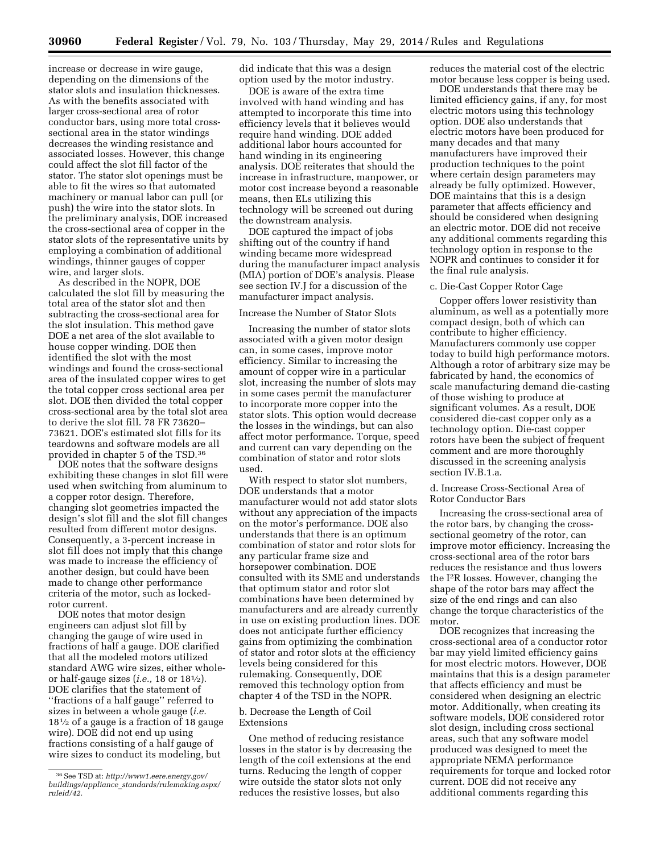increase or decrease in wire gauge, depending on the dimensions of the stator slots and insulation thicknesses. As with the benefits associated with larger cross-sectional area of rotor conductor bars, using more total crosssectional area in the stator windings decreases the winding resistance and associated losses. However, this change could affect the slot fill factor of the stator. The stator slot openings must be able to fit the wires so that automated machinery or manual labor can pull (or push) the wire into the stator slots. In the preliminary analysis, DOE increased the cross-sectional area of copper in the stator slots of the representative units by employing a combination of additional windings, thinner gauges of copper wire, and larger slots.

As described in the NOPR, DOE calculated the slot fill by measuring the total area of the stator slot and then subtracting the cross-sectional area for the slot insulation. This method gave DOE a net area of the slot available to house copper winding. DOE then identified the slot with the most windings and found the cross-sectional area of the insulated copper wires to get the total copper cross sectional area per slot. DOE then divided the total copper cross-sectional area by the total slot area to derive the slot fill. 78 FR 73620– 73621. DOE's estimated slot fills for its teardowns and software models are all provided in chapter 5 of the TSD.36

DOE notes that the software designs exhibiting these changes in slot fill were used when switching from aluminum to a copper rotor design. Therefore, changing slot geometries impacted the design's slot fill and the slot fill changes resulted from different motor designs. Consequently, a 3-percent increase in slot fill does not imply that this change was made to increase the efficiency of another design, but could have been made to change other performance criteria of the motor, such as lockedrotor current.

DOE notes that motor design engineers can adjust slot fill by changing the gauge of wire used in fractions of half a gauge. DOE clarified that all the modeled motors utilized standard AWG wire sizes, either wholeor half-gauge sizes (*i.e.,* 18 or 181⁄2). DOE clarifies that the statement of ''fractions of a half gauge'' referred to sizes in between a whole gauge (*i.e.*  181⁄2 of a gauge is a fraction of 18 gauge wire). DOE did not end up using fractions consisting of a half gauge of wire sizes to conduct its modeling, but

did indicate that this was a design option used by the motor industry.

DOE is aware of the extra time involved with hand winding and has attempted to incorporate this time into efficiency levels that it believes would require hand winding. DOE added additional labor hours accounted for hand winding in its engineering analysis. DOE reiterates that should the increase in infrastructure, manpower, or motor cost increase beyond a reasonable means, then ELs utilizing this technology will be screened out during the downstream analysis.

DOE captured the impact of jobs shifting out of the country if hand winding became more widespread during the manufacturer impact analysis (MIA) portion of DOE's analysis. Please see section IV.J for a discussion of the manufacturer impact analysis.

# Increase the Number of Stator Slots

Increasing the number of stator slots associated with a given motor design can, in some cases, improve motor efficiency. Similar to increasing the amount of copper wire in a particular slot, increasing the number of slots may in some cases permit the manufacturer to incorporate more copper into the stator slots. This option would decrease the losses in the windings, but can also affect motor performance. Torque, speed and current can vary depending on the combination of stator and rotor slots used.

With respect to stator slot numbers, DOE understands that a motor manufacturer would not add stator slots without any appreciation of the impacts on the motor's performance. DOE also understands that there is an optimum combination of stator and rotor slots for any particular frame size and horsepower combination. DOE consulted with its SME and understands that optimum stator and rotor slot combinations have been determined by manufacturers and are already currently in use on existing production lines. DOE does not anticipate further efficiency gains from optimizing the combination of stator and rotor slots at the efficiency levels being considered for this rulemaking. Consequently, DOE removed this technology option from chapter 4 of the TSD in the NOPR.

#### b. Decrease the Length of Coil Extensions

One method of reducing resistance losses in the stator is by decreasing the length of the coil extensions at the end turns. Reducing the length of copper wire outside the stator slots not only reduces the resistive losses, but also

reduces the material cost of the electric motor because less copper is being used.

DOE understands that there may be limited efficiency gains, if any, for most electric motors using this technology option. DOE also understands that electric motors have been produced for many decades and that many manufacturers have improved their production techniques to the point where certain design parameters may already be fully optimized. However, DOE maintains that this is a design parameter that affects efficiency and should be considered when designing an electric motor. DOE did not receive any additional comments regarding this technology option in response to the NOPR and continues to consider it for the final rule analysis.

# c. Die-Cast Copper Rotor Cage

Copper offers lower resistivity than aluminum, as well as a potentially more compact design, both of which can contribute to higher efficiency. Manufacturers commonly use copper today to build high performance motors. Although a rotor of arbitrary size may be fabricated by hand, the economics of scale manufacturing demand die-casting of those wishing to produce at significant volumes. As a result, DOE considered die-cast copper only as a technology option. Die-cast copper rotors have been the subject of frequent comment and are more thoroughly discussed in the screening analysis section IV.B.1.a.

#### d. Increase Cross-Sectional Area of Rotor Conductor Bars

Increasing the cross-sectional area of the rotor bars, by changing the crosssectional geometry of the rotor, can improve motor efficiency. Increasing the cross-sectional area of the rotor bars reduces the resistance and thus lowers the I2R losses. However, changing the shape of the rotor bars may affect the size of the end rings and can also change the torque characteristics of the motor.

DOE recognizes that increasing the cross-sectional area of a conductor rotor bar may yield limited efficiency gains for most electric motors. However, DOE maintains that this is a design parameter that affects efficiency and must be considered when designing an electric motor. Additionally, when creating its software models, DOE considered rotor slot design, including cross sectional areas, such that any software model produced was designed to meet the appropriate NEMA performance requirements for torque and locked rotor current. DOE did not receive any additional comments regarding this

<sup>36</sup>See TSD at: *[http://www1.eere.energy.gov/](http://www1.eere.energy.gov/buildings/appliance_standards/rulemaking.aspx/ruleid/42) buildings/appliance*\_*[standards/rulemaking.aspx/](http://www1.eere.energy.gov/buildings/appliance_standards/rulemaking.aspx/ruleid/42) [ruleid/42.](http://www1.eere.energy.gov/buildings/appliance_standards/rulemaking.aspx/ruleid/42)*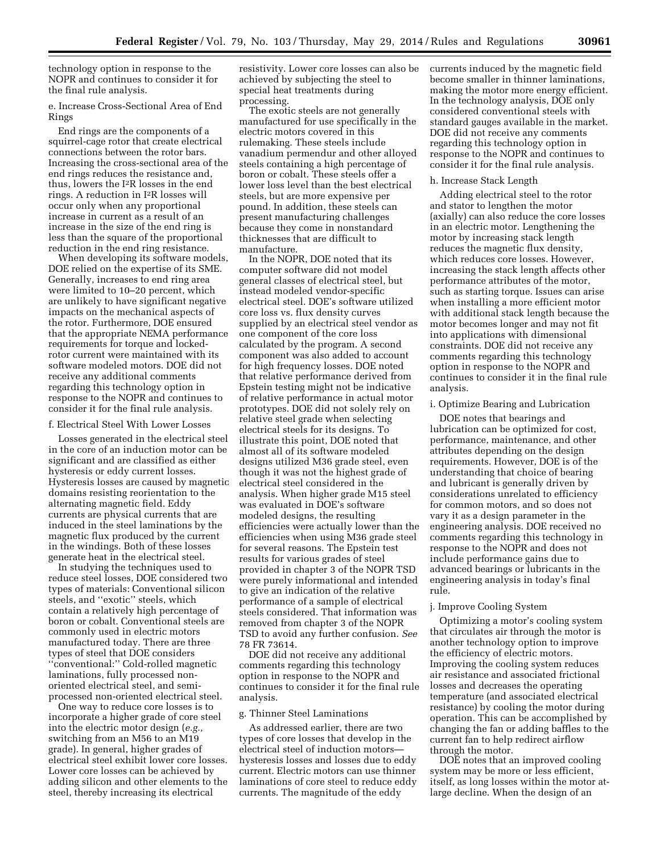technology option in response to the NOPR and continues to consider it for the final rule analysis.

e. Increase Cross-Sectional Area of End Rings

End rings are the components of a squirrel-cage rotor that create electrical connections between the rotor bars. Increasing the cross-sectional area of the end rings reduces the resistance and, thus, lowers the I2R losses in the end rings. A reduction in I2R losses will occur only when any proportional increase in current as a result of an increase in the size of the end ring is less than the square of the proportional reduction in the end ring resistance.

When developing its software models, DOE relied on the expertise of its SME. Generally, increases to end ring area were limited to 10–20 percent, which are unlikely to have significant negative impacts on the mechanical aspects of the rotor. Furthermore, DOE ensured that the appropriate NEMA performance requirements for torque and lockedrotor current were maintained with its software modeled motors. DOE did not receive any additional comments regarding this technology option in response to the NOPR and continues to consider it for the final rule analysis.

# f. Electrical Steel With Lower Losses

Losses generated in the electrical steel in the core of an induction motor can be significant and are classified as either hysteresis or eddy current losses. Hysteresis losses are caused by magnetic domains resisting reorientation to the alternating magnetic field. Eddy currents are physical currents that are induced in the steel laminations by the magnetic flux produced by the current in the windings. Both of these losses generate heat in the electrical steel.

In studying the techniques used to reduce steel losses, DOE considered two types of materials: Conventional silicon steels, and ''exotic'' steels, which contain a relatively high percentage of boron or cobalt. Conventional steels are commonly used in electric motors manufactured today. There are three types of steel that DOE considers ''conventional:'' Cold-rolled magnetic laminations, fully processed nonoriented electrical steel, and semiprocessed non-oriented electrical steel.

One way to reduce core losses is to incorporate a higher grade of core steel into the electric motor design (*e.g.,*  switching from an M56 to an M19 grade). In general, higher grades of electrical steel exhibit lower core losses. Lower core losses can be achieved by adding silicon and other elements to the steel, thereby increasing its electrical

resistivity. Lower core losses can also be achieved by subjecting the steel to special heat treatments during processing.

The exotic steels are not generally manufactured for use specifically in the electric motors covered in this rulemaking. These steels include vanadium permendur and other alloyed steels containing a high percentage of boron or cobalt. These steels offer a lower loss level than the best electrical steels, but are more expensive per pound. In addition, these steels can present manufacturing challenges because they come in nonstandard thicknesses that are difficult to manufacture.

In the NOPR, DOE noted that its computer software did not model general classes of electrical steel, but instead modeled vendor-specific electrical steel. DOE's software utilized core loss vs. flux density curves supplied by an electrical steel vendor as one component of the core loss calculated by the program. A second component was also added to account for high frequency losses. DOE noted that relative performance derived from Epstein testing might not be indicative of relative performance in actual motor prototypes. DOE did not solely rely on relative steel grade when selecting electrical steels for its designs. To illustrate this point, DOE noted that almost all of its software modeled designs utilized M36 grade steel, even though it was not the highest grade of electrical steel considered in the analysis. When higher grade M15 steel was evaluated in DOE's software modeled designs, the resulting efficiencies were actually lower than the efficiencies when using M36 grade steel for several reasons. The Epstein test results for various grades of steel provided in chapter 3 of the NOPR TSD were purely informational and intended to give an indication of the relative performance of a sample of electrical steels considered. That information was removed from chapter 3 of the NOPR TSD to avoid any further confusion. *See*  78 FR 73614.

DOE did not receive any additional comments regarding this technology option in response to the NOPR and continues to consider it for the final rule analysis.

# g. Thinner Steel Laminations

As addressed earlier, there are two types of core losses that develop in the electrical steel of induction motors hysteresis losses and losses due to eddy current. Electric motors can use thinner laminations of core steel to reduce eddy currents. The magnitude of the eddy

currents induced by the magnetic field become smaller in thinner laminations, making the motor more energy efficient. In the technology analysis, DOE only considered conventional steels with standard gauges available in the market. DOE did not receive any comments regarding this technology option in response to the NOPR and continues to consider it for the final rule analysis.

#### h. Increase Stack Length

Adding electrical steel to the rotor and stator to lengthen the motor (axially) can also reduce the core losses in an electric motor. Lengthening the motor by increasing stack length reduces the magnetic flux density, which reduces core losses. However, increasing the stack length affects other performance attributes of the motor, such as starting torque. Issues can arise when installing a more efficient motor with additional stack length because the motor becomes longer and may not fit into applications with dimensional constraints. DOE did not receive any comments regarding this technology option in response to the NOPR and continues to consider it in the final rule analysis.

# i. Optimize Bearing and Lubrication

DOE notes that bearings and lubrication can be optimized for cost, performance, maintenance, and other attributes depending on the design requirements. However, DOE is of the understanding that choice of bearing and lubricant is generally driven by considerations unrelated to efficiency for common motors, and so does not vary it as a design parameter in the engineering analysis. DOE received no comments regarding this technology in response to the NOPR and does not include performance gains due to advanced bearings or lubricants in the engineering analysis in today's final rule.

#### j. Improve Cooling System

Optimizing a motor's cooling system that circulates air through the motor is another technology option to improve the efficiency of electric motors. Improving the cooling system reduces air resistance and associated frictional losses and decreases the operating temperature (and associated electrical resistance) by cooling the motor during operation. This can be accomplished by changing the fan or adding baffles to the current fan to help redirect airflow through the motor.

DOE notes that an improved cooling system may be more or less efficient, itself, as long losses within the motor atlarge decline. When the design of an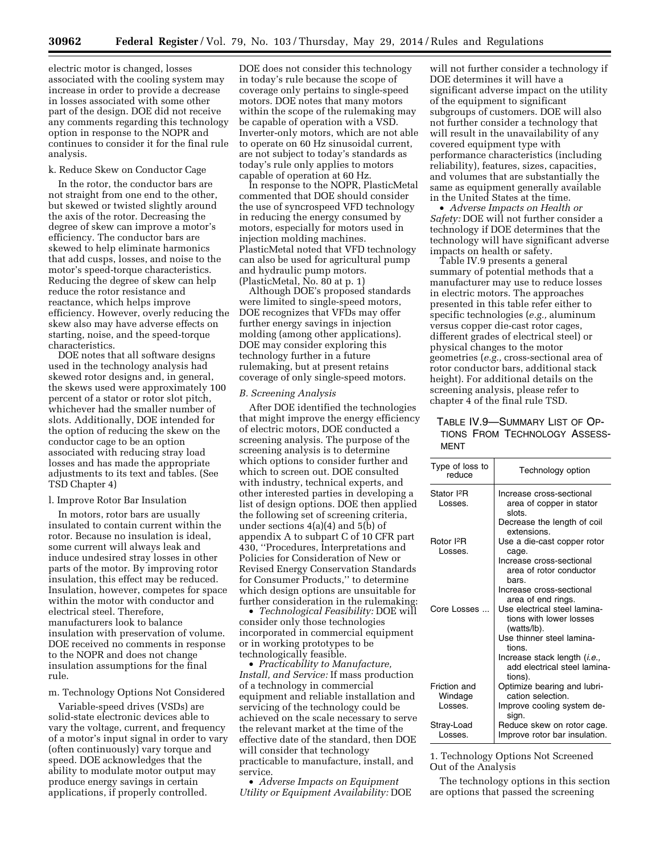electric motor is changed, losses associated with the cooling system may increase in order to provide a decrease in losses associated with some other part of the design. DOE did not receive any comments regarding this technology option in response to the NOPR and continues to consider it for the final rule analysis.

# k. Reduce Skew on Conductor Cage

In the rotor, the conductor bars are not straight from one end to the other, but skewed or twisted slightly around the axis of the rotor. Decreasing the degree of skew can improve a motor's efficiency. The conductor bars are skewed to help eliminate harmonics that add cusps, losses, and noise to the motor's speed-torque characteristics. Reducing the degree of skew can help reduce the rotor resistance and reactance, which helps improve efficiency. However, overly reducing the skew also may have adverse effects on starting, noise, and the speed-torque characteristics.

DOE notes that all software designs used in the technology analysis had skewed rotor designs and, in general, the skews used were approximately 100 percent of a stator or rotor slot pitch, whichever had the smaller number of slots. Additionally, DOE intended for the option of reducing the skew on the conductor cage to be an option associated with reducing stray load losses and has made the appropriate adjustments to its text and tables. (See TSD Chapter 4)

### l. Improve Rotor Bar Insulation

In motors, rotor bars are usually insulated to contain current within the rotor. Because no insulation is ideal, some current will always leak and induce undesired stray losses in other parts of the motor. By improving rotor insulation, this effect may be reduced. Insulation, however, competes for space within the motor with conductor and electrical steel. Therefore, manufacturers look to balance insulation with preservation of volume. DOE received no comments in response to the NOPR and does not change insulation assumptions for the final rule.

# m. Technology Options Not Considered

Variable-speed drives (VSDs) are solid-state electronic devices able to vary the voltage, current, and frequency of a motor's input signal in order to vary (often continuously) vary torque and speed. DOE acknowledges that the ability to modulate motor output may produce energy savings in certain applications, if properly controlled.

DOE does not consider this technology in today's rule because the scope of coverage only pertains to single-speed motors. DOE notes that many motors within the scope of the rulemaking may be capable of operation with a VSD. Inverter-only motors, which are not able to operate on 60 Hz sinusoidal current, are not subject to today's standards as today's rule only applies to motors capable of operation at 60 Hz.

In response to the NOPR, PlasticMetal commented that DOE should consider the use of syncrospeed VFD technology in reducing the energy consumed by motors, especially for motors used in injection molding machines. PlasticMetal noted that VFD technology can also be used for agricultural pump and hydraulic pump motors. (PlasticMetal, No. 80 at p. 1)

Although DOE's proposed standards were limited to single-speed motors, DOE recognizes that VFDs may offer further energy savings in injection molding (among other applications). DOE may consider exploring this technology further in a future rulemaking, but at present retains coverage of only single-speed motors.

#### *B. Screening Analysis*

After DOE identified the technologies that might improve the energy efficiency of electric motors, DOE conducted a screening analysis. The purpose of the screening analysis is to determine which options to consider further and which to screen out. DOE consulted with industry, technical experts, and other interested parties in developing a list of design options. DOE then applied the following set of screening criteria, under sections 4(a)(4) and 5(b) of appendix A to subpart C of 10 CFR part 430, ''Procedures, Interpretations and Policies for Consideration of New or Revised Energy Conservation Standards for Consumer Products,'' to determine which design options are unsuitable for further consideration in the rulemaking:

• *Technological Feasibility:* DOE will consider only those technologies incorporated in commercial equipment or in working prototypes to be technologically feasible.

• *Practicability to Manufacture, Install, and Service:* If mass production of a technology in commercial equipment and reliable installation and servicing of the technology could be achieved on the scale necessary to serve the relevant market at the time of the effective date of the standard, then DOE will consider that technology practicable to manufacture, install, and service.

• *Adverse Impacts on Equipment Utility or Equipment Availability:* DOE

will not further consider a technology if DOE determines it will have a significant adverse impact on the utility of the equipment to significant subgroups of customers. DOE will also not further consider a technology that will result in the unavailability of any covered equipment type with performance characteristics (including reliability), features, sizes, capacities, and volumes that are substantially the same as equipment generally available in the United States at the time.

• *Adverse Impacts on Health or Safety:* DOE will not further consider a technology if DOE determines that the technology will have significant adverse impacts on health or safety.

Table IV.9 presents a general summary of potential methods that a manufacturer may use to reduce losses in electric motors. The approaches presented in this table refer either to specific technologies (*e.g.,* aluminum versus copper die-cast rotor cages, different grades of electrical steel) or physical changes to the motor geometries (*e.g.,* cross-sectional area of rotor conductor bars, additional stack height). For additional details on the screening analysis, please refer to chapter 4 of the final rule TSD.

|      | Table IV.9—Summary List of Op- |  |
|------|--------------------------------|--|
|      | TIONS FROM TECHNOLOGY ASSESS-  |  |
| MFNT |                                |  |

| Type of loss to<br>reduce          | Technology option                                                                |
|------------------------------------|----------------------------------------------------------------------------------|
| Stator I <sup>2</sup> R<br>Losses. | Increase cross-sectional<br>area of copper in stator<br>slots.                   |
|                                    | Decrease the length of coil<br>extensions.                                       |
| Rotor I <sup>2</sup> R<br>Losses.  | Use a die-cast copper rotor<br>cage.                                             |
|                                    | Increase cross-sectional<br>area of rotor conductor<br>bars.                     |
|                                    | Increase cross-sectional<br>area of end rings.                                   |
| Core Losses                        | Use electrical steel lamina-<br>tions with lower losses<br>(watts/lb).           |
|                                    | Use thinner steel lamina-<br>tions.                                              |
|                                    | Increase stack length ( <i>i.e.</i> ,<br>add electrical steel lamina-<br>tions). |
| Friction and<br>Windage            | Optimize bearing and lubri-<br>cation selection.                                 |
| Losses.                            | Improve cooling system de-<br>sign.                                              |
| Stray-Load<br>Losses.              | Reduce skew on rotor cage.<br>Improve rotor bar insulation.                      |

1. Technology Options Not Screened Out of the Analysis

The technology options in this section are options that passed the screening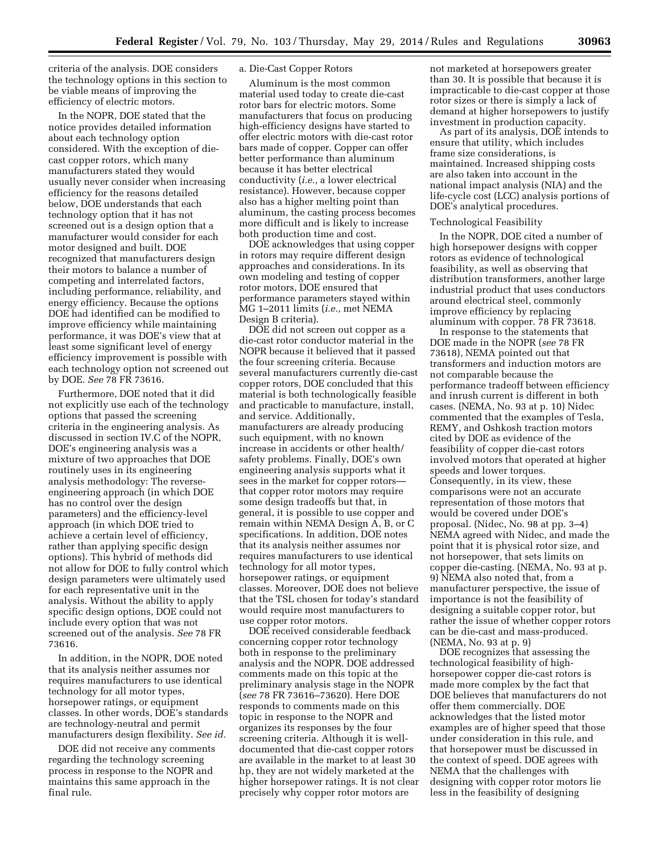criteria of the analysis. DOE considers the technology options in this section to be viable means of improving the efficiency of electric motors.

In the NOPR, DOE stated that the notice provides detailed information about each technology option considered. With the exception of diecast copper rotors, which many manufacturers stated they would usually never consider when increasing efficiency for the reasons detailed below, DOE understands that each technology option that it has not screened out is a design option that a manufacturer would consider for each motor designed and built. DOE recognized that manufacturers design their motors to balance a number of competing and interrelated factors, including performance, reliability, and energy efficiency. Because the options DOE had identified can be modified to improve efficiency while maintaining performance, it was DOE's view that at least some significant level of energy efficiency improvement is possible with each technology option not screened out by DOE. *See* 78 FR 73616.

Furthermore, DOE noted that it did not explicitly use each of the technology options that passed the screening criteria in the engineering analysis. As discussed in section IV.C of the NOPR, DOE's engineering analysis was a mixture of two approaches that DOE routinely uses in its engineering analysis methodology: The reverseengineering approach (in which DOE has no control over the design parameters) and the efficiency-level approach (in which DOE tried to achieve a certain level of efficiency, rather than applying specific design options). This hybrid of methods did not allow for DOE to fully control which design parameters were ultimately used for each representative unit in the analysis. Without the ability to apply specific design options, DOE could not include every option that was not screened out of the analysis. *See* 78 FR 73616.

In addition, in the NOPR, DOE noted that its analysis neither assumes nor requires manufacturers to use identical technology for all motor types, horsepower ratings, or equipment classes. In other words, DOE's standards are technology-neutral and permit manufacturers design flexibility. *See id.* 

DOE did not receive any comments regarding the technology screening process in response to the NOPR and maintains this same approach in the final rule.

# a. Die-Cast Copper Rotors

Aluminum is the most common material used today to create die-cast rotor bars for electric motors. Some manufacturers that focus on producing high-efficiency designs have started to offer electric motors with die-cast rotor bars made of copper. Copper can offer better performance than aluminum because it has better electrical conductivity (*i.e.,* a lower electrical resistance). However, because copper also has a higher melting point than aluminum, the casting process becomes more difficult and is likely to increase both production time and cost.

DOE acknowledges that using copper in rotors may require different design approaches and considerations. In its own modeling and testing of copper rotor motors, DOE ensured that performance parameters stayed within MG 1–2011 limits (*i.e.,* met NEMA Design B criteria).

DOE did not screen out copper as a die-cast rotor conductor material in the NOPR because it believed that it passed the four screening criteria. Because several manufacturers currently die-cast copper rotors, DOE concluded that this material is both technologically feasible and practicable to manufacture, install, and service. Additionally, manufacturers are already producing such equipment, with no known increase in accidents or other health/ safety problems. Finally, DOE's own engineering analysis supports what it sees in the market for copper rotors that copper rotor motors may require some design tradeoffs but that, in general, it is possible to use copper and remain within NEMA Design A, B, or C specifications. In addition, DOE notes that its analysis neither assumes nor requires manufacturers to use identical technology for all motor types, horsepower ratings, or equipment classes. Moreover, DOE does not believe that the TSL chosen for today's standard would require most manufacturers to use copper rotor motors.

DOE received considerable feedback concerning copper rotor technology both in response to the preliminary analysis and the NOPR. DOE addressed comments made on this topic at the preliminary analysis stage in the NOPR (*see* 78 FR 73616–73620). Here DOE responds to comments made on this topic in response to the NOPR and organizes its responses by the four screening criteria. Although it is welldocumented that die-cast copper rotors are available in the market to at least 30 hp, they are not widely marketed at the higher horsepower ratings. It is not clear precisely why copper rotor motors are

not marketed at horsepowers greater than 30. It is possible that because it is impracticable to die-cast copper at those rotor sizes or there is simply a lack of demand at higher horsepowers to justify investment in production capacity.

As part of its analysis, DOE intends to ensure that utility, which includes frame size considerations, is maintained. Increased shipping costs are also taken into account in the national impact analysis (NIA) and the life-cycle cost (LCC) analysis portions of DOE's analytical procedures.

## Technological Feasibility

In the NOPR, DOE cited a number of high horsepower designs with copper rotors as evidence of technological feasibility, as well as observing that distribution transformers, another large industrial product that uses conductors around electrical steel, commonly improve efficiency by replacing aluminum with copper. 78 FR 73618.

In response to the statements that DOE made in the NOPR (*see* 78 FR 73618), NEMA pointed out that transformers and induction motors are not comparable because the performance tradeoff between efficiency and inrush current is different in both cases. (NEMA, No. 93 at p. 10) Nidec commented that the examples of Tesla, REMY, and Oshkosh traction motors cited by DOE as evidence of the feasibility of copper die-cast rotors involved motors that operated at higher speeds and lower torques. Consequently, in its view, these comparisons were not an accurate representation of those motors that would be covered under DOE's proposal. (Nidec, No. 98 at pp. 3–4) NEMA agreed with Nidec, and made the point that it is physical rotor size, and not horsepower, that sets limits on copper die-casting. (NEMA, No. 93 at p. 9) NEMA also noted that, from a manufacturer perspective, the issue of importance is not the feasibility of designing a suitable copper rotor, but rather the issue of whether copper rotors can be die-cast and mass-produced. (NEMA, No. 93 at p. 9)

DOE recognizes that assessing the technological feasibility of highhorsepower copper die-cast rotors is made more complex by the fact that DOE believes that manufacturers do not offer them commercially. DOE acknowledges that the listed motor examples are of higher speed that those under consideration in this rule, and that horsepower must be discussed in the context of speed. DOE agrees with NEMA that the challenges with designing with copper rotor motors lie less in the feasibility of designing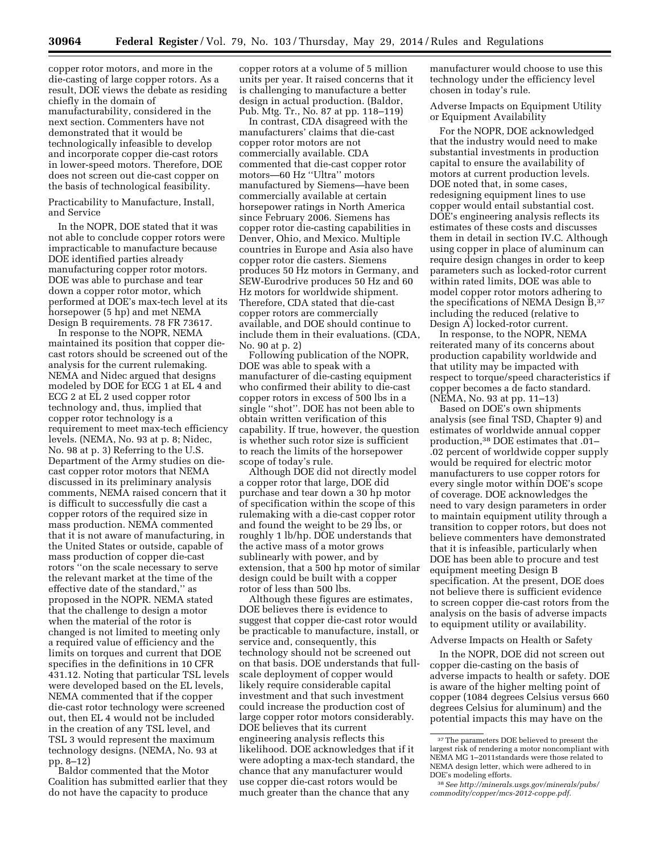copper rotor motors, and more in the die-casting of large copper rotors. As a result, DOE views the debate as residing chiefly in the domain of manufacturability, considered in the next section. Commenters have not demonstrated that it would be technologically infeasible to develop and incorporate copper die-cast rotors in lower-speed motors. Therefore, DOE does not screen out die-cast copper on the basis of technological feasibility.

Practicability to Manufacture, Install, and Service

In the NOPR, DOE stated that it was not able to conclude copper rotors were impracticable to manufacture because DOE identified parties already manufacturing copper rotor motors. DOE was able to purchase and tear down a copper rotor motor, which performed at DOE's max-tech level at its horsepower (5 hp) and met NEMA Design B requirements. 78 FR 73617.

In response to the NOPR, NEMA maintained its position that copper diecast rotors should be screened out of the analysis for the current rulemaking. NEMA and Nidec argued that designs modeled by DOE for ECG 1 at EL 4 and ECG 2 at EL 2 used copper rotor technology and, thus, implied that copper rotor technology is a requirement to meet max-tech efficiency levels. (NEMA, No. 93 at p. 8; Nidec, No. 98 at p. 3) Referring to the U.S. Department of the Army studies on diecast copper rotor motors that NEMA discussed in its preliminary analysis comments, NEMA raised concern that it is difficult to successfully die cast a copper rotors of the required size in mass production. NEMA commented that it is not aware of manufacturing, in the United States or outside, capable of mass production of copper die-cast rotors ''on the scale necessary to serve the relevant market at the time of the effective date of the standard,'' as proposed in the NOPR. NEMA stated that the challenge to design a motor when the material of the rotor is changed is not limited to meeting only a required value of efficiency and the limits on torques and current that DOE specifies in the definitions in 10 CFR 431.12. Noting that particular TSL levels were developed based on the EL levels, NEMA commented that if the copper die-cast rotor technology were screened out, then EL 4 would not be included in the creation of any TSL level, and TSL 3 would represent the maximum technology designs. (NEMA, No. 93 at pp. 8–12)

Baldor commented that the Motor Coalition has submitted earlier that they do not have the capacity to produce

copper rotors at a volume of 5 million units per year. It raised concerns that it is challenging to manufacture a better design in actual production. (Baldor, Pub. Mtg. Tr., No. 87 at pp. 118–119)

In contrast, CDA disagreed with the manufacturers' claims that die-cast copper rotor motors are not commercially available. CDA commented that die-cast copper rotor motors—60 Hz ''Ultra'' motors manufactured by Siemens—have been commercially available at certain horsepower ratings in North America since February 2006. Siemens has copper rotor die-casting capabilities in Denver, Ohio, and Mexico. Multiple countries in Europe and Asia also have copper rotor die casters. Siemens produces 50 Hz motors in Germany, and SEW-Eurodrive produces 50 Hz and 60 Hz motors for worldwide shipment. Therefore, CDA stated that die-cast copper rotors are commercially available, and DOE should continue to include them in their evaluations. (CDA, No. 90 at p. 2)

Following publication of the NOPR, DOE was able to speak with a manufacturer of die-casting equipment who confirmed their ability to die-cast copper rotors in excess of 500 lbs in a single ''shot''. DOE has not been able to obtain written verification of this capability. If true, however, the question is whether such rotor size is sufficient to reach the limits of the horsepower scope of today's rule.

Although DOE did not directly model a copper rotor that large, DOE did purchase and tear down a 30 hp motor of specification within the scope of this rulemaking with a die-cast copper rotor and found the weight to be 29 lbs, or roughly 1 lb/hp. DOE understands that the active mass of a motor grows sublinearly with power, and by extension, that a 500 hp motor of similar design could be built with a copper rotor of less than 500 lbs.

Although these figures are estimates, DOE believes there is evidence to suggest that copper die-cast rotor would be practicable to manufacture, install, or service and, consequently, this technology should not be screened out on that basis. DOE understands that fullscale deployment of copper would likely require considerable capital investment and that such investment could increase the production cost of large copper rotor motors considerably. DOE believes that its current engineering analysis reflects this likelihood. DOE acknowledges that if it were adopting a max-tech standard, the chance that any manufacturer would use copper die-cast rotors would be much greater than the chance that any

manufacturer would choose to use this technology under the efficiency level chosen in today's rule.

Adverse Impacts on Equipment Utility or Equipment Availability

For the NOPR, DOE acknowledged that the industry would need to make substantial investments in production capital to ensure the availability of motors at current production levels. DOE noted that, in some cases, redesigning equipment lines to use copper would entail substantial cost. DOE's engineering analysis reflects its estimates of these costs and discusses them in detail in section IV.C. Although using copper in place of aluminum can require design changes in order to keep parameters such as locked-rotor current within rated limits, DOE was able to model copper rotor motors adhering to the specifications of NEMA Design B,37 including the reduced (relative to Design A) locked-rotor current.

In response, to the NOPR, NEMA reiterated many of its concerns about production capability worldwide and that utility may be impacted with respect to torque/speed characteristics if copper becomes a de facto standard. (NEMA, No. 93 at pp. 11–13)

Based on DOE's own shipments analysis (see final TSD, Chapter 9) and estimates of worldwide annual copper production,38 DOE estimates that .01– .02 percent of worldwide copper supply would be required for electric motor manufacturers to use copper rotors for every single motor within DOE's scope of coverage. DOE acknowledges the need to vary design parameters in order to maintain equipment utility through a transition to copper rotors, but does not believe commenters have demonstrated that it is infeasible, particularly when DOE has been able to procure and test equipment meeting Design B specification. At the present, DOE does not believe there is sufficient evidence to screen copper die-cast rotors from the analysis on the basis of adverse impacts to equipment utility or availability.

# Adverse Impacts on Health or Safety

In the NOPR, DOE did not screen out copper die-casting on the basis of adverse impacts to health or safety. DOE is aware of the higher melting point of copper (1084 degrees Celsius versus 660 degrees Celsius for aluminum) and the potential impacts this may have on the

 $\rm ^{37}$  The parameters DOE believed to present the largest risk of rendering a motor noncompliant with NEMA MG 1–2011standards were those related to NEMA design letter, which were adhered to in DOE's modeling efforts.

<sup>38</sup>*See [http://minerals.usgs.gov/minerals/pubs/](http://minerals.usgs.gov/minerals/pubs/commodity/copper/mcs-2012-coppe.pdf) [commodity/copper/mcs-2012-coppe.pdf.](http://minerals.usgs.gov/minerals/pubs/commodity/copper/mcs-2012-coppe.pdf)*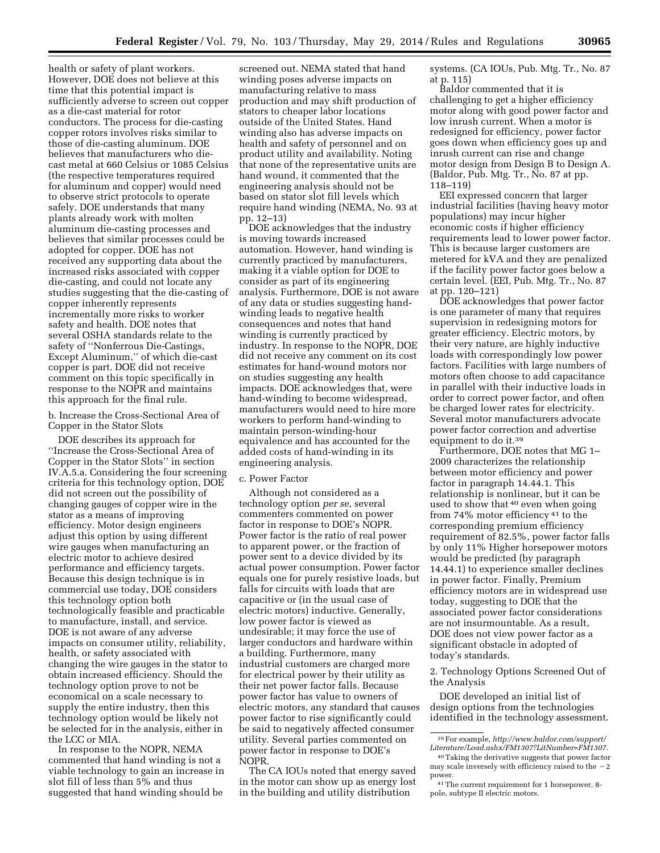health or safety of plant workers. However, DOE does not believe at this time that this potential impact is sufficiently adverse to screen out copper as a die-cast material for rotor conductors. The process for die-casting copper rotors involves risks similar to those of die-casting aluminum. DOE believes that manufacturers who diecast metal at 660 Celsius or 1085 Celsius (the respective temperatures required for aluminum and copper) would need to observe strict protocols to operate safely. DOE understands that many plants already work with molten aluminum die-casting processes and believes that similar processes could be adopted for copper. DOE has not received any supporting data about the increased risks associated with copper die-casting, and could not locate any studies suggesting that the die-casting of copper inherently represents incrementally more risks to worker safety and health. DOE notes that several OSHA standards relate to the safety of ''Nonferrous Die-Castings, Except Aluminum,'' of which die-cast copper is part. DOE did not receive comment on this topic specifically in response to the NOPR and maintains this approach for the final rule.

# b. Increase the Cross-Sectional Area of Copper in the Stator Slots

DOE describes its approach for ''Increase the Cross-Sectional Area of Copper in the Stator Slots'' in section IV.A.5.a. Considering the four screening criteria for this technology option, DOE did not screen out the possibility of changing gauges of copper wire in the stator as a means of improving efficiency. Motor design engineers adjust this option by using different wire gauges when manufacturing an electric motor to achieve desired performance and efficiency targets. Because this design technique is in commercial use today, DOE considers this technology option both technologically feasible and practicable to manufacture, install, and service. DOE is not aware of any adverse impacts on consumer utility, reliability, health, or safety associated with changing the wire gauges in the stator to obtain increased efficiency. Should the technology option prove to not be economical on a scale necessary to supply the entire industry, then this technology option would be likely not be selected for in the analysis, either in the LCC or MIA.

In response to the NOPR, NEMA commented that hand winding is not a viable technology to gain an increase in slot fill of less than 5% and thus suggested that hand winding should be

screened out. NEMA stated that hand winding poses adverse impacts on manufacturing relative to mass production and may shift production of stators to cheaper labor locations outside of the United States. Hand winding also has adverse impacts on health and safety of personnel and on product utility and availability. Noting that none of the representative units are hand wound, it commented that the engineering analysis should not be based on stator slot fill levels which require hand winding (NEMA, No. 93 at pp. 12–13)

DOE acknowledges that the industry is moving towards increased automation. However, hand winding is currently practiced by manufacturers, making it a viable option for DOE to consider as part of its engineering analysis. Furthermore, DOE is not aware of any data or studies suggesting handwinding leads to negative health consequences and notes that hand winding is currently practiced by industry. In response to the NOPR, DOE did not receive any comment on its cost estimates for hand-wound motors nor on studies suggesting any health impacts. DOE acknowledges that, were hand-winding to become widespread, manufacturers would need to hire more workers to perform hand-winding to maintain person-winding-hour equivalence and has accounted for the added costs of hand-winding in its engineering analysis.

### c. Power Factor

Although not considered as a technology option *per se,* several commenters commented on power factor in response to DOE's NOPR. Power factor is the ratio of real power to apparent power, or the fraction of power sent to a device divided by its actual power consumption. Power factor equals one for purely resistive loads, but falls for circuits with loads that are capacitive or (in the usual case of electric motors) inductive. Generally, low power factor is viewed as undesirable; it may force the use of larger conductors and hardware within a building. Furthermore, many industrial customers are charged more for electrical power by their utility as their net power factor falls. Because power factor has value to owners of electric motors, any standard that causes power factor to rise significantly could be said to negatively affected consumer utility. Several parties commented on power factor in response to DOE's NOPR.

The CA IOUs noted that energy saved in the motor can show up as energy lost in the building and utility distribution

systems. (CA IOUs, Pub. Mtg. Tr., No. 87 at p. 115)

Baldor commented that it is challenging to get a higher efficiency motor along with good power factor and low inrush current. When a motor is redesigned for efficiency, power factor goes down when efficiency goes up and inrush current can rise and change motor design from Design B to Design A. (Baldor, Pub. Mtg. Tr., No. 87 at pp. 118–119)

EEI expressed concern that larger industrial facilities (having heavy motor populations) may incur higher economic costs if higher efficiency requirements lead to lower power factor. This is because larger customers are metered for kVA and they are penalized if the facility power factor goes below a certain level. (EEI, Pub. Mtg. Tr., No. 87 at pp. 120–121)

DOE acknowledges that power factor is one parameter of many that requires supervision in redesigning motors for greater efficiency. Electric motors, by their very nature, are highly inductive loads with correspondingly low power factors. Facilities with large numbers of motors often choose to add capacitance in parallel with their inductive loads in order to correct power factor, and often be charged lower rates for electricity. Several motor manufacturers advocate power factor correction and advertise equipment to do it.39

Furthermore, DOE notes that MG 1– 2009 characterizes the relationship between motor efficiency and power factor in paragraph 14.44.1. This relationship is nonlinear, but it can be used to show that 40 even when going from 74% motor efficiency 41 to the corresponding premium efficiency requirement of 82.5%, power factor falls by only 11% Higher horsepower motors would be predicted (by paragraph 14.44.1) to experience smaller declines in power factor. Finally, Premium efficiency motors are in widespread use today, suggesting to DOE that the associated power factor considerations are not insurmountable. As a result, DOE does not view power factor as a significant obstacle in adopted of today's standards.

2. Technology Options Screened Out of the Analysis

DOE developed an initial list of design options from the technologies identified in the technology assessment.

<sup>39</sup>For example, *[http://www.baldor.com/support/](http://www.baldor.com/support/Literature/Load.ashx/FM1307?LitNumber=FM1307) [Literature/Load.ashx/FM1307?LitNumber=FM1307](http://www.baldor.com/support/Literature/Load.ashx/FM1307?LitNumber=FM1307)*.

<sup>40</sup>Taking the derivative suggests that power factor may scale inversely with efficiency raised to the  $-2$ power.

<sup>41</sup>The current requirement for 1 horsepower, 8 pole, subtype II electric motors.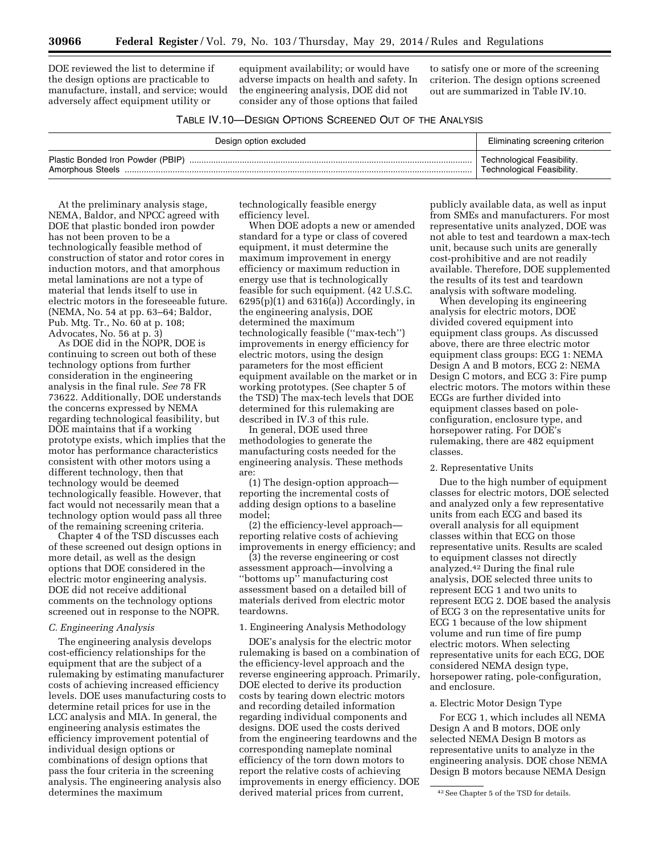DOE reviewed the list to determine if the design options are practicable to manufacture, install, and service; would adversely affect equipment utility or

equipment availability; or would have adverse impacts on health and safety. In the engineering analysis, DOE did not consider any of those options that failed

to satisfy one or more of the screening criterion. The design options screened out are summarized in Table IV.10.

# TABLE IV.10—DESIGN OPTIONS SCREENED OUT OF THE ANALYSIS

| Design option excluded                                | Eliminating screening criterion                          |
|-------------------------------------------------------|----------------------------------------------------------|
| Plastic Bonded Iron Powder (PBIP)<br>Amorphous Steels | Technological Feasibility.<br>Technological Feasibility. |

At the preliminary analysis stage, NEMA, Baldor, and NPCC agreed with DOE that plastic bonded iron powder has not been proven to be a technologically feasible method of construction of stator and rotor cores in induction motors, and that amorphous metal laminations are not a type of material that lends itself to use in electric motors in the foreseeable future. (NEMA, No. 54 at pp. 63–64; Baldor, Pub. Mtg. Tr., No. 60 at p. 108; Advocates, No. 56 at p. 3)

As DOE did in the NOPR, DOE is continuing to screen out both of these technology options from further consideration in the engineering analysis in the final rule. *See* 78 FR 73622. Additionally, DOE understands the concerns expressed by NEMA regarding technological feasibility, but DOE maintains that if a working prototype exists, which implies that the motor has performance characteristics consistent with other motors using a different technology, then that technology would be deemed technologically feasible. However, that fact would not necessarily mean that a technology option would pass all three of the remaining screening criteria.

Chapter 4 of the TSD discusses each of these screened out design options in more detail, as well as the design options that DOE considered in the electric motor engineering analysis. DOE did not receive additional comments on the technology options screened out in response to the NOPR.

# *C. Engineering Analysis*

The engineering analysis develops cost-efficiency relationships for the equipment that are the subject of a rulemaking by estimating manufacturer costs of achieving increased efficiency levels. DOE uses manufacturing costs to determine retail prices for use in the LCC analysis and MIA. In general, the engineering analysis estimates the efficiency improvement potential of individual design options or combinations of design options that pass the four criteria in the screening analysis. The engineering analysis also determines the maximum

technologically feasible energy efficiency level.

When DOE adopts a new or amended standard for a type or class of covered equipment, it must determine the maximum improvement in energy efficiency or maximum reduction in energy use that is technologically feasible for such equipment. (42 U.S.C.  $6295(p)(1)$  and  $6316(a)$ ) Accordingly, in the engineering analysis, DOE determined the maximum technologically feasible (''max-tech'') improvements in energy efficiency for electric motors, using the design parameters for the most efficient equipment available on the market or in working prototypes. (See chapter 5 of the TSD) The max-tech levels that DOE determined for this rulemaking are described in IV.3 of this rule.

In general, DOE used three methodologies to generate the manufacturing costs needed for the engineering analysis. These methods are:

(1) The design-option approach reporting the incremental costs of adding design options to a baseline model;

(2) the efficiency-level approach reporting relative costs of achieving improvements in energy efficiency; and

(3) the reverse engineering or cost assessment approach—involving a ''bottoms up'' manufacturing cost assessment based on a detailed bill of materials derived from electric motor teardowns.

#### 1. Engineering Analysis Methodology

DOE's analysis for the electric motor rulemaking is based on a combination of the efficiency-level approach and the reverse engineering approach. Primarily, DOE elected to derive its production costs by tearing down electric motors and recording detailed information regarding individual components and designs. DOE used the costs derived from the engineering teardowns and the corresponding nameplate nominal efficiency of the torn down motors to report the relative costs of achieving improvements in energy efficiency. DOE derived material prices from current,

publicly available data, as well as input from SMEs and manufacturers. For most representative units analyzed, DOE was not able to test and teardown a max-tech unit, because such units are generally cost-prohibitive and are not readily available. Therefore, DOE supplemented the results of its test and teardown analysis with software modeling.

When developing its engineering analysis for electric motors, DOE divided covered equipment into equipment class groups. As discussed above, there are three electric motor equipment class groups: ECG 1: NEMA Design A and B motors, ECG 2: NEMA Design C motors, and ECG 3: Fire pump electric motors. The motors within these ECGs are further divided into equipment classes based on poleconfiguration, enclosure type, and horsepower rating. For DOE's rulemaking, there are 482 equipment classes.

#### 2. Representative Units

Due to the high number of equipment classes for electric motors, DOE selected and analyzed only a few representative units from each ECG and based its overall analysis for all equipment classes within that ECG on those representative units. Results are scaled to equipment classes not directly analyzed.42 During the final rule analysis, DOE selected three units to represent ECG 1 and two units to represent ECG 2. DOE based the analysis of ECG 3 on the representative units for ECG 1 because of the low shipment volume and run time of fire pump electric motors. When selecting representative units for each ECG, DOE considered NEMA design type, horsepower rating, pole-configuration, and enclosure.

#### a. Electric Motor Design Type

For ECG 1, which includes all NEMA Design A and B motors, DOE only selected NEMA Design B motors as representative units to analyze in the engineering analysis. DOE chose NEMA Design B motors because NEMA Design

<sup>42</sup>See Chapter 5 of the TSD for details.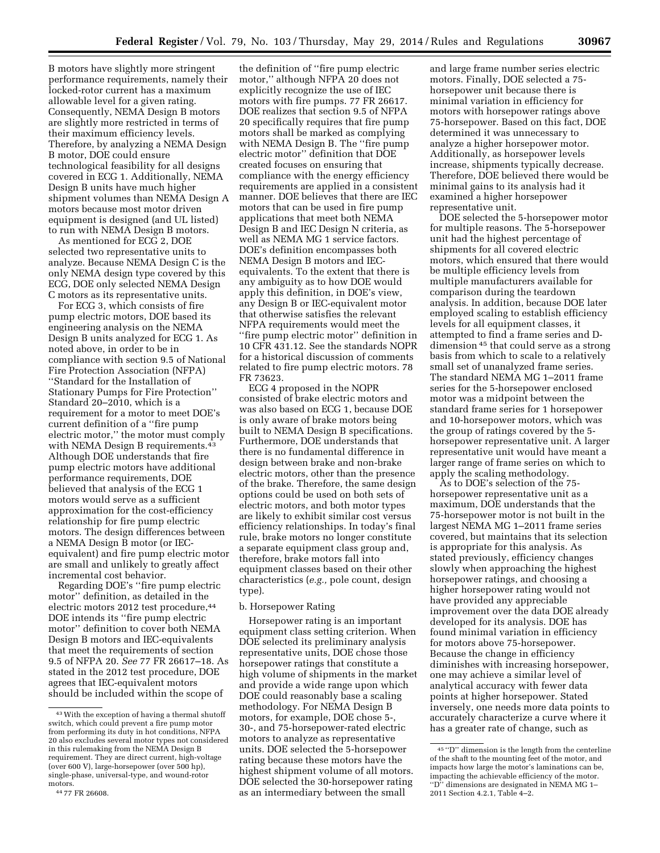B motors have slightly more stringent performance requirements, namely their locked-rotor current has a maximum allowable level for a given rating. Consequently, NEMA Design B motors are slightly more restricted in terms of their maximum efficiency levels. Therefore, by analyzing a NEMA Design B motor, DOE could ensure technological feasibility for all designs covered in ECG 1. Additionally, NEMA Design B units have much higher shipment volumes than NEMA Design A motors because most motor driven equipment is designed (and UL listed) to run with NEMA Design B motors.

As mentioned for ECG 2, DOE selected two representative units to analyze. Because NEMA Design C is the only NEMA design type covered by this ECG, DOE only selected NEMA Design C motors as its representative units.

For ECG 3, which consists of fire pump electric motors, DOE based its engineering analysis on the NEMA Design B units analyzed for ECG 1. As noted above, in order to be in compliance with section 9.5 of National Fire Protection Association (NFPA) ''Standard for the Installation of Stationary Pumps for Fire Protection'' Standard 20–2010, which is a requirement for a motor to meet DOE's current definition of a ''fire pump electric motor,'' the motor must comply with NEMA Design B requirements.<sup>43</sup> Although DOE understands that fire pump electric motors have additional performance requirements, DOE believed that analysis of the ECG 1 motors would serve as a sufficient approximation for the cost-efficiency relationship for fire pump electric motors. The design differences between a NEMA Design B motor (or IECequivalent) and fire pump electric motor are small and unlikely to greatly affect incremental cost behavior.

Regarding DOE's ''fire pump electric motor'' definition, as detailed in the electric motors 2012 test procedure, 44 DOE intends its ''fire pump electric motor'' definition to cover both NEMA Design B motors and IEC-equivalents that meet the requirements of section 9.5 of NFPA 20. *See* 77 FR 26617–18. As stated in the 2012 test procedure, DOE agrees that IEC-equivalent motors should be included within the scope of

the definition of ''fire pump electric motor,'' although NFPA 20 does not explicitly recognize the use of IEC motors with fire pumps. 77 FR 26617. DOE realizes that section 9.5 of NFPA 20 specifically requires that fire pump motors shall be marked as complying with NEMA Design B. The "fire pump" electric motor'' definition that DOE created focuses on ensuring that compliance with the energy efficiency requirements are applied in a consistent manner. DOE believes that there are IEC motors that can be used in fire pump applications that meet both NEMA Design B and IEC Design N criteria, as well as NEMA MG 1 service factors. DOE's definition encompasses both NEMA Design B motors and IECequivalents. To the extent that there is any ambiguity as to how DOE would apply this definition, in DOE's view, any Design B or IEC-equivalent motor that otherwise satisfies the relevant NFPA requirements would meet the ''fire pump electric motor'' definition in 10 CFR 431.12. See the standards NOPR for a historical discussion of comments related to fire pump electric motors. 78 FR 73623.

ECG 4 proposed in the NOPR consisted of brake electric motors and was also based on ECG 1, because DOE is only aware of brake motors being built to NEMA Design B specifications. Furthermore, DOE understands that there is no fundamental difference in design between brake and non-brake electric motors, other than the presence of the brake. Therefore, the same design options could be used on both sets of electric motors, and both motor types are likely to exhibit similar cost versus efficiency relationships. In today's final rule, brake motors no longer constitute a separate equipment class group and, therefore, brake motors fall into equipment classes based on their other characteristics (*e.g.,* pole count, design type).

#### b. Horsepower Rating

Horsepower rating is an important equipment class setting criterion. When DOE selected its preliminary analysis representative units, DOE chose those horsepower ratings that constitute a high volume of shipments in the market and provide a wide range upon which DOE could reasonably base a scaling methodology. For NEMA Design B motors, for example, DOE chose 5-, 30-, and 75-horsepower-rated electric motors to analyze as representative units. DOE selected the 5-horsepower rating because these motors have the highest shipment volume of all motors. DOE selected the 30-horsepower rating as an intermediary between the small

and large frame number series electric motors. Finally, DOE selected a 75 horsepower unit because there is minimal variation in efficiency for motors with horsepower ratings above 75-horsepower. Based on this fact, DOE determined it was unnecessary to analyze a higher horsepower motor. Additionally, as horsepower levels increase, shipments typically decrease. Therefore, DOE believed there would be minimal gains to its analysis had it examined a higher horsepower representative unit.

DOE selected the 5-horsepower motor for multiple reasons. The 5-horsepower unit had the highest percentage of shipments for all covered electric motors, which ensured that there would be multiple efficiency levels from multiple manufacturers available for comparison during the teardown analysis. In addition, because DOE later employed scaling to establish efficiency levels for all equipment classes, it attempted to find a frame series and Ddimension 45 that could serve as a strong basis from which to scale to a relatively small set of unanalyzed frame series. The standard NEMA MG 1–2011 frame series for the 5-horsepower enclosed motor was a midpoint between the standard frame series for 1 horsepower and 10-horsepower motors, which was the group of ratings covered by the 5 horsepower representative unit. A larger representative unit would have meant a larger range of frame series on which to apply the scaling methodology.

As to DOE's selection of the 75 horsepower representative unit as a maximum, DOE understands that the 75-horsepower motor is not built in the largest NEMA MG 1–2011 frame series covered, but maintains that its selection is appropriate for this analysis. As stated previously, efficiency changes slowly when approaching the highest horsepower ratings, and choosing a higher horsepower rating would not have provided any appreciable improvement over the data DOE already developed for its analysis. DOE has found minimal variation in efficiency for motors above 75-horsepower. Because the change in efficiency diminishes with increasing horsepower, one may achieve a similar level of analytical accuracy with fewer data points at higher horsepower. Stated inversely, one needs more data points to accurately characterize a curve where it has a greater rate of change, such as

<sup>43</sup>With the exception of having a thermal shutoff switch, which could prevent a fire pump motor from performing its duty in hot conditions, NFPA 20 also excludes several motor types not considered in this rulemaking from the NEMA Design B requirement. They are direct current, high-voltage (over 600 V), large-horsepower (over 500 hp), single-phase, universal-type, and wound-rotor motors.

<sup>44</sup> 77 FR 26608.

<sup>45</sup> ''D'' dimension is the length from the centerline of the shaft to the mounting feet of the motor, and impacts how large the motor's laminations can be, impacting the achievable efficiency of the motor. ''D'' dimensions are designated in NEMA MG 1– 2011 Section 4.2.1, Table 4–2.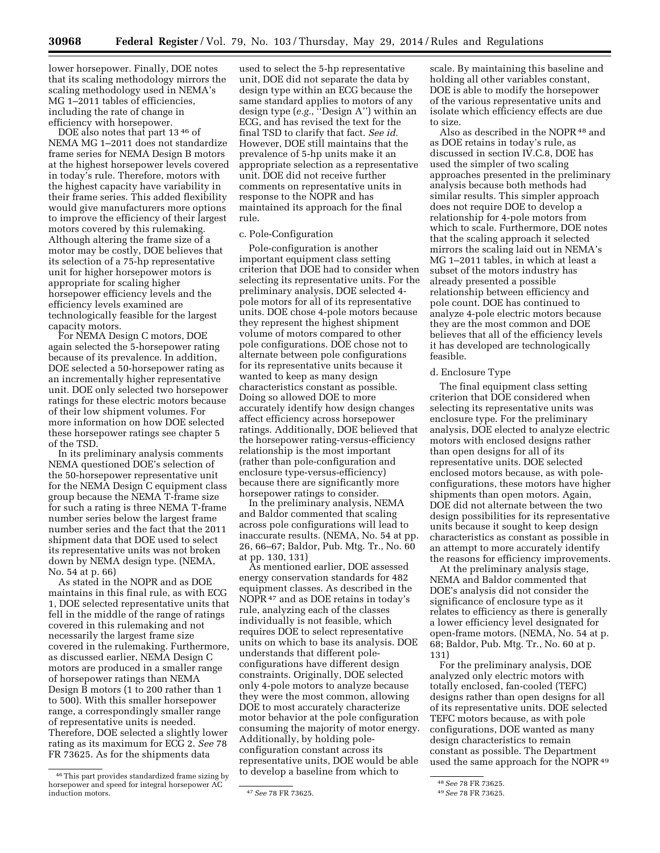lower horsepower. Finally, DOE notes that its scaling methodology mirrors the scaling methodology used in NEMA's MG 1–2011 tables of efficiencies, including the rate of change in efficiency with horsepower.

DOE also notes that part 13 46 of NEMA MG 1–2011 does not standardize frame series for NEMA Design B motors at the highest horsepower levels covered in today's rule. Therefore, motors with the highest capacity have variability in their frame series. This added flexibility would give manufacturers more options to improve the efficiency of their largest motors covered by this rulemaking. Although altering the frame size of a motor may be costly, DOE believes that its selection of a 75-hp representative unit for higher horsepower motors is appropriate for scaling higher horsepower efficiency levels and the efficiency levels examined are technologically feasible for the largest capacity motors.

For NEMA Design C motors, DOE again selected the 5-horsepower rating because of its prevalence. In addition, DOE selected a 50-horsepower rating as an incrementally higher representative unit. DOE only selected two horsepower ratings for these electric motors because of their low shipment volumes. For more information on how DOE selected these horsepower ratings see chapter 5 of the TSD.

In its preliminary analysis comments NEMA questioned DOE's selection of the 50-horsepower representative unit for the NEMA Design C equipment class group because the NEMA T-frame size for such a rating is three NEMA T-frame number series below the largest frame number series and the fact that the 2011 shipment data that DOE used to select its representative units was not broken down by NEMA design type. (NEMA, No. 54 at p. 66)

As stated in the NOPR and as DOE maintains in this final rule, as with ECG 1, DOE selected representative units that fell in the middle of the range of ratings covered in this rulemaking and not necessarily the largest frame size covered in the rulemaking. Furthermore, as discussed earlier, NEMA Design C motors are produced in a smaller range of horsepower ratings than NEMA Design B motors (1 to 200 rather than 1 to 500). With this smaller horsepower range, a correspondingly smaller range of representative units is needed. Therefore, DOE selected a slightly lower rating as its maximum for ECG 2. *See* 78 FR 73625. As for the shipments data

used to select the 5-hp representative unit, DOE did not separate the data by design type within an ECG because the same standard applies to motors of any design type (*e.g.,* ''Design A'') within an ECG, and has revised the text for the final TSD to clarify that fact. *See id.*  However, DOE still maintains that the prevalence of 5-hp units make it an appropriate selection as a representative unit. DOE did not receive further comments on representative units in response to the NOPR and has maintained its approach for the final rule.

#### c. Pole-Configuration

Pole-configuration is another important equipment class setting criterion that DOE had to consider when selecting its representative units. For the preliminary analysis, DOE selected 4 pole motors for all of its representative units. DOE chose 4-pole motors because they represent the highest shipment volume of motors compared to other pole configurations. DOE chose not to alternate between pole configurations for its representative units because it wanted to keep as many design characteristics constant as possible. Doing so allowed DOE to more accurately identify how design changes affect efficiency across horsepower ratings. Additionally, DOE believed that the horsepower rating-versus-efficiency relationship is the most important (rather than pole-configuration and enclosure type-versus-efficiency) because there are significantly more horsepower ratings to consider.

In the preliminary analysis, NEMA and Baldor commented that scaling across pole configurations will lead to inaccurate results. (NEMA, No. 54 at pp. 26, 66–67; Baldor, Pub. Mtg. Tr., No. 60 at pp. 130, 131)

As mentioned earlier, DOE assessed energy conservation standards for 482 equipment classes. As described in the NOPR<sup>47</sup> and as DOE retains in today's rule, analyzing each of the classes individually is not feasible, which requires DOE to select representative units on which to base its analysis. DOE understands that different poleconfigurations have different design constraints. Originally, DOE selected only 4-pole motors to analyze because they were the most common, allowing DOE to most accurately characterize motor behavior at the pole configuration consuming the majority of motor energy. Additionally, by holding poleconfiguration constant across its representative units, DOE would be able to develop a baseline from which to

scale. By maintaining this baseline and holding all other variables constant, DOE is able to modify the horsepower of the various representative units and isolate which efficiency effects are due to size.

Also as described in the NOPR <sup>48</sup> and as DOE retains in today's rule, as discussed in section IV.C.8, DOE has used the simpler of two scaling approaches presented in the preliminary analysis because both methods had similar results. This simpler approach does not require DOE to develop a relationship for 4-pole motors from which to scale. Furthermore, DOE notes that the scaling approach it selected mirrors the scaling laid out in NEMA's MG 1–2011 tables, in which at least a subset of the motors industry has already presented a possible relationship between efficiency and pole count. DOE has continued to analyze 4-pole electric motors because they are the most common and DOE believes that all of the efficiency levels it has developed are technologically feasible.

# d. Enclosure Type

The final equipment class setting criterion that DOE considered when selecting its representative units was enclosure type. For the preliminary analysis, DOE elected to analyze electric motors with enclosed designs rather than open designs for all of its representative units. DOE selected enclosed motors because, as with poleconfigurations, these motors have higher shipments than open motors. Again, DOE did not alternate between the two design possibilities for its representative units because it sought to keep design characteristics as constant as possible in an attempt to more accurately identify the reasons for efficiency improvements.

At the preliminary analysis stage, NEMA and Baldor commented that DOE's analysis did not consider the significance of enclosure type as it relates to efficiency as there is generally a lower efficiency level designated for open-frame motors. (NEMA, No. 54 at p. 68; Baldor, Pub. Mtg. Tr., No. 60 at p. 131)

For the preliminary analysis, DOE analyzed only electric motors with totally enclosed, fan-cooled (TEFC) designs rather than open designs for all of its representative units. DOE selected TEFC motors because, as with pole configurations, DOE wanted as many design characteristics to remain constant as possible. The Department used the same approach for the NOPR<sup>49</sup>

<sup>46</sup>This part provides standardized frame sizing by horsepower and speed for integral horsepower AC

induction motors. 47*See* 78 FR 73625.

<sup>48</sup>*See* 78 FR 73625.

<sup>49</sup>*See* 78 FR 73625.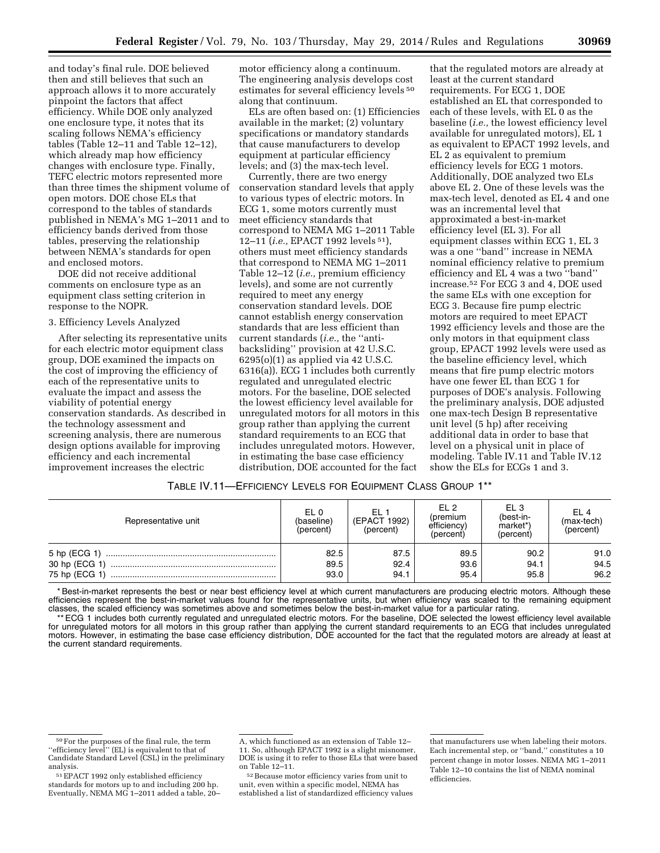and today's final rule. DOE believed then and still believes that such an approach allows it to more accurately pinpoint the factors that affect efficiency. While DOE only analyzed one enclosure type, it notes that its scaling follows NEMA's efficiency tables (Table 12–11 and Table 12–12), which already map how efficiency changes with enclosure type. Finally, TEFC electric motors represented more than three times the shipment volume of open motors. DOE chose ELs that correspond to the tables of standards published in NEMA's MG 1–2011 and to efficiency bands derived from those tables, preserving the relationship between NEMA's standards for open and enclosed motors.

DOE did not receive additional comments on enclosure type as an equipment class setting criterion in response to the NOPR.

#### 3. Efficiency Levels Analyzed

After selecting its representative units for each electric motor equipment class group, DOE examined the impacts on the cost of improving the efficiency of each of the representative units to evaluate the impact and assess the viability of potential energy conservation standards. As described in the technology assessment and screening analysis, there are numerous design options available for improving efficiency and each incremental improvement increases the electric

motor efficiency along a continuum. The engineering analysis develops cost estimates for several efficiency levels 50 along that continuum.

ELs are often based on: (1) Efficiencies available in the market; (2) voluntary specifications or mandatory standards that cause manufacturers to develop equipment at particular efficiency levels; and (3) the max-tech level.

Currently, there are two energy conservation standard levels that apply to various types of electric motors. In ECG 1, some motors currently must meet efficiency standards that correspond to NEMA MG 1–2011 Table 12–11 (*i.e.,* EPACT 1992 levels 51), others must meet efficiency standards that correspond to NEMA MG 1–2011 Table 12–12 (*i.e.,* premium efficiency levels), and some are not currently required to meet any energy conservation standard levels. DOE cannot establish energy conservation standards that are less efficient than current standards (*i.e.,* the ''antibacksliding'' provision at 42 U.S.C. 6295(o)(1) as applied via 42 U.S.C. 6316(a)). ECG 1 includes both currently regulated and unregulated electric motors. For the baseline, DOE selected the lowest efficiency level available for unregulated motors for all motors in this group rather than applying the current standard requirements to an ECG that includes unregulated motors. However, in estimating the base case efficiency distribution, DOE accounted for the fact

that the regulated motors are already at least at the current standard requirements. For ECG 1, DOE established an EL that corresponded to each of these levels, with EL 0 as the baseline (*i.e.,* the lowest efficiency level available for unregulated motors), EL 1 as equivalent to EPACT 1992 levels, and EL 2 as equivalent to premium efficiency levels for ECG 1 motors. Additionally, DOE analyzed two ELs above EL 2. One of these levels was the max-tech level, denoted as EL 4 and one was an incremental level that approximated a best-in-market efficiency level (EL 3). For all equipment classes within ECG 1, EL 3 was a one ''band'' increase in NEMA nominal efficiency relative to premium efficiency and EL 4 was a two ''band'' increase.52 For ECG 3 and 4, DOE used the same ELs with one exception for ECG 3. Because fire pump electric motors are required to meet EPACT 1992 efficiency levels and those are the only motors in that equipment class group, EPACT 1992 levels were used as the baseline efficiency level, which means that fire pump electric motors have one fewer EL than ECG 1 for purposes of DOE's analysis. Following the preliminary analysis, DOE adjusted one max-tech Design B representative unit level (5 hp) after receiving additional data in order to base that level on a physical unit in place of modeling. Table IV.11 and Table IV.12 show the ELs for ECGs 1 and 3.

# TABLE IV.11—EFFICIENCY LEVELS FOR EQUIPMENT CLASS GROUP 1\*\*

| Representative unit | EL 0<br>(baseline)<br>(percent) | EL <sub>1</sub><br>(EPACT 1992)<br>(percent) | FI <sub>2</sub><br>(premium<br>efficiency)<br>(percent) | EL 3<br>(best-in-<br>market*)<br>(percent) | EL 4<br>$(max+tech)$<br>(percent) |
|---------------------|---------------------------------|----------------------------------------------|---------------------------------------------------------|--------------------------------------------|-----------------------------------|
|                     | 82.5<br>89.5                    | 87.5<br>92.4                                 | 89.5<br>93.6                                            | 90.2                                       | 91.0<br>94.5                      |
|                     | 93.0                            | 94.1                                         | 95.4                                                    | 94.1<br>95.8                               | 96.2                              |

\* Best-in-market represents the best or near best efficiency level at which current manufacturers are producing electric motors. Although these efficiencies represent the best-in-market values found for the representative units, but when efficiency was scaled to the remaining equipment classes, the scaled efficiency was sometimes above and sometimes below the best-in-market value for a particular rating.

\*\* ECG 1 includes both currently regulated and unregulated electric motors. For the baseline, DOE selected the lowest efficiency level available for unregulated motors for all motors in this group rather than applying the current standard requirements to an ECG that includes unregulated motors. However, in estimating the base case efficiency distribution, DOE accounted for the fact that the regulated motors are already at least at the current standard requirements.

52Because motor efficiency varies from unit to unit, even within a specific model, NEMA has established a list of standardized efficiency values

<sup>50</sup>For the purposes of the final rule, the term ''efficiency level'' (EL) is equivalent to that of Candidate Standard Level (CSL) in the preliminary analysis.

<sup>51</sup>EPACT 1992 only established efficiency standards for motors up to and including 200 hp. Eventually, NEMA MG 1–2011 added a table, 20–

A, which functioned as an extension of Table 12– 11. So, although EPACT 1992 is a slight misnomer, DOE is using it to refer to those ELs that were based on Table 12–11.

that manufacturers use when labeling their motors. Each incremental step, or ''band,'' constitutes a 10 percent change in motor losses. NEMA MG 1–2011 Table 12–10 contains the list of NEMA nominal efficiencies.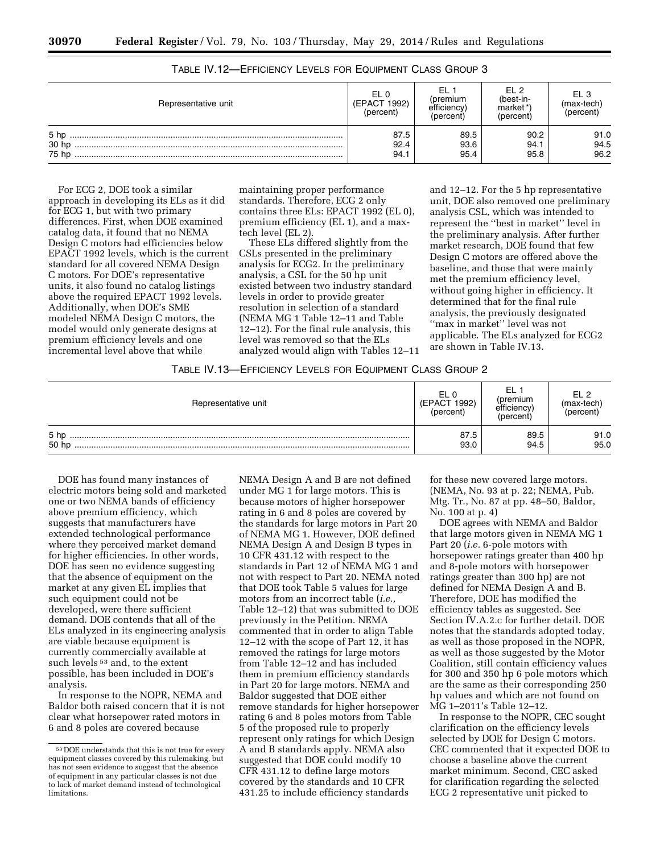| Representative unit               | EL 0<br>1992)<br>(EPACT<br>(percent) | (premium<br>efficiency<br>(percent) | FI 2<br>(best-in-<br>market*)<br>(percent) | EL 3<br>(max-tech)<br>(percent) |
|-----------------------------------|--------------------------------------|-------------------------------------|--------------------------------------------|---------------------------------|
| 5 <sub>hp</sub><br>30 hp<br>75 hp | 87.5<br>92.4<br>94.1                 | 89.5<br>93.6<br>95.4                | 90.2<br>94.1<br>95.8                       | 91.0<br>94.5<br>96.2            |

TABLE IV.12—EFFICIENCY LEVELS FOR EQUIPMENT CLASS GROUP 3

For ECG 2, DOE took a similar approach in developing its ELs as it did for ECG 1, but with two primary differences. First, when DOE examined catalog data, it found that no NEMA Design C motors had efficiencies below EPACT 1992 levels, which is the current standard for all covered NEMA Design C motors. For DOE's representative units, it also found no catalog listings above the required EPACT 1992 levels. Additionally, when DOE's SME modeled NEMA Design C motors, the model would only generate designs at premium efficiency levels and one incremental level above that while

maintaining proper performance standards. Therefore, ECG 2 only contains three ELs: EPACT 1992 (EL 0), premium efficiency (EL 1), and a maxtech level (EL 2).

These ELs differed slightly from the CSLs presented in the preliminary analysis for ECG2. In the preliminary analysis, a CSL for the 50 hp unit existed between two industry standard levels in order to provide greater resolution in selection of a standard (NEMA MG 1 Table 12–11 and Table 12–12). For the final rule analysis, this level was removed so that the ELs analyzed would align with Tables 12–11

and 12–12. For the 5 hp representative unit, DOE also removed one preliminary analysis CSL, which was intended to represent the ''best in market'' level in the preliminary analysis. After further market research, DOE found that few Design C motors are offered above the baseline, and those that were mainly met the premium efficiency level, without going higher in efficiency. It determined that for the final rule analysis, the previously designated ''max in market'' level was not applicable. The ELs analyzed for ECG2 are shown in Table IV.13.

## TABLE IV.13—EFFICIENCY LEVELS FOR EQUIPMENT CLASS GROUP 2

| Representative unit      | (EPACT 1992)<br>(percent) | EL<br>(premium<br>efficiency <sup>)</sup><br>(percent) | F12<br>$(max+tech)$<br>(percent) |
|--------------------------|---------------------------|--------------------------------------------------------|----------------------------------|
| 5 <sub>hp</sub><br>50 hp | 87.5<br>93.0              | 89.5<br>94.5                                           | 91.0<br>95.0                     |

DOE has found many instances of electric motors being sold and marketed one or two NEMA bands of efficiency above premium efficiency, which suggests that manufacturers have extended technological performance where they perceived market demand for higher efficiencies. In other words, DOE has seen no evidence suggesting that the absence of equipment on the market at any given EL implies that such equipment could not be developed, were there sufficient demand. DOE contends that all of the ELs analyzed in its engineering analysis are viable because equipment is currently commercially available at such levels<sup>53</sup> and, to the extent possible, has been included in DOE's analysis.

In response to the NOPR, NEMA and Baldor both raised concern that it is not clear what horsepower rated motors in 6 and 8 poles are covered because

NEMA Design A and B are not defined under MG 1 for large motors. This is because motors of higher horsepower rating in 6 and 8 poles are covered by the standards for large motors in Part 20 of NEMA MG 1. However, DOE defined NEMA Design A and Design B types in 10 CFR 431.12 with respect to the standards in Part 12 of NEMA MG 1 and not with respect to Part 20. NEMA noted that DOE took Table 5 values for large motors from an incorrect table (*i.e.,*  Table 12–12) that was submitted to DOE previously in the Petition. NEMA commented that in order to align Table 12–12 with the scope of Part 12, it has removed the ratings for large motors from Table 12–12 and has included them in premium efficiency standards in Part 20 for large motors. NEMA and Baldor suggested that DOE either remove standards for higher horsepower rating 6 and 8 poles motors from Table 5 of the proposed rule to properly represent only ratings for which Design A and B standards apply. NEMA also suggested that DOE could modify 10 CFR 431.12 to define large motors covered by the standards and 10 CFR 431.25 to include efficiency standards

for these new covered large motors. (NEMA, No. 93 at p. 22; NEMA, Pub. Mtg. Tr., No. 87 at pp. 48–50, Baldor, No. 100 at p. 4)

DOE agrees with NEMA and Baldor that large motors given in NEMA MG 1 Part 20 (*i.e.* 6-pole motors with horsepower ratings greater than 400 hp and 8-pole motors with horsepower ratings greater than 300 hp) are not defined for NEMA Design A and B. Therefore, DOE has modified the efficiency tables as suggested. See Section IV.A.2.c for further detail. DOE notes that the standards adopted today, as well as those proposed in the NOPR, as well as those suggested by the Motor Coalition, still contain efficiency values for 300 and 350 hp 6 pole motors which are the same as their corresponding 250 hp values and which are not found on MG 1–2011's Table 12–12.

In response to the NOPR, CEC sought clarification on the efficiency levels selected by DOE for Design C motors. CEC commented that it expected DOE to choose a baseline above the current market minimum. Second, CEC asked for clarification regarding the selected ECG 2 representative unit picked to

<sup>53</sup> DOE understands that this is not true for every equipment classes covered by this rulemaking, but has not seen evidence to suggest that the absence of equipment in any particular classes is not due to lack of market demand instead of technological limitations.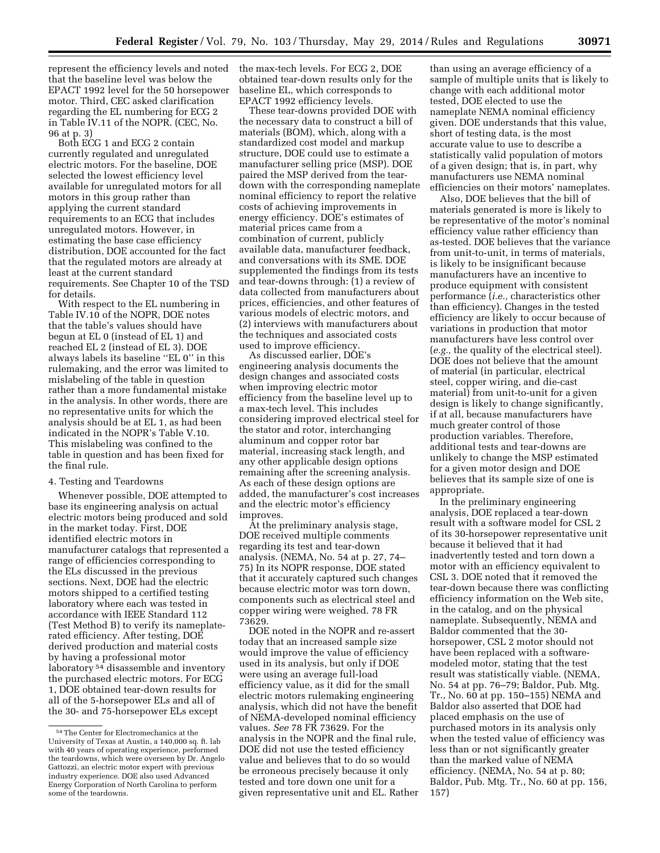represent the efficiency levels and noted that the baseline level was below the EPACT 1992 level for the 50 horsepower motor. Third, CEC asked clarification regarding the EL numbering for ECG 2 in Table IV.11 of the NOPR. (CEC, No. 96 at p. 3)

Both ECG 1 and ECG 2 contain currently regulated and unregulated electric motors. For the baseline, DOE selected the lowest efficiency level available for unregulated motors for all motors in this group rather than applying the current standard requirements to an ECG that includes unregulated motors. However, in estimating the base case efficiency distribution, DOE accounted for the fact that the regulated motors are already at least at the current standard requirements. See Chapter 10 of the TSD for details.

With respect to the EL numbering in Table IV.10 of the NOPR, DOE notes that the table's values should have begun at EL 0 (instead of EL 1) and reached EL 2 (instead of EL 3). DOE always labels its baseline ''EL 0'' in this rulemaking, and the error was limited to mislabeling of the table in question rather than a more fundamental mistake in the analysis. In other words, there are no representative units for which the analysis should be at EL 1, as had been indicated in the NOPR's Table V.10. This mislabeling was confined to the table in question and has been fixed for the final rule.

#### 4. Testing and Teardowns

Whenever possible, DOE attempted to base its engineering analysis on actual electric motors being produced and sold in the market today. First, DOE identified electric motors in manufacturer catalogs that represented a range of efficiencies corresponding to the ELs discussed in the previous sections. Next, DOE had the electric motors shipped to a certified testing laboratory where each was tested in accordance with IEEE Standard 112 (Test Method B) to verify its nameplaterated efficiency. After testing, DOE derived production and material costs by having a professional motor laboratory<sup>54</sup> disassemble and inventory the purchased electric motors. For ECG 1, DOE obtained tear-down results for all of the 5-horsepower ELs and all of the 30- and 75-horsepower ELs except

the max-tech levels. For ECG 2, DOE obtained tear-down results only for the baseline EL, which corresponds to EPACT 1992 efficiency levels.

These tear-downs provided DOE with the necessary data to construct a bill of materials (BOM), which, along with a standardized cost model and markup structure, DOE could use to estimate a manufacturer selling price (MSP). DOE paired the MSP derived from the teardown with the corresponding nameplate nominal efficiency to report the relative costs of achieving improvements in energy efficiency. DOE's estimates of material prices came from a combination of current, publicly available data, manufacturer feedback, and conversations with its SME. DOE supplemented the findings from its tests and tear-downs through: (1) a review of data collected from manufacturers about prices, efficiencies, and other features of various models of electric motors, and (2) interviews with manufacturers about the techniques and associated costs used to improve efficiency.

As discussed earlier, DOE's engineering analysis documents the design changes and associated costs when improving electric motor efficiency from the baseline level up to a max-tech level. This includes considering improved electrical steel for the stator and rotor, interchanging aluminum and copper rotor bar material, increasing stack length, and any other applicable design options remaining after the screening analysis. As each of these design options are added, the manufacturer's cost increases and the electric motor's efficiency improves.

At the preliminary analysis stage, DOE received multiple comments regarding its test and tear-down analysis. (NEMA, No. 54 at p. 27, 74– 75) In its NOPR response, DOE stated that it accurately captured such changes because electric motor was torn down, components such as electrical steel and copper wiring were weighed. 78 FR 73629.

DOE noted in the NOPR and re-assert today that an increased sample size would improve the value of efficiency used in its analysis, but only if DOE were using an average full-load efficiency value, as it did for the small electric motors rulemaking engineering analysis, which did not have the benefit of NEMA-developed nominal efficiency values. *See* 78 FR 73629. For the analysis in the NOPR and the final rule, DOE did not use the tested efficiency value and believes that to do so would be erroneous precisely because it only tested and tore down one unit for a given representative unit and EL. Rather

than using an average efficiency of a sample of multiple units that is likely to change with each additional motor tested, DOE elected to use the nameplate NEMA nominal efficiency given. DOE understands that this value, short of testing data, is the most accurate value to use to describe a statistically valid population of motors of a given design; that is, in part, why manufacturers use NEMA nominal efficiencies on their motors' nameplates.

Also, DOE believes that the bill of materials generated is more is likely to be representative of the motor's nominal efficiency value rather efficiency than as-tested. DOE believes that the variance from unit-to-unit, in terms of materials, is likely to be insignificant because manufacturers have an incentive to produce equipment with consistent performance (*i.e.,* characteristics other than efficiency). Changes in the tested efficiency are likely to occur because of variations in production that motor manufacturers have less control over (*e.g.,* the quality of the electrical steel). DOE does not believe that the amount of material (in particular, electrical steel, copper wiring, and die-cast material) from unit-to-unit for a given design is likely to change significantly, if at all, because manufacturers have much greater control of those production variables. Therefore, additional tests and tear-downs are unlikely to change the MSP estimated for a given motor design and DOE believes that its sample size of one is appropriate.

In the preliminary engineering analysis, DOE replaced a tear-down result with a software model for CSL 2 of its 30-horsepower representative unit because it believed that it had inadvertently tested and torn down a motor with an efficiency equivalent to CSL 3. DOE noted that it removed the tear-down because there was conflicting efficiency information on the Web site, in the catalog, and on the physical nameplate. Subsequently, NEMA and Baldor commented that the 30 horsepower, CSL 2 motor should not have been replaced with a softwaremodeled motor, stating that the test result was statistically viable. (NEMA, No. 54 at pp. 76–79; Baldor, Pub. Mtg. Tr., No. 60 at pp. 150–155) NEMA and Baldor also asserted that DOE had placed emphasis on the use of purchased motors in its analysis only when the tested value of efficiency was less than or not significantly greater than the marked value of NEMA efficiency. (NEMA, No. 54 at p. 80; Baldor, Pub. Mtg. Tr., No. 60 at pp. 156, 157)

<sup>54</sup>The Center for Electromechanics at the University of Texas at Austin, a 140,000 sq. ft. lab with 40 years of operating experience, performed the teardowns, which were overseen by Dr. Angelo Gattozzi, an electric motor expert with previous industry experience. DOE also used Advanced Energy Corporation of North Carolina to perform some of the teardowns.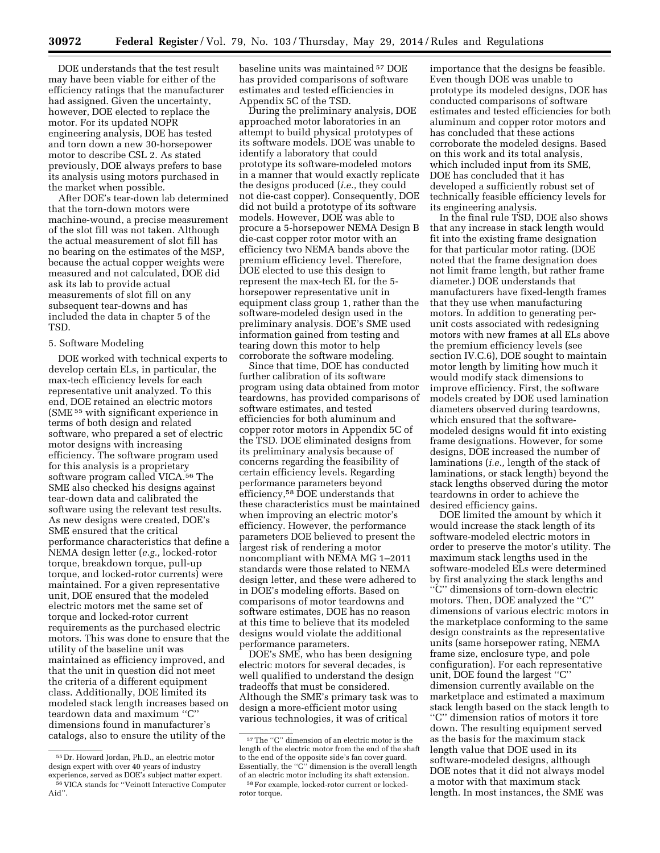DOE understands that the test result may have been viable for either of the efficiency ratings that the manufacturer had assigned. Given the uncertainty, however, DOE elected to replace the motor. For its updated NOPR engineering analysis, DOE has tested and torn down a new 30-horsepower motor to describe CSL 2. As stated previously, DOE always prefers to base its analysis using motors purchased in the market when possible.

After DOE's tear-down lab determined that the torn-down motors were machine-wound, a precise measurement of the slot fill was not taken. Although the actual measurement of slot fill has no bearing on the estimates of the MSP, because the actual copper weights were measured and not calculated, DOE did ask its lab to provide actual measurements of slot fill on any subsequent tear-downs and has included the data in chapter 5 of the TSD.

## 5. Software Modeling

DOE worked with technical experts to develop certain ELs, in particular, the max-tech efficiency levels for each representative unit analyzed. To this end, DOE retained an electric motors (SME 55 with significant experience in terms of both design and related software, who prepared a set of electric motor designs with increasing efficiency. The software program used for this analysis is a proprietary software program called VICA.56 The SME also checked his designs against tear-down data and calibrated the software using the relevant test results. As new designs were created, DOE's SME ensured that the critical performance characteristics that define a NEMA design letter (*e.g.,* locked-rotor torque, breakdown torque, pull-up torque, and locked-rotor currents) were maintained. For a given representative unit, DOE ensured that the modeled electric motors met the same set of torque and locked-rotor current requirements as the purchased electric motors. This was done to ensure that the utility of the baseline unit was maintained as efficiency improved, and that the unit in question did not meet the criteria of a different equipment class. Additionally, DOE limited its modeled stack length increases based on teardown data and maximum ''C'' dimensions found in manufacturer's catalogs, also to ensure the utility of the

baseline units was maintained 57 DOE has provided comparisons of software estimates and tested efficiencies in Appendix 5C of the TSD.

During the preliminary analysis, DOE approached motor laboratories in an attempt to build physical prototypes of its software models. DOE was unable to identify a laboratory that could prototype its software-modeled motors in a manner that would exactly replicate the designs produced (*i.e.,* they could not die-cast copper). Consequently, DOE did not build a prototype of its software models. However, DOE was able to procure a 5-horsepower NEMA Design B die-cast copper rotor motor with an efficiency two NEMA bands above the premium efficiency level. Therefore, DOE elected to use this design to represent the max-tech EL for the 5 horsepower representative unit in equipment class group 1, rather than the software-modeled design used in the preliminary analysis. DOE's SME used information gained from testing and tearing down this motor to help corroborate the software modeling.

Since that time, DOE has conducted further calibration of its software program using data obtained from motor teardowns, has provided comparisons of software estimates, and tested efficiencies for both aluminum and copper rotor motors in Appendix 5C of the TSD. DOE eliminated designs from its preliminary analysis because of concerns regarding the feasibility of certain efficiency levels. Regarding performance parameters beyond efficiency,58 DOE understands that these characteristics must be maintained when improving an electric motor's efficiency. However, the performance parameters DOE believed to present the largest risk of rendering a motor noncompliant with NEMA MG 1–2011 standards were those related to NEMA design letter, and these were adhered to in DOE's modeling efforts. Based on comparisons of motor teardowns and software estimates, DOE has no reason at this time to believe that its modeled designs would violate the additional performance parameters.

DOE's SME, who has been designing electric motors for several decades, is well qualified to understand the design tradeoffs that must be considered. Although the SME's primary task was to design a more-efficient motor using various technologies, it was of critical

importance that the designs be feasible. Even though DOE was unable to prototype its modeled designs, DOE has conducted comparisons of software estimates and tested efficiencies for both aluminum and copper rotor motors and has concluded that these actions corroborate the modeled designs. Based on this work and its total analysis, which included input from its SME, DOE has concluded that it has developed a sufficiently robust set of technically feasible efficiency levels for its engineering analysis.

In the final rule TSD, DOE also shows that any increase in stack length would fit into the existing frame designation for that particular motor rating. (DOE noted that the frame designation does not limit frame length, but rather frame diameter.) DOE understands that manufacturers have fixed-length frames that they use when manufacturing motors. In addition to generating perunit costs associated with redesigning motors with new frames at all ELs above the premium efficiency levels (see section IV.C.6), DOE sought to maintain motor length by limiting how much it would modify stack dimensions to improve efficiency. First, the software models created by DOE used lamination diameters observed during teardowns, which ensured that the softwaremodeled designs would fit into existing frame designations. However, for some designs, DOE increased the number of laminations (*i.e.,* length of the stack of laminations, or stack length) beyond the stack lengths observed during the motor teardowns in order to achieve the desired efficiency gains.

DOE limited the amount by which it would increase the stack length of its software-modeled electric motors in order to preserve the motor's utility. The maximum stack lengths used in the software-modeled ELs were determined by first analyzing the stack lengths and ''C'' dimensions of torn-down electric motors. Then, DOE analyzed the ''C'' dimensions of various electric motors in the marketplace conforming to the same design constraints as the representative units (same horsepower rating, NEMA frame size, enclosure type, and pole configuration). For each representative unit, DOE found the largest ''C'' dimension currently available on the marketplace and estimated a maximum stack length based on the stack length to ''C'' dimension ratios of motors it tore down. The resulting equipment served as the basis for the maximum stack length value that DOE used in its software-modeled designs, although DOE notes that it did not always model a motor with that maximum stack length. In most instances, the SME was

<sup>55</sup> Dr. Howard Jordan, Ph.D., an electric motor design expert with over 40 years of industry experience, served as DOE's subject matter expert. 56 VICA stands for ''Veinott Interactive Computer Aid''.

 $^{57}\mathrm{The}$  ''C'' dimension of an electric motor is the length of the electric motor from the end of the shaft to the end of the opposite side's fan cover guard. Essentially, the ''C'' dimension is the overall length of an electric motor including its shaft extension. 58For example, locked-rotor current or locked-

rotor torque.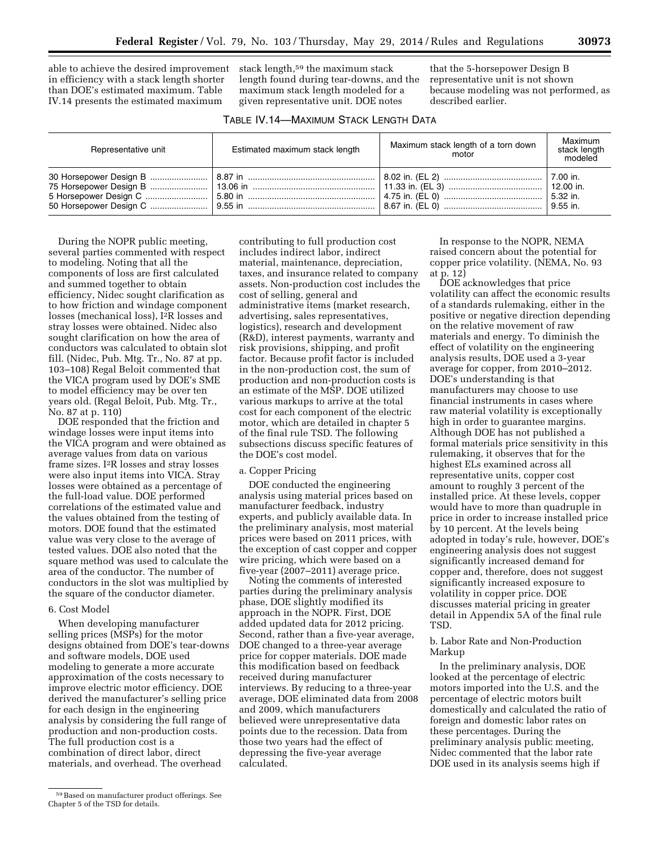able to achieve the desired improvement in efficiency with a stack length shorter than DOE's estimated maximum. Table IV.14 presents the estimated maximum

stack length,59 the maximum stack length found during tear-downs, and the maximum stack length modeled for a given representative unit. DOE notes

that the 5-horsepower Design B representative unit is not shown because modeling was not performed, as described earlier.

| TABLE IV.14-MAXIMUM STACK LENGTH DATA |  |  |  |
|---------------------------------------|--|--|--|
|---------------------------------------|--|--|--|

| Representative unit | Estimated maximum stack length | Maximum stack length of a torn down<br>motor | Maximum<br>stack length<br>modeled |
|---------------------|--------------------------------|----------------------------------------------|------------------------------------|
|                     |                                |                                              |                                    |

During the NOPR public meeting, several parties commented with respect to modeling. Noting that all the components of loss are first calculated and summed together to obtain efficiency, Nidec sought clarification as to how friction and windage component losses (mechanical loss), I2R losses and stray losses were obtained. Nidec also sought clarification on how the area of conductors was calculated to obtain slot fill. (Nidec, Pub. Mtg. Tr., No. 87 at pp. 103–108) Regal Beloit commented that the VICA program used by DOE's SME to model efficiency may be over ten years old. (Regal Beloit, Pub. Mtg. Tr., No. 87 at p. 110)

DOE responded that the friction and windage losses were input items into the VICA program and were obtained as average values from data on various frame sizes. I2R losses and stray losses were also input items into VICA. Stray losses were obtained as a percentage of the full-load value. DOE performed correlations of the estimated value and the values obtained from the testing of motors. DOE found that the estimated value was very close to the average of tested values. DOE also noted that the square method was used to calculate the area of the conductor. The number of conductors in the slot was multiplied by the square of the conductor diameter.

#### 6. Cost Model

When developing manufacturer selling prices (MSPs) for the motor designs obtained from DOE's tear-downs and software models, DOE used modeling to generate a more accurate approximation of the costs necessary to improve electric motor efficiency. DOE derived the manufacturer's selling price for each design in the engineering analysis by considering the full range of production and non-production costs. The full production cost is a combination of direct labor, direct materials, and overhead. The overhead

contributing to full production cost includes indirect labor, indirect material, maintenance, depreciation, taxes, and insurance related to company assets. Non-production cost includes the cost of selling, general and administrative items (market research, advertising, sales representatives, logistics), research and development (R&D), interest payments, warranty and risk provisions, shipping, and profit factor. Because profit factor is included in the non-production cost, the sum of production and non-production costs is an estimate of the MSP. DOE utilized various markups to arrive at the total cost for each component of the electric motor, which are detailed in chapter 5 of the final rule TSD. The following subsections discuss specific features of the DOE's cost model.

#### a. Copper Pricing

DOE conducted the engineering analysis using material prices based on manufacturer feedback, industry experts, and publicly available data. In the preliminary analysis, most material prices were based on 2011 prices, with the exception of cast copper and copper wire pricing, which were based on a five-year (2007–2011) average price.

Noting the comments of interested parties during the preliminary analysis phase, DOE slightly modified its approach in the NOPR. First, DOE added updated data for 2012 pricing. Second, rather than a five-year average, DOE changed to a three-year average price for copper materials. DOE made this modification based on feedback received during manufacturer interviews. By reducing to a three-year average, DOE eliminated data from 2008 and 2009, which manufacturers believed were unrepresentative data points due to the recession. Data from those two years had the effect of depressing the five-year average calculated.

In response to the NOPR, NEMA raised concern about the potential for copper price volatility. (NEMA, No. 93 at p. 12)

DOE acknowledges that price volatility can affect the economic results of a standards rulemaking, either in the positive or negative direction depending on the relative movement of raw materials and energy. To diminish the effect of volatility on the engineering analysis results, DOE used a 3-year average for copper, from 2010–2012. DOE's understanding is that manufacturers may choose to use financial instruments in cases where raw material volatility is exceptionally high in order to guarantee margins. Although DOE has not published a formal materials price sensitivity in this rulemaking, it observes that for the highest ELs examined across all representative units, copper cost amount to roughly 3 percent of the installed price. At these levels, copper would have to more than quadruple in price in order to increase installed price by 10 percent. At the levels being adopted in today's rule, however, DOE's engineering analysis does not suggest significantly increased demand for copper and, therefore, does not suggest significantly increased exposure to volatility in copper price. DOE discusses material pricing in greater detail in Appendix 5A of the final rule TSD.

## b. Labor Rate and Non-Production Markup

In the preliminary analysis, DOE looked at the percentage of electric motors imported into the U.S. and the percentage of electric motors built domestically and calculated the ratio of foreign and domestic labor rates on these percentages. During the preliminary analysis public meeting, Nidec commented that the labor rate DOE used in its analysis seems high if

<sup>59</sup>Based on manufacturer product offerings. See Chapter 5 of the TSD for details.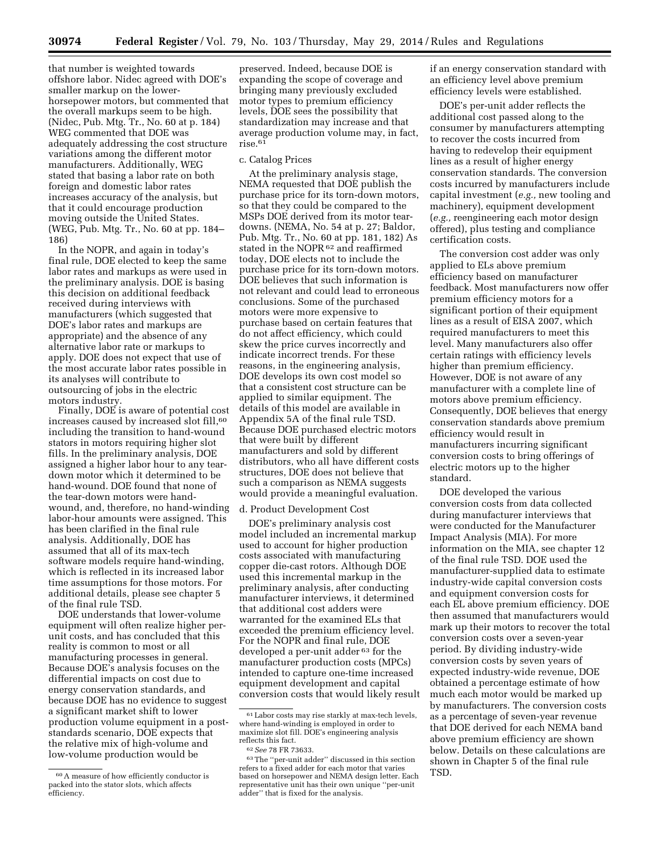that number is weighted towards offshore labor. Nidec agreed with DOE's smaller markup on the lowerhorsepower motors, but commented that the overall markups seem to be high. (Nidec, Pub. Mtg. Tr., No. 60 at p. 184) WEG commented that DOE was adequately addressing the cost structure variations among the different motor manufacturers. Additionally, WEG stated that basing a labor rate on both foreign and domestic labor rates increases accuracy of the analysis, but that it could encourage production moving outside the United States. (WEG, Pub. Mtg. Tr., No. 60 at pp. 184– 186)

In the NOPR, and again in today's final rule, DOE elected to keep the same labor rates and markups as were used in the preliminary analysis. DOE is basing this decision on additional feedback received during interviews with manufacturers (which suggested that DOE's labor rates and markups are appropriate) and the absence of any alternative labor rate or markups to apply. DOE does not expect that use of the most accurate labor rates possible in its analyses will contribute to outsourcing of jobs in the electric motors industry.

Finally, DOE is aware of potential cost increases caused by increased slot fill,<sup>60</sup> including the transition to hand-wound stators in motors requiring higher slot fills. In the preliminary analysis, DOE assigned a higher labor hour to any teardown motor which it determined to be hand-wound. DOE found that none of the tear-down motors were handwound, and, therefore, no hand-winding labor-hour amounts were assigned. This has been clarified in the final rule analysis. Additionally, DOE has assumed that all of its max-tech software models require hand-winding, which is reflected in its increased labor time assumptions for those motors. For additional details, please see chapter 5 of the final rule TSD.

DOE understands that lower-volume equipment will often realize higher perunit costs, and has concluded that this reality is common to most or all manufacturing processes in general. Because DOE's analysis focuses on the differential impacts on cost due to energy conservation standards, and because DOE has no evidence to suggest a significant market shift to lower production volume equipment in a poststandards scenario, DOE expects that the relative mix of high-volume and low-volume production would be

preserved. Indeed, because DOE is expanding the scope of coverage and bringing many previously excluded motor types to premium efficiency levels, DOE sees the possibility that standardization may increase and that average production volume may, in fact, rise.61

#### c. Catalog Prices

At the preliminary analysis stage, NEMA requested that DOE publish the purchase price for its torn-down motors, so that they could be compared to the MSPs DOE derived from its motor teardowns. (NEMA, No. 54 at p. 27; Baldor, Pub. Mtg. Tr., No. 60 at pp. 181, 182) As stated in the NOPR $62$  and reaffirmed today, DOE elects not to include the purchase price for its torn-down motors. DOE believes that such information is not relevant and could lead to erroneous conclusions. Some of the purchased motors were more expensive to purchase based on certain features that do not affect efficiency, which could skew the price curves incorrectly and indicate incorrect trends. For these reasons, in the engineering analysis, DOE develops its own cost model so that a consistent cost structure can be applied to similar equipment. The details of this model are available in Appendix 5A of the final rule TSD. Because DOE purchased electric motors that were built by different manufacturers and sold by different distributors, who all have different costs structures, DOE does not believe that such a comparison as NEMA suggests would provide a meaningful evaluation.

#### d. Product Development Cost

DOE's preliminary analysis cost model included an incremental markup used to account for higher production costs associated with manufacturing copper die-cast rotors. Although DOE used this incremental markup in the preliminary analysis, after conducting manufacturer interviews, it determined that additional cost adders were warranted for the examined ELs that exceeded the premium efficiency level. For the NOPR and final rule, DOE developed a per-unit adder<sup>63</sup> for the manufacturer production costs (MPCs) intended to capture one-time increased equipment development and capital conversion costs that would likely result if an energy conservation standard with an efficiency level above premium efficiency levels were established.

DOE's per-unit adder reflects the additional cost passed along to the consumer by manufacturers attempting to recover the costs incurred from having to redevelop their equipment lines as a result of higher energy conservation standards. The conversion costs incurred by manufacturers include capital investment (*e.g.,* new tooling and machinery), equipment development (*e.g.,* reengineering each motor design offered), plus testing and compliance certification costs.

The conversion cost adder was only applied to ELs above premium efficiency based on manufacturer feedback. Most manufacturers now offer premium efficiency motors for a significant portion of their equipment lines as a result of EISA 2007, which required manufacturers to meet this level. Many manufacturers also offer certain ratings with efficiency levels higher than premium efficiency. However, DOE is not aware of any manufacturer with a complete line of motors above premium efficiency. Consequently, DOE believes that energy conservation standards above premium efficiency would result in manufacturers incurring significant conversion costs to bring offerings of electric motors up to the higher standard.

DOE developed the various conversion costs from data collected during manufacturer interviews that were conducted for the Manufacturer Impact Analysis (MIA). For more information on the MIA, see chapter 12 of the final rule TSD. DOE used the manufacturer-supplied data to estimate industry-wide capital conversion costs and equipment conversion costs for each EL above premium efficiency. DOE then assumed that manufacturers would mark up their motors to recover the total conversion costs over a seven-year period. By dividing industry-wide conversion costs by seven years of expected industry-wide revenue, DOE obtained a percentage estimate of how much each motor would be marked up by manufacturers. The conversion costs as a percentage of seven-year revenue that DOE derived for each NEMA band above premium efficiency are shown below. Details on these calculations are shown in Chapter 5 of the final rule TSD.

<sup>60</sup>A measure of how efficiently conductor is packed into the stator slots, which affects efficiency.

<sup>61</sup>Labor costs may rise starkly at max-tech levels, where hand-winding is employed in order to maximize slot fill. DOE's engineering analysis

<sup>&</sup>lt;sup>62</sup> See 78 FR 73633.<br><sup>63</sup> The "per-unit adder" discussed in this section refers to a fixed adder for each motor that varies based on horsepower and NEMA design letter. Each representative unit has their own unique ''per-unit adder'' that is fixed for the analysis.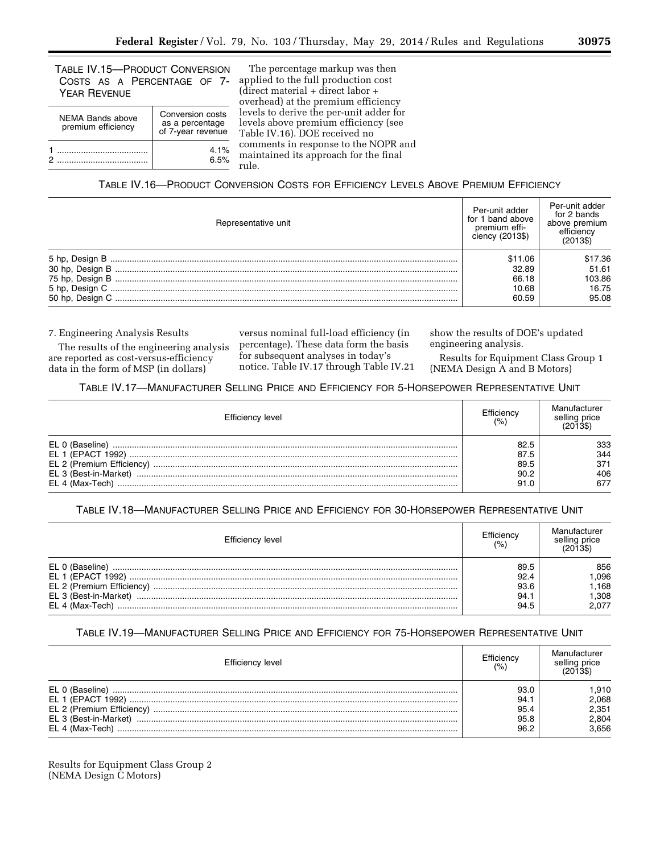TABLE IV.15—PRODUCT CONVERSION COSTS AS A PERCENTAGE OF 7- YEAR REVENUE

| <b>NEMA Bands above</b> | Conversion costs                     |
|-------------------------|--------------------------------------|
| premium efficiency      | as a percentage<br>of 7-year revenue |
|                         | 4.1%                                 |
|                         | 6.5%                                 |

The percentage markup was then applied to the full production cost (direct material + direct labor + overhead) at the premium efficiency levels to derive the per-unit adder for levels above premium efficiency (see Table IV.16). DOE received no comments in response to the NOPR and maintained its approach for the final rule.

# TABLE IV.16—PRODUCT CONVERSION COSTS FOR EFFICIENCY LEVELS ABOVE PREMIUM EFFICIENCY

| Representative unit | Per-unit adder<br>I band above<br>tor 1<br>premium effi-<br>ciency (2013\$) | Per-unit adder<br>for 2 bands<br>above premium<br>efficiency<br>(2013\$) |
|---------------------|-----------------------------------------------------------------------------|--------------------------------------------------------------------------|
|                     | \$11.06                                                                     | \$17.36                                                                  |
|                     | 32.89                                                                       | 51.61                                                                    |
|                     | 66.18                                                                       | 103.86                                                                   |
|                     | 10.68                                                                       | 16.75                                                                    |
|                     | 60.59                                                                       | 95.08                                                                    |

7. Engineering Analysis Results

The results of the engineering analysis are reported as cost-versus-efficiency data in the form of MSP (in dollars)

versus nominal full-load efficiency (in percentage). These data form the basis for subsequent analyses in today's notice. Table IV.17 through Table IV.21

show the results of DOE's updated engineering analysis.

Results for Equipment Class Group 1 (NEMA Design A and B Motors)

## TABLE IV.17—MANUFACTURER SELLING PRICE AND EFFICIENCY FOR 5-HORSEPOWER REPRESENTATIVE UNIT

| Efficiency level                                                                 | Efficiency<br>(%)                    | selling price                   |
|----------------------------------------------------------------------------------|--------------------------------------|---------------------------------|
| EL 0 (Baseline)<br>EL 1 (EPACT 1992)<br>EL 3 (Best-in-Market)<br>EL 4 (Max-Tech) | 82.5<br>87.5<br>89.5<br>90.2<br>91.0 | 333<br>344<br>371<br>406<br>677 |

## TABLE IV.18—MANUFACTURER SELLING PRICE AND EFFICIENCY FOR 30-HORSEPOWER REPRESENTATIVE UNIT

| 856<br>.096<br>.168<br>1.308<br>2.077 |
|---------------------------------------|
|                                       |

# TABLE IV.19—MANUFACTURER SELLING PRICE AND EFFICIENCY FOR 75-HORSEPOWER REPRESENTATIVE UNIT

| Efficiency level                                              | Efficiency<br>(% )                   | Manufacturer<br>selling price<br>(2013\$) |
|---------------------------------------------------------------|--------------------------------------|-------------------------------------------|
| EL 0 (Baseline)<br>EL 1 (EPACT 1992)<br>EL 3 (Best-in-Market) | 93.0<br>94.1<br>95.4<br>95.8<br>96.2 | .910<br>2,068<br>2,351<br>2,804<br>3.656  |

Results for Equipment Class Group 2 (NEMA Design C Motors)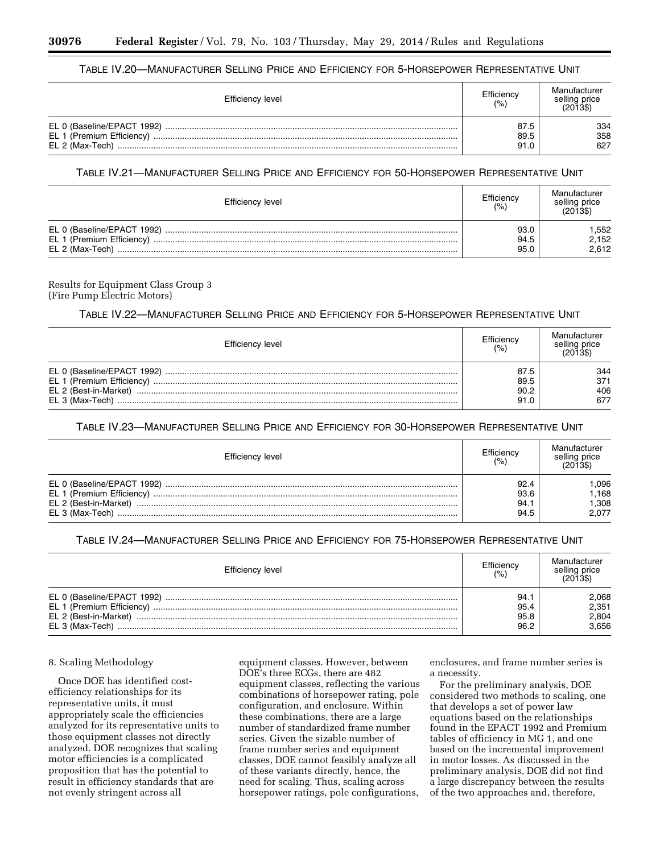## TABLE IV.20—MANUFACTURER SELLING PRICE AND EFFICIENCY FOR 5-HORSEPOWER REPRESENTATIVE UNIT

| Efficiency level                              | Efficiency<br>(% )   | Manufacturer<br>selling price<br>(2013\$) |
|-----------------------------------------------|----------------------|-------------------------------------------|
| EL 0 (Baseline/EPACT 1992)<br>EL 2 (Max-Tech) | 87.5<br>89.5<br>91.0 | 334<br>358<br>627                         |

## TABLE IV.21—MANUFACTURER SELLING PRICE AND EFFICIENCY FOR 50-HORSEPOWER REPRESENTATIVE UNIT

| Efficiency level           | Efficiency<br>(% )   | Manufacturer<br>selling price<br>(2013) |
|----------------------------|----------------------|-----------------------------------------|
| EL 0 (Baseline/EPACT 1992) | 93.0<br>94.5<br>95.0 | .552<br>2,152<br>2.612                  |

Results for Equipment Class Group 3 (Fire Pump Electric Motors)

## TABLE IV.22—MANUFACTURER SELLING PRICE AND EFFICIENCY FOR 5-HORSEPOWER REPRESENTATIVE UNIT

| Efficiency level      | Efficiency<br>(% ) | Manufacturer<br>selling price<br>(2013\$) |
|-----------------------|--------------------|-------------------------------------------|
|                       | 87.5               | 344                                       |
| EL 2 (Best-in-Market) | 89.5<br>90.2       | 371<br>406                                |
| EL 3 (Max-Tech)       | 91.0               | 677                                       |

## TABLE IV.23—MANUFACTURER SELLING PRICE AND EFFICIENCY FOR 30-HORSEPOWER REPRESENTATIVE UNIT

| Efficiency level                         | Efficiency<br>(% )           | Manufacturer<br>selling price<br>(2013\$) |
|------------------------------------------|------------------------------|-------------------------------------------|
| EL 2 (Best-in-Market)<br>EL 3 (Max-Tech) | 92.4<br>93.6<br>94.1<br>94.5 | .096<br>.168<br>1.308<br>2.077            |

TABLE IV.24—MANUFACTURER SELLING PRICE AND EFFICIENCY FOR 75-HORSEPOWER REPRESENTATIVE UNIT

| Efficiency level                         | Efficiency<br>(% )          | Manufacturer<br>selling price<br>(2013\$) |
|------------------------------------------|-----------------------------|-------------------------------------------|
| EL 2 (Best-in-Market)<br>EL 3 (Max-Tech) | 94.<br>95.4<br>95.8<br>96.2 | 2,068<br>2,351<br>2,804<br>3,656          |

## 8. Scaling Methodology

Once DOE has identified costefficiency relationships for its representative units, it must appropriately scale the efficiencies analyzed for its representative units to those equipment classes not directly analyzed. DOE recognizes that scaling motor efficiencies is a complicated proposition that has the potential to result in efficiency standards that are not evenly stringent across all

equipment classes. However, between DOE's three ECGs, there are 482 equipment classes, reflecting the various combinations of horsepower rating, pole configuration, and enclosure. Within these combinations, there are a large number of standardized frame number series. Given the sizable number of frame number series and equipment classes, DOE cannot feasibly analyze all of these variants directly, hence, the need for scaling. Thus, scaling across horsepower ratings, pole configurations,

enclosures, and frame number series is a necessity.

For the preliminary analysis, DOE considered two methods to scaling, one that develops a set of power law equations based on the relationships found in the EPACT 1992 and Premium tables of efficiency in MG 1, and one based on the incremental improvement in motor losses. As discussed in the preliminary analysis, DOE did not find a large discrepancy between the results of the two approaches and, therefore,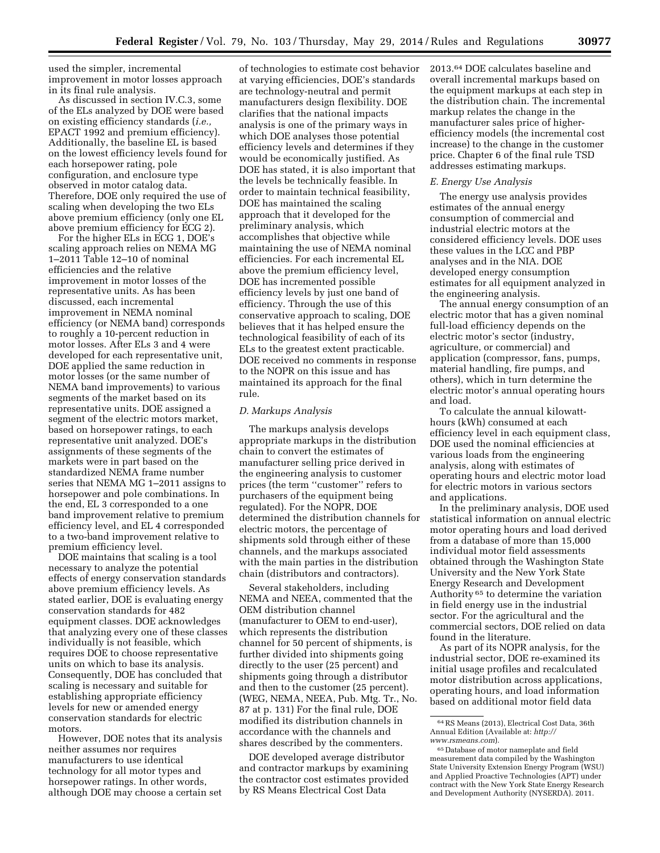used the simpler, incremental improvement in motor losses approach in its final rule analysis.

As discussed in section IV.C.3, some of the ELs analyzed by DOE were based on existing efficiency standards (*i.e.,*  EPACT 1992 and premium efficiency). Additionally, the baseline EL is based on the lowest efficiency levels found for each horsepower rating, pole configuration, and enclosure type observed in motor catalog data. Therefore, DOE only required the use of scaling when developing the two ELs above premium efficiency (only one EL above premium efficiency for ECG 2).

For the higher ELs in ECG 1, DOE's scaling approach relies on NEMA MG 1–2011 Table 12–10 of nominal efficiencies and the relative improvement in motor losses of the representative units. As has been discussed, each incremental improvement in NEMA nominal efficiency (or NEMA band) corresponds to roughly a 10-percent reduction in motor losses. After ELs 3 and 4 were developed for each representative unit, DOE applied the same reduction in motor losses (or the same number of NEMA band improvements) to various segments of the market based on its representative units. DOE assigned a segment of the electric motors market, based on horsepower ratings, to each representative unit analyzed. DOE's assignments of these segments of the markets were in part based on the standardized NEMA frame number series that NEMA MG 1–2011 assigns to horsepower and pole combinations. In the end, EL 3 corresponded to a one band improvement relative to premium efficiency level, and EL 4 corresponded to a two-band improvement relative to premium efficiency level.

DOE maintains that scaling is a tool necessary to analyze the potential effects of energy conservation standards above premium efficiency levels. As stated earlier, DOE is evaluating energy conservation standards for 482 equipment classes. DOE acknowledges that analyzing every one of these classes individually is not feasible, which requires DOE to choose representative units on which to base its analysis. Consequently, DOE has concluded that scaling is necessary and suitable for establishing appropriate efficiency levels for new or amended energy conservation standards for electric motors.

However, DOE notes that its analysis neither assumes nor requires manufacturers to use identical technology for all motor types and horsepower ratings. In other words, although DOE may choose a certain set

of technologies to estimate cost behavior at varying efficiencies, DOE's standards are technology-neutral and permit manufacturers design flexibility. DOE clarifies that the national impacts analysis is one of the primary ways in which DOE analyses those potential efficiency levels and determines if they would be economically justified. As DOE has stated, it is also important that the levels be technically feasible. In order to maintain technical feasibility, DOE has maintained the scaling approach that it developed for the preliminary analysis, which accomplishes that objective while maintaining the use of NEMA nominal efficiencies. For each incremental EL above the premium efficiency level, DOE has incremented possible efficiency levels by just one band of efficiency. Through the use of this conservative approach to scaling, DOE believes that it has helped ensure the technological feasibility of each of its ELs to the greatest extent practicable. DOE received no comments in response to the NOPR on this issue and has maintained its approach for the final rule.

#### *D. Markups Analysis*

The markups analysis develops appropriate markups in the distribution chain to convert the estimates of manufacturer selling price derived in the engineering analysis to customer prices (the term ''customer'' refers to purchasers of the equipment being regulated). For the NOPR, DOE determined the distribution channels for electric motors, the percentage of shipments sold through either of these channels, and the markups associated with the main parties in the distribution chain (distributors and contractors).

Several stakeholders, including NEMA and NEEA, commented that the OEM distribution channel (manufacturer to OEM to end-user), which represents the distribution channel for 50 percent of shipments, is further divided into shipments going directly to the user (25 percent) and shipments going through a distributor and then to the customer (25 percent). (WEG, NEMA, NEEA, Pub. Mtg. Tr., No. 87 at p. 131) For the final rule, DOE modified its distribution channels in accordance with the channels and shares described by the commenters.

DOE developed average distributor and contractor markups by examining the contractor cost estimates provided by RS Means Electrical Cost Data

2013.64 DOE calculates baseline and overall incremental markups based on the equipment markups at each step in the distribution chain. The incremental markup relates the change in the manufacturer sales price of higherefficiency models (the incremental cost increase) to the change in the customer price. Chapter 6 of the final rule TSD addresses estimating markups.

## *E. Energy Use Analysis*

The energy use analysis provides estimates of the annual energy consumption of commercial and industrial electric motors at the considered efficiency levels. DOE uses these values in the LCC and PBP analyses and in the NIA. DOE developed energy consumption estimates for all equipment analyzed in the engineering analysis.

The annual energy consumption of an electric motor that has a given nominal full-load efficiency depends on the electric motor's sector (industry, agriculture, or commercial) and application (compressor, fans, pumps, material handling, fire pumps, and others), which in turn determine the electric motor's annual operating hours and load.

To calculate the annual kilowatthours (kWh) consumed at each efficiency level in each equipment class, DOE used the nominal efficiencies at various loads from the engineering analysis, along with estimates of operating hours and electric motor load for electric motors in various sectors and applications.

In the preliminary analysis, DOE used statistical information on annual electric motor operating hours and load derived from a database of more than 15,000 individual motor field assessments obtained through the Washington State University and the New York State Energy Research and Development Authority 65 to determine the variation in field energy use in the industrial sector. For the agricultural and the commercial sectors, DOE relied on data found in the literature.

As part of its NOPR analysis, for the industrial sector, DOE re-examined its initial usage profiles and recalculated motor distribution across applications, operating hours, and load information based on additional motor field data

<sup>64</sup>RS Means (2013), Electrical Cost Data, 36th Annual Edition (Available at: *[http://](http://www.rsmeans.com) [www.rsmeans.com](http://www.rsmeans.com)*).

 $\rm ^{65}$  Database of motor nameplate and field measurement data compiled by the Washington State University Extension Energy Program (WSU) and Applied Proactive Technologies (APT) under contract with the New York State Energy Research and Development Authority (NYSERDA). 2011.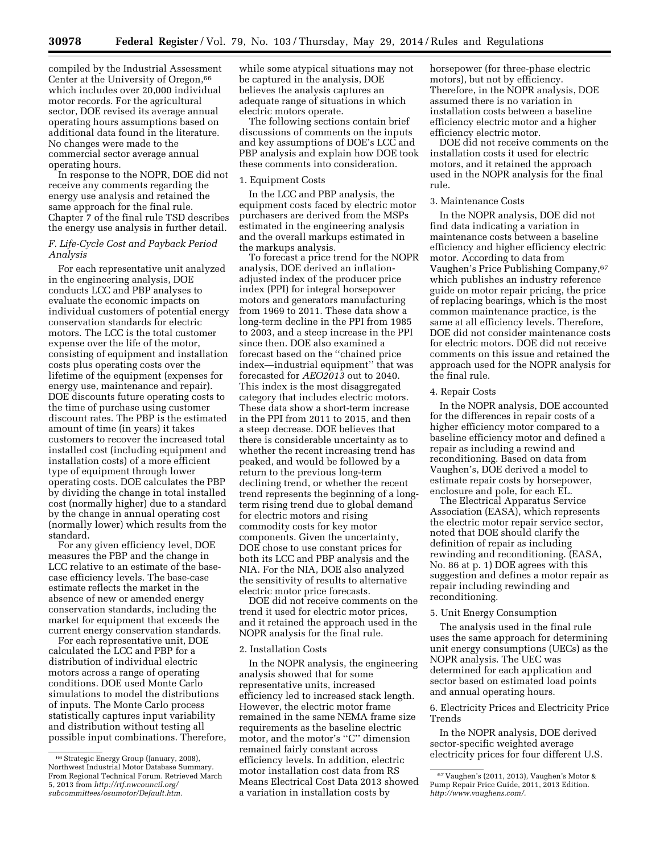compiled by the Industrial Assessment Center at the University of Oregon, 66 which includes over 20,000 individual motor records. For the agricultural sector, DOE revised its average annual operating hours assumptions based on additional data found in the literature. No changes were made to the commercial sector average annual operating hours.

In response to the NOPR, DOE did not receive any comments regarding the energy use analysis and retained the same approach for the final rule. Chapter 7 of the final rule TSD describes the energy use analysis in further detail.

### *F. Life-Cycle Cost and Payback Period Analysis*

For each representative unit analyzed in the engineering analysis, DOE conducts LCC and PBP analyses to evaluate the economic impacts on individual customers of potential energy conservation standards for electric motors. The LCC is the total customer expense over the life of the motor, consisting of equipment and installation costs plus operating costs over the lifetime of the equipment (expenses for energy use, maintenance and repair). DOE discounts future operating costs to the time of purchase using customer discount rates. The PBP is the estimated amount of time (in years) it takes customers to recover the increased total installed cost (including equipment and installation costs) of a more efficient type of equipment through lower operating costs. DOE calculates the PBP by dividing the change in total installed cost (normally higher) due to a standard by the change in annual operating cost (normally lower) which results from the standard.

For any given efficiency level, DOE measures the PBP and the change in LCC relative to an estimate of the basecase efficiency levels. The base-case estimate reflects the market in the absence of new or amended energy conservation standards, including the market for equipment that exceeds the current energy conservation standards.

For each representative unit, DOE calculated the LCC and PBP for a distribution of individual electric motors across a range of operating conditions. DOE used Monte Carlo simulations to model the distributions of inputs. The Monte Carlo process statistically captures input variability and distribution without testing all possible input combinations. Therefore, while some atypical situations may not be captured in the analysis, DOE believes the analysis captures an adequate range of situations in which electric motors operate.

The following sections contain brief discussions of comments on the inputs and key assumptions of DOE's LCC and PBP analysis and explain how DOE took these comments into consideration.

#### 1. Equipment Costs

In the LCC and PBP analysis, the equipment costs faced by electric motor purchasers are derived from the MSPs estimated in the engineering analysis and the overall markups estimated in the markups analysis.

To forecast a price trend for the NOPR analysis, DOE derived an inflationadjusted index of the producer price index (PPI) for integral horsepower motors and generators manufacturing from 1969 to 2011. These data show a long-term decline in the PPI from 1985 to 2003, and a steep increase in the PPI since then. DOE also examined a forecast based on the ''chained price index—industrial equipment'' that was forecasted for *AEO2013* out to 2040. This index is the most disaggregated category that includes electric motors. These data show a short-term increase in the PPI from 2011 to 2015, and then a steep decrease. DOE believes that there is considerable uncertainty as to whether the recent increasing trend has peaked, and would be followed by a return to the previous long-term declining trend, or whether the recent trend represents the beginning of a longterm rising trend due to global demand for electric motors and rising commodity costs for key motor components. Given the uncertainty, DOE chose to use constant prices for both its LCC and PBP analysis and the NIA. For the NIA, DOE also analyzed the sensitivity of results to alternative electric motor price forecasts.

DOE did not receive comments on the trend it used for electric motor prices, and it retained the approach used in the NOPR analysis for the final rule.

#### 2. Installation Costs

In the NOPR analysis, the engineering analysis showed that for some representative units, increased efficiency led to increased stack length. However, the electric motor frame remained in the same NEMA frame size requirements as the baseline electric motor, and the motor's ''C'' dimension remained fairly constant across efficiency levels. In addition, electric motor installation cost data from RS Means Electrical Cost Data 2013 showed a variation in installation costs by

horsepower (for three-phase electric motors), but not by efficiency. Therefore, in the NOPR analysis, DOE assumed there is no variation in installation costs between a baseline efficiency electric motor and a higher efficiency electric motor.

DOE did not receive comments on the installation costs it used for electric motors, and it retained the approach used in the NOPR analysis for the final rule.

#### 3. Maintenance Costs

In the NOPR analysis, DOE did not find data indicating a variation in maintenance costs between a baseline efficiency and higher efficiency electric motor. According to data from Vaughen's Price Publishing Company,67 which publishes an industry reference guide on motor repair pricing, the price of replacing bearings, which is the most common maintenance practice, is the same at all efficiency levels. Therefore, DOE did not consider maintenance costs for electric motors. DOE did not receive comments on this issue and retained the approach used for the NOPR analysis for the final rule.

## 4. Repair Costs

In the NOPR analysis, DOE accounted for the differences in repair costs of a higher efficiency motor compared to a baseline efficiency motor and defined a repair as including a rewind and reconditioning. Based on data from Vaughen's, DOE derived a model to estimate repair costs by horsepower, enclosure and pole, for each EL.

The Electrical Apparatus Service Association (EASA), which represents the electric motor repair service sector, noted that DOE should clarify the definition of repair as including rewinding and reconditioning. (EASA, No. 86 at p. 1) DOE agrees with this suggestion and defines a motor repair as repair including rewinding and reconditioning.

#### 5. Unit Energy Consumption

The analysis used in the final rule uses the same approach for determining unit energy consumptions (UECs) as the NOPR analysis. The UEC was determined for each application and sector based on estimated load points and annual operating hours.

6. Electricity Prices and Electricity Price Trends

In the NOPR analysis, DOE derived sector-specific weighted average electricity prices for four different U.S.

<sup>66</sup>Strategic Energy Group (January, 2008), Northwest Industrial Motor Database Summary. From Regional Technical Forum. Retrieved March 5, 2013 from *[http://rtf.nwcouncil.org/](http://rtf.nwcouncil.org/subcommittees/osumotor/Default.htm) [subcommittees/osumotor/Default.htm.](http://rtf.nwcouncil.org/subcommittees/osumotor/Default.htm)* 

<sup>67</sup> Vaughen's (2011, 2013), Vaughen's Motor & Pump Repair Price Guide, 2011, 2013 Edition. *[http://www.vaughens.com/.](http://www.vaughens.com/)*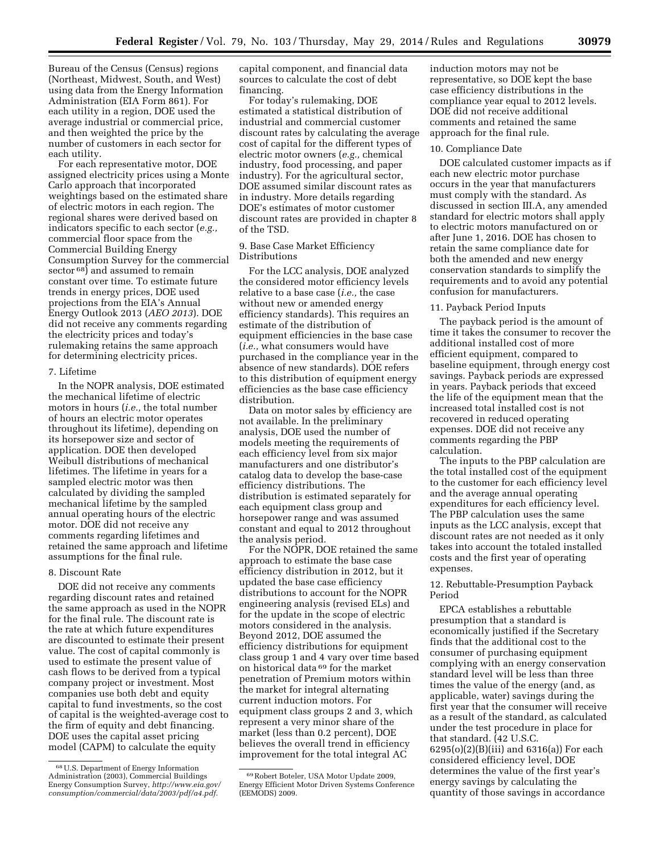Bureau of the Census (Census) regions (Northeast, Midwest, South, and West) using data from the Energy Information Administration (EIA Form 861). For each utility in a region, DOE used the average industrial or commercial price, and then weighted the price by the number of customers in each sector for each utility.

For each representative motor, DOE assigned electricity prices using a Monte Carlo approach that incorporated weightings based on the estimated share of electric motors in each region. The regional shares were derived based on indicators specific to each sector (*e.g.,*  commercial floor space from the Commercial Building Energy Consumption Survey for the commercial sector 68) and assumed to remain constant over time. To estimate future trends in energy prices, DOE used projections from the EIA's Annual Energy Outlook 2013 (*AEO 2013*). DOE did not receive any comments regarding the electricity prices and today's rulemaking retains the same approach for determining electricity prices.

## 7. Lifetime

In the NOPR analysis, DOE estimated the mechanical lifetime of electric motors in hours (*i.e.,* the total number of hours an electric motor operates throughout its lifetime), depending on its horsepower size and sector of application. DOE then developed Weibull distributions of mechanical lifetimes. The lifetime in years for a sampled electric motor was then calculated by dividing the sampled mechanical lifetime by the sampled annual operating hours of the electric motor. DOE did not receive any comments regarding lifetimes and retained the same approach and lifetime assumptions for the final rule.

## 8. Discount Rate

DOE did not receive any comments regarding discount rates and retained the same approach as used in the NOPR for the final rule. The discount rate is the rate at which future expenditures are discounted to estimate their present value. The cost of capital commonly is used to estimate the present value of cash flows to be derived from a typical company project or investment. Most companies use both debt and equity capital to fund investments, so the cost of capital is the weighted-average cost to the firm of equity and debt financing. DOE uses the capital asset pricing model (CAPM) to calculate the equity

capital component, and financial data sources to calculate the cost of debt financing.

For today's rulemaking, DOE estimated a statistical distribution of industrial and commercial customer discount rates by calculating the average cost of capital for the different types of electric motor owners (*e.g.,* chemical industry, food processing, and paper industry). For the agricultural sector, DOE assumed similar discount rates as in industry. More details regarding DOE's estimates of motor customer discount rates are provided in chapter 8 of the TSD.

## 9. Base Case Market Efficiency Distributions

For the LCC analysis, DOE analyzed the considered motor efficiency levels relative to a base case (*i.e.,* the case without new or amended energy efficiency standards). This requires an estimate of the distribution of equipment efficiencies in the base case (*i.e.,* what consumers would have purchased in the compliance year in the absence of new standards). DOE refers to this distribution of equipment energy efficiencies as the base case efficiency distribution.

Data on motor sales by efficiency are not available. In the preliminary analysis, DOE used the number of models meeting the requirements of each efficiency level from six major manufacturers and one distributor's catalog data to develop the base-case efficiency distributions. The distribution is estimated separately for each equipment class group and horsepower range and was assumed constant and equal to 2012 throughout the analysis period.

For the NOPR, DOE retained the same approach to estimate the base case efficiency distribution in 2012, but it updated the base case efficiency distributions to account for the NOPR engineering analysis (revised ELs) and for the update in the scope of electric motors considered in the analysis. Beyond 2012, DOE assumed the efficiency distributions for equipment class group 1 and 4 vary over time based on historical data 69 for the market penetration of Premium motors within the market for integral alternating current induction motors. For equipment class groups 2 and 3, which represent a very minor share of the market (less than 0.2 percent), DOE believes the overall trend in efficiency improvement for the total integral AC

induction motors may not be representative, so DOE kept the base case efficiency distributions in the compliance year equal to 2012 levels. DOE did not receive additional comments and retained the same approach for the final rule.

#### 10. Compliance Date

DOE calculated customer impacts as if each new electric motor purchase occurs in the year that manufacturers must comply with the standard. As discussed in section III.A, any amended standard for electric motors shall apply to electric motors manufactured on or after June 1, 2016. DOE has chosen to retain the same compliance date for both the amended and new energy conservation standards to simplify the requirements and to avoid any potential confusion for manufacturers.

### 11. Payback Period Inputs

The payback period is the amount of time it takes the consumer to recover the additional installed cost of more efficient equipment, compared to baseline equipment, through energy cost savings. Payback periods are expressed in years. Payback periods that exceed the life of the equipment mean that the increased total installed cost is not recovered in reduced operating expenses. DOE did not receive any comments regarding the PBP calculation.

The inputs to the PBP calculation are the total installed cost of the equipment to the customer for each efficiency level and the average annual operating expenditures for each efficiency level. The PBP calculation uses the same inputs as the LCC analysis, except that discount rates are not needed as it only takes into account the totaled installed costs and the first year of operating expenses.

## 12. Rebuttable-Presumption Payback Period

EPCA establishes a rebuttable presumption that a standard is economically justified if the Secretary finds that the additional cost to the consumer of purchasing equipment complying with an energy conservation standard level will be less than three times the value of the energy (and, as applicable, water) savings during the first year that the consumer will receive as a result of the standard, as calculated under the test procedure in place for that standard. (42 U.S.C. 6295(o)(2)(B)(iii) and 6316(a)) For each considered efficiency level, DOE determines the value of the first year's energy savings by calculating the quantity of those savings in accordance

<sup>68</sup>U.S. Department of Energy Information Administration (2003), Commercial Buildings Energy Consumption Survey, *[http://www.eia.gov/](http://www.eia.gov/consumption/commercial/data/2003/pdf/a4.pdf) [consumption/commercial/data/2003/pdf/a4.pdf.](http://www.eia.gov/consumption/commercial/data/2003/pdf/a4.pdf)* 

<sup>69</sup>Robert Boteler, USA Motor Update 2009, Energy Efficient Motor Driven Systems Conference (EEMODS) 2009.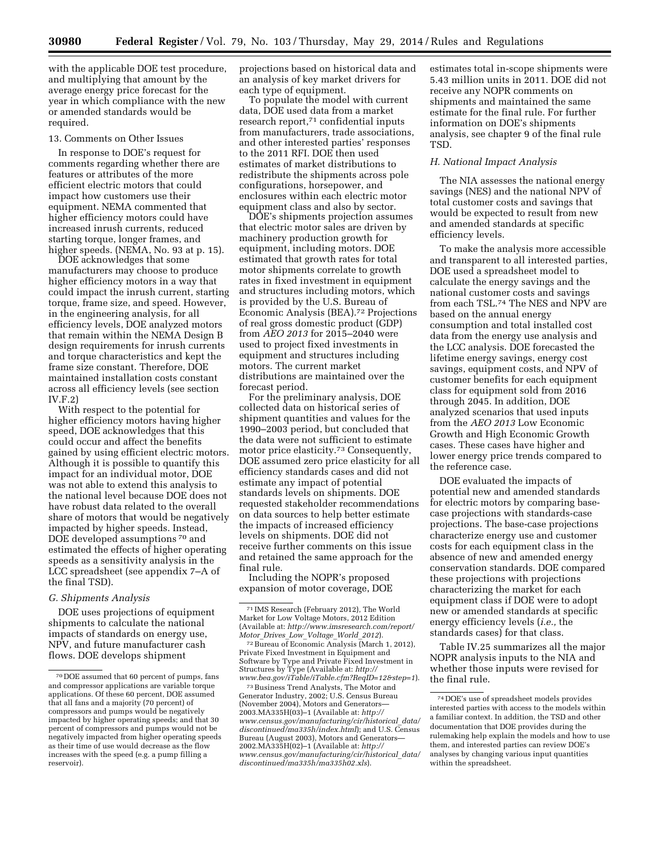with the applicable DOE test procedure, and multiplying that amount by the average energy price forecast for the year in which compliance with the new or amended standards would be required.

#### 13. Comments on Other Issues

In response to DOE's request for comments regarding whether there are features or attributes of the more efficient electric motors that could impact how customers use their equipment. NEMA commented that higher efficiency motors could have increased inrush currents, reduced starting torque, longer frames, and higher speeds. (NEMA, No. 93 at p. 15).

DOE acknowledges that some manufacturers may choose to produce higher efficiency motors in a way that could impact the inrush current, starting torque, frame size, and speed. However, in the engineering analysis, for all efficiency levels, DOE analyzed motors that remain within the NEMA Design B design requirements for inrush currents and torque characteristics and kept the frame size constant. Therefore, DOE maintained installation costs constant across all efficiency levels (see section IV.F.2)

With respect to the potential for higher efficiency motors having higher speed, DOE acknowledges that this could occur and affect the benefits gained by using efficient electric motors. Although it is possible to quantify this impact for an individual motor, DOE was not able to extend this analysis to the national level because DOE does not have robust data related to the overall share of motors that would be negatively impacted by higher speeds. Instead, DOE developed assumptions 70 and estimated the effects of higher operating speeds as a sensitivity analysis in the LCC spreadsheet (see appendix 7–A of the final TSD).

#### *G. Shipments Analysis*

DOE uses projections of equipment shipments to calculate the national impacts of standards on energy use, NPV, and future manufacturer cash flows. DOE develops shipment

projections based on historical data and an analysis of key market drivers for each type of equipment.

To populate the model with current data, DOE used data from a market research report,71 confidential inputs from manufacturers, trade associations, and other interested parties' responses to the 2011 RFI. DOE then used estimates of market distributions to redistribute the shipments across pole configurations, horsepower, and enclosures within each electric motor equipment class and also by sector.

DOE's shipments projection assumes that electric motor sales are driven by machinery production growth for equipment, including motors. DOE estimated that growth rates for total motor shipments correlate to growth rates in fixed investment in equipment and structures including motors, which is provided by the U.S. Bureau of Economic Analysis (BEA).72 Projections of real gross domestic product (GDP) from *AEO 2013* for 2015–2040 were used to project fixed investments in equipment and structures including motors. The current market distributions are maintained over the forecast period.

For the preliminary analysis, DOE collected data on historical series of shipment quantities and values for the 1990–2003 period, but concluded that the data were not sufficient to estimate motor price elasticity.73 Consequently, DOE assumed zero price elasticity for all efficiency standards cases and did not estimate any impact of potential standards levels on shipments. DOE requested stakeholder recommendations on data sources to help better estimate the impacts of increased efficiency levels on shipments. DOE did not receive further comments on this issue and retained the same approach for the final rule.

Including the NOPR's proposed expansion of motor coverage, DOE

*Motor*\_*Drives*\_*Low*\_*Voltage*\_*World*\_*2012*[\).](http://www.imsresearch.com/report/Motor_Drives_Low_Voltage_World_2012) 72Bureau of Economic Analysis (March 1, 2012), Private Fixed Investment in Equipment and Software by Type and Private Fixed Investment in Structures by Type (Available at: *[http://](http://www.bea.gov/iTable/iTable.cfm?ReqID=12&step=1)*

*www.bea.gov/iTable/iTable.cfm?ReqID=12&step=1*[\).](http://www.bea.gov/iTable/iTable.cfm?ReqID=12&step=1) 73Business Trend Analysts, The Motor and Generator Industry, 2002; U.S. Census Bureau (November 2004), Motors and Generators— 2003.MA335H(03)–1 (Available at: *[http://](http://www.census.gov/manufacturing/cir/historical_data/discontinued/ma335h/index.html) [www.census.gov/manufacturing/cir/historical](http://www.census.gov/manufacturing/cir/historical_data/discontinued/ma335h/index.html)*\_*data/ [discontinued/ma335h/index.html](http://www.census.gov/manufacturing/cir/historical_data/discontinued/ma335h/index.html)*); and U.S. Census Bureau (August 2003), Motors and Generators— 2002.MA335H(02)–1 (Available at: *[http://](http://www.census.gov/manufacturing/cir/historical_data/discontinued/ma335h/ma335h02.xls) [www.census.gov/manufacturing/cir/historical](http://www.census.gov/manufacturing/cir/historical_data/discontinued/ma335h/ma335h02.xls)*\_*data/ [discontinued/ma335h/ma335h02.xls](http://www.census.gov/manufacturing/cir/historical_data/discontinued/ma335h/ma335h02.xls)*).

estimates total in-scope shipments were 5.43 million units in 2011. DOE did not receive any NOPR comments on shipments and maintained the same estimate for the final rule. For further information on DOE's shipments analysis, see chapter 9 of the final rule TSD.

#### *H. National Impact Analysis*

The NIA assesses the national energy savings (NES) and the national NPV of total customer costs and savings that would be expected to result from new and amended standards at specific efficiency levels.

To make the analysis more accessible and transparent to all interested parties, DOE used a spreadsheet model to calculate the energy savings and the national customer costs and savings from each TSL.74 The NES and NPV are based on the annual energy consumption and total installed cost data from the energy use analysis and the LCC analysis. DOE forecasted the lifetime energy savings, energy cost savings, equipment costs, and NPV of customer benefits for each equipment class for equipment sold from 2016 through 2045. In addition, DOE analyzed scenarios that used inputs from the *AEO 2013* Low Economic Growth and High Economic Growth cases. These cases have higher and lower energy price trends compared to the reference case.

DOE evaluated the impacts of potential new and amended standards for electric motors by comparing basecase projections with standards-case projections. The base-case projections characterize energy use and customer costs for each equipment class in the absence of new and amended energy conservation standards. DOE compared these projections with projections characterizing the market for each equipment class if DOE were to adopt new or amended standards at specific energy efficiency levels (*i.e.,* the standards cases) for that class.

Table IV.25 summarizes all the major NOPR analysis inputs to the NIA and whether those inputs were revised for the final rule.

<sup>70</sup> DOE assumed that 60 percent of pumps, fans and compressor applications are variable torque applications. Of these 60 percent, DOE assumed that all fans and a majority (70 percent) of compressors and pumps would be negatively impacted by higher operating speeds; and that 30 percent of compressors and pumps would not be negatively impacted from higher operating speeds as their time of use would decrease as the flow increases with the speed (e.g. a pump filling a reservoir).

<sup>71</sup> IMS Research (February 2012), The World Market for Low Voltage Motors, 2012 Edition (Available at: *[http://www.imsresearch.com/report/](http://www.imsresearch.com/report/Motor_Drives_Low_Voltage_World_2012)*

<sup>74</sup> DOE's use of spreadsheet models provides interested parties with access to the models within a familiar context. In addition, the TSD and other documentation that DOE provides during the rulemaking help explain the models and how to use them, and interested parties can review DOE's analyses by changing various input quantities within the spreadsheet.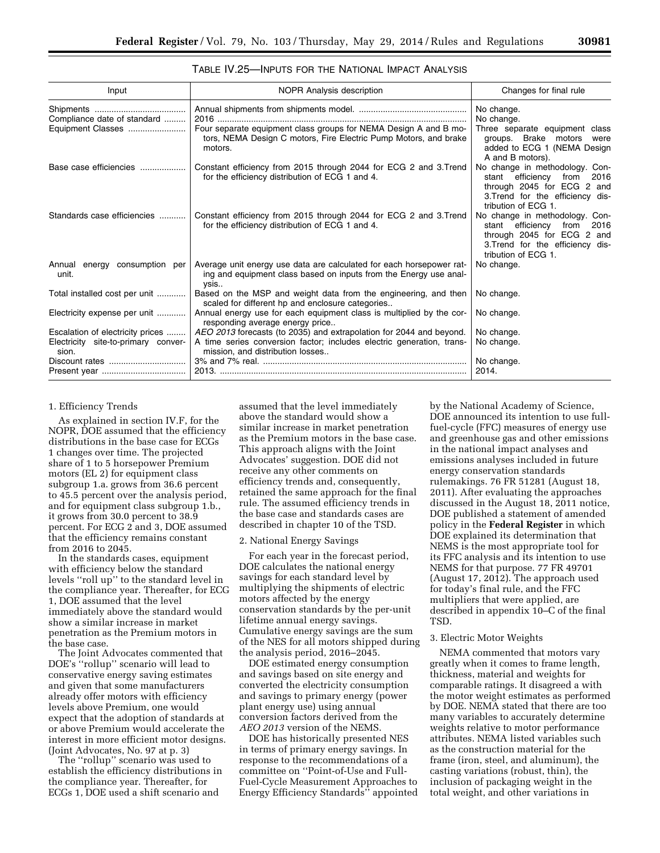## TABLE IV.25—INPUTS FOR THE NATIONAL IMPACT ANALYSIS

| Input                                            | NOPR Analysis description                                                                                                                         | Changes for final rule                                                                                                                                         |
|--------------------------------------------------|---------------------------------------------------------------------------------------------------------------------------------------------------|----------------------------------------------------------------------------------------------------------------------------------------------------------------|
|                                                  |                                                                                                                                                   | No change.                                                                                                                                                     |
| Compliance date of standard<br>Equipment Classes | Four separate equipment class groups for NEMA Design A and B mo-<br>tors, NEMA Design C motors, Fire Electric Pump Motors, and brake<br>motors.   | No change.<br>Three separate equipment class<br>groups. Brake motors were<br>added to ECG 1 (NEMA Design<br>A and B motors).                                   |
| Base case efficiencies                           | Constant efficiency from 2015 through 2044 for ECG 2 and 3. Trend<br>for the efficiency distribution of ECG 1 and 4.                              | No change in methodology. Con-<br>efficiency<br>from<br>stant<br>2016<br>through 2045 for ECG 2 and<br>3. Trend for the efficiency dis-<br>tribution of ECG 1. |
| Standards case efficiencies                      | Constant efficiency from 2015 through 2044 for ECG 2 and 3. Trend<br>for the efficiency distribution of ECG 1 and 4.                              | No change in methodology. Con-<br>stant efficiency from<br>2016<br>through 2045 for ECG 2 and<br>3. Trend for the efficiency dis-<br>tribution of ECG 1.       |
| Annual energy consumption per<br>unit.           | Average unit energy use data are calculated for each horsepower rat-<br>ing and equipment class based on inputs from the Energy use anal-<br>ysis | No change.                                                                                                                                                     |
| Total installed cost per unit                    | Based on the MSP and weight data from the engineering, and then<br>scaled for different hp and enclosure categories                               | No change.                                                                                                                                                     |
| Electricity expense per unit                     | Annual energy use for each equipment class is multiplied by the cor-<br>responding average energy price                                           | No change.                                                                                                                                                     |
| Escalation of electricity prices                 | AEO 2013 forecasts (to 2035) and extrapolation for 2044 and beyond.                                                                               | No change.                                                                                                                                                     |
| Electricity site-to-primary conver-<br>sion.     | A time series conversion factor; includes electric generation, trans-<br>mission, and distribution losses                                         | No change.                                                                                                                                                     |
|                                                  |                                                                                                                                                   | No change.                                                                                                                                                     |
|                                                  |                                                                                                                                                   | 2014.                                                                                                                                                          |

### 1. Efficiency Trends

As explained in section IV.F, for the NOPR, DOE assumed that the efficiency distributions in the base case for ECGs 1 changes over time. The projected share of 1 to 5 horsepower Premium motors (EL 2) for equipment class subgroup 1.a. grows from 36.6 percent to 45.5 percent over the analysis period, and for equipment class subgroup 1.b., it grows from 30.0 percent to 38.9 percent. For ECG 2 and 3, DOE assumed that the efficiency remains constant from 2016 to 2045.

In the standards cases, equipment with efficiency below the standard levels ''roll up'' to the standard level in the compliance year. Thereafter, for ECG 1, DOE assumed that the level immediately above the standard would show a similar increase in market penetration as the Premium motors in the base case.

The Joint Advocates commented that DOE's ''rollup'' scenario will lead to conservative energy saving estimates and given that some manufacturers already offer motors with efficiency levels above Premium, one would expect that the adoption of standards at or above Premium would accelerate the interest in more efficient motor designs. (Joint Advocates, No. 97 at p. 3)

The ''rollup'' scenario was used to establish the efficiency distributions in the compliance year. Thereafter, for ECGs 1, DOE used a shift scenario and

assumed that the level immediately above the standard would show a similar increase in market penetration as the Premium motors in the base case. This approach aligns with the Joint Advocates' suggestion. DOE did not receive any other comments on efficiency trends and, consequently, retained the same approach for the final rule. The assumed efficiency trends in the base case and standards cases are described in chapter 10 of the TSD.

#### 2. National Energy Savings

For each year in the forecast period, DOE calculates the national energy savings for each standard level by multiplying the shipments of electric motors affected by the energy conservation standards by the per-unit lifetime annual energy savings. Cumulative energy savings are the sum of the NES for all motors shipped during the analysis period, 2016–2045.

DOE estimated energy consumption and savings based on site energy and converted the electricity consumption and savings to primary energy (power plant energy use) using annual conversion factors derived from the *AEO 2013* version of the NEMS.

DOE has historically presented NES in terms of primary energy savings. In response to the recommendations of a committee on ''Point-of-Use and Full-Fuel-Cycle Measurement Approaches to Energy Efficiency Standards'' appointed

by the National Academy of Science, DOE announced its intention to use fullfuel-cycle (FFC) measures of energy use and greenhouse gas and other emissions in the national impact analyses and emissions analyses included in future energy conservation standards rulemakings. 76 FR 51281 (August 18, 2011). After evaluating the approaches discussed in the August 18, 2011 notice, DOE published a statement of amended policy in the **Federal Register** in which DOE explained its determination that NEMS is the most appropriate tool for its FFC analysis and its intention to use NEMS for that purpose. 77 FR 49701 (August 17, 2012). The approach used for today's final rule, and the FFC multipliers that were applied, are described in appendix 10–C of the final TSD.

#### 3. Electric Motor Weights

NEMA commented that motors vary greatly when it comes to frame length, thickness, material and weights for comparable ratings. It disagreed a with the motor weight estimates as performed by DOE. NEMA stated that there are too many variables to accurately determine weights relative to motor performance attributes. NEMA listed variables such as the construction material for the frame (iron, steel, and aluminum), the casting variations (robust, thin), the inclusion of packaging weight in the total weight, and other variations in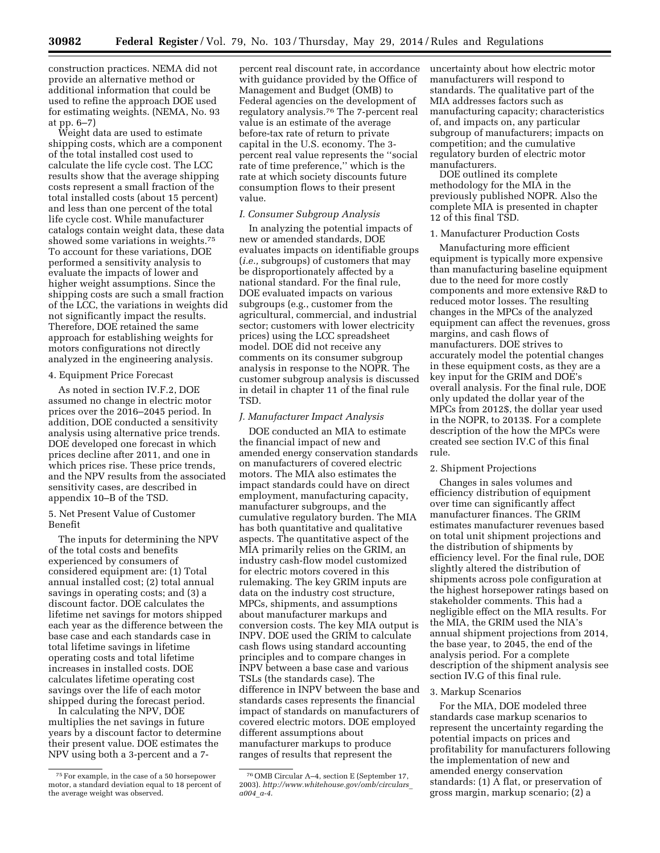**30982 Federal Register** / Vol. 79, No. 103 / Thursday, May 29, 2014 / Rules and Regulations

construction practices. NEMA did not provide an alternative method or additional information that could be used to refine the approach DOE used for estimating weights. (NEMA, No. 93 at pp. 6–7)

Weight data are used to estimate shipping costs, which are a component of the total installed cost used to calculate the life cycle cost. The LCC results show that the average shipping costs represent a small fraction of the total installed costs (about 15 percent) and less than one percent of the total life cycle cost. While manufacturer catalogs contain weight data, these data showed some variations in weights.75 To account for these variations, DOE performed a sensitivity analysis to evaluate the impacts of lower and higher weight assumptions. Since the shipping costs are such a small fraction of the LCC, the variations in weights did not significantly impact the results. Therefore, DOE retained the same approach for establishing weights for motors configurations not directly analyzed in the engineering analysis.

#### 4. Equipment Price Forecast

As noted in section IV.F.2, DOE assumed no change in electric motor prices over the 2016–2045 period. In addition, DOE conducted a sensitivity analysis using alternative price trends. DOE developed one forecast in which prices decline after 2011, and one in which prices rise. These price trends, and the NPV results from the associated sensitivity cases, are described in appendix 10–B of the TSD.

### 5. Net Present Value of Customer Benefit

The inputs for determining the NPV of the total costs and benefits experienced by consumers of considered equipment are: (1) Total annual installed cost; (2) total annual savings in operating costs; and (3) a discount factor. DOE calculates the lifetime net savings for motors shipped each year as the difference between the base case and each standards case in total lifetime savings in lifetime operating costs and total lifetime increases in installed costs. DOE calculates lifetime operating cost savings over the life of each motor shipped during the forecast period.

In calculating the NPV, DOE multiplies the net savings in future years by a discount factor to determine their present value. DOE estimates the NPV using both a 3-percent and a 7-

percent real discount rate, in accordance with guidance provided by the Office of Management and Budget (OMB) to Federal agencies on the development of regulatory analysis.76 The 7-percent real value is an estimate of the average before-tax rate of return to private capital in the U.S. economy. The 3 percent real value represents the ''social rate of time preference,'' which is the rate at which society discounts future consumption flows to their present value.

#### *I. Consumer Subgroup Analysis*

In analyzing the potential impacts of new or amended standards, DOE evaluates impacts on identifiable groups (*i.e.,* subgroups) of customers that may be disproportionately affected by a national standard. For the final rule, DOE evaluated impacts on various subgroups (e.g., customer from the agricultural, commercial, and industrial sector; customers with lower electricity prices) using the LCC spreadsheet model. DOE did not receive any comments on its consumer subgroup analysis in response to the NOPR. The customer subgroup analysis is discussed in detail in chapter 11 of the final rule TSD.

#### *J. Manufacturer Impact Analysis*

DOE conducted an MIA to estimate the financial impact of new and amended energy conservation standards on manufacturers of covered electric motors. The MIA also estimates the impact standards could have on direct employment, manufacturing capacity, manufacturer subgroups, and the cumulative regulatory burden. The MIA has both quantitative and qualitative aspects. The quantitative aspect of the MIA primarily relies on the GRIM, an industry cash-flow model customized for electric motors covered in this rulemaking. The key GRIM inputs are data on the industry cost structure, MPCs, shipments, and assumptions about manufacturer markups and conversion costs. The key MIA output is INPV. DOE used the GRIM to calculate cash flows using standard accounting principles and to compare changes in INPV between a base case and various TSLs (the standards case). The difference in INPV between the base and standards cases represents the financial impact of standards on manufacturers of covered electric motors. DOE employed different assumptions about manufacturer markups to produce ranges of results that represent the

uncertainty about how electric motor manufacturers will respond to standards. The qualitative part of the MIA addresses factors such as manufacturing capacity; characteristics of, and impacts on, any particular subgroup of manufacturers; impacts on competition; and the cumulative regulatory burden of electric motor manufacturers.

DOE outlined its complete methodology for the MIA in the previously published NOPR. Also the complete MIA is presented in chapter 12 of this final TSD.

#### 1. Manufacturer Production Costs

Manufacturing more efficient equipment is typically more expensive than manufacturing baseline equipment due to the need for more costly components and more extensive R&D to reduced motor losses. The resulting changes in the MPCs of the analyzed equipment can affect the revenues, gross margins, and cash flows of manufacturers. DOE strives to accurately model the potential changes in these equipment costs, as they are a key input for the GRIM and DOE's overall analysis. For the final rule, DOE only updated the dollar year of the MPCs from 2012\$, the dollar year used in the NOPR, to 2013\$. For a complete description of the how the MPCs were created see section IV.C of this final rule.

## 2. Shipment Projections

Changes in sales volumes and efficiency distribution of equipment over time can significantly affect manufacturer finances. The GRIM estimates manufacturer revenues based on total unit shipment projections and the distribution of shipments by efficiency level. For the final rule, DOE slightly altered the distribution of shipments across pole configuration at the highest horsepower ratings based on stakeholder comments. This had a negligible effect on the MIA results. For the MIA, the GRIM used the NIA's annual shipment projections from 2014, the base year, to 2045, the end of the analysis period. For a complete description of the shipment analysis see section IV.G of this final rule.

## 3. Markup Scenarios

For the MIA, DOE modeled three standards case markup scenarios to represent the uncertainty regarding the potential impacts on prices and profitability for manufacturers following the implementation of new and amended energy conservation standards: (1) A flat, or preservation of gross margin, markup scenario; (2) a

<sup>75</sup>For example, in the case of a 50 horsepower motor, a standard deviation equal to 18 percent of the average weight was observed.

<sup>76</sup>OMB Circular A–4, section E (September 17, 2003). *[http://www.whitehouse.gov/omb/circulars](http://www.whitehouse.gov/omb/circulars_a004_a-4)*\_ *[a004](http://www.whitehouse.gov/omb/circulars_a004_a-4)*\_*a-4*.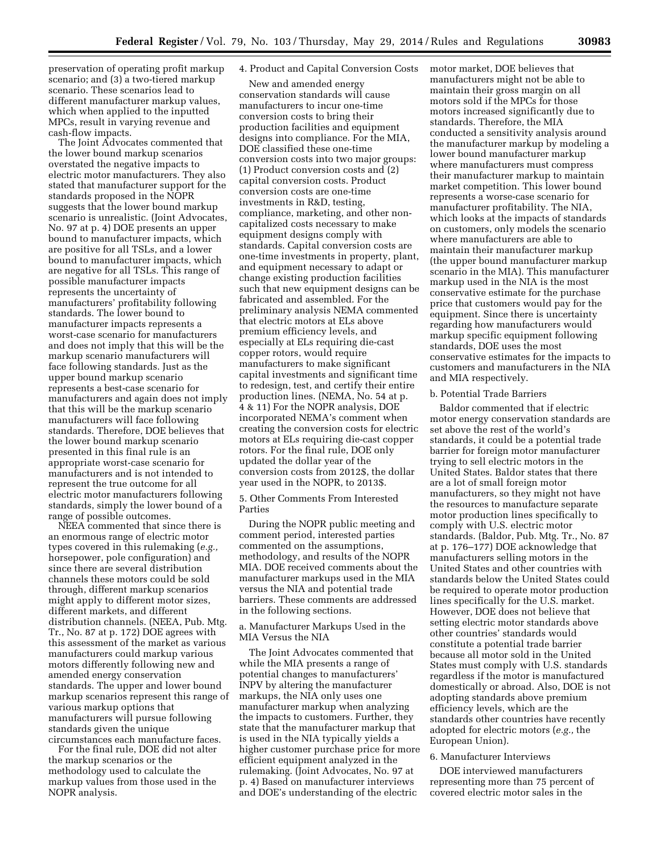preservation of operating profit markup scenario; and (3) a two-tiered markup scenario. These scenarios lead to different manufacturer markup values, which when applied to the inputted MPCs, result in varying revenue and cash-flow impacts.

The Joint Advocates commented that the lower bound markup scenarios overstated the negative impacts to electric motor manufacturers. They also stated that manufacturer support for the standards proposed in the NOPR suggests that the lower bound markup scenario is unrealistic. (Joint Advocates, No. 97 at p. 4) DOE presents an upper bound to manufacturer impacts, which are positive for all TSLs, and a lower bound to manufacturer impacts, which are negative for all TSLs. This range of possible manufacturer impacts represents the uncertainty of manufacturers' profitability following standards. The lower bound to manufacturer impacts represents a worst-case scenario for manufacturers and does not imply that this will be the markup scenario manufacturers will face following standards. Just as the upper bound markup scenario represents a best-case scenario for manufacturers and again does not imply that this will be the markup scenario manufacturers will face following standards. Therefore, DOE believes that the lower bound markup scenario presented in this final rule is an appropriate worst-case scenario for manufacturers and is not intended to represent the true outcome for all electric motor manufacturers following standards, simply the lower bound of a range of possible outcomes.

NEEA commented that since there is an enormous range of electric motor types covered in this rulemaking (*e.g.,*  horsepower, pole configuration) and since there are several distribution channels these motors could be sold through, different markup scenarios might apply to different motor sizes, different markets, and different distribution channels. (NEEA, Pub. Mtg. Tr., No. 87 at p. 172) DOE agrees with this assessment of the market as various manufacturers could markup various motors differently following new and amended energy conservation standards. The upper and lower bound markup scenarios represent this range of various markup options that manufacturers will pursue following standards given the unique circumstances each manufacture faces.

For the final rule, DOE did not alter the markup scenarios or the methodology used to calculate the markup values from those used in the NOPR analysis.

### 4. Product and Capital Conversion Costs

New and amended energy conservation standards will cause manufacturers to incur one-time conversion costs to bring their production facilities and equipment designs into compliance. For the MIA, DOE classified these one-time conversion costs into two major groups: (1) Product conversion costs and (2) capital conversion costs. Product conversion costs are one-time investments in R&D, testing, compliance, marketing, and other noncapitalized costs necessary to make equipment designs comply with standards. Capital conversion costs are one-time investments in property, plant, and equipment necessary to adapt or change existing production facilities such that new equipment designs can be fabricated and assembled. For the preliminary analysis NEMA commented that electric motors at ELs above premium efficiency levels, and especially at ELs requiring die-cast copper rotors, would require manufacturers to make significant capital investments and significant time to redesign, test, and certify their entire production lines. (NEMA, No. 54 at p. 4 & 11) For the NOPR analysis, DOE incorporated NEMA's comment when creating the conversion costs for electric motors at ELs requiring die-cast copper rotors. For the final rule, DOE only updated the dollar year of the conversion costs from 2012\$, the dollar year used in the NOPR, to 2013\$.

5. Other Comments From Interested Parties

During the NOPR public meeting and comment period, interested parties commented on the assumptions, methodology, and results of the NOPR MIA. DOE received comments about the manufacturer markups used in the MIA versus the NIA and potential trade barriers. These comments are addressed in the following sections.

a. Manufacturer Markups Used in the MIA Versus the NIA

The Joint Advocates commented that while the MIA presents a range of potential changes to manufacturers' INPV by altering the manufacturer markups, the NIA only uses one manufacturer markup when analyzing the impacts to customers. Further, they state that the manufacturer markup that is used in the NIA typically yields a higher customer purchase price for more efficient equipment analyzed in the rulemaking. (Joint Advocates, No. 97 at p. 4) Based on manufacturer interviews and DOE's understanding of the electric

motor market, DOE believes that manufacturers might not be able to maintain their gross margin on all motors sold if the MPCs for those motors increased significantly due to standards. Therefore, the MIA conducted a sensitivity analysis around the manufacturer markup by modeling a lower bound manufacturer markup where manufacturers must compress their manufacturer markup to maintain market competition. This lower bound represents a worse-case scenario for manufacturer profitability. The NIA, which looks at the impacts of standards on customers, only models the scenario where manufacturers are able to maintain their manufacturer markup (the upper bound manufacturer markup scenario in the MIA). This manufacturer markup used in the NIA is the most conservative estimate for the purchase price that customers would pay for the equipment. Since there is uncertainty regarding how manufacturers would markup specific equipment following standards, DOE uses the most conservative estimates for the impacts to customers and manufacturers in the NIA and MIA respectively.

### b. Potential Trade Barriers

Baldor commented that if electric motor energy conservation standards are set above the rest of the world's standards, it could be a potential trade barrier for foreign motor manufacturer trying to sell electric motors in the United States. Baldor states that there are a lot of small foreign motor manufacturers, so they might not have the resources to manufacture separate motor production lines specifically to comply with U.S. electric motor standards. (Baldor, Pub. Mtg. Tr., No. 87 at p. 176–177) DOE acknowledge that manufacturers selling motors in the United States and other countries with standards below the United States could be required to operate motor production lines specifically for the U.S. market. However, DOE does not believe that setting electric motor standards above other countries' standards would constitute a potential trade barrier because all motor sold in the United States must comply with U.S. standards regardless if the motor is manufactured domestically or abroad. Also, DOE is not adopting standards above premium efficiency levels, which are the standards other countries have recently adopted for electric motors (*e.g.,* the European Union).

#### 6. Manufacturer Interviews

DOE interviewed manufacturers representing more than 75 percent of covered electric motor sales in the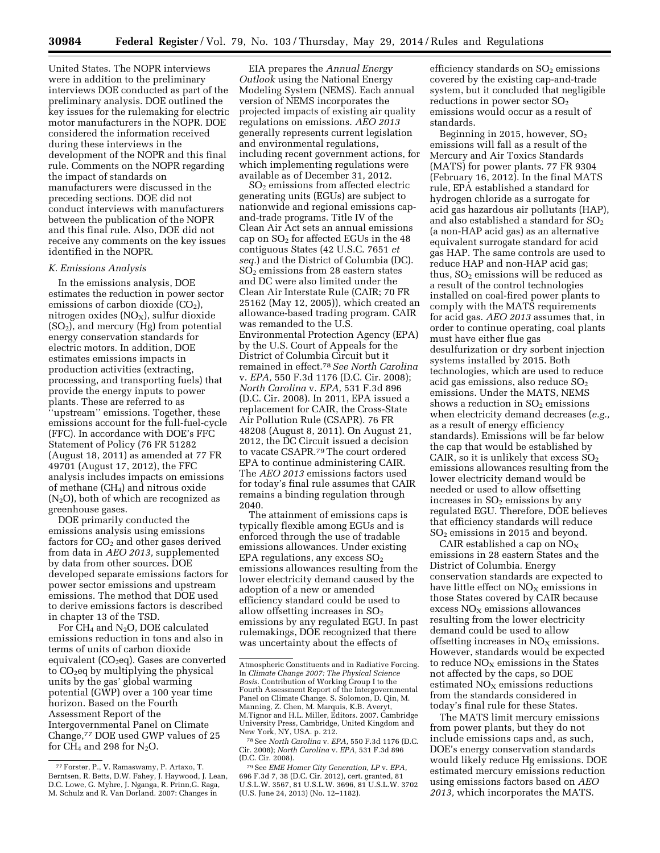**30984 Federal Register** / Vol. 79, No. 103 / Thursday, May 29, 2014 / Rules and Regulations

United States. The NOPR interviews were in addition to the preliminary interviews DOE conducted as part of the preliminary analysis. DOE outlined the key issues for the rulemaking for electric motor manufacturers in the NOPR. DOE considered the information received during these interviews in the development of the NOPR and this final rule. Comments on the NOPR regarding the impact of standards on manufacturers were discussed in the preceding sections. DOE did not conduct interviews with manufacturers between the publication of the NOPR and this final rule. Also, DOE did not receive any comments on the key issues identified in the NOPR.

#### *K. Emissions Analysis*

In the emissions analysis, DOE estimates the reduction in power sector emissions of carbon dioxide  $(CO<sub>2</sub>)$ , nitrogen oxides  $(NO<sub>X</sub>)$ , sulfur dioxide  $(SO<sub>2</sub>)$ , and mercury  $(Hg)$  from potential energy conservation standards for electric motors. In addition, DOE estimates emissions impacts in production activities (extracting, processing, and transporting fuels) that provide the energy inputs to power plants. These are referred to as ''upstream'' emissions. Together, these emissions account for the full-fuel-cycle (FFC). In accordance with DOE's FFC Statement of Policy (76 FR 51282 (August 18, 2011) as amended at 77 FR 49701 (August 17, 2012), the FFC analysis includes impacts on emissions of methane (CH4) and nitrous oxide  $(N_2O)$ , both of which are recognized as greenhouse gases.

DOE primarily conducted the emissions analysis using emissions factors for  $CO<sub>2</sub>$  and other gases derived from data in *AEO 2013,* supplemented by data from other sources. DOE developed separate emissions factors for power sector emissions and upstream emissions. The method that DOE used to derive emissions factors is described in chapter 13 of the TSD.

For CH4 and N2O, DOE calculated emissions reduction in tons and also in terms of units of carbon dioxide equivalent (CO<sub>2</sub>eq). Gases are converted to  $CO<sub>2</sub>$ eq by multiplying the physical units by the gas' global warming potential (GWP) over a 100 year time horizon. Based on the Fourth Assessment Report of the Intergovernmental Panel on Climate Change,77 DOE used GWP values of 25 for  $CH_4$  and 298 for  $N_2O$ .

EIA prepares the *Annual Energy Outlook* using the National Energy Modeling System (NEMS). Each annual version of NEMS incorporates the projected impacts of existing air quality regulations on emissions. *AEO 2013*  generally represents current legislation and environmental regulations, including recent government actions, for which implementing regulations were available as of December 31, 2012.

SO2 emissions from affected electric generating units (EGUs) are subject to nationwide and regional emissions capand-trade programs. Title IV of the Clean Air Act sets an annual emissions cap on  $SO<sub>2</sub>$  for affected EGUs in the 48 contiguous States (42 U.S.C. 7651 *et seq.*) and the District of Columbia (DC).  $SO<sub>2</sub>$  emissions from 28 eastern states and DC were also limited under the Clean Air Interstate Rule (CAIR; 70 FR 25162 (May 12, 2005)), which created an allowance-based trading program. CAIR was remanded to the U.S. Environmental Protection Agency (EPA) by the U.S. Court of Appeals for the District of Columbia Circuit but it remained in effect.78*See North Carolina*  v. *EPA,* 550 F.3d 1176 (D.C. Cir. 2008); *North Carolina* v. *EPA,* 531 F.3d 896 (D.C. Cir. 2008). In 2011, EPA issued a replacement for CAIR, the Cross-State Air Pollution Rule (CSAPR). 76 FR 48208 (August 8, 2011). On August 21, 2012, the DC Circuit issued a decision to vacate CSAPR.79The court ordered EPA to continue administering CAIR. The *AEO 2013* emissions factors used for today's final rule assumes that CAIR remains a binding regulation through 2040.

The attainment of emissions caps is typically flexible among EGUs and is enforced through the use of tradable emissions allowances. Under existing EPA regulations, any excess  $SO<sub>2</sub>$ emissions allowances resulting from the lower electricity demand caused by the adoption of a new or amended efficiency standard could be used to allow offsetting increases in  $SO<sub>2</sub>$ emissions by any regulated EGU. In past rulemakings, DOE recognized that there was uncertainty about the effects of

efficiency standards on  $SO<sub>2</sub>$  emissions covered by the existing cap-and-trade system, but it concluded that negligible reductions in power sector SO2 emissions would occur as a result of standards.

Beginning in 2015, however,  $SO<sub>2</sub>$ emissions will fall as a result of the Mercury and Air Toxics Standards (MATS) for power plants. 77 FR 9304 (February 16, 2012). In the final MATS rule, EPA established a standard for hydrogen chloride as a surrogate for acid gas hazardous air pollutants (HAP), and also established a standard for  $SO<sub>2</sub>$ (a non-HAP acid gas) as an alternative equivalent surrogate standard for acid gas HAP. The same controls are used to reduce HAP and non-HAP acid gas; thus,  $SO<sub>2</sub>$  emissions will be reduced as a result of the control technologies installed on coal-fired power plants to comply with the MATS requirements for acid gas. *AEO 2013* assumes that, in order to continue operating, coal plants must have either flue gas desulfurization or dry sorbent injection systems installed by 2015. Both technologies, which are used to reduce acid gas emissions, also reduce  $SO<sub>2</sub>$ emissions. Under the MATS, NEMS shows a reduction in  $SO<sub>2</sub>$  emissions when electricity demand decreases (*e.g.,*  as a result of energy efficiency standards). Emissions will be far below the cap that would be established by CAIR, so it is unlikely that excess  $SO<sub>2</sub>$ emissions allowances resulting from the lower electricity demand would be needed or used to allow offsetting increases in  $SO<sub>2</sub>$  emissions by any regulated EGU. Therefore, DOE believes that efficiency standards will reduce SO2 emissions in 2015 and beyond.

CAIR established a cap on  $NO<sub>X</sub>$ emissions in 28 eastern States and the District of Columbia. Energy conservation standards are expected to have little effect on  $NO<sub>x</sub>$  emissions in those States covered by CAIR because excess  $NO<sub>x</sub>$  emissions allowances resulting from the lower electricity demand could be used to allow offsetting increases in  $NO<sub>x</sub>$  emissions. However, standards would be expected to reduce  $NO<sub>X</sub>$  emissions in the States not affected by the caps, so DOE estimated  $NO<sub>x</sub>$  emissions reductions from the standards considered in today's final rule for these States.

The MATS limit mercury emissions from power plants, but they do not include emissions caps and, as such, DOE's energy conservation standards would likely reduce Hg emissions. DOE estimated mercury emissions reduction using emissions factors based on *AEO 2013,* which incorporates the MATS.

<sup>77</sup>Forster, P., V. Ramaswamy, P. Artaxo, T. Berntsen, R. Betts, D.W. Fahey, J. Haywood, J. Lean, D.C. Lowe, G. Myhre, J. Nganga, R. Prinn,G. Raga, M. Schulz and R. Van Dorland. 2007: Changes in

Atmospheric Constituents and in Radiative Forcing. In *Climate Change 2007: The Physical Science Basis.* Contribution of Working Group I to the Fourth Assessment Report of the Intergovernmental Panel on Climate Change. S. Solomon, D. Qin, M. Manning, Z. Chen, M. Marquis, K.B. Averyt, M.Tignor and H.L. Miller, Editors. 2007. Cambridge University Press, Cambridge, United Kingdom and New York, NY, USA. p. 212.

<sup>78</sup>See *North Carolina* v. *EPA,* 550 F.3d 1176 (D.C. Cir. 2008); *North Carolina* v. *EPA,* 531 F.3d 896

<sup>(</sup>D.C. Cir. 2008). 79See *EME Homer City Generation, LP* v. *EPA,*  696 F.3d 7, 38 (D.C. Cir. 2012), cert. granted, 81 U.S.L.W. 3567, 81 U.S.L.W. 3696, 81 U.S.L.W. 3702 (U.S. June 24, 2013) (No. 12–1182).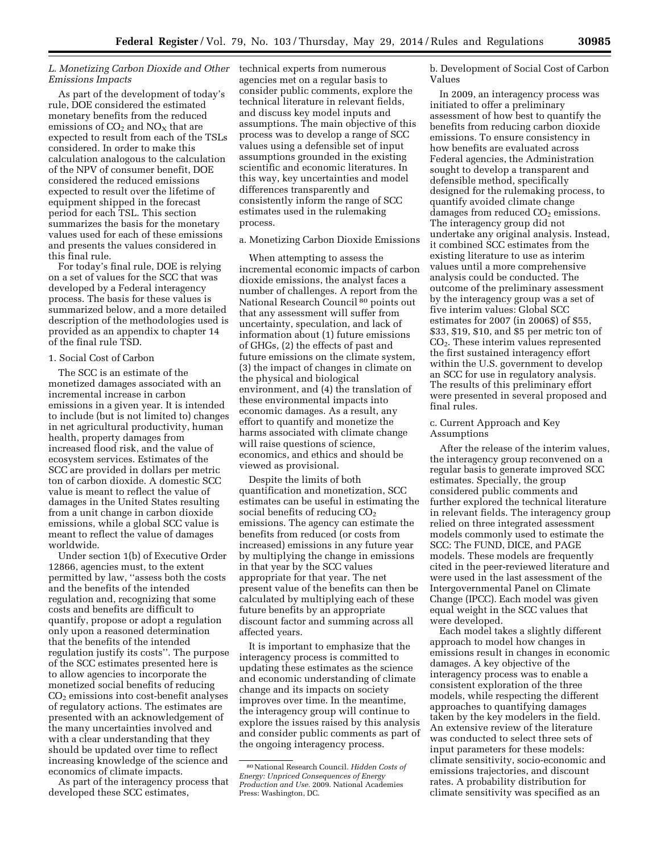## *L. Monetizing Carbon Dioxide and Other Emissions Impacts*

As part of the development of today's rule, DOE considered the estimated monetary benefits from the reduced emissions of  $CO<sub>2</sub>$  and  $NO<sub>x</sub>$  that are expected to result from each of the TSLs considered. In order to make this calculation analogous to the calculation of the NPV of consumer benefit, DOE considered the reduced emissions expected to result over the lifetime of equipment shipped in the forecast period for each TSL. This section summarizes the basis for the monetary values used for each of these emissions and presents the values considered in this final rule.

For today's final rule, DOE is relying on a set of values for the SCC that was developed by a Federal interagency process. The basis for these values is summarized below, and a more detailed description of the methodologies used is provided as an appendix to chapter 14 of the final rule TSD.

#### 1. Social Cost of Carbon

The SCC is an estimate of the monetized damages associated with an incremental increase in carbon emissions in a given year. It is intended to include (but is not limited to) changes in net agricultural productivity, human health, property damages from increased flood risk, and the value of ecosystem services. Estimates of the SCC are provided in dollars per metric ton of carbon dioxide. A domestic SCC value is meant to reflect the value of damages in the United States resulting from a unit change in carbon dioxide emissions, while a global SCC value is meant to reflect the value of damages worldwide.

Under section 1(b) of Executive Order 12866, agencies must, to the extent permitted by law, ''assess both the costs and the benefits of the intended regulation and, recognizing that some costs and benefits are difficult to quantify, propose or adopt a regulation only upon a reasoned determination that the benefits of the intended regulation justify its costs''. The purpose of the SCC estimates presented here is to allow agencies to incorporate the monetized social benefits of reducing  $CO<sub>2</sub>$  emissions into cost-benefit analyses of regulatory actions. The estimates are presented with an acknowledgement of the many uncertainties involved and with a clear understanding that they should be updated over time to reflect increasing knowledge of the science and economics of climate impacts.

As part of the interagency process that developed these SCC estimates,

technical experts from numerous agencies met on a regular basis to consider public comments, explore the technical literature in relevant fields, and discuss key model inputs and assumptions. The main objective of this process was to develop a range of SCC values using a defensible set of input assumptions grounded in the existing scientific and economic literatures. In this way, key uncertainties and model differences transparently and consistently inform the range of SCC estimates used in the rulemaking process.

a. Monetizing Carbon Dioxide Emissions

When attempting to assess the incremental economic impacts of carbon dioxide emissions, the analyst faces a number of challenges. A report from the National Research Council<sup>80</sup> points out that any assessment will suffer from uncertainty, speculation, and lack of information about (1) future emissions of GHGs, (2) the effects of past and future emissions on the climate system, (3) the impact of changes in climate on the physical and biological environment, and (4) the translation of these environmental impacts into economic damages. As a result, any effort to quantify and monetize the harms associated with climate change will raise questions of science, economics, and ethics and should be viewed as provisional.

Despite the limits of both quantification and monetization, SCC estimates can be useful in estimating the social benefits of reducing CO<sub>2</sub> emissions. The agency can estimate the benefits from reduced (or costs from increased) emissions in any future year by multiplying the change in emissions in that year by the SCC values appropriate for that year. The net present value of the benefits can then be calculated by multiplying each of these future benefits by an appropriate discount factor and summing across all affected years.

It is important to emphasize that the interagency process is committed to updating these estimates as the science and economic understanding of climate change and its impacts on society improves over time. In the meantime, the interagency group will continue to explore the issues raised by this analysis and consider public comments as part of the ongoing interagency process.

b. Development of Social Cost of Carbon Values

In 2009, an interagency process was initiated to offer a preliminary assessment of how best to quantify the benefits from reducing carbon dioxide emissions. To ensure consistency in how benefits are evaluated across Federal agencies, the Administration sought to develop a transparent and defensible method, specifically designed for the rulemaking process, to quantify avoided climate change damages from reduced  $CO<sub>2</sub>$  emissions. The interagency group did not undertake any original analysis. Instead, it combined SCC estimates from the existing literature to use as interim values until a more comprehensive analysis could be conducted. The outcome of the preliminary assessment by the interagency group was a set of five interim values: Global SCC estimates for 2007 (in 2006\$) of \$55, \$33, \$19, \$10, and \$5 per metric ton of CO2. These interim values represented the first sustained interagency effort within the U.S. government to develop an SCC for use in regulatory analysis. The results of this preliminary effort were presented in several proposed and final rules.

#### c. Current Approach and Key Assumptions

After the release of the interim values, the interagency group reconvened on a regular basis to generate improved SCC estimates. Specially, the group considered public comments and further explored the technical literature in relevant fields. The interagency group relied on three integrated assessment models commonly used to estimate the SCC: The FUND, DICE, and PAGE models. These models are frequently cited in the peer-reviewed literature and were used in the last assessment of the Intergovernmental Panel on Climate Change (IPCC). Each model was given equal weight in the SCC values that were developed.

Each model takes a slightly different approach to model how changes in emissions result in changes in economic damages. A key objective of the interagency process was to enable a consistent exploration of the three models, while respecting the different approaches to quantifying damages taken by the key modelers in the field. An extensive review of the literature was conducted to select three sets of input parameters for these models: climate sensitivity, socio-economic and emissions trajectories, and discount rates. A probability distribution for climate sensitivity was specified as an

<sup>80</sup>National Research Council. *Hidden Costs of Energy: Unpriced Consequences of Energy Production and Use.* 2009. National Academies Press: Washington, DC.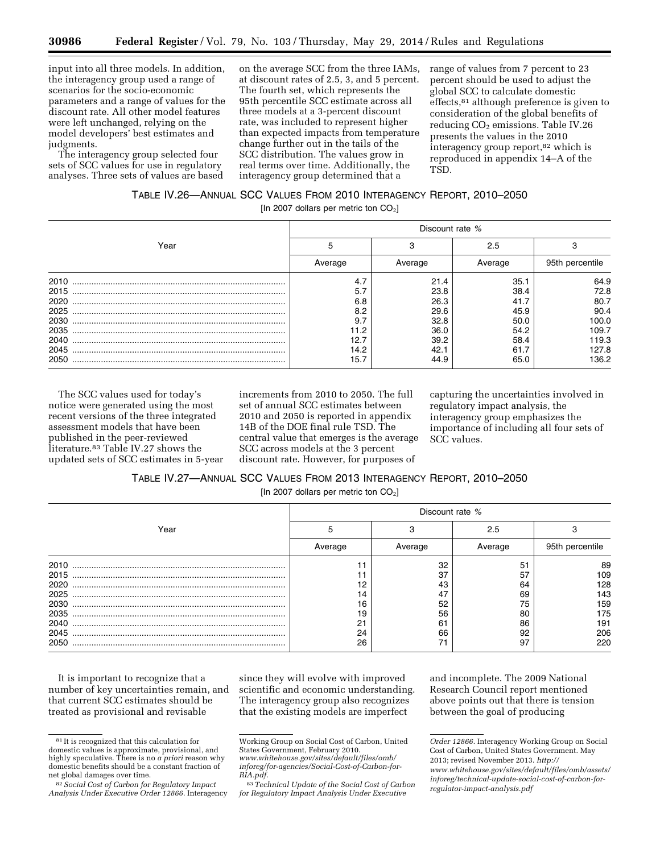input into all three models. In addition, the interagency group used a range of scenarios for the socio-economic parameters and a range of values for the discount rate. All other model features were left unchanged, relying on the model developers' best estimates and judgments.

The interagency group selected four sets of SCC values for use in regulatory analyses. Three sets of values are based

on the average SCC from the three IAMs, at discount rates of 2.5, 3, and 5 percent. The fourth set, which represents the 95th percentile SCC estimate across all three models at a 3-percent discount rate, was included to represent higher than expected impacts from temperature change further out in the tails of the SCC distribution. The values grow in real terms over time. Additionally, the interagency group determined that a

range of values from 7 percent to 23 percent should be used to adjust the global SCC to calculate domestic effects,81 although preference is given to consideration of the global benefits of reducing  $CO<sub>2</sub>$  emissions. Table IV.26 presents the values in the 2010 interagency group report,<sup>82</sup> which is reproduced in appendix 14–A of the TSD.

# TABLE IV.26—ANNUAL SCC VALUES FROM 2010 INTERAGENCY REPORT, 2010–2050

[In 2007 dollars per metric ton  $CO<sub>2</sub>$ ]

|      | Discount rate % |         |         |                 |  |  |
|------|-----------------|---------|---------|-----------------|--|--|
| Year |                 |         | 2.5     |                 |  |  |
|      | Average         | Average | Average | 95th percentile |  |  |
| 2010 | 4.7             | 21.4    | 35.1    | 64.9            |  |  |
| 2015 | 5.7             | 23.8    | 38.4    | 72.8            |  |  |
| 2020 | 6.8             | 26.3    | 41.7    | 80.7            |  |  |
| 2025 | 8.2             | 29.6    | 45.9    | 90.4            |  |  |
| 2030 | 9.7             | 32.8    | 50.0    | 100.0           |  |  |
| 2035 | 11.2            | 36.0    | 54.2    | 109.7           |  |  |
| 2040 | 12.7            | 39.2    | 58.4    | 119.3           |  |  |
| 2045 | 14.2            | 42.1    | 61.7    | 127.8           |  |  |
| 2050 | 15.7            | 44.9    | 65.0    | 136.2           |  |  |

The SCC values used for today's notice were generated using the most recent versions of the three integrated assessment models that have been published in the peer-reviewed literature.83 Table IV.27 shows the updated sets of SCC estimates in 5-year increments from 2010 to 2050. The full set of annual SCC estimates between 2010 and 2050 is reported in appendix 14B of the DOE final rule TSD. The central value that emerges is the average SCC across models at the 3 percent discount rate. However, for purposes of

capturing the uncertainties involved in regulatory impact analysis, the interagency group emphasizes the importance of including all four sets of SCC values.

# TABLE IV.27—ANNUAL SCC VALUES FROM 2013 INTERAGENCY REPORT, 2010–2050

[In 2007 dollars per metric ton  $CO<sub>2</sub>$ ]

|      | Discount rate % |         |         |                 |  |  |
|------|-----------------|---------|---------|-----------------|--|--|
| Year |                 |         | 2.5     |                 |  |  |
|      | Average         | Average | Average | 95th percentile |  |  |
| 2010 |                 | 32      | 51      | 89              |  |  |
| 2015 |                 | 37      | 57      | 109             |  |  |
| 2020 |                 | 43      | 64      | 128             |  |  |
| 2025 |                 | 47      | 69      | 143             |  |  |
| 2030 | 16              | 52      | 75      | 159             |  |  |
| 2035 | 19              | 56      | 80      | 175             |  |  |
| 2040 | 21              | 61      | 86      | 191             |  |  |
| 2045 | 24              | 66      | 92      | 206             |  |  |
| 2050 | 26              |         | 97      | 220             |  |  |

It is important to recognize that a number of key uncertainties remain, and that current SCC estimates should be treated as provisional and revisable

since they will evolve with improved scientific and economic understanding. The interagency group also recognizes that the existing models are imperfect

and incomplete. The 2009 National Research Council report mentioned above points out that there is tension between the goal of producing

<sup>81</sup> It is recognized that this calculation for domestic values is approximate, provisional, and highly speculative. There is no *a priori* reason why domestic benefits should be a constant fraction of net global damages over time.

<sup>82</sup>*Social Cost of Carbon for Regulatory Impact Analysis Under Executive Order 12866.* Interagency

Working Group on Social Cost of Carbon, United States Government, February 2010. *[www.whitehouse.gov/sites/default/files/omb/](http://www.whitehouse.gov/sites/default/files/omb/inforeg/for-agencies/Social-Cost-of-Carbon-for-RIA.pdf)*

*[inforeg/for-agencies/Social-Cost-of-Carbon-for-](http://www.whitehouse.gov/sites/default/files/omb/inforeg/for-agencies/Social-Cost-of-Carbon-for-RIA.pdf)[RIA.pdf](http://www.whitehouse.gov/sites/default/files/omb/inforeg/for-agencies/Social-Cost-of-Carbon-for-RIA.pdf)*.

<sup>83</sup>*Technical Update of the Social Cost of Carbon for Regulatory Impact Analysis Under Executive* 

*Order 12866.* Interagency Working Group on Social Cost of Carbon, United States Government. May 2013; revised November 2013. *[http://](http://www.whitehouse.gov/sites/default/files/omb/assets/inforeg/technical-update-social-cost-of-carbon-for-regulator-impact-analysis.pdf) [www.whitehouse.gov/sites/default/files/omb/assets/](http://www.whitehouse.gov/sites/default/files/omb/assets/inforeg/technical-update-social-cost-of-carbon-for-regulator-impact-analysis.pdf) [inforeg/technical-update-social-cost-of-carbon-for](http://www.whitehouse.gov/sites/default/files/omb/assets/inforeg/technical-update-social-cost-of-carbon-for-regulator-impact-analysis.pdf)[regulator-impact-analysis.pdf](http://www.whitehouse.gov/sites/default/files/omb/assets/inforeg/technical-update-social-cost-of-carbon-for-regulator-impact-analysis.pdf)*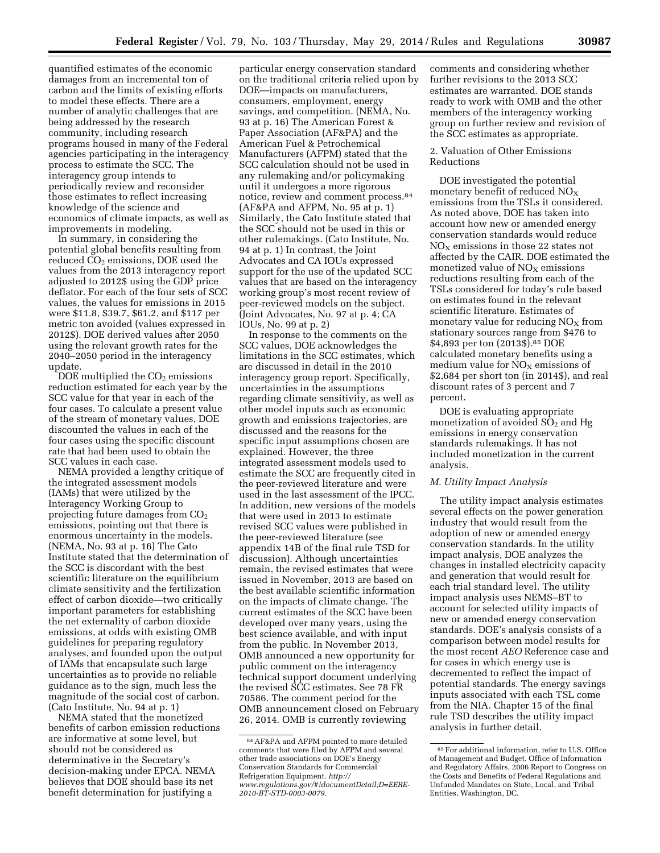quantified estimates of the economic damages from an incremental ton of carbon and the limits of existing efforts to model these effects. There are a number of analytic challenges that are being addressed by the research community, including research programs housed in many of the Federal agencies participating in the interagency process to estimate the SCC. The interagency group intends to periodically review and reconsider those estimates to reflect increasing knowledge of the science and economics of climate impacts, as well as improvements in modeling.

In summary, in considering the potential global benefits resulting from reduced CO<sub>2</sub> emissions, DOE used the values from the 2013 interagency report adjusted to 2012\$ using the GDP price deflator. For each of the four sets of SCC values, the values for emissions in 2015 were \$11.8, \$39.7, \$61.2, and \$117 per metric ton avoided (values expressed in 2012\$). DOE derived values after 2050 using the relevant growth rates for the 2040–2050 period in the interagency update.

DOE multiplied the  $CO<sub>2</sub>$  emissions reduction estimated for each year by the SCC value for that year in each of the four cases. To calculate a present value of the stream of monetary values, DOE discounted the values in each of the four cases using the specific discount rate that had been used to obtain the SCC values in each case.

NEMA provided a lengthy critique of the integrated assessment models (IAMs) that were utilized by the Interagency Working Group to projecting future damages from  $CO<sub>2</sub>$ emissions, pointing out that there is enormous uncertainty in the models. (NEMA, No. 93 at p. 16) The Cato Institute stated that the determination of the SCC is discordant with the best scientific literature on the equilibrium climate sensitivity and the fertilization effect of carbon dioxide—two critically important parameters for establishing the net externality of carbon dioxide emissions, at odds with existing OMB guidelines for preparing regulatory analyses, and founded upon the output of IAMs that encapsulate such large uncertainties as to provide no reliable guidance as to the sign, much less the magnitude of the social cost of carbon. (Cato Institute, No. 94 at p. 1)

NEMA stated that the monetized benefits of carbon emission reductions are informative at some level, but should not be considered as determinative in the Secretary's decision-making under EPCA. NEMA believes that DOE should base its net benefit determination for justifying a

particular energy conservation standard on the traditional criteria relied upon by DOE—impacts on manufacturers, consumers, employment, energy savings, and competition. (NEMA, No. 93 at p. 16) The American Forest & Paper Association (AF&PA) and the American Fuel & Petrochemical Manufacturers (AFPM) stated that the SCC calculation should not be used in any rulemaking and/or policymaking until it undergoes a more rigorous notice, review and comment process.84 (AF&PA and AFPM, No. 95 at p. 1) Similarly, the Cato Institute stated that the SCC should not be used in this or other rulemakings. (Cato Institute, No. 94 at p. 1) In contrast, the Joint Advocates and CA IOUs expressed support for the use of the updated SCC values that are based on the interagency working group's most recent review of peer-reviewed models on the subject. (Joint Advocates, No. 97 at p. 4; CA IOUs, No. 99 at p. 2)

In response to the comments on the SCC values, DOE acknowledges the limitations in the SCC estimates, which are discussed in detail in the 2010 interagency group report. Specifically, uncertainties in the assumptions regarding climate sensitivity, as well as other model inputs such as economic growth and emissions trajectories, are discussed and the reasons for the specific input assumptions chosen are explained. However, the three integrated assessment models used to estimate the SCC are frequently cited in the peer-reviewed literature and were used in the last assessment of the IPCC. In addition, new versions of the models that were used in 2013 to estimate revised SCC values were published in the peer-reviewed literature (see appendix 14B of the final rule TSD for discussion). Although uncertainties remain, the revised estimates that were issued in November, 2013 are based on the best available scientific information on the impacts of climate change. The current estimates of the SCC have been developed over many years, using the best science available, and with input from the public. In November 2013, OMB announced a new opportunity for public comment on the interagency technical support document underlying the revised SCC estimates. See 78 FR 70586. The comment period for the OMB announcement closed on February 26, 2014. OMB is currently reviewing

comments and considering whether further revisions to the 2013 SCC estimates are warranted. DOE stands ready to work with OMB and the other members of the interagency working group on further review and revision of the SCC estimates as appropriate.

## 2. Valuation of Other Emissions Reductions

DOE investigated the potential monetary benefit of reduced  $NO<sub>x</sub>$ emissions from the TSLs it considered. As noted above, DOE has taken into account how new or amended energy conservation standards would reduce  $NO<sub>X</sub>$  emissions in those 22 states not affected by the CAIR. DOE estimated the monetized value of  $NO<sub>X</sub>$  emissions reductions resulting from each of the TSLs considered for today's rule based on estimates found in the relevant scientific literature. Estimates of monetary value for reducing  $NO<sub>X</sub>$  from stationary sources range from \$476 to \$4,893 per ton (2013\$).85 DOE calculated monetary benefits using a medium value for  $NO<sub>x</sub>$  emissions of \$2,684 per short ton (in 2014\$), and real discount rates of 3 percent and 7 percent.

DOE is evaluating appropriate monetization of avoided  $SO<sub>2</sub>$  and Hg emissions in energy conservation standards rulemakings. It has not included monetization in the current analysis.

### *M. Utility Impact Analysis*

The utility impact analysis estimates several effects on the power generation industry that would result from the adoption of new or amended energy conservation standards. In the utility impact analysis, DOE analyzes the changes in installed electricity capacity and generation that would result for each trial standard level. The utility impact analysis uses NEMS–BT to account for selected utility impacts of new or amended energy conservation standards. DOE's analysis consists of a comparison between model results for the most recent *AEO* Reference case and for cases in which energy use is decremented to reflect the impact of potential standards. The energy savings inputs associated with each TSL come from the NIA. Chapter 15 of the final rule TSD describes the utility impact analysis in further detail.

<sup>84</sup>AF&PA and AFPM pointed to more detailed comments that were filed by AFPM and several other trade associations on DOE's Energy Conservation Standards for Commercial Refrigeration Equipment. *[http://](http://www.regulations.gov/#!documentDetail;D=EERE-2010-BT-STD-0003-0079) [www.regulations.gov/#!documentDetail;D=EERE-](http://www.regulations.gov/#!documentDetail;D=EERE-2010-BT-STD-0003-0079)[2010-BT-STD-0003-0079.](http://www.regulations.gov/#!documentDetail;D=EERE-2010-BT-STD-0003-0079)* 

<sup>85</sup>For additional information, refer to U.S. Office of Management and Budget, Office of Information and Regulatory Affairs, 2006 Report to Congress on the Costs and Benefits of Federal Regulations and Unfunded Mandates on State, Local, and Tribal Entities, Washington, DC.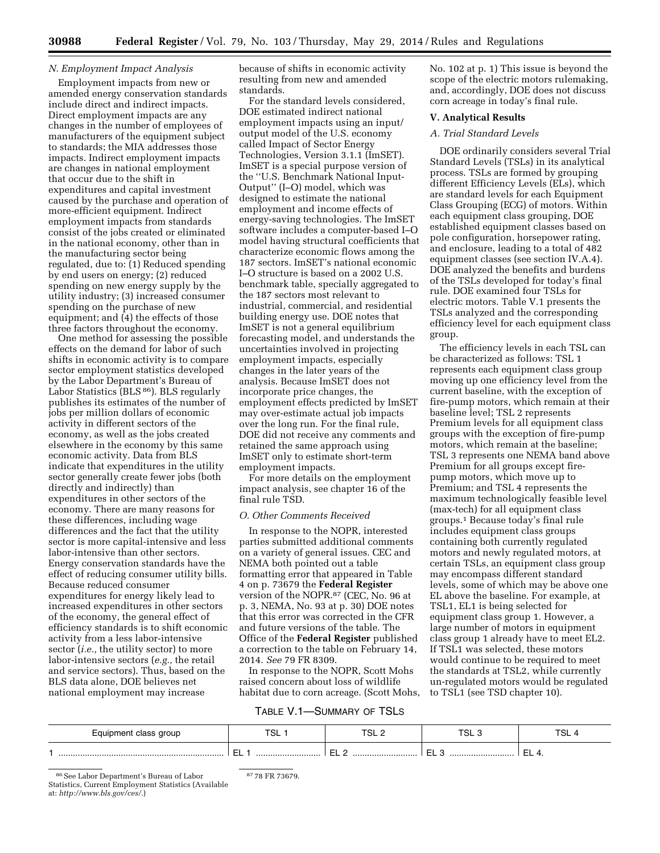## *N. Employment Impact Analysis*

Employment impacts from new or amended energy conservation standards include direct and indirect impacts. Direct employment impacts are any changes in the number of employees of manufacturers of the equipment subject to standards; the MIA addresses those impacts. Indirect employment impacts are changes in national employment that occur due to the shift in expenditures and capital investment caused by the purchase and operation of more-efficient equipment. Indirect employment impacts from standards consist of the jobs created or eliminated in the national economy, other than in the manufacturing sector being regulated, due to: (1) Reduced spending by end users on energy; (2) reduced spending on new energy supply by the utility industry; (3) increased consumer spending on the purchase of new equipment; and (4) the effects of those three factors throughout the economy.

One method for assessing the possible effects on the demand for labor of such shifts in economic activity is to compare sector employment statistics developed by the Labor Department's Bureau of Labor Statistics (BLS 86). BLS regularly publishes its estimates of the number of jobs per million dollars of economic activity in different sectors of the economy, as well as the jobs created elsewhere in the economy by this same economic activity. Data from BLS indicate that expenditures in the utility sector generally create fewer jobs (both directly and indirectly) than expenditures in other sectors of the economy. There are many reasons for these differences, including wage differences and the fact that the utility sector is more capital-intensive and less labor-intensive than other sectors. Energy conservation standards have the effect of reducing consumer utility bills. Because reduced consumer expenditures for energy likely lead to increased expenditures in other sectors of the economy, the general effect of efficiency standards is to shift economic activity from a less labor-intensive sector (*i.e.,* the utility sector) to more labor-intensive sectors (*e.g.,* the retail and service sectors). Thus, based on the BLS data alone, DOE believes net national employment may increase

because of shifts in economic activity resulting from new and amended standards.

For the standard levels considered, DOE estimated indirect national employment impacts using an input/ output model of the U.S. economy called Impact of Sector Energy Technologies, Version 3.1.1 (ImSET). ImSET is a special purpose version of the ''U.S. Benchmark National Input-Output'' (I–O) model, which was designed to estimate the national employment and income effects of energy-saving technologies. The ImSET software includes a computer-based I–O model having structural coefficients that characterize economic flows among the 187 sectors. ImSET's national economic I–O structure is based on a 2002 U.S. benchmark table, specially aggregated to the 187 sectors most relevant to industrial, commercial, and residential building energy use. DOE notes that ImSET is not a general equilibrium forecasting model, and understands the uncertainties involved in projecting employment impacts, especially changes in the later years of the analysis. Because ImSET does not incorporate price changes, the employment effects predicted by ImSET may over-estimate actual job impacts over the long run. For the final rule, DOE did not receive any comments and retained the same approach using ImSET only to estimate short-term employment impacts.

For more details on the employment impact analysis, see chapter 16 of the final rule TSD.

## *O. Other Comments Received*

In response to the NOPR, interested parties submitted additional comments on a variety of general issues. CEC and NEMA both pointed out a table formatting error that appeared in Table 4 on p. 73679 the **Federal Register**  version of the NOPR.87 (CEC, No. 96 at p. 3, NEMA, No. 93 at p. 30) DOE notes that this error was corrected in the CFR and future versions of the table. The Office of the **Federal Register** published a correction to the table on February 14, 2014. *See* 79 FR 8309.

In response to the NOPR, Scott Mohs raised concern about loss of wildlife habitat due to corn acreage. (Scott Mohs, No. 102 at p. 1) This issue is beyond the scope of the electric motors rulemaking, and, accordingly, DOE does not discuss corn acreage in today's final rule.

#### **V. Analytical Results**

## *A. Trial Standard Levels*

DOE ordinarily considers several Trial Standard Levels (TSLs) in its analytical process. TSLs are formed by grouping different Efficiency Levels (ELs), which are standard levels for each Equipment Class Grouping (ECG) of motors. Within each equipment class grouping, DOE established equipment classes based on pole configuration, horsepower rating, and enclosure, leading to a total of 482 equipment classes (see section IV.A.4). DOE analyzed the benefits and burdens of the TSLs developed for today's final rule. DOE examined four TSLs for electric motors. Table V.1 presents the TSLs analyzed and the corresponding efficiency level for each equipment class group.

The efficiency levels in each TSL can be characterized as follows: TSL 1 represents each equipment class group moving up one efficiency level from the current baseline, with the exception of fire-pump motors, which remain at their baseline level; TSL 2 represents Premium levels for all equipment class groups with the exception of fire-pump motors, which remain at the baseline; TSL 3 represents one NEMA band above Premium for all groups except firepump motors, which move up to Premium; and TSL 4 represents the maximum technologically feasible level (max-tech) for all equipment class groups.1 Because today's final rule includes equipment class groups containing both currently regulated motors and newly regulated motors, at certain TSLs, an equipment class group may encompass different standard levels, some of which may be above one EL above the baseline. For example, at TSL1, EL1 is being selected for equipment class group 1. However, a large number of motors in equipment class group 1 already have to meet EL2. If TSL1 was selected, these motors would continue to be required to meet the standards at TSL2, while currently un-regulated motors would be regulated to TSL1 (see TSD chapter 10).

## TABLE V.1—SUMMARY OF TSLS

| Equipment class group | ᠇ᠵ<br>∍ບ∟   | TCL<br>--- | TCI<br>ن ∟ت | <b>TSL</b>   |
|-----------------------|-------------|------------|-------------|--------------|
|                       | -<br><br>-- | <br>ㅡㅡ ㅡ   | <br>--      | -<br>- ㅡㅡ ㅜ. |

86See Labor Department's Bureau of Labor Statistics, Current Employment Statistics (Available at: *[http://www.bls.gov/ces/.](http://www.bls.gov/ces/)*)

<sup>87</sup> 78 FR 73679.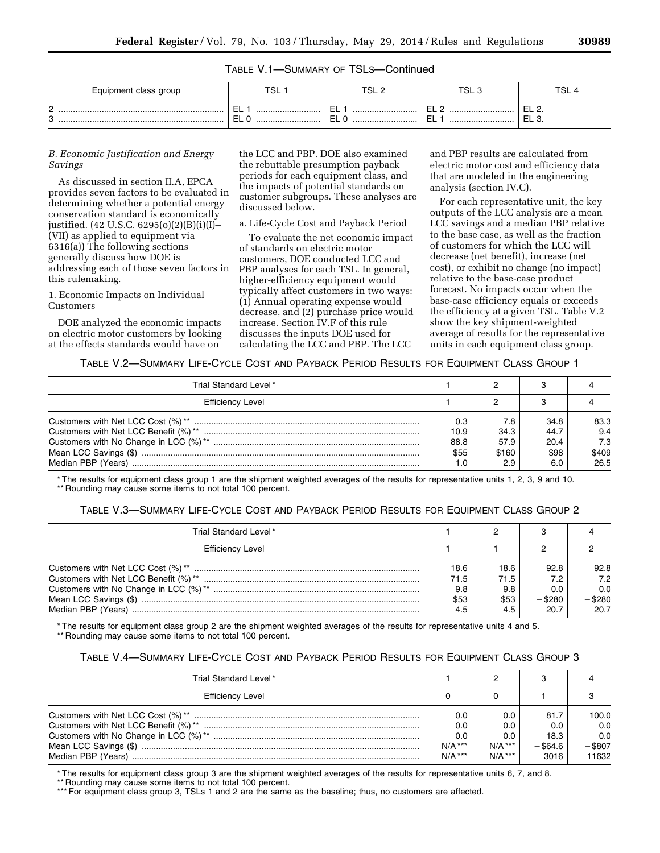| TABLE V.1-SUMMARY OF TSLS-Continued |  |  |
|-------------------------------------|--|--|
|                                     |  |  |

| Equipment class group | <b>TSL</b>       | TSL 2            | TSL 5                       | <b>TSL</b> |
|-----------------------|------------------|------------------|-----------------------------|------------|
| ⌒<br>_<br>C<br>ີ      | <br>--<br><br>-- | <br>--<br><br>-- | -<br><br>--<br>ــ<br><br>-- | ---<br>ᄂᄂᆞ |

#### *B. Economic Justification and Energy Savings*

As discussed in section II.A, EPCA provides seven factors to be evaluated in determining whether a potential energy conservation standard is economically justified. (42 U.S.C. 6295(o)(2)(B)(i)(I)– (VII) as applied to equipment via 6316(a)) The following sections generally discuss how DOE is addressing each of those seven factors in this rulemaking.

1. Economic Impacts on Individual Customers

DOE analyzed the economic impacts on electric motor customers by looking at the effects standards would have on

the LCC and PBP. DOE also examined the rebuttable presumption payback periods for each equipment class, and the impacts of potential standards on customer subgroups. These analyses are discussed below.

#### a. Life-Cycle Cost and Payback Period

To evaluate the net economic impact of standards on electric motor customers, DOE conducted LCC and PBP analyses for each TSL. In general, higher-efficiency equipment would typically affect customers in two ways: (1) Annual operating expense would decrease, and (2) purchase price would increase. Section IV.F of this rule discusses the inputs DOE used for calculating the LCC and PBP. The LCC

and PBP results are calculated from electric motor cost and efficiency data that are modeled in the engineering analysis (section IV.C).

For each representative unit, the key outputs of the LCC analysis are a mean LCC savings and a median PBP relative to the base case, as well as the fraction of customers for which the LCC will decrease (net benefit), increase (net cost), or exhibit no change (no impact) relative to the base-case product forecast. No impacts occur when the base-case efficiency equals or exceeds the efficiency at a given TSL. Table V.2 show the key shipment-weighted average of results for the representative units in each equipment class group.

## TABLE V.2—SUMMARY LIFE-CYCLE COST AND PAYBACK PERIOD RESULTS FOR EQUIPMENT CLASS GROUP 1

| Trial Standard Level*   |      |       |      |        |
|-------------------------|------|-------|------|--------|
| <b>Efficiency Level</b> |      |       |      |        |
|                         | 0.3  | 7.8   | 34.8 | 83.3   |
|                         | 10.9 | 34.3  | 44.7 | 9.4    |
|                         | 88.8 | 57.9  | 20.4 | 7.3    |
|                         | \$55 | \$160 | \$98 | -\$409 |
| Median PBP (Years)      |      |       | 6.0  | 26.5   |

\* The results for equipment class group 1 are the shipment weighted averages of the results for representative units 1, 2, 3, 9 and 10. \*\* Rounding may cause some items to not total 100 percent.

|  |  |  | TABLE V.3—SUMMARY LIFE-CYCLE COST AND PAYBACK PERIOD RESULTS FOR EQUIPMENT CLASS GROUP 2 |  |
|--|--|--|------------------------------------------------------------------------------------------|--|
|--|--|--|------------------------------------------------------------------------------------------|--|

| Trial Standard Level*   |                                    |                                    |                                         |                                         |
|-------------------------|------------------------------------|------------------------------------|-----------------------------------------|-----------------------------------------|
| <b>Efficiency Level</b> |                                    |                                    |                                         |                                         |
|                         | 18.6<br>71.5<br>9.8<br>\$53<br>4.5 | 18.6<br>71.5<br>9.8<br>\$53<br>4.5 | 92.8<br>7.2<br>0.0<br>$-$ \$280<br>20.7 | 92.8<br>7.2<br>0.0<br>$-$ \$280<br>20.7 |

\* The results for equipment class group 2 are the shipment weighted averages of the results for representative units 4 and 5. \*\* Rounding may cause some items to not total 100 percent.

## TABLE V.4—SUMMARY LIFE-CYCLE COST AND PAYBACK PERIOD RESULTS FOR EQUIPMENT CLASS GROUP 3

| Trial Standard Level*   |                  |                  |                    |                  |
|-------------------------|------------------|------------------|--------------------|------------------|
| <b>Efficiency Level</b> |                  |                  |                    |                  |
|                         | 0.0<br>0.0       | 0.0<br>0.0       | 81.7<br>0.0        | 100.0<br>0.0     |
|                         | 0.0<br>$N/A$ *** | 0.0<br>$N/A$ *** | 18.3<br>$-$ \$64.6 | 0.0<br>$-$ \$807 |
|                         | $N/A$ ***        | $N/A$ ***        | 3016               | 11632            |

The results for equipment class group 3 are the shipment weighted averages of the results for representative units 6, 7, and 8.

\*\* Rounding may cause some items to not total 100 percent.

\*\*\* For equipment class group 3, TSLs 1 and 2 are the same as the baseline; thus, no customers are affected.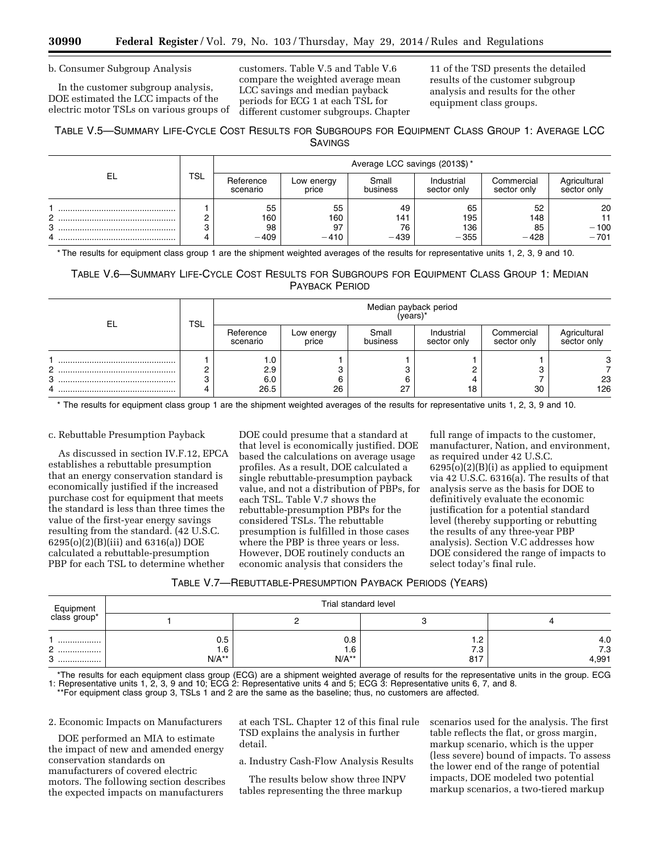b. Consumer Subgroup Analysis

In the customer subgroup analysis, DOE estimated the LCC impacts of the electric motor TSLs on various groups of customers. Table V.5 and Table V.6 compare the weighted average mean LCC savings and median payback periods for ECG 1 at each TSL for different customer subgroups. Chapter 11 of the TSD presents the detailed results of the customer subgroup analysis and results for the other equipment class groups.

## TABLE V.5—SUMMARY LIFE-CYCLE COST RESULTS FOR SUBGROUPS FOR EQUIPMENT CLASS GROUP 1: AVERAGE LCC SAVINGS

|    |     |                       |                     | Average LCC savings (2013\$)* |                           |                           |                             |
|----|-----|-----------------------|---------------------|-------------------------------|---------------------------|---------------------------|-----------------------------|
| EL | TSL | Reference<br>scenario | Low energy<br>price | Small<br>business             | Industrial<br>sector only | Commercial<br>sector only | Agricultural<br>sector only |
|    |     | 55                    | 55                  | 49                            | 65                        | 52                        | 20                          |
| ◠  |     | 160                   | 160                 | 141                           | 195                       | 148                       |                             |
| 3  |     | 98                    | 97                  | 76                            | 136                       | 85                        | $-100$                      |
| 4  |     | $-409$                | $-410$              | $-439$                        | $-355$                    | $-428$                    | $-701$                      |

\* The results for equipment class group 1 are the shipment weighted averages of the results for representative units 1, 2, 3, 9 and 10.

## TABLE V.6—SUMMARY LIFE-CYCLE COST RESULTS FOR SUBGROUPS FOR EQUIPMENT CLASS GROUP 1: MEDIAN PAYBACK PERIOD

| EL     | <b>TSL</b> | Median payback period<br>(years)* |                     |                   |                           |                           |                             |  |  |
|--------|------------|-----------------------------------|---------------------|-------------------|---------------------------|---------------------------|-----------------------------|--|--|
|        |            | Reference<br>scenario             | Low energy<br>price | Small<br>business | Industrial<br>sector only | Commercial<br>sector only | Agricultural<br>sector only |  |  |
| ◠<br>з |            | ı.u<br>2.9<br>6.0<br>26.5         | 6<br>26             | 27                | 18                        | 30                        | 23<br>126                   |  |  |

\* The results for equipment class group 1 are the shipment weighted averages of the results for representative units 1, 2, 3, 9 and 10.

#### c. Rebuttable Presumption Payback

As discussed in section IV.F.12, EPCA establishes a rebuttable presumption that an energy conservation standard is economically justified if the increased purchase cost for equipment that meets the standard is less than three times the value of the first-year energy savings resulting from the standard. (42 U.S.C. 6295(o)(2)(B)(iii) and 6316(a)) DOE calculated a rebuttable-presumption PBP for each TSL to determine whether

DOE could presume that a standard at that level is economically justified. DOE based the calculations on average usage profiles. As a result, DOE calculated a single rebuttable-presumption payback value, and not a distribution of PBPs, for each TSL. Table V.7 shows the rebuttable-presumption PBPs for the considered TSLs. The rebuttable presumption is fulfilled in those cases where the PBP is three years or less. However, DOE routinely conducts an economic analysis that considers the

full range of impacts to the customer, manufacturer, Nation, and environment, as required under 42 U.S.C. 6295(o)(2)(B)(i) as applied to equipment via 42 U.S.C. 6316(a). The results of that analysis serve as the basis for DOE to definitively evaluate the economic justification for a potential standard level (thereby supporting or rebutting the results of any three-year PBP analysis). Section V.C addresses how DOE considered the range of impacts to select today's final rule.

| TABLE V.7-REBUTTABLE-PRESUMPTION PAYBACK PERIODS (YEARS) |  |
|----------------------------------------------------------|--|
|----------------------------------------------------------|--|

|                                   |                | Trial standard level |            |              |
|-----------------------------------|----------------|----------------------|------------|--------------|
| Equipment<br>class group*         |                |                      |            |              |
|                                   | 0.5            | 0.8                  | .          | 4.0          |
| C<br><u>_</u><br>.<br>ີ<br>ت<br>. | 1.6<br>$N/A**$ | 1.6<br>$N/A**$       | 7.3<br>817 | 7.3<br>4,991 |

\*The results for each equipment class group (ECG) are a shipment weighted average of results for the representative units in the group. ECG 1: Representative units 1, 2, 3, 9 and 10; ECG 2: Representative units 4 and 5; ECG 3: Representative units 6, 7, and 8. \*\*For equipment class group 3, TSLs 1 and 2 are the same as the baseline; thus, no customers are affected.

2. Economic Impacts on Manufacturers

DOE performed an MIA to estimate the impact of new and amended energy conservation standards on manufacturers of covered electric motors. The following section describes the expected impacts on manufacturers

at each TSL. Chapter 12 of this final rule TSD explains the analysis in further detail.

a. Industry Cash-Flow Analysis Results

The results below show three INPV tables representing the three markup

scenarios used for the analysis. The first table reflects the flat, or gross margin, markup scenario, which is the upper (less severe) bound of impacts. To assess the lower end of the range of potential impacts, DOE modeled two potential markup scenarios, a two-tiered markup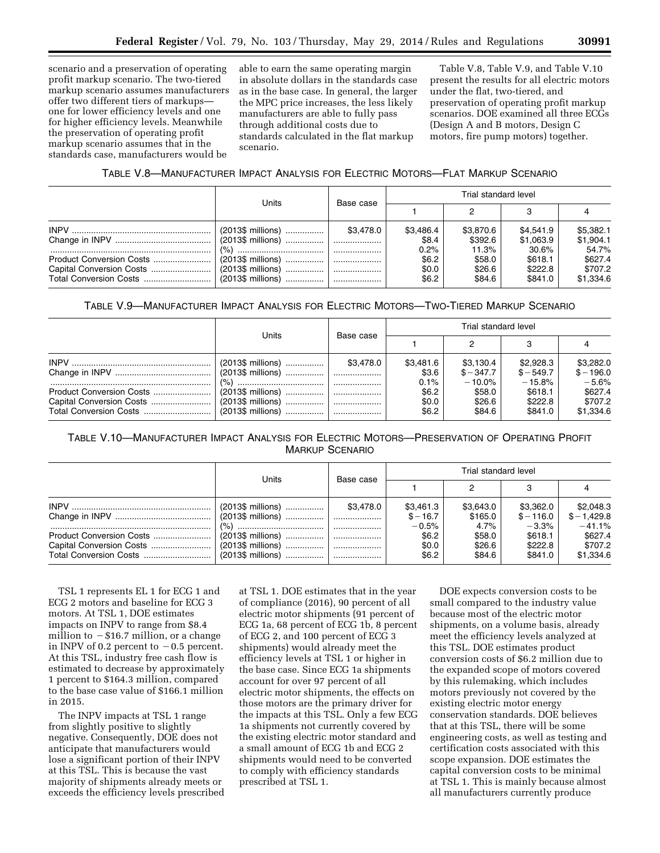scenario and a preservation of operating profit markup scenario. The two-tiered markup scenario assumes manufacturers offer two different tiers of markups one for lower efficiency levels and one for higher efficiency levels. Meanwhile the preservation of operating profit markup scenario assumes that in the standards case, manufacturers would be

able to earn the same operating margin in absolute dollars in the standards case as in the base case. In general, the larger the MPC price increases, the less likely manufacturers are able to fully pass through additional costs due to standards calculated in the flat markup scenario.

Table V.8, Table V.9, and Table V.10 present the results for all electric motors under the flat, two-tiered, and preservation of operating profit markup scenarios. DOE examined all three ECGs (Design A and B motors, Design C motors, fire pump motors) together.

## TABLE V.8—MANUFACTURER IMPACT ANALYSIS FOR ELECTRIC MOTORS—FLAT MARKUP SCENARIO

|                          | Units | Base case | Trial standard level       |                               |                                 |                                 |  |
|--------------------------|-------|-----------|----------------------------|-------------------------------|---------------------------------|---------------------------------|--|
|                          |       |           |                            |                               |                                 |                                 |  |
|                          |       | \$3.478.0 | \$3,486.4<br>\$8.4<br>0.2% | \$3,870.6<br>\$392.6<br>11.3% | \$4.541.9<br>\$1,063.9<br>30.6% | \$5,382.1<br>\$1,904.1<br>54.7% |  |
| Product Conversion Costs |       |           | \$6.2<br>\$0.0<br>\$6.2    | \$58.0<br>\$26.6<br>\$84.6    | \$618.1<br>\$222.8<br>\$841.0   | \$627.4<br>\$707.2<br>\$1,334.6 |  |

## TABLE V.9—MANUFACTURER IMPACT ANALYSIS FOR ELECTRIC MOTORS—TWO-TIERED MARKUP SCENARIO

|                                                    |                                          |           |                            | Trial standard level                 |                                     |                                     |
|----------------------------------------------------|------------------------------------------|-----------|----------------------------|--------------------------------------|-------------------------------------|-------------------------------------|
|                                                    | Units                                    | Base case |                            |                                      |                                     |                                     |
|                                                    | $(2013\$ millions)<br>$(2013\$ millions) | \$3.478.0 | \$3.481.6<br>\$3.6<br>0.1% | \$3,130.4<br>$$ -347.7$<br>$-10.0\%$ | \$2.928.3<br>$$ -549.7$<br>$-15.8%$ | \$3,282.0<br>$$ - 196.0$<br>$-5.6%$ |
| Product Conversion Costs<br>Total Conversion Costs |                                          |           | \$6.2<br>\$0.0<br>\$6.2    | \$58.0<br>\$26.6<br>\$84.6           | \$618.1<br>\$222.8<br>\$841.0       | \$627.4<br>\$707.2<br>\$1,334.6     |

# TABLE V.10—MANUFACTURER IMPACT ANALYSIS FOR ELECTRIC MOTORS—PRESERVATION OF OPERATING PROFIT MARKUP SCENARIO

|                          |                    |           |           | Trial standard level |             |               |
|--------------------------|--------------------|-----------|-----------|----------------------|-------------|---------------|
|                          | Units              | Base case |           |                      |             |               |
|                          | $(2013\$ millions) | \$3.478.0 | \$3,461.3 | \$3,643.0            | \$3,362.0   | \$2,048.3     |
|                          |                    |           | $$ -16.7$ | \$165.0              | $$ - 116.0$ | $$ - 1,429.8$ |
|                          |                    |           | $-0.5%$   | $4.7\%$              | $-3.3%$     | $-41.1%$      |
| Product Conversion Costs |                    |           | \$6.2     | \$58.0               | \$618.1     | \$627.4       |
|                          | $(2013\$ millions) |           | \$0.0     | \$26.6               | \$222.8     | \$707.2       |
|                          |                    |           | \$6.2     | \$84.6               | \$841.0     | \$1,334.6     |

TSL 1 represents EL 1 for ECG 1 and ECG 2 motors and baseline for ECG 3 motors. At TSL 1, DOE estimates impacts on INPV to range from \$8.4 million to  $-\$16.7$  million, or a change in INPV of 0.2 percent to  $-0.5$  percent. At this TSL, industry free cash flow is estimated to decrease by approximately 1 percent to \$164.3 million, compared to the base case value of \$166.1 million in 2015.

The INPV impacts at TSL 1 range from slightly positive to slightly negative. Consequently, DOE does not anticipate that manufacturers would lose a significant portion of their INPV at this TSL. This is because the vast majority of shipments already meets or exceeds the efficiency levels prescribed at TSL 1. DOE estimates that in the year of compliance (2016), 90 percent of all electric motor shipments (91 percent of ECG 1a, 68 percent of ECG 1b, 8 percent of ECG 2, and 100 percent of ECG 3 shipments) would already meet the efficiency levels at TSL 1 or higher in the base case. Since ECG 1a shipments account for over 97 percent of all electric motor shipments, the effects on those motors are the primary driver for the impacts at this TSL. Only a few ECG 1a shipments not currently covered by the existing electric motor standard and a small amount of ECG 1b and ECG 2 shipments would need to be converted to comply with efficiency standards prescribed at TSL 1.

DOE expects conversion costs to be small compared to the industry value because most of the electric motor shipments, on a volume basis, already meet the efficiency levels analyzed at this TSL. DOE estimates product conversion costs of \$6.2 million due to the expanded scope of motors covered by this rulemaking, which includes motors previously not covered by the existing electric motor energy conservation standards. DOE believes that at this TSL, there will be some engineering costs, as well as testing and certification costs associated with this scope expansion. DOE estimates the capital conversion costs to be minimal at TSL 1. This is mainly because almost all manufacturers currently produce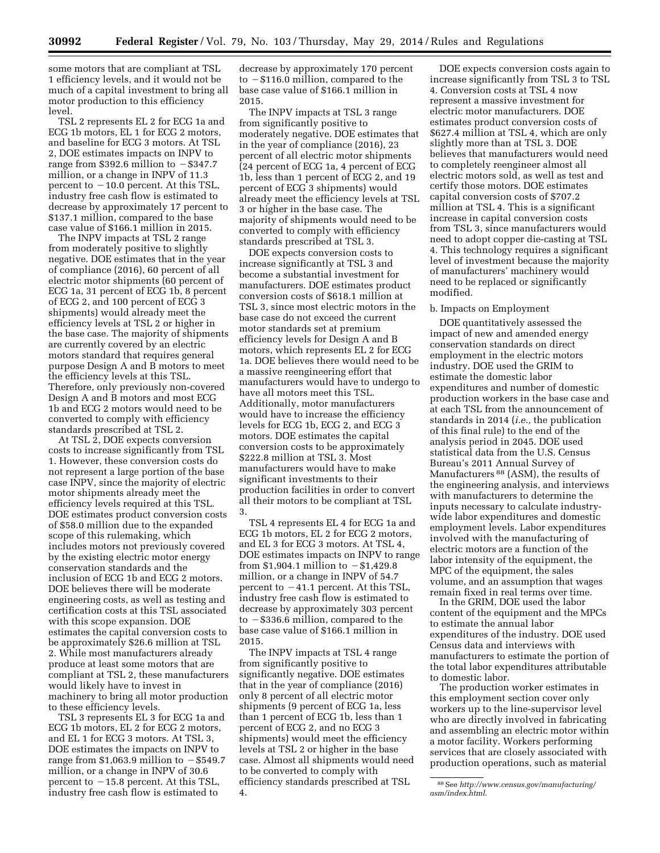some motors that are compliant at TSL 1 efficiency levels, and it would not be much of a capital investment to bring all motor production to this efficiency level.

TSL 2 represents EL 2 for ECG 1a and ECG 1b motors, EL 1 for ECG 2 motors, and baseline for ECG 3 motors. At TSL 2, DOE estimates impacts on INPV to range from \$392.6 million to  $-$  \$347.7 million, or a change in INPV of 11.3 percent to  $-10.0$  percent. At this TSL, industry free cash flow is estimated to decrease by approximately 17 percent to \$137.1 million, compared to the base case value of \$166.1 million in 2015.

The INPV impacts at TSL 2 range from moderately positive to slightly negative. DOE estimates that in the year of compliance (2016), 60 percent of all electric motor shipments (60 percent of ECG 1a, 31 percent of ECG 1b, 8 percent of ECG 2, and 100 percent of ECG 3 shipments) would already meet the efficiency levels at TSL 2 or higher in the base case. The majority of shipments are currently covered by an electric motors standard that requires general purpose Design A and B motors to meet the efficiency levels at this TSL. Therefore, only previously non-covered Design A and B motors and most ECG 1b and ECG 2 motors would need to be converted to comply with efficiency standards prescribed at TSL 2.

At TSL 2, DOE expects conversion costs to increase significantly from TSL 1. However, these conversion costs do not represent a large portion of the base case INPV, since the majority of electric motor shipments already meet the efficiency levels required at this TSL. DOE estimates product conversion costs of \$58.0 million due to the expanded scope of this rulemaking, which includes motors not previously covered by the existing electric motor energy conservation standards and the inclusion of ECG 1b and ECG 2 motors. DOE believes there will be moderate engineering costs, as well as testing and certification costs at this TSL associated with this scope expansion. DOE estimates the capital conversion costs to be approximately \$26.6 million at TSL 2. While most manufacturers already produce at least some motors that are compliant at TSL 2, these manufacturers would likely have to invest in machinery to bring all motor production to these efficiency levels.

TSL 3 represents EL 3 for ECG 1a and ECG 1b motors, EL 2 for ECG 2 motors, and EL 1 for ECG 3 motors. At TSL 3, DOE estimates the impacts on INPV to range from \$1,063.9 million to  $-$  \$549.7 million, or a change in INPV of 30.6 percent to  $-15.8$  percent. At this TSL, industry free cash flow is estimated to

decrease by approximately 170 percent to  $-$  \$116.0 million, compared to the base case value of \$166.1 million in 2015.

The INPV impacts at TSL 3 range from significantly positive to moderately negative. DOE estimates that in the year of compliance (2016), 23 percent of all electric motor shipments (24 percent of ECG 1a, 4 percent of ECG 1b, less than 1 percent of ECG 2, and 19 percent of ECG 3 shipments) would already meet the efficiency levels at TSL 3 or higher in the base case. The majority of shipments would need to be converted to comply with efficiency standards prescribed at TSL 3.

DOE expects conversion costs to increase significantly at TSL 3 and become a substantial investment for manufacturers. DOE estimates product conversion costs of \$618.1 million at TSL 3, since most electric motors in the base case do not exceed the current motor standards set at premium efficiency levels for Design A and B motors, which represents EL 2 for ECG 1a. DOE believes there would need to be a massive reengineering effort that manufacturers would have to undergo to have all motors meet this TSL. Additionally, motor manufacturers would have to increase the efficiency levels for ECG 1b, ECG 2, and ECG 3 motors. DOE estimates the capital conversion costs to be approximately \$222.8 million at TSL 3. Most manufacturers would have to make significant investments to their production facilities in order to convert all their motors to be compliant at TSL 3.

TSL 4 represents EL 4 for ECG 1a and ECG 1b motors, EL 2 for ECG 2 motors, and EL 3 for ECG 3 motors. At TSL 4, DOE estimates impacts on INPV to range from \$1,904.1 million to  $-$  \$1,429.8 million, or a change in INPV of 54.7 percent to  $-41.1$  percent. At this TSL, industry free cash flow is estimated to decrease by approximately 303 percent to  $-$ \$336.6 million, compared to the base case value of \$166.1 million in 2015.

The INPV impacts at TSL 4 range from significantly positive to significantly negative. DOE estimates that in the year of compliance (2016) only 8 percent of all electric motor shipments (9 percent of ECG 1a, less than 1 percent of ECG 1b, less than 1 percent of ECG 2, and no ECG 3 shipments) would meet the efficiency levels at TSL 2 or higher in the base case. Almost all shipments would need to be converted to comply with efficiency standards prescribed at TSL 4.

DOE expects conversion costs again to increase significantly from TSL 3 to TSL 4. Conversion costs at TSL 4 now represent a massive investment for electric motor manufacturers. DOE estimates product conversion costs of \$627.4 million at TSL 4, which are only slightly more than at TSL 3. DOE believes that manufacturers would need to completely reengineer almost all electric motors sold, as well as test and certify those motors. DOE estimates capital conversion costs of \$707.2 million at TSL 4. This is a significant increase in capital conversion costs from TSL 3, since manufacturers would need to adopt copper die-casting at TSL 4. This technology requires a significant level of investment because the majority of manufacturers' machinery would need to be replaced or significantly modified.

#### b. Impacts on Employment

DOE quantitatively assessed the impact of new and amended energy conservation standards on direct employment in the electric motors industry. DOE used the GRIM to estimate the domestic labor expenditures and number of domestic production workers in the base case and at each TSL from the announcement of standards in 2014 (*i.e.,* the publication of this final rule) to the end of the analysis period in 2045. DOE used statistical data from the U.S. Census Bureau's 2011 Annual Survey of Manufacturers 88 (ASM), the results of the engineering analysis, and interviews with manufacturers to determine the inputs necessary to calculate industrywide labor expenditures and domestic employment levels. Labor expenditures involved with the manufacturing of electric motors are a function of the labor intensity of the equipment, the MPC of the equipment, the sales volume, and an assumption that wages remain fixed in real terms over time.

In the GRIM, DOE used the labor content of the equipment and the MPCs to estimate the annual labor expenditures of the industry. DOE used Census data and interviews with manufacturers to estimate the portion of the total labor expenditures attributable to domestic labor.

The production worker estimates in this employment section cover only workers up to the line-supervisor level who are directly involved in fabricating and assembling an electric motor within a motor facility. Workers performing services that are closely associated with production operations, such as material

<sup>88</sup>See *[http://www.census.gov/manufacturing/](http://www.census.gov/manufacturing/asm/index.html) [asm/index.html.](http://www.census.gov/manufacturing/asm/index.html)*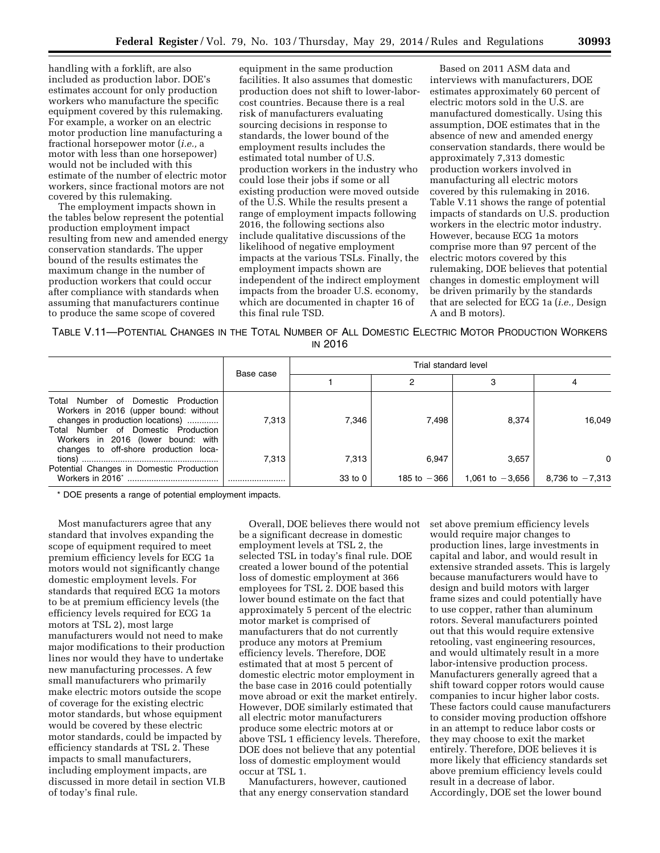handling with a forklift, are also included as production labor. DOE's estimates account for only production workers who manufacture the specific equipment covered by this rulemaking. For example, a worker on an electric motor production line manufacturing a fractional horsepower motor (*i.e.,* a motor with less than one horsepower) would not be included with this estimate of the number of electric motor workers, since fractional motors are not covered by this rulemaking.

The employment impacts shown in the tables below represent the potential production employment impact resulting from new and amended energy conservation standards. The upper bound of the results estimates the maximum change in the number of production workers that could occur after compliance with standards when assuming that manufacturers continue to produce the same scope of covered

equipment in the same production facilities. It also assumes that domestic production does not shift to lower-laborcost countries. Because there is a real risk of manufacturers evaluating sourcing decisions in response to standards, the lower bound of the employment results includes the estimated total number of U.S. production workers in the industry who could lose their jobs if some or all existing production were moved outside of the U.S. While the results present a range of employment impacts following 2016, the following sections also include qualitative discussions of the likelihood of negative employment impacts at the various TSLs. Finally, the employment impacts shown are independent of the indirect employment impacts from the broader U.S. economy, which are documented in chapter 16 of this final rule TSD.

Based on 2011 ASM data and interviews with manufacturers, DOE estimates approximately 60 percent of electric motors sold in the U.S. are manufactured domestically. Using this assumption, DOE estimates that in the absence of new and amended energy conservation standards, there would be approximately 7,313 domestic production workers involved in manufacturing all electric motors covered by this rulemaking in 2016. Table V.11 shows the range of potential impacts of standards on U.S. production workers in the electric motor industry. However, because ECG 1a motors comprise more than 97 percent of the electric motors covered by this rulemaking, DOE believes that potential changes in domestic employment will be driven primarily by the standards that are selected for ECG 1a (*i.e.,* Design A and B motors).

| TABLE V.11-POTENTIAL CHANGES IN THE TOTAL NUMBER OF ALL DOMESTIC ELECTRIC MOTOR PRODUCTION WORKERS |  |                |  |  |  |
|----------------------------------------------------------------------------------------------------|--|----------------|--|--|--|
|                                                                                                    |  | <b>IN 2016</b> |  |  |  |

|                                                                                                                                                                                                  |           |         | Trial standard level |                   |                   |
|--------------------------------------------------------------------------------------------------------------------------------------------------------------------------------------------------|-----------|---------|----------------------|-------------------|-------------------|
|                                                                                                                                                                                                  | Base case |         |                      |                   |                   |
| Number of Domestic Production<br>Total<br>Workers in 2016 (upper bound: without<br>changes in production locations)<br>Total Number of Domestic Production<br>Workers in 2016 (lower bound: with | 7.313     | 7.346   | 7.498                | 8,374             | 16,049            |
| changes to off-shore production loca-<br>Potential Changes in Domestic Production                                                                                                                | 7.313     | 7,313   | 6.947                | 3,657             | 0                 |
| Workers in 2016*                                                                                                                                                                                 |           | 33 to 0 | 185 to $-366$        | 1,061 to $-3,656$ | 8,736 to $-7,313$ |

\* DOE presents a range of potential employment impacts.

Most manufacturers agree that any standard that involves expanding the scope of equipment required to meet premium efficiency levels for ECG 1a motors would not significantly change domestic employment levels. For standards that required ECG 1a motors to be at premium efficiency levels (the efficiency levels required for ECG 1a motors at TSL 2), most large manufacturers would not need to make major modifications to their production lines nor would they have to undertake new manufacturing processes. A few small manufacturers who primarily make electric motors outside the scope of coverage for the existing electric motor standards, but whose equipment would be covered by these electric motor standards, could be impacted by efficiency standards at TSL 2. These impacts to small manufacturers, including employment impacts, are discussed in more detail in section VI.B of today's final rule.

Overall, DOE believes there would not be a significant decrease in domestic employment levels at TSL 2, the selected TSL in today's final rule. DOE created a lower bound of the potential loss of domestic employment at 366 employees for TSL 2. DOE based this lower bound estimate on the fact that approximately 5 percent of the electric motor market is comprised of manufacturers that do not currently produce any motors at Premium efficiency levels. Therefore, DOE estimated that at most 5 percent of domestic electric motor employment in the base case in 2016 could potentially move abroad or exit the market entirely. However, DOE similarly estimated that all electric motor manufacturers produce some electric motors at or above TSL 1 efficiency levels. Therefore, DOE does not believe that any potential loss of domestic employment would occur at TSL 1.

Manufacturers, however, cautioned that any energy conservation standard set above premium efficiency levels would require major changes to production lines, large investments in capital and labor, and would result in extensive stranded assets. This is largely because manufacturers would have to design and build motors with larger frame sizes and could potentially have to use copper, rather than aluminum rotors. Several manufacturers pointed out that this would require extensive retooling, vast engineering resources, and would ultimately result in a more labor-intensive production process. Manufacturers generally agreed that a shift toward copper rotors would cause companies to incur higher labor costs. These factors could cause manufacturers to consider moving production offshore in an attempt to reduce labor costs or they may choose to exit the market entirely. Therefore, DOE believes it is more likely that efficiency standards set above premium efficiency levels could result in a decrease of labor. Accordingly, DOE set the lower bound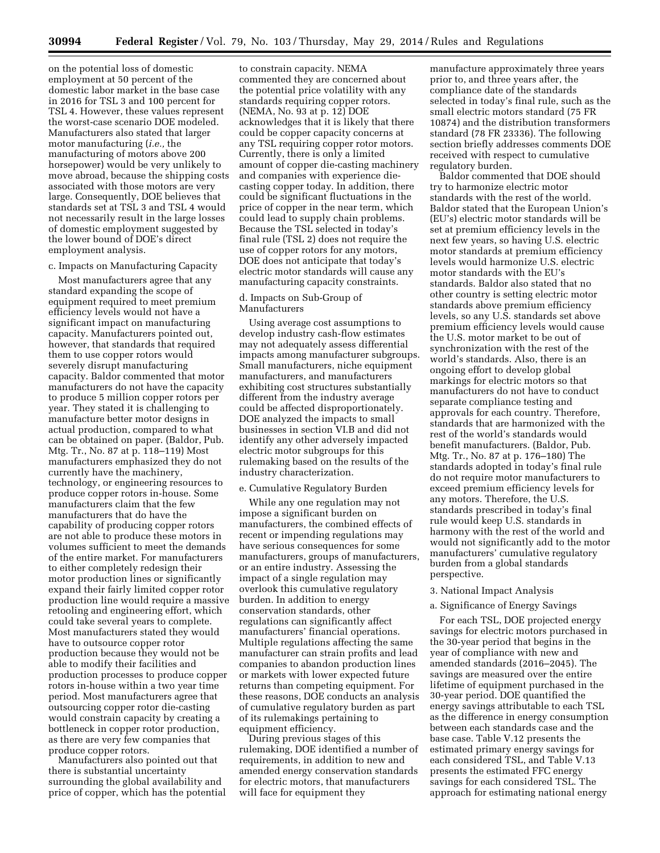on the potential loss of domestic employment at 50 percent of the domestic labor market in the base case in 2016 for TSL 3 and 100 percent for TSL 4. However, these values represent the worst-case scenario DOE modeled. Manufacturers also stated that larger motor manufacturing (*i.e.,* the manufacturing of motors above 200 horsepower) would be very unlikely to move abroad, because the shipping costs associated with those motors are very large. Consequently, DOE believes that standards set at TSL 3 and TSL 4 would not necessarily result in the large losses of domestic employment suggested by the lower bound of DOE's direct employment analysis.

#### c. Impacts on Manufacturing Capacity

Most manufacturers agree that any standard expanding the scope of equipment required to meet premium efficiency levels would not have a significant impact on manufacturing capacity. Manufacturers pointed out, however, that standards that required them to use copper rotors would severely disrupt manufacturing capacity. Baldor commented that motor manufacturers do not have the capacity to produce 5 million copper rotors per year. They stated it is challenging to manufacture better motor designs in actual production, compared to what can be obtained on paper. (Baldor, Pub. Mtg. Tr., No. 87 at p. 118–119) Most manufacturers emphasized they do not currently have the machinery, technology, or engineering resources to produce copper rotors in-house. Some manufacturers claim that the few manufacturers that do have the capability of producing copper rotors are not able to produce these motors in volumes sufficient to meet the demands of the entire market. For manufacturers to either completely redesign their motor production lines or significantly expand their fairly limited copper rotor production line would require a massive retooling and engineering effort, which could take several years to complete. Most manufacturers stated they would have to outsource copper rotor production because they would not be able to modify their facilities and production processes to produce copper rotors in-house within a two year time period. Most manufacturers agree that outsourcing copper rotor die-casting would constrain capacity by creating a bottleneck in copper rotor production, as there are very few companies that produce copper rotors.

Manufacturers also pointed out that there is substantial uncertainty surrounding the global availability and price of copper, which has the potential

to constrain capacity. NEMA commented they are concerned about the potential price volatility with any standards requiring copper rotors. (NEMA, No. 93 at p. 12) DOE acknowledges that it is likely that there could be copper capacity concerns at any TSL requiring copper rotor motors. Currently, there is only a limited amount of copper die-casting machinery and companies with experience diecasting copper today. In addition, there could be significant fluctuations in the price of copper in the near term, which could lead to supply chain problems. Because the TSL selected in today's final rule (TSL 2) does not require the use of copper rotors for any motors, DOE does not anticipate that today's electric motor standards will cause any manufacturing capacity constraints.

## d. Impacts on Sub-Group of Manufacturers

Using average cost assumptions to develop industry cash-flow estimates may not adequately assess differential impacts among manufacturer subgroups. Small manufacturers, niche equipment manufacturers, and manufacturers exhibiting cost structures substantially different from the industry average could be affected disproportionately. DOE analyzed the impacts to small businesses in section VI.B and did not identify any other adversely impacted electric motor subgroups for this rulemaking based on the results of the industry characterization.

#### e. Cumulative Regulatory Burden

While any one regulation may not impose a significant burden on manufacturers, the combined effects of recent or impending regulations may have serious consequences for some manufacturers, groups of manufacturers, or an entire industry. Assessing the impact of a single regulation may overlook this cumulative regulatory burden. In addition to energy conservation standards, other regulations can significantly affect manufacturers' financial operations. Multiple regulations affecting the same manufacturer can strain profits and lead companies to abandon production lines or markets with lower expected future returns than competing equipment. For these reasons, DOE conducts an analysis of cumulative regulatory burden as part of its rulemakings pertaining to equipment efficiency.

During previous stages of this rulemaking, DOE identified a number of requirements, in addition to new and amended energy conservation standards for electric motors, that manufacturers will face for equipment they

manufacture approximately three years prior to, and three years after, the compliance date of the standards selected in today's final rule, such as the small electric motors standard (75 FR 10874) and the distribution transformers standard (78 FR 23336). The following section briefly addresses comments DOE received with respect to cumulative regulatory burden.

Baldor commented that DOE should try to harmonize electric motor standards with the rest of the world. Baldor stated that the European Union's (EU's) electric motor standards will be set at premium efficiency levels in the next few years, so having U.S. electric motor standards at premium efficiency levels would harmonize U.S. electric motor standards with the EU's standards. Baldor also stated that no other country is setting electric motor standards above premium efficiency levels, so any U.S. standards set above premium efficiency levels would cause the U.S. motor market to be out of synchronization with the rest of the world's standards. Also, there is an ongoing effort to develop global markings for electric motors so that manufacturers do not have to conduct separate compliance testing and approvals for each country. Therefore, standards that are harmonized with the rest of the world's standards would benefit manufacturers. (Baldor, Pub. Mtg. Tr., No. 87 at p. 176–180) The standards adopted in today's final rule do not require motor manufacturers to exceed premium efficiency levels for any motors. Therefore, the U.S. standards prescribed in today's final rule would keep U.S. standards in harmony with the rest of the world and would not significantly add to the motor manufacturers' cumulative regulatory burden from a global standards perspective.

#### 3. National Impact Analysis

#### a. Significance of Energy Savings

For each TSL, DOE projected energy savings for electric motors purchased in the 30-year period that begins in the year of compliance with new and amended standards (2016–2045). The savings are measured over the entire lifetime of equipment purchased in the 30-year period. DOE quantified the energy savings attributable to each TSL as the difference in energy consumption between each standards case and the base case. Table V.12 presents the estimated primary energy savings for each considered TSL, and Table V.13 presents the estimated FFC energy savings for each considered TSL. The approach for estimating national energy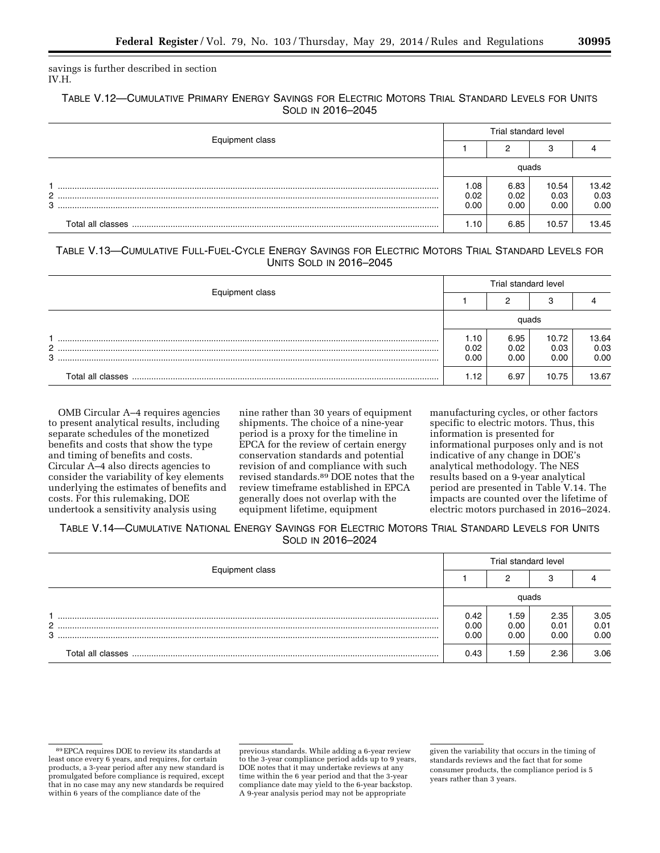savings is further described in section IV.H.

# TABLE V.12—CUMULATIVE PRIMARY ENERGY SAVINGS FOR ELECTRIC MOTORS TRIAL STANDARD LEVELS FOR UNITS SOLD IN 2016–2045

|                 | Trial standard level |                      |                       |                       |  |  |
|-----------------|----------------------|----------------------|-----------------------|-----------------------|--|--|
| Equipment class |                      |                      |                       |                       |  |  |
|                 |                      | quads                |                       |                       |  |  |
| 3               | .08<br>0.02<br>0.00  | 6.83<br>0.02<br>0.00 | 10.54<br>0.03<br>0.00 | 13.42<br>0.03<br>0.00 |  |  |
|                 | . 10.                | 6.85                 | 10.57                 | 13.45                 |  |  |

# TABLE V.13—CUMULATIVE FULL-FUEL-CYCLE ENERGY SAVINGS FOR ELECTRIC MOTORS TRIAL STANDARD LEVELS FOR UNITS SOLD IN 2016–2045

|                   |                      | Trial standard level |                       |                       |  |  |
|-------------------|----------------------|----------------------|-----------------------|-----------------------|--|--|
| Equipment class   |                      |                      |                       |                       |  |  |
|                   |                      | auads                |                       |                       |  |  |
| 2<br>3            | 1.10<br>0.02<br>0.00 | 6.95<br>0.02<br>0.00 | 10.72<br>0.03<br>0.00 | 13.64<br>0.03<br>0.00 |  |  |
| Total all classes | 1.12                 | 6.97                 | 10.75                 | 13.67                 |  |  |

OMB Circular A–4 requires agencies to present analytical results, including separate schedules of the monetized benefits and costs that show the type and timing of benefits and costs. Circular A–4 also directs agencies to consider the variability of key elements underlying the estimates of benefits and costs. For this rulemaking, DOE undertook a sensitivity analysis using

nine rather than 30 years of equipment shipments. The choice of a nine-year period is a proxy for the timeline in EPCA for the review of certain energy conservation standards and potential revision of and compliance with such revised standards.89 DOE notes that the review timeframe established in EPCA generally does not overlap with the equipment lifetime, equipment

manufacturing cycles, or other factors specific to electric motors. Thus, this information is presented for informational purposes only and is not indicative of any change in DOE's analytical methodology. The NES results based on a 9-year analytical period are presented in Table V.14. The impacts are counted over the lifetime of electric motors purchased in 2016–2024.

TABLE V.14—CUMULATIVE NATIONAL ENERGY SAVINGS FOR ELECTRIC MOTORS TRIAL STANDARD LEVELS FOR UNITS SOLD IN 2016–2024

| Equipment class |                      | Trial standard level |                      |                      |  |  |  |
|-----------------|----------------------|----------------------|----------------------|----------------------|--|--|--|
|                 |                      |                      |                      |                      |  |  |  |
|                 |                      | quads                |                      |                      |  |  |  |
| 2<br>3          | 0.42<br>0.00<br>0.00 | 1.59<br>0.00<br>0.00 | 2.35<br>0.01<br>0.00 | 3.05<br>0.01<br>0.00 |  |  |  |
|                 | 0.43                 | . .59                | 2.36                 | 3.06                 |  |  |  |

previous standards. While adding a 6-year review to the 3-year compliance period adds up to 9 years, DOE notes that it may undertake reviews at any time within the 6 year period and that the 3-year compliance date may yield to the 6-year backstop. A 9-year analysis period may not be appropriate

<sup>89</sup>EPCA requires DOE to review its standards at least once every 6 years, and requires, for certain products, a 3-year period after any new standard is promulgated before compliance is required, except that in no case may any new standards be required within 6 years of the compliance date of the

given the variability that occurs in the timing of standards reviews and the fact that for some consumer products, the compliance period is 5 years rather than 3 years.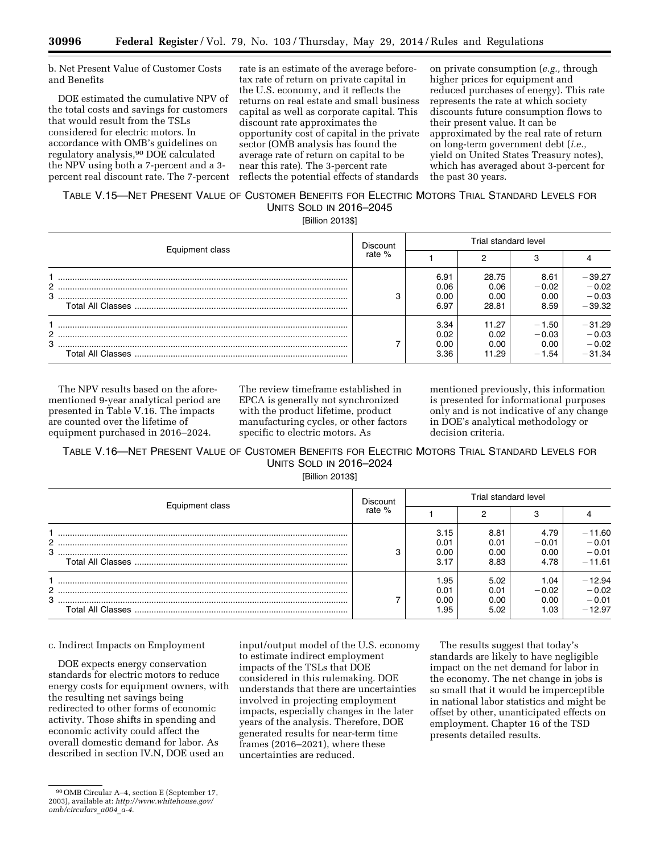b. Net Present Value of Customer Costs and Benefits

DOE estimated the cumulative NPV of the total costs and savings for customers that would result from the TSLs considered for electric motors. In accordance with OMB's guidelines on regulatory analysis,90 DOE calculated the NPV using both a 7-percent and a 3 percent real discount rate. The 7-percent

rate is an estimate of the average beforetax rate of return on private capital in the U.S. economy, and it reflects the returns on real estate and small business capital as well as corporate capital. This discount rate approximates the opportunity cost of capital in the private sector (OMB analysis has found the average rate of return on capital to be near this rate). The 3-percent rate reflects the potential effects of standards

on private consumption (*e.g.,* through higher prices for equipment and reduced purchases of energy). This rate represents the rate at which society discounts future consumption flows to their present value. It can be approximated by the real rate of return on long-term government debt (*i.e.,*  yield on United States Treasury notes), which has averaged about 3-percent for the past 30 years.

# TABLE V.15—NET PRESENT VALUE OF CUSTOMER BENEFITS FOR ELECTRIC MOTORS TRIAL STANDARD LEVELS FOR UNITS SOLD IN 2016–2045

[Billion 2013\$]

|   |                 | <b>Discount</b> | Trial standard level         |                                |                                       |                                            |  |
|---|-----------------|-----------------|------------------------------|--------------------------------|---------------------------------------|--------------------------------------------|--|
|   | Equipment class |                 |                              |                                |                                       |                                            |  |
| 3 |                 | C               | 6.91<br>0.06<br>0.00<br>6.97 | 28.75<br>0.06<br>0.00<br>28.81 | 8.61<br>$-0.02$<br>0.00<br>8.59       | $-39.27$<br>$-0.02$<br>$-0.03$<br>$-39.32$ |  |
| 3 |                 |                 | 3.34<br>0.02<br>0.00<br>3.36 | 11.27<br>0.02<br>0.00<br>11.29 | $-1.50$<br>$-0.03$<br>0.00<br>$-1.54$ | $-31.29$<br>$-0.03$<br>$-0.02$<br>$-31.34$ |  |

The NPV results based on the aforementioned 9-year analytical period are presented in Table V.16. The impacts are counted over the lifetime of equipment purchased in 2016–2024.

The review timeframe established in EPCA is generally not synchronized with the product lifetime, product manufacturing cycles, or other factors specific to electric motors. As

mentioned previously, this information is presented for informational purposes only and is not indicative of any change in DOE's analytical methodology or decision criteria.

TABLE V.16—NET PRESENT VALUE OF CUSTOMER BENEFITS FOR ELECTRIC MOTORS TRIAL STANDARD LEVELS FOR UNITS SOLD IN 2016–2024

[Billion 2013\$]

|                 | <b>Discount</b> | Trial standard level         |                              |                                 |                                            |  |
|-----------------|-----------------|------------------------------|------------------------------|---------------------------------|--------------------------------------------|--|
| Equipment class | rate %          |                              |                              |                                 |                                            |  |
| 3               | З               | 3.15<br>0.01<br>0.00<br>3.17 | 8.81<br>0.01<br>0.00<br>8.83 | 4.79<br>$-0.01$<br>0.00<br>4.78 | $-11.60$<br>$-0.01$<br>$-0.01$<br>$-11.61$ |  |
|                 |                 | l .95<br>0.01<br>0.00<br>.95 | 5.02<br>0.01<br>0.00<br>5.02 | 1.04<br>$-0.02$<br>0.00<br>L.O3 | $-12.94$<br>$-0.02$<br>$-0.01$<br>$-12.97$ |  |

c. Indirect Impacts on Employment

DOE expects energy conservation standards for electric motors to reduce energy costs for equipment owners, with the resulting net savings being redirected to other forms of economic activity. Those shifts in spending and economic activity could affect the overall domestic demand for labor. As described in section IV.N, DOE used an

input/output model of the U.S. economy to estimate indirect employment impacts of the TSLs that DOE considered in this rulemaking. DOE understands that there are uncertainties involved in projecting employment impacts, especially changes in the later years of the analysis. Therefore, DOE generated results for near-term time frames (2016–2021), where these uncertainties are reduced.

The results suggest that today's standards are likely to have negligible impact on the net demand for labor in the economy. The net change in jobs is so small that it would be imperceptible in national labor statistics and might be offset by other, unanticipated effects on employment. Chapter 16 of the TSD presents detailed results.

<sup>90</sup>OMB Circular A–4, section E (September 17, 2003), available at: *[http://www.whitehouse.gov/](http://www.whitehouse.gov/omb/circulars_a004_a-4) [omb/circulars](http://www.whitehouse.gov/omb/circulars_a004_a-4)*\_*a004*\_*a-4*.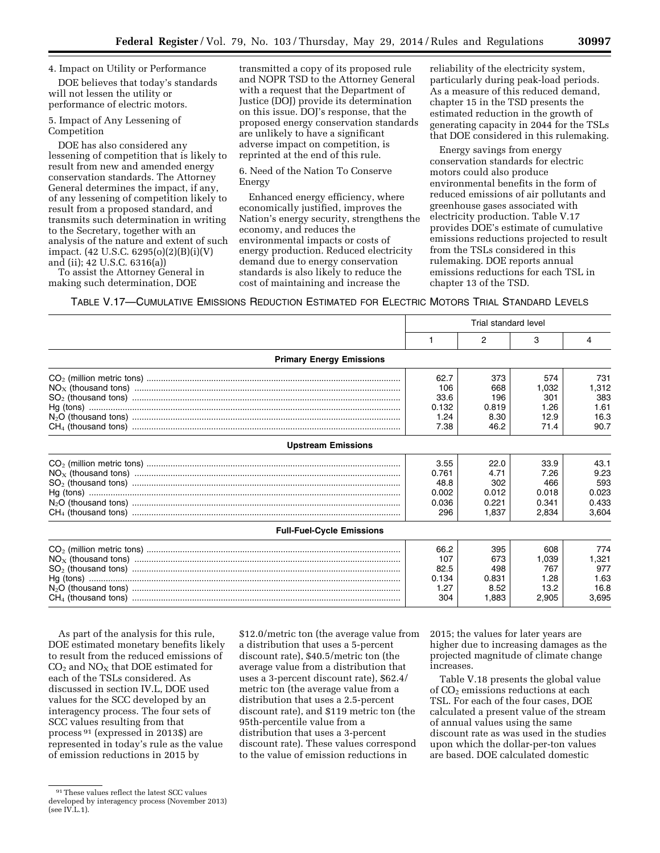## 4. Impact on Utility or Performance

DOE believes that today's standards will not lessen the utility or performance of electric motors.

5. Impact of Any Lessening of Competition

DOE has also considered any lessening of competition that is likely to result from new and amended energy conservation standards. The Attorney General determines the impact, if any, of any lessening of competition likely to result from a proposed standard, and transmits such determination in writing to the Secretary, together with an analysis of the nature and extent of such impact. (42 U.S.C. 6295(o)(2)(B)(i)(V) and (ii); 42 U.S.C. 6316(a))

To assist the Attorney General in making such determination, DOE

transmitted a copy of its proposed rule and NOPR TSD to the Attorney General with a request that the Department of Justice (DOJ) provide its determination on this issue. DOJ's response, that the proposed energy conservation standards are unlikely to have a significant adverse impact on competition, is reprinted at the end of this rule.

6. Need of the Nation To Conserve Energy

Enhanced energy efficiency, where economically justified, improves the Nation's energy security, strengthens the economy, and reduces the environmental impacts or costs of energy production. Reduced electricity demand due to energy conservation standards is also likely to reduce the cost of maintaining and increase the

reliability of the electricity system, particularly during peak-load periods. As a measure of this reduced demand, chapter 15 in the TSD presents the estimated reduction in the growth of generating capacity in 2044 for the TSLs that DOE considered in this rulemaking.

Energy savings from energy conservation standards for electric motors could also produce environmental benefits in the form of reduced emissions of air pollutants and greenhouse gases associated with electricity production. Table V.17 provides DOE's estimate of cumulative emissions reductions projected to result from the TSLs considered in this rulemaking. DOE reports annual emissions reductions for each TSL in chapter 13 of the TSD.

TABLE V.17—CUMULATIVE EMISSIONS REDUCTION ESTIMATED FOR ELECTRIC MOTORS TRIAL STANDARD LEVELS

|                                  | Trial standard level |       |       |       |
|----------------------------------|----------------------|-------|-------|-------|
|                                  |                      | 2     | 3     | 4     |
| <b>Primary Energy Emissions</b>  |                      |       |       |       |
|                                  | 62.7                 | 373   | 574   | 731   |
|                                  | 106                  | 668   | 1,032 | 1,312 |
|                                  | 33.6                 | 196   | 301   | 383   |
|                                  | 0.132                | 0.819 | 1.26  | 1.61  |
|                                  | 1.24                 | 8.30  | 12.9  | 16.3  |
|                                  | 7.38                 | 46.2  | 71.4  | 90.7  |
| <b>Upstream Emissions</b>        |                      |       |       |       |
|                                  | 3.55                 | 22.0  | 33.9  | 43.1  |
|                                  | 0.761                | 4.71  | 7.26  | 9.23  |
|                                  | 48.8                 | 302   | 466   | 593   |
|                                  | 0.002                | 0.012 | 0.018 | 0.023 |
|                                  | 0.036                | 0.221 | 0.341 | 0.433 |
|                                  | 296                  | 1.837 | 2,834 | 3,604 |
| <b>Full-Fuel-Cycle Emissions</b> |                      |       |       |       |
|                                  | 66.2                 | 395   | 608   | 774   |
|                                  | 107                  | 673   | 1.039 | 1,321 |
|                                  | 82.5                 | 498   | 767   | 977   |
|                                  | 0.134                | 0.831 | 1.28  | 1.63  |
|                                  | 1.27                 | 8.52  | 13.2  | 16.8  |
|                                  | 304                  | 1,883 | 2,905 | 3,695 |

As part of the analysis for this rule, DOE estimated monetary benefits likely to result from the reduced emissions of  $CO<sub>2</sub>$  and  $NO<sub>X</sub>$  that DOE estimated for each of the TSLs considered. As discussed in section IV.L, DOE used values for the SCC developed by an interagency process. The four sets of SCC values resulting from that process 91 (expressed in 2013\$) are represented in today's rule as the value of emission reductions in 2015 by

\$12.0/metric ton (the average value from a distribution that uses a 5-percent discount rate), \$40.5/metric ton (the average value from a distribution that uses a 3-percent discount rate), \$62.4/ metric ton (the average value from a distribution that uses a 2.5-percent discount rate), and \$119 metric ton (the 95th-percentile value from a distribution that uses a 3-percent discount rate). These values correspond to the value of emission reductions in

2015; the values for later years are higher due to increasing damages as the projected magnitude of climate change increases.

Table V.18 presents the global value of  $CO<sub>2</sub>$  emissions reductions at each TSL. For each of the four cases, DOE calculated a present value of the stream of annual values using the same discount rate as was used in the studies upon which the dollar-per-ton values are based. DOE calculated domestic

<sup>91</sup>These values reflect the latest SCC values developed by interagency process (November 2013) (see IV.L.1).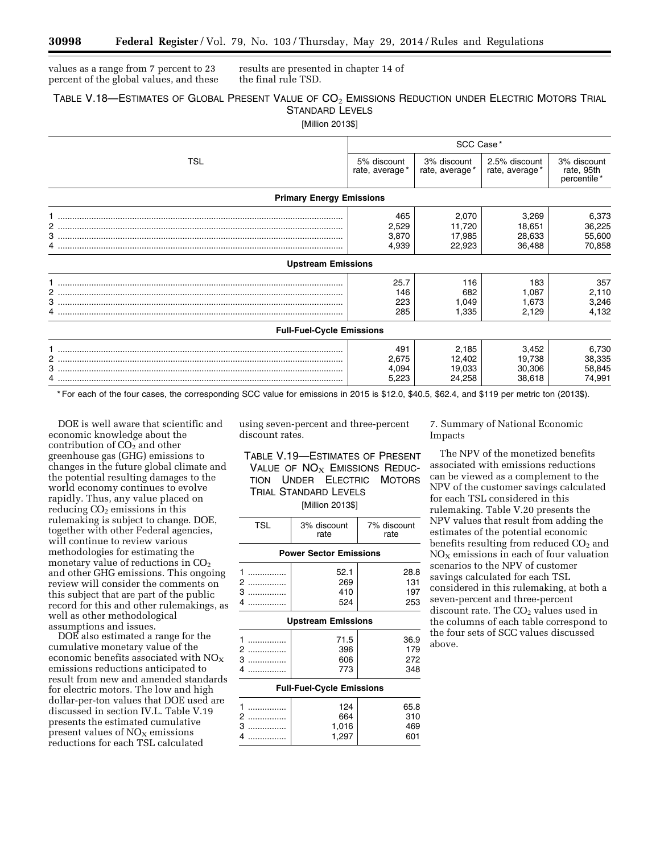values as a range from 7 percent to 23 percent of the global values, and these results are presented in chapter 14 of the final rule TSD.

# TABLE V.18—ESTIMATES OF GLOBAL PRESENT VALUE OF CO<sub>2</sub> EMISSIONS REDUCTION UNDER ELECTRIC MOTORS TRIAL STANDARD LEVELS

[Million 2013\$]

|                                  | SCC Case*                      |                                     |                                     |                                          |  |
|----------------------------------|--------------------------------|-------------------------------------|-------------------------------------|------------------------------------------|--|
| TSL                              | 5% discount<br>rate, average*  | 3% discount<br>rate, average*       | 2.5% discount<br>rate, average*     | 3% discount<br>rate, 95th<br>percentile* |  |
| <b>Primary Energy Emissions</b>  |                                |                                     |                                     |                                          |  |
|                                  | 465<br>2,529<br>3,870<br>4,939 | 2,070<br>11,720<br>17,985<br>22,923 | 3,269<br>18,651<br>28,633<br>36,488 | 6,373<br>36,225<br>55,600<br>70,858      |  |
| <b>Upstream Emissions</b>        |                                |                                     |                                     |                                          |  |
|                                  | 25.7<br>146<br>223<br>285      | 116<br>682<br>1,049<br>1,335        | 183<br>1,087<br>1,673<br>2,129      | 357<br>2,110<br>3,246<br>4,132           |  |
| <b>Full-Fuel-Cycle Emissions</b> |                                |                                     |                                     |                                          |  |
|                                  | 491<br>2,675<br>4,094<br>5,223 | 2,185<br>12,402<br>19,033<br>24,258 | 3,452<br>19,738<br>30,306<br>38,618 | 6,730<br>38,335<br>58,845<br>74,991      |  |

\* For each of the four cases, the corresponding SCC value for emissions in 2015 is \$12.0, \$40.5, \$62.4, and \$119 per metric ton (2013\$).

DOE is well aware that scientific and economic knowledge about the contribution of  $CO<sub>2</sub>$  and other greenhouse gas (GHG) emissions to changes in the future global climate and the potential resulting damages to the world economy continues to evolve rapidly. Thus, any value placed on  $reducing CO<sub>2</sub> emissions in this$ rulemaking is subject to change. DOE, together with other Federal agencies, will continue to review various methodologies for estimating the monetary value of reductions in  $CO<sub>2</sub>$ and other GHG emissions. This ongoing review will consider the comments on this subject that are part of the public record for this and other rulemakings, as well as other methodological assumptions and issues.

DOE also estimated a range for the cumulative monetary value of the economic benefits associated with  $NO_X$ emissions reductions anticipated to result from new and amended standards for electric motors. The low and high dollar-per-ton values that DOE used are discussed in section IV.L. Table V.19 presents the estimated cumulative present values of  $NO<sub>x</sub>$  emissions reductions for each TSL calculated

using seven-percent and three-percent discount rates.

TABLE V.19—ESTIMATES OF PRESENT VALUE OF  $NO<sub>x</sub>$  EMISSIONS REDUC-TION UNDER ELECTRIC MOTORS TRIAL STANDARD LEVELS

[Million 2013\$]

| <b>TSL</b>                    | 3% discount<br>rate | 7% discount<br>rate |  |  |  |  |  |
|-------------------------------|---------------------|---------------------|--|--|--|--|--|
| <b>Power Sector Emissions</b> |                     |                     |  |  |  |  |  |
|                               | 52.1                | 28.8<br>131         |  |  |  |  |  |

|  | . |
|--|---|

## **Upstream Emissions**

|         | 71.5 | 36.9 |
|---------|------|------|
| 2       | 396  | 179  |
| -3<br>. | 606  | 272  |
|         | 773  | 348  |

## **Full-Fuel-Cycle Emissions**

| 65.8 |
|------|
| 310  |
| 69   |
|      |
|      |

7. Summary of National Economic Impacts

The NPV of the monetized benefits associated with emissions reductions can be viewed as a complement to the NPV of the customer savings calculated for each TSL considered in this rulemaking. Table V.20 presents the NPV values that result from adding the estimates of the potential economic benefits resulting from reduced  $CO<sub>2</sub>$  and  $NO<sub>x</sub>$  emissions in each of four valuation scenarios to the NPV of customer savings calculated for each TSL considered in this rulemaking, at both a seven-percent and three-percent discount rate. The  $CO<sub>2</sub>$  values used in the columns of each table correspond to the four sets of SCC values discussed above.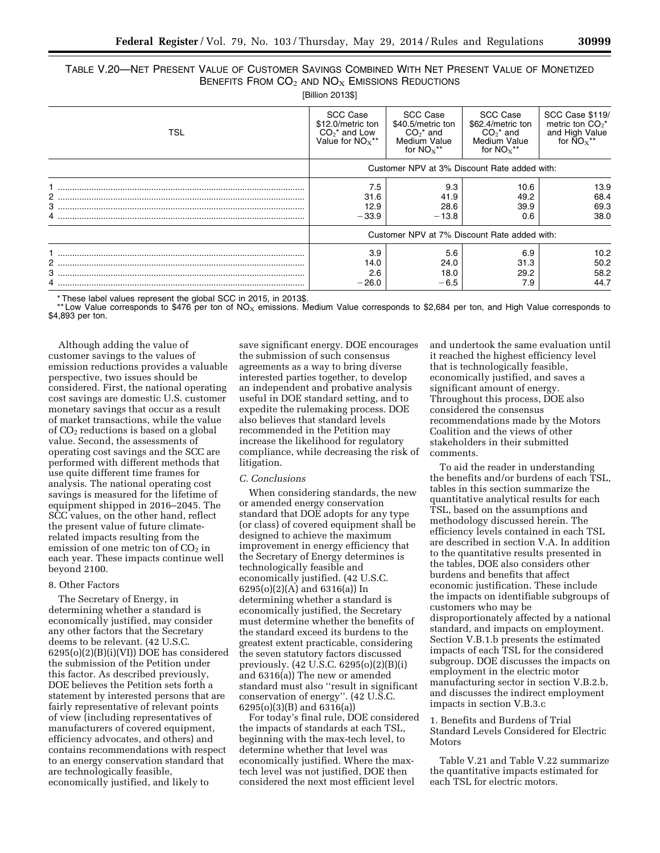# TABLE V.20—NET PRESENT VALUE OF CUSTOMER SAVINGS COMBINED WITH NET PRESENT VALUE OF MONETIZED BENEFITS FROM  $CO<sub>2</sub>$  and  $NO<sub>X</sub>$  Emissions Reductions

[Billion 2013\$]

| TSL | SCC Case<br>\$12.0/metric ton<br>$CO2*$ and Low<br>Value for $NOx**$ | SCC Case<br>\$40.5/metric ton<br>$CO2*$ and<br>Medium Value<br>for $NOx**$ | SCC Case<br>\$62.4/metric ton<br>$CO2$ * and<br>Medium Value<br>for $NOx**$ | SCC Case \$119/<br>metric ton $CO2^*$<br>and High Value<br>for $\text{NO}_X$ ** |
|-----|----------------------------------------------------------------------|----------------------------------------------------------------------------|-----------------------------------------------------------------------------|---------------------------------------------------------------------------------|
|     | Customer NPV at 3% Discount Rate added with:                         |                                                                            |                                                                             |                                                                                 |
| 2   | 7.5<br>31.6<br>12.9<br>$-33.9$                                       | 9.3<br>41.9<br>28.6<br>$-13.8$                                             | 10.6<br>49.2<br>39.9<br>0.6                                                 | 13.9<br>68.4<br>69.3<br>38.0                                                    |
|     |                                                                      | Customer NPV at 7% Discount Rate added with:                               |                                                                             |                                                                                 |
|     | 3.9<br>14.0<br>2.6<br>$-26.0$                                        | 5.6<br>24.0<br>18.0<br>$-6.5$                                              | 6.9<br>31.3<br>29.2<br>7.9                                                  | 10.2 <sub>2</sub><br>50.2<br>58.2<br>44.7                                       |

\* These label values represent the global SCC in 2015, in 2013\$.

\*\* Low Value corresponds to \$476 per ton of NO<sub>X</sub> emissions. Medium Value corresponds to \$2,684 per ton, and High Value corresponds to \$4,893 per ton.

Although adding the value of customer savings to the values of emission reductions provides a valuable perspective, two issues should be considered. First, the national operating cost savings are domestic U.S. customer monetary savings that occur as a result of market transactions, while the value of  $CO<sub>2</sub>$  reductions is based on a global value. Second, the assessments of operating cost savings and the SCC are performed with different methods that use quite different time frames for analysis. The national operating cost savings is measured for the lifetime of equipment shipped in 2016–2045. The SCC values, on the other hand, reflect the present value of future climaterelated impacts resulting from the emission of one metric ton of  $CO<sub>2</sub>$  in each year. These impacts continue well beyond 2100.

## 8. Other Factors

The Secretary of Energy, in determining whether a standard is economically justified, may consider any other factors that the Secretary deems to be relevant. (42 U.S.C. 6295(o)(2)(B)(i)(VI)) DOE has considered the submission of the Petition under this factor. As described previously, DOE believes the Petition sets forth a statement by interested persons that are fairly representative of relevant points of view (including representatives of manufacturers of covered equipment, efficiency advocates, and others) and contains recommendations with respect to an energy conservation standard that are technologically feasible, economically justified, and likely to

save significant energy. DOE encourages the submission of such consensus agreements as a way to bring diverse interested parties together, to develop an independent and probative analysis useful in DOE standard setting, and to expedite the rulemaking process. DOE also believes that standard levels recommended in the Petition may increase the likelihood for regulatory compliance, while decreasing the risk of litigation.

### *C. Conclusions*

When considering standards, the new or amended energy conservation standard that DOE adopts for any type (or class) of covered equipment shall be designed to achieve the maximum improvement in energy efficiency that the Secretary of Energy determines is technologically feasible and economically justified. (42 U.S.C. 6295(o)(2)(A) and 6316(a)) In determining whether a standard is economically justified, the Secretary must determine whether the benefits of the standard exceed its burdens to the greatest extent practicable, considering the seven statutory factors discussed previously. (42 U.S.C. 6295(o)(2)(B)(i) and 6316(a)) The new or amended standard must also ''result in significant conservation of energy''. (42 U.S.C. 6295(o)(3)(B) and 6316(a))

For today's final rule, DOE considered the impacts of standards at each TSL, beginning with the max-tech level, to determine whether that level was economically justified. Where the maxtech level was not justified, DOE then considered the next most efficient level

and undertook the same evaluation until it reached the highest efficiency level that is technologically feasible, economically justified, and saves a significant amount of energy. Throughout this process, DOE also considered the consensus recommendations made by the Motors Coalition and the views of other stakeholders in their submitted comments.

To aid the reader in understanding the benefits and/or burdens of each TSL, tables in this section summarize the quantitative analytical results for each TSL, based on the assumptions and methodology discussed herein. The efficiency levels contained in each TSL are described in section V.A. In addition to the quantitative results presented in the tables, DOE also considers other burdens and benefits that affect economic justification. These include the impacts on identifiable subgroups of customers who may be disproportionately affected by a national standard, and impacts on employment. Section V.B.1.b presents the estimated impacts of each TSL for the considered subgroup. DOE discusses the impacts on employment in the electric motor manufacturing sector in section V.B.2.b, and discusses the indirect employment impacts in section V.B.3.c

## 1. Benefits and Burdens of Trial Standard Levels Considered for Electric Motors

Table V.21 and Table V.22 summarize the quantitative impacts estimated for each TSL for electric motors.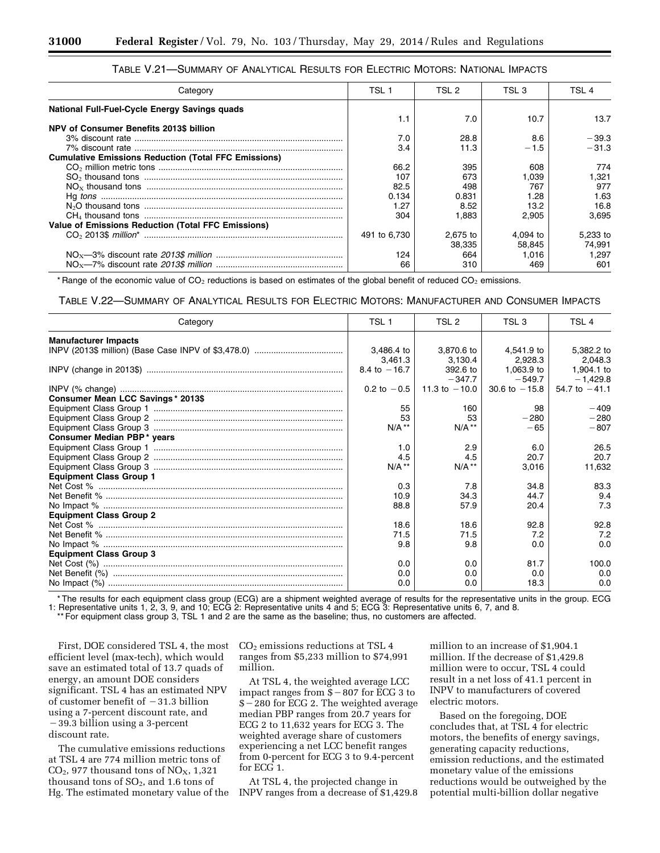| Category                                                    | TSL 1        | TSL 2    | TSL 3    | TSL 4    |
|-------------------------------------------------------------|--------------|----------|----------|----------|
| National Full-Fuel-Cycle Energy Savings quads               |              |          |          |          |
|                                                             | 1.1          | 7.0      | 10.7     | 13.7     |
| NPV of Consumer Benefits 2013\$ billion                     |              |          |          |          |
|                                                             | 7.0          | 28.8     | 8.6      | $-39.3$  |
|                                                             | 3.4          | 11.3     | $-1.5$   | $-31.3$  |
| <b>Cumulative Emissions Reduction (Total FFC Emissions)</b> |              |          |          |          |
|                                                             | 66.2         | 395      | 608      | 774      |
|                                                             | 107          | 673      | 1.039    | 321. ا   |
|                                                             | 82.5         | 498      | 767      | 977      |
|                                                             | 0.134        | 0.831    | 1.28     | 1.63     |
|                                                             | 1.27         | 8.52     | 13.2     | 16.8     |
|                                                             | 304          | 1.883    | 2.905    | 3.695    |
| <b>Value of Emissions Reduction (Total FFC Emissions)</b>   |              |          |          |          |
|                                                             | 491 to 6.730 | 2.675 to | 4.094 to | 5.233 to |
|                                                             |              | 38.335   | 58.845   | 74.991   |
|                                                             | 124          | 664      | 1.016    | 1.297    |
|                                                             | 66           | 310      | 469      | 601      |

## TABLE V.21—SUMMARY OF ANALYTICAL RESULTS FOR ELECTRIC MOTORS: NATIONAL IMPACTS

\* Range of the economic value of CO<sub>2</sub> reductions is based on estimates of the global benefit of reduced CO<sub>2</sub> emissions.

TABLE V.22—SUMMARY OF ANALYTICAL RESULTS FOR ELECTRIC MOTORS: MANUFACTURER AND CONSUMER IMPACTS

| Category                          | TSL <sub>1</sub> | TSL <sub>2</sub> | TSL 3           | TSL <sub>4</sub>         |
|-----------------------------------|------------------|------------------|-----------------|--------------------------|
| <b>Manufacturer Impacts</b>       |                  |                  |                 |                          |
|                                   | 3,486.4 to       | 3,870.6 to       | 4.541.9 to      | 5,382.2 to               |
|                                   | 3.461.3          | 3.130.4          | 2.928.3         | 2,048.3                  |
|                                   | 8.4 to $-16.7$   | 392.6 to         | 1,063.9 to      | 1,904.1 to               |
|                                   |                  | $-347.7$         | $-549.7$        | $-1,429.8$               |
|                                   | 0.2 to $-0.5$    | 11.3 to $-10.0$  | 30.6 to $-15.8$ | $54.7 \text{ to } -41.1$ |
| Consumer Mean LCC Savings* 2013\$ |                  |                  |                 |                          |
|                                   | 55               | 160              | 98              | $-409$                   |
|                                   | 53               | 53               | $-280$          | $-280$                   |
|                                   | $N/A$ **         | $N/A$ **         | $-65$           | $-807$                   |
| Consumer Median PBP* years        |                  |                  |                 |                          |
|                                   | 1.0              | 2.9              | 6.0             | 26.5                     |
|                                   | 4.5              | 4.5              | 20.7            | 20.7                     |
|                                   | $N/A$ **         | $N/A$ **         | 3,016           | 11,632                   |
| <b>Equipment Class Group 1</b>    |                  |                  |                 |                          |
|                                   | 0.3              | 7.8              | 34.8            | 83.3                     |
|                                   | 10.9             | 34.3             | 44.7            | 9.4                      |
|                                   | 88.8             | 57.9             | 20.4            | 7.3                      |
| <b>Equipment Class Group 2</b>    |                  |                  |                 |                          |
|                                   | 18.6             | 18.6             | 92.8            | 92.8                     |
|                                   | 71.5             | 71.5             | 7.2             | 7.2                      |
|                                   | 9.8              | 9.8              | 0.0             | 0.0                      |
| <b>Equipment Class Group 3</b>    |                  |                  |                 |                          |
|                                   | 0.0              | 0.0              | 81.7            | 100.0                    |
|                                   | 0.0              | 0.0              | 0.0             | 0.0                      |
|                                   | 0.0              | 0.0              | 18.3            | 0.0                      |

\* The results for each equipment class group (ECG) are a shipment weighted average of results for the representative units in the group. ECG 1: Representative units 1, 2, 3, 9, and 10; ECG 2: Representative units 4 and 5; ECG 3: Representative units 6, 7, and 8. \*\* For equipment class group 3, TSL 1 and 2 are the same as the baseline; thus, no customers are affected.

First, DOE considered TSL 4, the most efficient level (max-tech), which would save an estimated total of 13.7 quads of energy, an amount DOE considers significant. TSL 4 has an estimated NPV of customer benefit of  $-31.3$  billion using a 7-percent discount rate, and -39.3 billion using a 3-percent discount rate.

The cumulative emissions reductions at TSL 4 are 774 million metric tons of  $CO<sub>2</sub>$ , 977 thousand tons of  $NO<sub>X</sub>$ , 1,321 thousand tons of  $SO<sub>2</sub>$ , and 1.6 tons of Hg. The estimated monetary value of the CO2 emissions reductions at TSL 4 ranges from \$5,233 million to \$74,991 million.

At TSL 4, the weighted average LCC impact ranges from  $\frac{8}{8} - 807$  for ECG 3 to \$ - 280 for ECG 2. The weighted average median PBP ranges from 20.7 years for ECG 2 to 11,632 years for ECG 3. The weighted average share of customers experiencing a net LCC benefit ranges from 0-percent for ECG 3 to 9.4-percent for ECG 1.

At TSL 4, the projected change in INPV ranges from a decrease of \$1,429.8 million to an increase of \$1,904.1 million. If the decrease of \$1,429.8 million were to occur, TSL 4 could result in a net loss of 41.1 percent in INPV to manufacturers of covered electric motors.

Based on the foregoing, DOE concludes that, at TSL 4 for electric motors, the benefits of energy savings, generating capacity reductions, emission reductions, and the estimated monetary value of the emissions reductions would be outweighed by the potential multi-billion dollar negative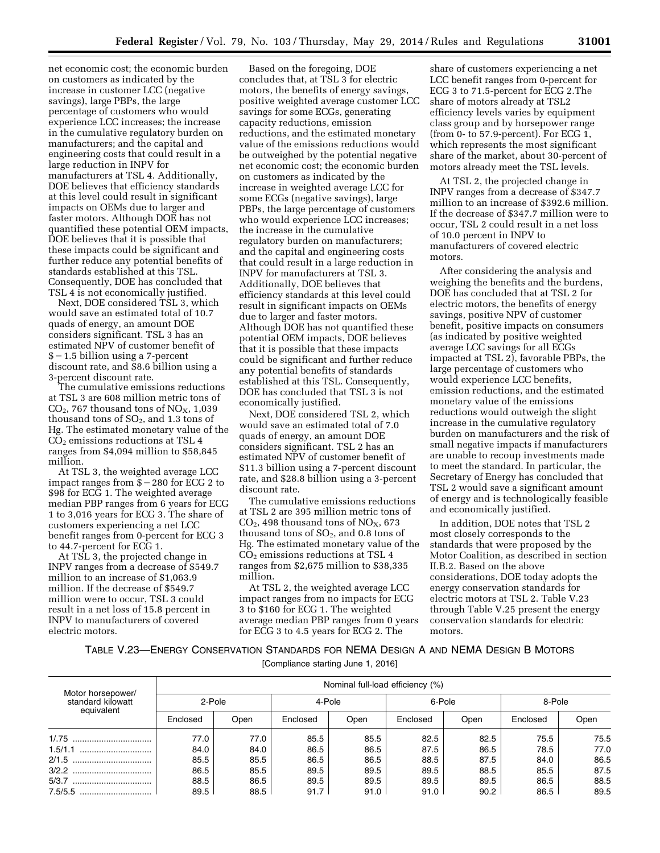net economic cost; the economic burden on customers as indicated by the increase in customer LCC (negative savings), large PBPs, the large percentage of customers who would experience LCC increases; the increase in the cumulative regulatory burden on manufacturers; and the capital and engineering costs that could result in a large reduction in INPV for manufacturers at TSL 4. Additionally, DOE believes that efficiency standards at this level could result in significant impacts on OEMs due to larger and faster motors. Although DOE has not quantified these potential OEM impacts, DOE believes that it is possible that these impacts could be significant and further reduce any potential benefits of standards established at this TSL. Consequently, DOE has concluded that TSL 4 is not economically justified.

Next, DOE considered TSL 3, which would save an estimated total of 10.7 quads of energy, an amount DOE considers significant. TSL 3 has an estimated NPV of customer benefit of  $$-1.5$  billion using a 7-percent discount rate, and \$8.6 billion using a 3-percent discount rate.

The cumulative emissions reductions at TSL 3 are 608 million metric tons of  $CO<sub>2</sub>$ , 767 thousand tons of  $NO<sub>X</sub>$ , 1,039 thousand tons of  $SO_2$ , and 1.3 tons of Hg. The estimated monetary value of the  $CO<sub>2</sub>$  emissions reductions at TSL 4 ranges from \$4,094 million to \$58,845 million.

At TSL 3, the weighted average LCC impact ranges from  $$-280$  for ECG 2 to \$98 for ECG 1. The weighted average median PBP ranges from 6 years for ECG 1 to 3,016 years for ECG 3. The share of customers experiencing a net LCC benefit ranges from 0-percent for ECG 3 to 44.7-percent for ECG 1.

At TSL 3, the projected change in INPV ranges from a decrease of \$549.7 million to an increase of \$1,063.9 million. If the decrease of \$549.7 million were to occur, TSL 3 could result in a net loss of 15.8 percent in INPV to manufacturers of covered electric motors.

Based on the foregoing, DOE concludes that, at TSL 3 for electric motors, the benefits of energy savings, positive weighted average customer LCC savings for some ECGs, generating capacity reductions, emission reductions, and the estimated monetary value of the emissions reductions would be outweighed by the potential negative net economic cost; the economic burden on customers as indicated by the increase in weighted average LCC for some ECGs (negative savings), large PBPs, the large percentage of customers who would experience LCC increases; the increase in the cumulative regulatory burden on manufacturers; and the capital and engineering costs that could result in a large reduction in INPV for manufacturers at TSL 3. Additionally, DOE believes that efficiency standards at this level could result in significant impacts on OEMs due to larger and faster motors. Although DOE has not quantified these potential OEM impacts, DOE believes that it is possible that these impacts could be significant and further reduce any potential benefits of standards established at this TSL. Consequently, DOE has concluded that TSL 3 is not economically justified.

Next, DOE considered TSL 2, which would save an estimated total of 7.0 quads of energy, an amount DOE considers significant. TSL 2 has an estimated NPV of customer benefit of \$11.3 billion using a 7-percent discount rate, and \$28.8 billion using a 3-percent discount rate.

The cumulative emissions reductions at TSL 2 are 395 million metric tons of  $CO<sub>2</sub>$ , 498 thousand tons of  $NO<sub>X</sub>$ , 673 thousand tons of  $SO_2$ , and 0.8 tons of Hg. The estimated monetary value of the CO2 emissions reductions at TSL 4 ranges from \$2,675 million to \$38,335 million.

At TSL 2, the weighted average LCC impact ranges from no impacts for ECG 3 to \$160 for ECG 1. The weighted average median PBP ranges from 0 years for ECG 3 to 4.5 years for ECG 2. The

share of customers experiencing a net LCC benefit ranges from 0-percent for ECG 3 to 71.5-percent for ECG 2.The share of motors already at TSL2 efficiency levels varies by equipment class group and by horsepower range (from 0- to 57.9-percent). For ECG 1, which represents the most significant share of the market, about 30-percent of motors already meet the TSL levels.

At TSL 2, the projected change in INPV ranges from a decrease of \$347.7 million to an increase of \$392.6 million. If the decrease of \$347.7 million were to occur, TSL 2 could result in a net loss of 10.0 percent in INPV to manufacturers of covered electric motors.

After considering the analysis and weighing the benefits and the burdens, DOE has concluded that at TSL 2 for electric motors, the benefits of energy savings, positive NPV of customer benefit, positive impacts on consumers (as indicated by positive weighted average LCC savings for all ECGs impacted at TSL 2), favorable PBPs, the large percentage of customers who would experience LCC benefits, emission reductions, and the estimated monetary value of the emissions reductions would outweigh the slight increase in the cumulative regulatory burden on manufacturers and the risk of small negative impacts if manufacturers are unable to recoup investments made to meet the standard. In particular, the Secretary of Energy has concluded that TSL 2 would save a significant amount of energy and is technologically feasible and economically justified.

In addition, DOE notes that TSL 2 most closely corresponds to the standards that were proposed by the Motor Coalition, as described in section II.B.2. Based on the above considerations, DOE today adopts the energy conservation standards for electric motors at TSL 2. Table V.23 through Table V.25 present the energy conservation standards for electric motors.

## TABLE V.23—ENERGY CONSERVATION STANDARDS FOR NEMA DESIGN A AND NEMA DESIGN B MOTORS [Compliance starting June 1, 2016]

| Motor horsepower/               | Nominal full-load efficiency (%) |      |          |      |          |      |          |      |  |  |
|---------------------------------|----------------------------------|------|----------|------|----------|------|----------|------|--|--|
| standard kilowatt<br>equivalent | 2-Pole                           |      | 4-Pole   |      | 6-Pole   |      | 8-Pole   |      |  |  |
|                                 | Enclosed                         | Open | Enclosed | Open | Enclosed | Open | Enclosed | Open |  |  |
|                                 | 77.0                             | 77.0 | 85.5     | 85.5 | 82.5     | 82.5 | 75.5     | 75.5 |  |  |
|                                 | 84.0                             | 84.0 | 86.5     | 86.5 | 87.5     | 86.5 | 78.5     | 77.0 |  |  |
|                                 | 85.5                             | 85.5 | 86.5     | 86.5 | 88.5     | 87.5 | 84.0     | 86.5 |  |  |
|                                 | 86.5                             | 85.5 | 89.5     | 89.5 | 89.5     | 88.5 | 85.5     | 87.5 |  |  |
|                                 | 88.5                             | 86.5 | 89.5     | 89.5 | 89.5     | 89.5 | 86.5     | 88.5 |  |  |
|                                 | 89.5                             | 88.5 | 91.7     | 91.0 | 91.0     | 90.2 | 86.5     | 89.5 |  |  |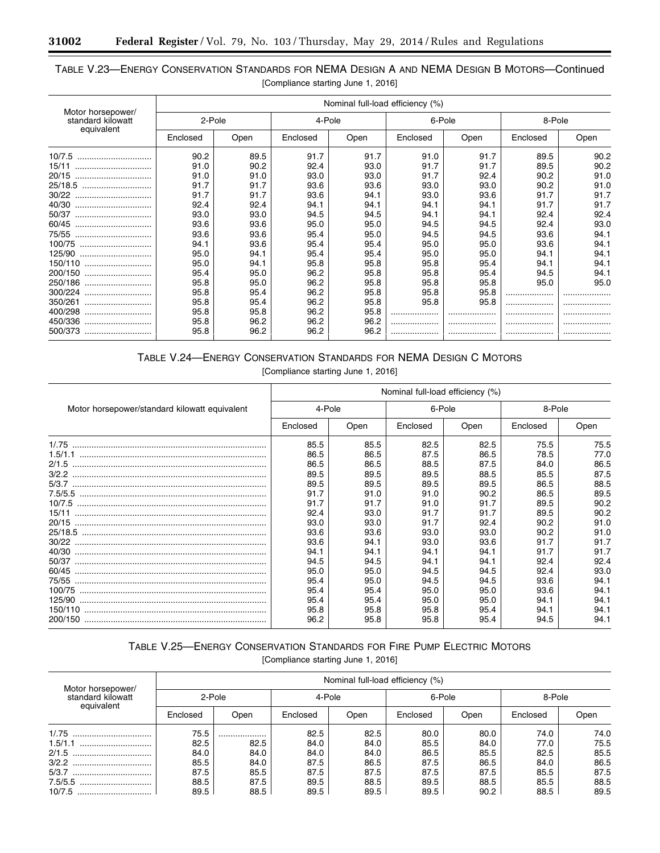۳

# TABLE V.23—ENERGY CONSERVATION STANDARDS FOR NEMA DESIGN A AND NEMA DESIGN B MOTORS—Continued [Compliance starting June 1, 2016]

| Motor horsepower/<br>standard kilowatt<br>equivalent |          | Nominal full-load efficiency (%) |          |      |          |      |          |      |  |
|------------------------------------------------------|----------|----------------------------------|----------|------|----------|------|----------|------|--|
|                                                      | 2-Pole   |                                  | 4-Pole   |      | 6-Pole   |      | 8-Pole   |      |  |
|                                                      | Enclosed | Open                             | Enclosed | Open | Enclosed | Open | Enclosed | Open |  |
| 10/7.5                                               | 90.2     | 89.5                             | 91.7     | 91.7 | 91.0     | 91.7 | 89.5     | 90.2 |  |
| 15/11                                                | 91.0     | 90.2                             | 92.4     | 93.0 | 91.7     | 91.7 | 89.5     | 90.2 |  |
| 20/15                                                | 91.0     | 91.0                             | 93.0     | 93.0 | 91.7     | 92.4 | 90.2     | 91.0 |  |
| 25/18.5                                              | 91.7     | 91.7                             | 93.6     | 93.6 | 93.0     | 93.0 | 90.2     | 91.0 |  |
| 30/22                                                | 91.7     | 91.7                             | 93.6     | 94.1 | 93.0     | 93.6 | 91.7     | 91.7 |  |
| 40/30                                                | 92.4     | 92.4                             | 94.1     | 94.1 | 94.1     | 94.1 | 91.7     | 91.7 |  |
| 50/37                                                | 93.0     | 93.0                             | 94.5     | 94.5 | 94.1     | 94.1 | 92.4     | 92.4 |  |
| 60/45                                                | 93.6     | 93.6                             | 95.0     | 95.0 | 94.5     | 94.5 | 92.4     | 93.0 |  |
| 75/55                                                | 93.6     | 93.6                             | 95.4     | 95.0 | 94.5     | 94.5 | 93.6     | 94.1 |  |
|                                                      | 94.1     | 93.6                             | 95.4     | 95.4 | 95.0     | 95.0 | 93.6     | 94.1 |  |
| 125/90                                               | 95.0     | 94.1                             | 95.4     | 95.4 | 95.0     | 95.0 | 94.1     | 94.1 |  |
|                                                      | 95.0     | 94.1                             | 95.8     | 95.8 | 95.8     | 95.4 | 94.1     | 94.1 |  |
| 200/150                                              | 95.4     | 95.0                             | 96.2     | 95.8 | 95.8     | 95.4 | 94.5     | 94.1 |  |
| 250/186                                              | 95.8     | 95.0                             | 96.2     | 95.8 | 95.8     | 95.8 | 95.0     | 95.0 |  |
| 300/224                                              | 95.8     | 95.4                             | 96.2     | 95.8 | 95.8     | 95.8 | .        |      |  |
| 350/261                                              | 95.8     | 95.4                             | 96.2     | 95.8 | 95.8     | 95.8 |          |      |  |
| 400/298<br>                                          | 95.8     | 95.8                             | 96.2     | 95.8 | .        | .    |          |      |  |
| 450/336                                              | 95.8     | 96.2                             | 96.2     | 96.2 |          |      |          |      |  |
| 500/373                                              | 95.8     | 96.2                             | 96.2     | 96.2 | .        | .    | .        |      |  |

# TABLE V.24—ENERGY CONSERVATION STANDARDS FOR NEMA DESIGN C MOTORS

[Compliance starting June 1, 2016]

|                                               | Nominal full-load efficiency (%) |              |              |              |              |              |  |
|-----------------------------------------------|----------------------------------|--------------|--------------|--------------|--------------|--------------|--|
| Motor horsepower/standard kilowatt equivalent | 4-Pole                           |              | 6-Pole       |              | 8-Pole       |              |  |
|                                               | Enclosed                         | Open         | Enclosed     | Open         | Enclosed     | Open         |  |
|                                               | 85.5<br>86.5                     | 85.5<br>86.5 | 82.5<br>87.5 | 82.5<br>86.5 | 75.5<br>78.5 | 75.5<br>77.0 |  |
|                                               | 86.5                             | 86.5         | 88.5         | 87.5         | 84.0         | 86.5         |  |
|                                               | 89.5<br>89.5                     | 89.5<br>89.5 | 89.5<br>89.5 | 88.5<br>89.5 | 85.5<br>86.5 | 87.5<br>88.5 |  |
|                                               | 91.7                             | 91.0         | 91.0         | 90.2         | 86.5         | 89.5         |  |
| 15/11                                         | 91.7<br>92.4                     | 91.7<br>93.0 | 91.0<br>91.7 | 91.7<br>91.7 | 89.5<br>89.5 | 90.2<br>90.2 |  |
| 20/15                                         | 93.0<br>93.6                     | 93.0<br>93.6 | 91.7<br>93.0 | 92.4<br>93.0 | 90.2<br>90.2 | 91.0<br>91.0 |  |
|                                               | 93.6                             | 94.1         | 93.0         | 93.6         | 91.7         | 91.7         |  |
| 40/30                                         | 94.1<br>94.5                     | 94.1<br>94.5 | 94.1<br>94.1 | 94.1<br>94.1 | 91.7<br>92.4 | 91.7<br>92.4 |  |
| 60/45                                         | 95.0                             | 95.0         | 94.5         | 94.5         | 92.4         | 93.0         |  |
| 75/55                                         | 95.4<br>95.4                     | 95.0<br>95.4 | 94.5<br>95.0 | 94.5<br>95.0 | 93.6<br>93.6 | 94.1<br>94.1 |  |
|                                               | 95.4                             | 95.4         | 95.0         | 95.0         | 94.1         | 94.1         |  |
|                                               | 95.8<br>96.2                     | 95.8<br>95.8 | 95.8<br>95.8 | 95.4<br>95.4 | 94.1<br>94.5 | 94.1<br>94.1 |  |

# TABLE V.25—ENERGY CONSERVATION STANDARDS FOR FIRE PUMP ELECTRIC MOTORS [Compliance starting June 1, 2016]

| Motor horsepower/<br>standard kilowatt<br>equivalent | Nominal full-load efficiency (%) |      |          |      |          |      |          |      |  |
|------------------------------------------------------|----------------------------------|------|----------|------|----------|------|----------|------|--|
|                                                      | 2-Pole                           |      | 4-Pole   |      | 6-Pole   |      | 8-Pole   |      |  |
|                                                      | Enclosed                         | Open | Enclosed | Open | Enclosed | Open | Enclosed | Open |  |
| 1/0.75                                               | 75.5                             |      | 82.5     | 82.5 | 80.0     | 80.0 | 74.0     | 74.0 |  |
| 1.5/1.1                                              | 82.5                             | 82.5 | 84.0     | 84.0 | 85.5     | 84.0 | 77.0     | 75.5 |  |
| 2/1.5<br>                                            | 84.0                             | 84.0 | 84.0     | 84.0 | 86.5     | 85.5 | 82.5     | 85.5 |  |
|                                                      | 85.5                             | 84.0 | 87.5     | 86.5 | 87.5     | 86.5 | 84.0     | 86.5 |  |
| 5/3.7                                                | 87.5                             | 85.5 | 87.5     | 87.5 | 87.5     | 87.5 | 85.5     | 87.5 |  |
| 7.5/5.5                                              | 88.5                             | 87.5 | 89.5     | 88.5 | 89.5     | 88.5 | 85.5     | 88.5 |  |
|                                                      | 89.5                             | 88.5 | 89.5     | 89.5 | 89.5     | 90.2 | 88.5     | 89.5 |  |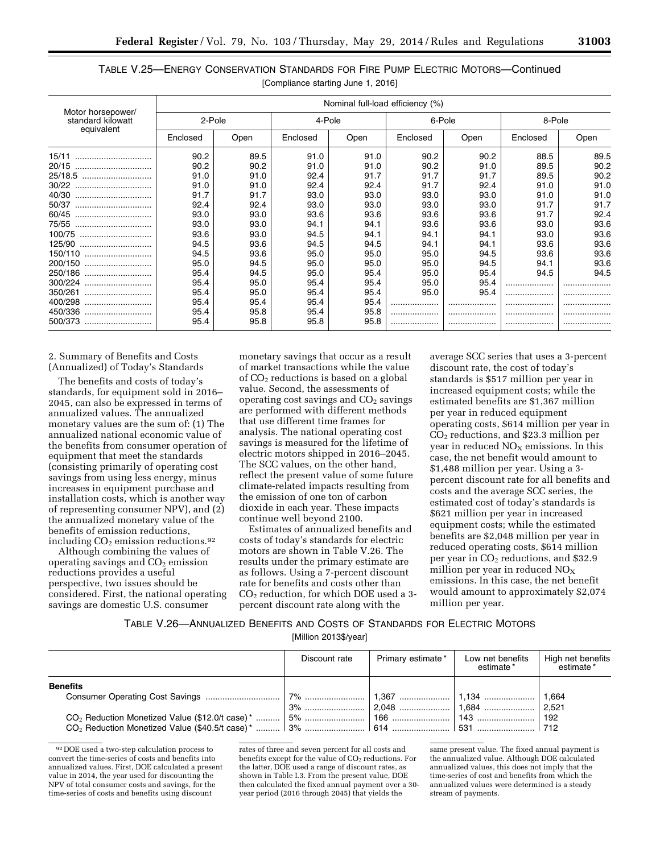| TABLE V.25—ENERGY CONSERVATION STANDARDS FOR FIRE PUMP ELECTRIC MOTORS—Continued |                                    |  |  |
|----------------------------------------------------------------------------------|------------------------------------|--|--|
|                                                                                  | [Compliance starting June 1, 2016] |  |  |

|                                                      | Nominal full-load efficiency (%) |      |          |      |          |      |          |      |  |
|------------------------------------------------------|----------------------------------|------|----------|------|----------|------|----------|------|--|
| Motor horsepower/<br>standard kilowatt<br>equivalent | 2-Pole                           |      | 4-Pole   |      | 6-Pole   |      | 8-Pole   |      |  |
|                                                      | Enclosed                         | Open | Enclosed | Open | Enclosed | Open | Enclosed | Open |  |
| 15/11<br>                                            | 90.2                             | 89.5 | 91.0     | 91.0 | 90.2     | 90.2 | 88.5     | 89.5 |  |
| 20/15                                                | 90.2                             | 90.2 | 91.0     | 91.0 | 90.2     | 91.0 | 89.5     | 90.2 |  |
| 25/18.5                                              | 91.0                             | 91.0 | 92.4     | 91.7 | 91.7     | 91.7 | 89.5     | 90.2 |  |
| 30/22                                                | 91.0                             | 91.0 | 92.4     | 92.4 | 91.7     | 92.4 | 91.0     | 91.0 |  |
| 40/30                                                | 91.7                             | 91.7 | 93.0     | 93.0 | 93.0     | 93.0 | 91.0     | 91.0 |  |
| 50/37                                                | 92.4                             | 92.4 | 93.0     | 93.0 | 93.0     | 93.0 | 91.7     | 91.7 |  |
| 60/45                                                | 93.0                             | 93.0 | 93.6     | 93.6 | 93.6     | 93.6 | 91.7     | 92.4 |  |
| 75/55                                                | 93.0                             | 93.0 | 94.1     | 94.1 | 93.6     | 93.6 | 93.0     | 93.6 |  |
| 100/75                                               | 93.6                             | 93.0 | 94.5     | 94.1 | 94.1     | 94.1 | 93.0     | 93.6 |  |
| 125/90                                               | 94.5                             | 93.6 | 94.5     | 94.5 | 94.1     | 94.1 | 93.6     | 93.6 |  |
| 150/110                                              | 94.5                             | 93.6 | 95.0     | 95.0 | 95.0     | 94.5 | 93.6     | 93.6 |  |
| 200/150                                              | 95.0                             | 94.5 | 95.0     | 95.0 | 95.0     | 94.5 | 94.1     | 93.6 |  |
| 250/186                                              | 95.4                             | 94.5 | 95.0     | 95.4 | 95.0     | 95.4 | 94.5     | 94.5 |  |
| 300/224                                              | 95.4                             | 95.0 | 95.4     | 95.4 | 95.0     | 95.4 |          |      |  |
| 350/261<br>                                          | 95.4                             | 95.0 | 95.4     | 95.4 | 95.0     | 95.4 | .        | .    |  |
| 400/298                                              | 95.4                             | 95.4 | 95.4     | 95.4 | .        |      |          | .    |  |
| 450/336                                              | 95.4                             | 95.8 | 95.4     | 95.8 | .        | .    | .        |      |  |
| 500/373                                              | 95.4                             | 95.8 | 95.8     | 95.8 | .        |      |          |      |  |

2. Summary of Benefits and Costs (Annualized) of Today's Standards

The benefits and costs of today's standards, for equipment sold in 2016– 2045, can also be expressed in terms of annualized values. The annualized monetary values are the sum of: (1) The annualized national economic value of the benefits from consumer operation of equipment that meet the standards (consisting primarily of operating cost savings from using less energy, minus increases in equipment purchase and installation costs, which is another way of representing consumer NPV), and (2) the annualized monetary value of the benefits of emission reductions, including  $CO<sub>2</sub>$  emission reductions.<sup>92</sup>

Although combining the values of operating savings and  $CO<sub>2</sub>$  emission reductions provides a useful perspective, two issues should be considered. First, the national operating savings are domestic U.S. consumer

monetary savings that occur as a result of market transactions while the value of CO2 reductions is based on a global value. Second, the assessments of operating cost savings and  $CO<sub>2</sub>$  savings are performed with different methods that use different time frames for analysis. The national operating cost savings is measured for the lifetime of electric motors shipped in 2016–2045. The SCC values, on the other hand, reflect the present value of some future climate-related impacts resulting from the emission of one ton of carbon dioxide in each year. These impacts continue well beyond 2100.

Estimates of annualized benefits and costs of today's standards for electric motors are shown in Table V.26. The results under the primary estimate are as follows. Using a 7-percent discount rate for benefits and costs other than CO2 reduction, for which DOE used a 3 percent discount rate along with the

average SCC series that uses a 3-percent discount rate, the cost of today's standards is \$517 million per year in increased equipment costs; while the estimated benefits are \$1,367 million per year in reduced equipment operating costs, \$614 million per year in  $CO<sub>2</sub>$  reductions, and \$23.3 million per year in reduced  $NO<sub>x</sub>$  emissions. In this case, the net benefit would amount to \$1,488 million per year. Using a 3 percent discount rate for all benefits and costs and the average SCC series, the estimated cost of today's standards is \$621 million per year in increased equipment costs; while the estimated benefits are \$2,048 million per year in reduced operating costs, \$614 million per year in CO2 reductions, and \$32.9 million per year in reduced  $NO<sub>x</sub>$ emissions. In this case, the net benefit would amount to approximately \$2,074 million per year.

## TABLE V.26—ANNUALIZED BENEFITS AND COSTS OF STANDARDS FOR ELECTRIC MOTORS

[Million 2013\$/year]

|                 | Discount rate | Primary estimate* | Low net benefits<br>estimate* | High net benefits<br>* estimate |
|-----------------|---------------|-------------------|-------------------------------|---------------------------------|
| <b>Benefits</b> |               |                   |                               |                                 |
|                 |               |                   |                               |                                 |
|                 |               |                   |                               |                                 |

92 DOE used a two-step calculation process to convert the time-series of costs and benefits into annualized values. First, DOE calculated a present value in 2014, the year used for discounting the NPV of total consumer costs and savings, for the time-series of costs and benefits using discount

rates of three and seven percent for all costs and benefits except for the value of CO<sub>2</sub> reductions. For the latter, DOE used a range of discount rates, as shown in Table I.3. From the present value, DOE then calculated the fixed annual payment over a 30 year period (2016 through 2045) that yields the

same present value. The fixed annual payment is the annualized value. Although DOE calculated annualized values, this does not imply that the time-series of cost and benefits from which the annualized values were determined is a steady stream of payments.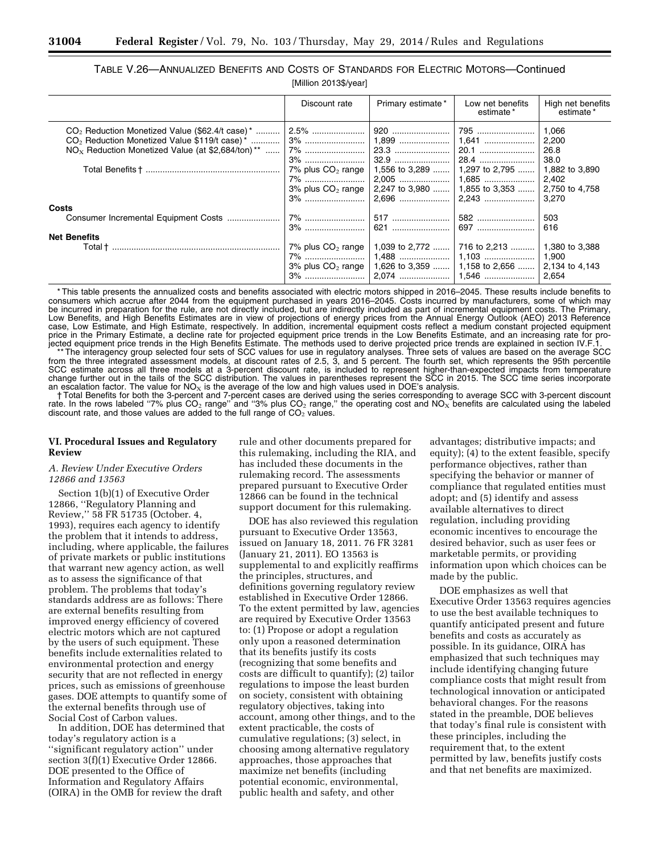|                                                                | Discount rate          | Primary estimate* | Low net benefits<br>estimate*                           | High net benefits<br>estimate* |
|----------------------------------------------------------------|------------------------|-------------------|---------------------------------------------------------|--------------------------------|
|                                                                |                        |                   | 795                                                     | 1,066                          |
| $CO2$ Reduction Monetized Value \$119/t case) *                | 3%                     |                   |                                                         | 2,200                          |
| $NOx$ Reduction Monetized Value (at \$2,684/ton) <sup>**</sup> | 7%                     |                   | 20.1                                                    | 26.8                           |
|                                                                |                        |                   | 28.4                                                    | 38.0                           |
|                                                                | 7% plus $CO2$ range    |                   | 1,556 to 3,289    1,297 to 2,795                        | 1,882 to 3,890                 |
|                                                                | $7\%$                  |                   |                                                         | 2,402                          |
|                                                                | $3\%$ plus $CO2$ range |                   | 2,247 to 3,980    1,855 to 3,353    2,750 to 4,758      |                                |
|                                                                |                        |                   |                                                         | 3,270                          |
| Costs                                                          |                        |                   |                                                         |                                |
|                                                                | 7%                     | 517    582        |                                                         | 503                            |
|                                                                |                        |                   |                                                         | 616                            |
| <b>Net Benefits</b>                                            |                        |                   |                                                         |                                |
|                                                                | 7% plus $CO2$ range    |                   | 1,039 to 2,772  716 to 2,213                            | 1.380 to 3.388                 |
|                                                                | 7%                     |                   |                                                         | 1,900                          |
|                                                                |                        |                   | 3% plus $CO_2$ range   1,626 to 3,359    1,158 to 2,656 | 2,134 to 4,143                 |
|                                                                |                        |                   |                                                         | 2,654                          |

# TABLE V.26—ANNUALIZED BENEFITS AND COSTS OF STANDARDS FOR ELECTRIC MOTORS—Continued [Million 2013\$/year]

\* This table presents the annualized costs and benefits associated with electric motors shipped in 2016–2045. These results include benefits to consumers which accrue after 2044 from the equipment purchased in years 2016–2045. Costs incurred by manufacturers, some of which may be incurred in preparation for the rule, are not directly included, but are indirectly included as part of incremental equipment costs. The Primary, Low Benefits, and High Benefits Estimates are in view of projections of energy prices from the Annual Energy Outlook (AEO) 2013 Reference case, Low Estimate, and High Estimate, respectively. In addition, incremental equipment costs reflect a medium constant projected equipment price in the Primary Estimate, a decline rate for projected equipment price trends in the Low Benefits Estimate, and an increasing rate for projected equipment price trends in the High Benefits Estimate. The methods used to derive projected price trends are explained in section IV.F.1.

\*\* The interagency group selected four sets of SCC values for use in regulatory analyses. Three sets of values are based on the average SCC from the three integrated assessment models, at discount rates of 2.5, 3, and 5 percent. The fourth set, which represents the 95th percentile SCC estimate across all three models at a 3-percent discount rate, is included to represent higher-than-expected impacts from temperature change further out in the tails of the SCC distribution. The values in parentheses represent the SCC in 2015. The SCC time series incorporate an escalation factor. The value for  $NO<sub>X</sub>$  is the average of the low and high values used in DOE's analysis.

† Total Benefits for both the 3-percent and 7-percent cases are derived using the series corresponding to average SCC with 3-percent discount rate. In the rows labeled "7% plus  $CO_2$  range" and "3% plus  $CO_2$  range," the operating cost and  $NO_x$  benefits are calculated using the labeled discount rate, and those values are added to the full range of  $CO<sub>2</sub>$  values.

## **VI. Procedural Issues and Regulatory Review**

## *A. Review Under Executive Orders 12866 and 13563*

Section 1(b)(1) of Executive Order 12866, ''Regulatory Planning and Review,'' 58 FR 51735 (October. 4, 1993), requires each agency to identify the problem that it intends to address, including, where applicable, the failures of private markets or public institutions that warrant new agency action, as well as to assess the significance of that problem. The problems that today's standards address are as follows: There are external benefits resulting from improved energy efficiency of covered electric motors which are not captured by the users of such equipment. These benefits include externalities related to environmental protection and energy security that are not reflected in energy prices, such as emissions of greenhouse gases. DOE attempts to quantify some of the external benefits through use of Social Cost of Carbon values.

In addition, DOE has determined that today's regulatory action is a ''significant regulatory action'' under section 3(f)(1) Executive Order 12866. DOE presented to the Office of Information and Regulatory Affairs (OIRA) in the OMB for review the draft

rule and other documents prepared for this rulemaking, including the RIA, and has included these documents in the rulemaking record. The assessments prepared pursuant to Executive Order 12866 can be found in the technical support document for this rulemaking.

DOE has also reviewed this regulation pursuant to Executive Order 13563, issued on January 18, 2011. 76 FR 3281 (January 21, 2011). EO 13563 is supplemental to and explicitly reaffirms the principles, structures, and definitions governing regulatory review established in Executive Order 12866. To the extent permitted by law, agencies are required by Executive Order 13563 to: (1) Propose or adopt a regulation only upon a reasoned determination that its benefits justify its costs (recognizing that some benefits and costs are difficult to quantify); (2) tailor regulations to impose the least burden on society, consistent with obtaining regulatory objectives, taking into account, among other things, and to the extent practicable, the costs of cumulative regulations; (3) select, in choosing among alternative regulatory approaches, those approaches that maximize net benefits (including potential economic, environmental, public health and safety, and other

advantages; distributive impacts; and equity); (4) to the extent feasible, specify performance objectives, rather than specifying the behavior or manner of compliance that regulated entities must adopt; and (5) identify and assess available alternatives to direct regulation, including providing economic incentives to encourage the desired behavior, such as user fees or marketable permits, or providing information upon which choices can be made by the public.

DOE emphasizes as well that Executive Order 13563 requires agencies to use the best available techniques to quantify anticipated present and future benefits and costs as accurately as possible. In its guidance, OIRA has emphasized that such techniques may include identifying changing future compliance costs that might result from technological innovation or anticipated behavioral changes. For the reasons stated in the preamble, DOE believes that today's final rule is consistent with these principles, including the requirement that, to the extent permitted by law, benefits justify costs and that net benefits are maximized.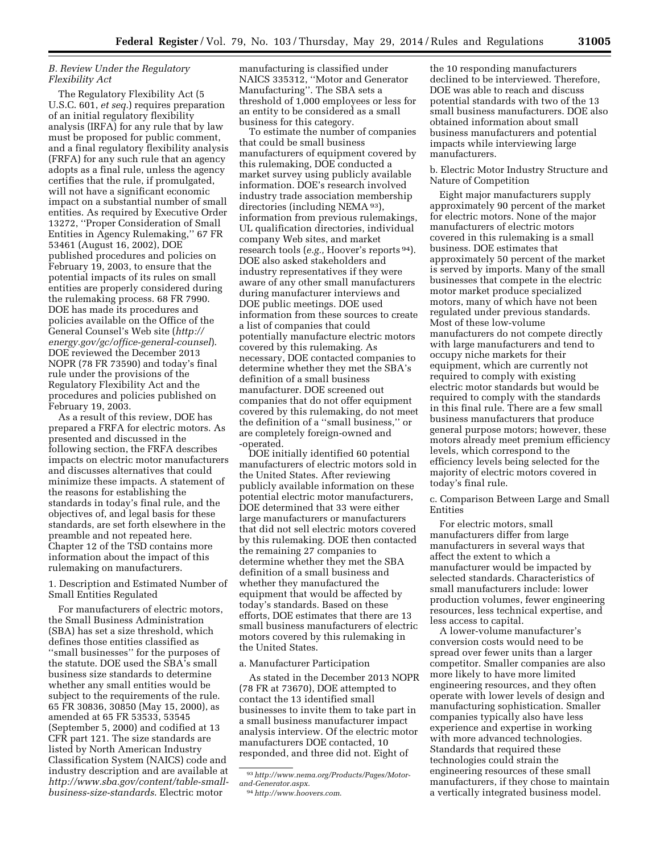## *B. Review Under the Regulatory Flexibility Act*

The Regulatory Flexibility Act (5 U.S.C. 601, *et seq.*) requires preparation of an initial regulatory flexibility analysis (IRFA) for any rule that by law must be proposed for public comment, and a final regulatory flexibility analysis (FRFA) for any such rule that an agency adopts as a final rule, unless the agency certifies that the rule, if promulgated, will not have a significant economic impact on a substantial number of small entities. As required by Executive Order 13272, ''Proper Consideration of Small Entities in Agency Rulemaking,'' 67 FR 53461 (August 16, 2002), DOE published procedures and policies on February 19, 2003, to ensure that the potential impacts of its rules on small entities are properly considered during the rulemaking process. 68 FR 7990. DOE has made its procedures and policies available on the Office of the General Counsel's Web site (*[http://](http://energy.gov/gc/office-general-counsel) [energy.gov/gc/office-general-counsel](http://energy.gov/gc/office-general-counsel)*). DOE reviewed the December 2013 NOPR (78 FR 73590) and today's final rule under the provisions of the Regulatory Flexibility Act and the procedures and policies published on February 19, 2003.

As a result of this review, DOE has prepared a FRFA for electric motors. As presented and discussed in the following section, the FRFA describes impacts on electric motor manufacturers and discusses alternatives that could minimize these impacts. A statement of the reasons for establishing the standards in today's final rule, and the objectives of, and legal basis for these standards, are set forth elsewhere in the preamble and not repeated here. Chapter 12 of the TSD contains more information about the impact of this rulemaking on manufacturers.

## 1. Description and Estimated Number of Small Entities Regulated

For manufacturers of electric motors, the Small Business Administration (SBA) has set a size threshold, which defines those entities classified as ''small businesses'' for the purposes of the statute. DOE used the SBA's small business size standards to determine whether any small entities would be subject to the requirements of the rule. 65 FR 30836, 30850 (May 15, 2000), as amended at 65 FR 53533, 53545 (September 5, 2000) and codified at 13 CFR part 121. The size standards are listed by North American Industry Classification System (NAICS) code and industry description and are available at *[http://www.sba.gov/content/table-small](http://www.sba.gov/content/table-small-business-size-standards)[business-size-standards](http://www.sba.gov/content/table-small-business-size-standards)*. Electric motor

manufacturing is classified under NAICS 335312, ''Motor and Generator Manufacturing''. The SBA sets a threshold of 1,000 employees or less for an entity to be considered as a small business for this category.

To estimate the number of companies that could be small business manufacturers of equipment covered by this rulemaking, DOE conducted a market survey using publicly available information. DOE's research involved industry trade association membership directories (including NEMA 93), information from previous rulemakings, UL qualification directories, individual company Web sites, and market research tools (*e.g.,* Hoover's reports 94). DOE also asked stakeholders and industry representatives if they were aware of any other small manufacturers during manufacturer interviews and DOE public meetings. DOE used information from these sources to create a list of companies that could potentially manufacture electric motors covered by this rulemaking. As necessary, DOE contacted companies to determine whether they met the SBA's definition of a small business manufacturer. DOE screened out companies that do not offer equipment covered by this rulemaking, do not meet the definition of a ''small business,'' or are completely foreign-owned and -operated.

DOE initially identified 60 potential manufacturers of electric motors sold in the United States. After reviewing publicly available information on these potential electric motor manufacturers, DOE determined that 33 were either large manufacturers or manufacturers that did not sell electric motors covered by this rulemaking. DOE then contacted the remaining 27 companies to determine whether they met the SBA definition of a small business and whether they manufactured the equipment that would be affected by today's standards. Based on these efforts, DOE estimates that there are 13 small business manufacturers of electric motors covered by this rulemaking in the United States.

#### a. Manufacturer Participation

As stated in the December 2013 NOPR (78 FR at 73670), DOE attempted to contact the 13 identified small businesses to invite them to take part in a small business manufacturer impact analysis interview. Of the electric motor manufacturers DOE contacted, 10 responded, and three did not. Eight of

the 10 responding manufacturers declined to be interviewed. Therefore, DOE was able to reach and discuss potential standards with two of the 13 small business manufacturers. DOE also obtained information about small business manufacturers and potential impacts while interviewing large manufacturers.

b. Electric Motor Industry Structure and Nature of Competition

Eight major manufacturers supply approximately 90 percent of the market for electric motors. None of the major manufacturers of electric motors covered in this rulemaking is a small business. DOE estimates that approximately 50 percent of the market is served by imports. Many of the small businesses that compete in the electric motor market produce specialized motors, many of which have not been regulated under previous standards. Most of these low-volume manufacturers do not compete directly with large manufacturers and tend to occupy niche markets for their equipment, which are currently not required to comply with existing electric motor standards but would be required to comply with the standards in this final rule. There are a few small business manufacturers that produce general purpose motors; however, these motors already meet premium efficiency levels, which correspond to the efficiency levels being selected for the majority of electric motors covered in today's final rule.

c. Comparison Between Large and Small Entities

For electric motors, small manufacturers differ from large manufacturers in several ways that affect the extent to which a manufacturer would be impacted by selected standards. Characteristics of small manufacturers include: lower production volumes, fewer engineering resources, less technical expertise, and less access to capital.

A lower-volume manufacturer's conversion costs would need to be spread over fewer units than a larger competitor. Smaller companies are also more likely to have more limited engineering resources, and they often operate with lower levels of design and manufacturing sophistication. Smaller companies typically also have less experience and expertise in working with more advanced technologies. Standards that required these technologies could strain the engineering resources of these small manufacturers, if they chose to maintain a vertically integrated business model.

<sup>93</sup>*[http://www.nema.org/Products/Pages/Motor](http://www.nema.org/Products/Pages/Motor-and-Generator.aspx)[and-Generator.aspx](http://www.nema.org/Products/Pages/Motor-and-Generator.aspx)*.

<sup>94</sup>*<http://www.hoovers.com>*.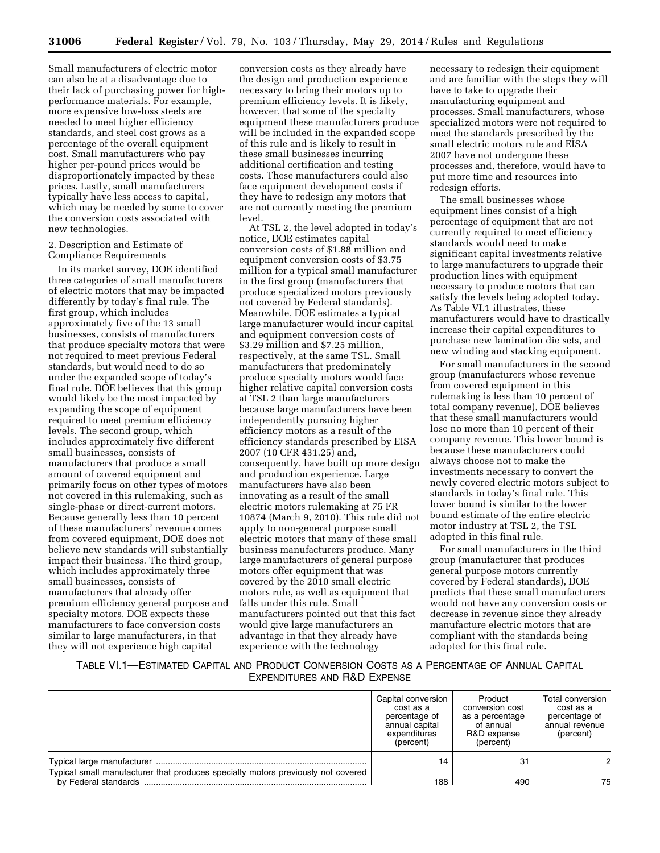Small manufacturers of electric motor can also be at a disadvantage due to their lack of purchasing power for highperformance materials. For example, more expensive low-loss steels are needed to meet higher efficiency standards, and steel cost grows as a percentage of the overall equipment cost. Small manufacturers who pay higher per-pound prices would be disproportionately impacted by these prices. Lastly, small manufacturers typically have less access to capital, which may be needed by some to cover the conversion costs associated with new technologies.

2. Description and Estimate of Compliance Requirements

In its market survey, DOE identified three categories of small manufacturers of electric motors that may be impacted differently by today's final rule. The first group, which includes approximately five of the 13 small businesses, consists of manufacturers that produce specialty motors that were not required to meet previous Federal standards, but would need to do so under the expanded scope of today's final rule. DOE believes that this group would likely be the most impacted by expanding the scope of equipment required to meet premium efficiency levels. The second group, which includes approximately five different small businesses, consists of manufacturers that produce a small amount of covered equipment and primarily focus on other types of motors not covered in this rulemaking, such as single-phase or direct-current motors. Because generally less than 10 percent of these manufacturers' revenue comes from covered equipment, DOE does not believe new standards will substantially impact their business. The third group, which includes approximately three small businesses, consists of manufacturers that already offer premium efficiency general purpose and specialty motors. DOE expects these manufacturers to face conversion costs similar to large manufacturers, in that they will not experience high capital

conversion costs as they already have the design and production experience necessary to bring their motors up to premium efficiency levels. It is likely, however, that some of the specialty equipment these manufacturers produce will be included in the expanded scope of this rule and is likely to result in these small businesses incurring additional certification and testing costs. These manufacturers could also face equipment development costs if they have to redesign any motors that are not currently meeting the premium level.

At TSL 2, the level adopted in today's notice, DOE estimates capital conversion costs of \$1.88 million and equipment conversion costs of \$3.75 million for a typical small manufacturer in the first group (manufacturers that produce specialized motors previously not covered by Federal standards). Meanwhile, DOE estimates a typical large manufacturer would incur capital and equipment conversion costs of \$3.29 million and \$7.25 million, respectively, at the same TSL. Small manufacturers that predominately produce specialty motors would face higher relative capital conversion costs at TSL 2 than large manufacturers because large manufacturers have been independently pursuing higher efficiency motors as a result of the efficiency standards prescribed by EISA 2007 (10 CFR 431.25) and, consequently, have built up more design and production experience. Large manufacturers have also been innovating as a result of the small electric motors rulemaking at 75 FR 10874 (March 9, 2010). This rule did not apply to non-general purpose small electric motors that many of these small business manufacturers produce. Many large manufacturers of general purpose motors offer equipment that was covered by the 2010 small electric motors rule, as well as equipment that falls under this rule. Small manufacturers pointed out that this fact would give large manufacturers an advantage in that they already have experience with the technology

necessary to redesign their equipment and are familiar with the steps they will have to take to upgrade their manufacturing equipment and processes. Small manufacturers, whose specialized motors were not required to meet the standards prescribed by the small electric motors rule and EISA 2007 have not undergone these processes and, therefore, would have to put more time and resources into redesign efforts.

The small businesses whose equipment lines consist of a high percentage of equipment that are not currently required to meet efficiency standards would need to make significant capital investments relative to large manufacturers to upgrade their production lines with equipment necessary to produce motors that can satisfy the levels being adopted today. As Table VI.1 illustrates, these manufacturers would have to drastically increase their capital expenditures to purchase new lamination die sets, and new winding and stacking equipment.

For small manufacturers in the second group (manufacturers whose revenue from covered equipment in this rulemaking is less than 10 percent of total company revenue), DOE believes that these small manufacturers would lose no more than 10 percent of their company revenue. This lower bound is because these manufacturers could always choose not to make the investments necessary to convert the newly covered electric motors subject to standards in today's final rule. This lower bound is similar to the lower bound estimate of the entire electric motor industry at TSL 2, the TSL adopted in this final rule.

For small manufacturers in the third group (manufacturer that produces general purpose motors currently covered by Federal standards), DOE predicts that these small manufacturers would not have any conversion costs or decrease in revenue since they already manufacture electric motors that are compliant with the standards being adopted for this final rule.

TABLE VI.1—ESTIMATED CAPITAL AND PRODUCT CONVERSION COSTS AS A PERCENTAGE OF ANNUAL CAPITAL EXPENDITURES AND R&D EXPENSE

|                                                                                  | Capital conversion<br>cost as a<br>percentage of<br>annual capital<br>expenditures<br>(percent) | Product<br>conversion cost<br>as a percentage<br>of annual<br>R&D expense<br>(percent) | Total conversion<br>cost as a<br>percentage of<br>annual revenue<br>(percent) |
|----------------------------------------------------------------------------------|-------------------------------------------------------------------------------------------------|----------------------------------------------------------------------------------------|-------------------------------------------------------------------------------|
| Typical small manufacturer that produces specialty motors previously not covered | 14                                                                                              | 31                                                                                     | 2                                                                             |
| by Federal standards                                                             | 188                                                                                             | 490                                                                                    | 75                                                                            |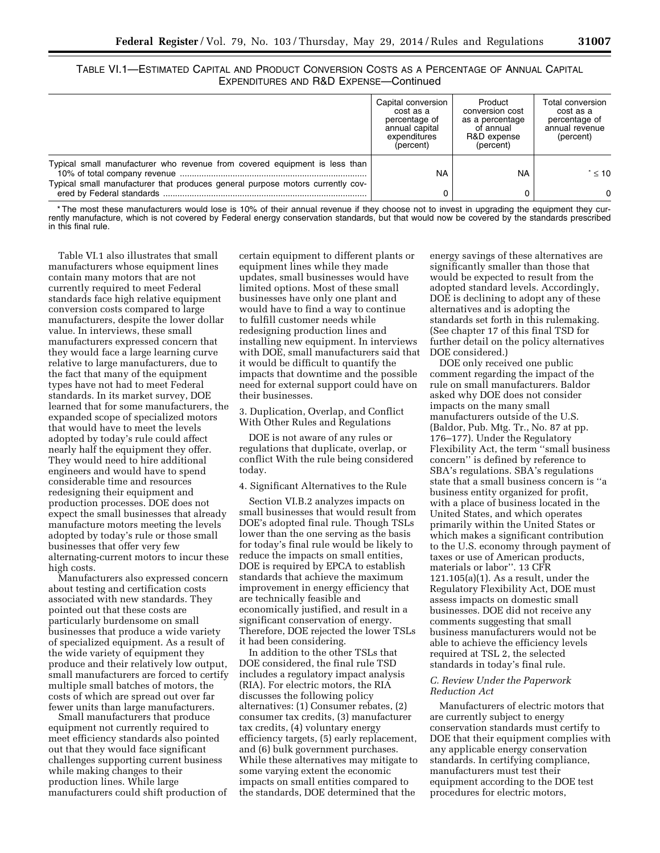TABLE VI.1—ESTIMATED CAPITAL AND PRODUCT CONVERSION COSTS AS A PERCENTAGE OF ANNUAL CAPITAL EXPENDITURES AND R&D EXPENSE—Continued

|                                                                                                                                                              | Capital conversion<br>cost as a<br>percentage of<br>annual capital<br>expenditures<br>(percent) | Product<br>conversion cost<br>as a percentage<br>of annual<br>R&D expense<br>(percent) | Total conversion<br>cost as a<br>percentage of<br>annual revenue<br>(percent) |
|--------------------------------------------------------------------------------------------------------------------------------------------------------------|-------------------------------------------------------------------------------------------------|----------------------------------------------------------------------------------------|-------------------------------------------------------------------------------|
| Typical small manufacturer who revenue from covered equipment is less than<br>Typical small manufacturer that produces general purpose motors currently cov- | <b>NA</b>                                                                                       | <b>NA</b>                                                                              | $\leq 10$                                                                     |
|                                                                                                                                                              |                                                                                                 |                                                                                        | $\Omega$                                                                      |

\* The most these manufacturers would lose is 10% of their annual revenue if they choose not to invest in upgrading the equipment they currently manufacture, which is not covered by Federal energy conservation standards, but that would now be covered by the standards prescribed in this final rule.

Table VI.1 also illustrates that small manufacturers whose equipment lines contain many motors that are not currently required to meet Federal standards face high relative equipment conversion costs compared to large manufacturers, despite the lower dollar value. In interviews, these small manufacturers expressed concern that they would face a large learning curve relative to large manufacturers, due to the fact that many of the equipment types have not had to meet Federal standards. In its market survey, DOE learned that for some manufacturers, the expanded scope of specialized motors that would have to meet the levels adopted by today's rule could affect nearly half the equipment they offer. They would need to hire additional engineers and would have to spend considerable time and resources redesigning their equipment and production processes. DOE does not expect the small businesses that already manufacture motors meeting the levels adopted by today's rule or those small businesses that offer very few alternating-current motors to incur these high costs.

Manufacturers also expressed concern about testing and certification costs associated with new standards. They pointed out that these costs are particularly burdensome on small businesses that produce a wide variety of specialized equipment. As a result of the wide variety of equipment they produce and their relatively low output, small manufacturers are forced to certify multiple small batches of motors, the costs of which are spread out over far fewer units than large manufacturers.

Small manufacturers that produce equipment not currently required to meet efficiency standards also pointed out that they would face significant challenges supporting current business while making changes to their production lines. While large manufacturers could shift production of certain equipment to different plants or equipment lines while they made updates, small businesses would have limited options. Most of these small businesses have only one plant and would have to find a way to continue to fulfill customer needs while redesigning production lines and installing new equipment. In interviews with DOE, small manufacturers said that it would be difficult to quantify the impacts that downtime and the possible need for external support could have on their businesses.

3. Duplication, Overlap, and Conflict With Other Rules and Regulations

DOE is not aware of any rules or regulations that duplicate, overlap, or conflict With the rule being considered today.

4. Significant Alternatives to the Rule

Section VI.B.2 analyzes impacts on small businesses that would result from DOE's adopted final rule. Though TSLs lower than the one serving as the basis for today's final rule would be likely to reduce the impacts on small entities, DOE is required by EPCA to establish standards that achieve the maximum improvement in energy efficiency that are technically feasible and economically justified, and result in a significant conservation of energy. Therefore, DOE rejected the lower TSLs it had been considering.

In addition to the other TSLs that DOE considered, the final rule TSD includes a regulatory impact analysis (RIA). For electric motors, the RIA discusses the following policy alternatives: (1) Consumer rebates, (2) consumer tax credits, (3) manufacturer tax credits, (4) voluntary energy efficiency targets, (5) early replacement, and (6) bulk government purchases. While these alternatives may mitigate to some varying extent the economic impacts on small entities compared to the standards, DOE determined that the

energy savings of these alternatives are significantly smaller than those that would be expected to result from the adopted standard levels. Accordingly, DOE is declining to adopt any of these alternatives and is adopting the standards set forth in this rulemaking. (See chapter 17 of this final TSD for further detail on the policy alternatives DOE considered.)

DOE only received one public comment regarding the impact of the rule on small manufacturers. Baldor asked why DOE does not consider impacts on the many small manufacturers outside of the U.S. (Baldor, Pub. Mtg. Tr., No. 87 at pp. 176–177). Under the Regulatory Flexibility Act, the term ''small business concern'' is defined by reference to SBA's regulations. SBA's regulations state that a small business concern is ''a business entity organized for profit, with a place of business located in the United States, and which operates primarily within the United States or which makes a significant contribution to the U.S. economy through payment of taxes or use of American products, materials or labor''. 13 CFR 121.105(a)(1). As a result, under the Regulatory Flexibility Act, DOE must assess impacts on domestic small businesses. DOE did not receive any comments suggesting that small business manufacturers would not be able to achieve the efficiency levels required at TSL 2, the selected standards in today's final rule.

# *C. Review Under the Paperwork Reduction Act*

Manufacturers of electric motors that are currently subject to energy conservation standards must certify to DOE that their equipment complies with any applicable energy conservation standards. In certifying compliance, manufacturers must test their equipment according to the DOE test procedures for electric motors,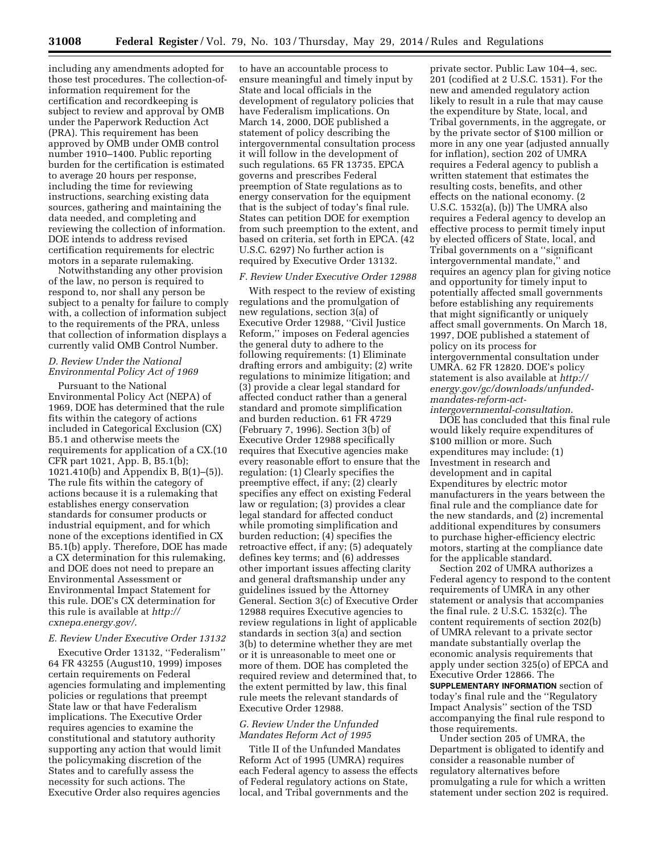including any amendments adopted for those test procedures. The collection-ofinformation requirement for the certification and recordkeeping is subject to review and approval by OMB under the Paperwork Reduction Act (PRA). This requirement has been approved by OMB under OMB control number 1910–1400. Public reporting burden for the certification is estimated to average 20 hours per response, including the time for reviewing instructions, searching existing data sources, gathering and maintaining the data needed, and completing and reviewing the collection of information. DOE intends to address revised certification requirements for electric motors in a separate rulemaking.

Notwithstanding any other provision of the law, no person is required to respond to, nor shall any person be subject to a penalty for failure to comply with, a collection of information subject to the requirements of the PRA, unless that collection of information displays a currently valid OMB Control Number.

# *D. Review Under the National Environmental Policy Act of 1969*

Pursuant to the National Environmental Policy Act (NEPA) of 1969, DOE has determined that the rule fits within the category of actions included in Categorical Exclusion (CX) B5.1 and otherwise meets the requirements for application of a CX.(10 CFR part 1021, App. B, B5.1(b); 1021.410(b) and Appendix B, B(1)–(5)). The rule fits within the category of actions because it is a rulemaking that establishes energy conservation standards for consumer products or industrial equipment, and for which none of the exceptions identified in CX B5.1(b) apply. Therefore, DOE has made a CX determination for this rulemaking, and DOE does not need to prepare an Environmental Assessment or Environmental Impact Statement for this rule. DOE's CX determination for this rule is available at *[http://](http://cxnepa.energy.gov/) [cxnepa.energy.gov/](http://cxnepa.energy.gov/)*.

## *E. Review Under Executive Order 13132*

Executive Order 13132, ''Federalism'' 64 FR 43255 (August10, 1999) imposes certain requirements on Federal agencies formulating and implementing policies or regulations that preempt State law or that have Federalism implications. The Executive Order requires agencies to examine the constitutional and statutory authority supporting any action that would limit the policymaking discretion of the States and to carefully assess the necessity for such actions. The Executive Order also requires agencies

to have an accountable process to ensure meaningful and timely input by State and local officials in the development of regulatory policies that have Federalism implications. On March 14, 2000, DOE published a statement of policy describing the intergovernmental consultation process it will follow in the development of such regulations. 65 FR 13735. EPCA governs and prescribes Federal preemption of State regulations as to energy conservation for the equipment that is the subject of today's final rule. States can petition DOE for exemption from such preemption to the extent, and based on criteria, set forth in EPCA. (42 U.S.C. 6297) No further action is required by Executive Order 13132.

#### *F. Review Under Executive Order 12988*

With respect to the review of existing regulations and the promulgation of new regulations, section 3(a) of Executive Order 12988, ''Civil Justice Reform,'' imposes on Federal agencies the general duty to adhere to the following requirements: (1) Eliminate drafting errors and ambiguity; (2) write regulations to minimize litigation; and (3) provide a clear legal standard for affected conduct rather than a general standard and promote simplification and burden reduction. 61 FR 4729 (February 7, 1996). Section 3(b) of Executive Order 12988 specifically requires that Executive agencies make every reasonable effort to ensure that the regulation: (1) Clearly specifies the preemptive effect, if any; (2) clearly specifies any effect on existing Federal law or regulation; (3) provides a clear legal standard for affected conduct while promoting simplification and burden reduction; (4) specifies the retroactive effect, if any; (5) adequately defines key terms; and (6) addresses other important issues affecting clarity and general draftsmanship under any guidelines issued by the Attorney General. Section 3(c) of Executive Order 12988 requires Executive agencies to review regulations in light of applicable standards in section 3(a) and section 3(b) to determine whether they are met or it is unreasonable to meet one or more of them. DOE has completed the required review and determined that, to the extent permitted by law, this final rule meets the relevant standards of Executive Order 12988.

## *G. Review Under the Unfunded Mandates Reform Act of 1995*

Title II of the Unfunded Mandates Reform Act of 1995 (UMRA) requires each Federal agency to assess the effects of Federal regulatory actions on State, local, and Tribal governments and the

private sector. Public Law 104–4, sec. 201 (codified at 2 U.S.C. 1531). For the new and amended regulatory action likely to result in a rule that may cause the expenditure by State, local, and Tribal governments, in the aggregate, or by the private sector of \$100 million or more in any one year (adjusted annually for inflation), section 202 of UMRA requires a Federal agency to publish a written statement that estimates the resulting costs, benefits, and other effects on the national economy. (2 U.S.C. 1532(a), (b)) The UMRA also requires a Federal agency to develop an effective process to permit timely input by elected officers of State, local, and Tribal governments on a ''significant intergovernmental mandate,'' and requires an agency plan for giving notice and opportunity for timely input to potentially affected small governments before establishing any requirements that might significantly or uniquely affect small governments. On March 18, 1997, DOE published a statement of policy on its process for intergovernmental consultation under UMRA. 62 FR 12820. DOE's policy statement is also available at *[http://](http://energy.gov/gc/downloads/unfunded-mandates-reform-act-intergovernmental-consultation) [energy.gov/gc/downloads/unfunded](http://energy.gov/gc/downloads/unfunded-mandates-reform-act-intergovernmental-consultation)mandates-reform-act-*

*intergovernmental-consultation*. DOE has concluded that this final rule would likely require expenditures of \$100 million or more. Such expenditures may include: (1) Investment in research and development and in capital Expenditures by electric motor manufacturers in the years between the final rule and the compliance date for the new standards, and (2) incremental additional expenditures by consumers to purchase higher-efficiency electric motors, starting at the compliance date for the applicable standard.

Section 202 of UMRA authorizes a Federal agency to respond to the content requirements of UMRA in any other statement or analysis that accompanies the final rule. 2 U.S.C. 1532(c). The content requirements of section 202(b) of UMRA relevant to a private sector mandate substantially overlap the economic analysis requirements that apply under section 325(o) of EPCA and Executive Order 12866. The **SUPPLEMENTARY INFORMATION** section of today's final rule and the ''Regulatory Impact Analysis'' section of the TSD accompanying the final rule respond to those requirements.

Under section 205 of UMRA, the Department is obligated to identify and consider a reasonable number of regulatory alternatives before promulgating a rule for which a written statement under section 202 is required.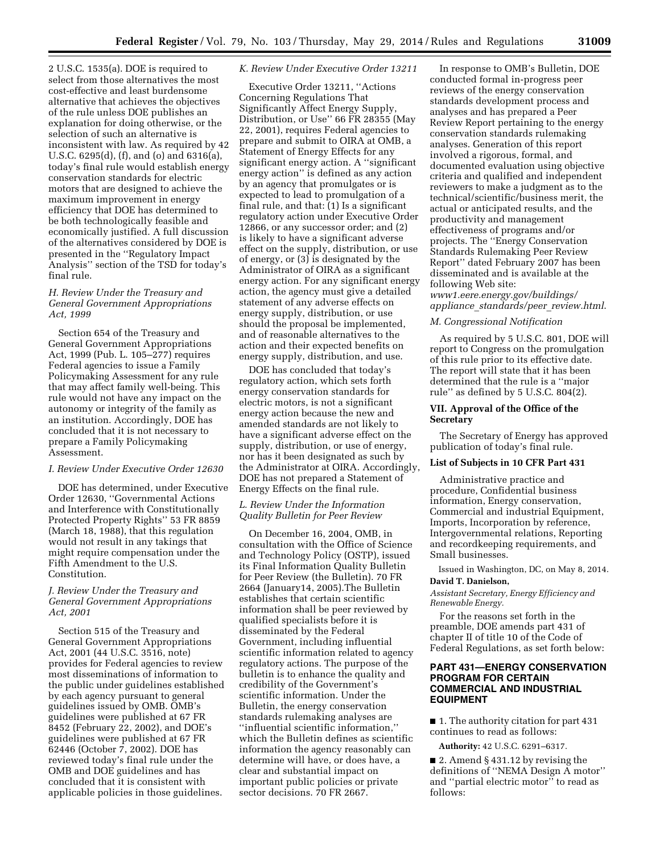2 U.S.C. 1535(a). DOE is required to select from those alternatives the most cost-effective and least burdensome alternative that achieves the objectives of the rule unless DOE publishes an explanation for doing otherwise, or the selection of such an alternative is inconsistent with law. As required by 42 U.S.C. 6295(d), (f), and (o) and 6316(a), today's final rule would establish energy conservation standards for electric motors that are designed to achieve the maximum improvement in energy efficiency that DOE has determined to be both technologically feasible and economically justified. A full discussion of the alternatives considered by DOE is presented in the ''Regulatory Impact Analysis'' section of the TSD for today's final rule.

# *H. Review Under the Treasury and General Government Appropriations Act, 1999*

Section 654 of the Treasury and General Government Appropriations Act, 1999 (Pub. L. 105–277) requires Federal agencies to issue a Family Policymaking Assessment for any rule that may affect family well-being. This rule would not have any impact on the autonomy or integrity of the family as an institution. Accordingly, DOE has concluded that it is not necessary to prepare a Family Policymaking Assessment.

#### *I. Review Under Executive Order 12630*

DOE has determined, under Executive Order 12630, ''Governmental Actions and Interference with Constitutionally Protected Property Rights'' 53 FR 8859 (March 18, 1988), that this regulation would not result in any takings that might require compensation under the Fifth Amendment to the U.S. Constitution.

## *J. Review Under the Treasury and General Government Appropriations Act, 2001*

Section 515 of the Treasury and General Government Appropriations Act, 2001 (44 U.S.C. 3516, note) provides for Federal agencies to review most disseminations of information to the public under guidelines established by each agency pursuant to general guidelines issued by OMB. OMB's guidelines were published at 67 FR 8452 (February 22, 2002), and DOE's guidelines were published at 67 FR 62446 (October 7, 2002). DOE has reviewed today's final rule under the OMB and DOE guidelines and has concluded that it is consistent with applicable policies in those guidelines.

#### *K. Review Under Executive Order 13211*

Executive Order 13211, ''Actions Concerning Regulations That Significantly Affect Energy Supply, Distribution, or Use'' 66 FR 28355 (May 22, 2001), requires Federal agencies to prepare and submit to OIRA at OMB, a Statement of Energy Effects for any significant energy action. A ''significant energy action'' is defined as any action by an agency that promulgates or is expected to lead to promulgation of a final rule, and that: (1) Is a significant regulatory action under Executive Order 12866, or any successor order; and (2) is likely to have a significant adverse effect on the supply, distribution, or use of energy, or (3) is designated by the Administrator of OIRA as a significant energy action. For any significant energy action, the agency must give a detailed statement of any adverse effects on energy supply, distribution, or use should the proposal be implemented, and of reasonable alternatives to the action and their expected benefits on energy supply, distribution, and use.

DOE has concluded that today's regulatory action, which sets forth energy conservation standards for electric motors, is not a significant energy action because the new and amended standards are not likely to have a significant adverse effect on the supply, distribution, or use of energy, nor has it been designated as such by the Administrator at OIRA. Accordingly, DOE has not prepared a Statement of Energy Effects on the final rule.

# *L. Review Under the Information Quality Bulletin for Peer Review*

On December 16, 2004, OMB, in consultation with the Office of Science and Technology Policy (OSTP), issued its Final Information Quality Bulletin for Peer Review (the Bulletin). 70 FR 2664 (January14, 2005).The Bulletin establishes that certain scientific information shall be peer reviewed by qualified specialists before it is disseminated by the Federal Government, including influential scientific information related to agency regulatory actions. The purpose of the bulletin is to enhance the quality and credibility of the Government's scientific information. Under the Bulletin, the energy conservation standards rulemaking analyses are ''influential scientific information,'' which the Bulletin defines as scientific information the agency reasonably can determine will have, or does have, a clear and substantial impact on important public policies or private sector decisions. 70 FR 2667.

In response to OMB's Bulletin, DOE conducted formal in-progress peer reviews of the energy conservation standards development process and analyses and has prepared a Peer Review Report pertaining to the energy conservation standards rulemaking analyses. Generation of this report involved a rigorous, formal, and documented evaluation using objective criteria and qualified and independent reviewers to make a judgment as to the technical/scientific/business merit, the actual or anticipated results, and the productivity and management effectiveness of programs and/or projects. The ''Energy Conservation Standards Rulemaking Peer Review Report'' dated February 2007 has been disseminated and is available at the following Web site:

*[www1.eere.energy.gov/buildings/](http://www1.eere.energy.gov/buildings/appliance_standards/peer_review.html) appliance*\_*[standards/peer](http://www1.eere.energy.gov/buildings/appliance_standards/peer_review.html)*\_*review.html*.

#### *M. Congressional Notification*

As required by 5 U.S.C. 801, DOE will report to Congress on the promulgation of this rule prior to its effective date. The report will state that it has been determined that the rule is a ''major rule'' as defined by 5 U.S.C. 804(2).

## **VII. Approval of the Office of the Secretary**

The Secretary of Energy has approved publication of today's final rule.

## **List of Subjects in 10 CFR Part 431**

Administrative practice and procedure, Confidential business information, Energy conservation, Commercial and industrial Equipment. Imports, Incorporation by reference, Intergovernmental relations, Reporting and recordkeeping requirements, and Small businesses.

Issued in Washington, DC, on May 8, 2014. **David T. Danielson,** 

*Assistant Secretary, Energy Efficiency and Renewable Energy.* 

For the reasons set forth in the preamble, DOE amends part 431 of chapter II of title 10 of the Code of Federal Regulations, as set forth below:

# **PART 431—ENERGY CONSERVATION PROGRAM FOR CERTAIN COMMERCIAL AND INDUSTRIAL EQUIPMENT**

■ 1. The authority citation for part 431 continues to read as follows:

**Authority:** 42 U.S.C. 6291–6317.

■ 2. Amend § 431.12 by revising the definitions of ''NEMA Design A motor'' and ''partial electric motor'' to read as follows: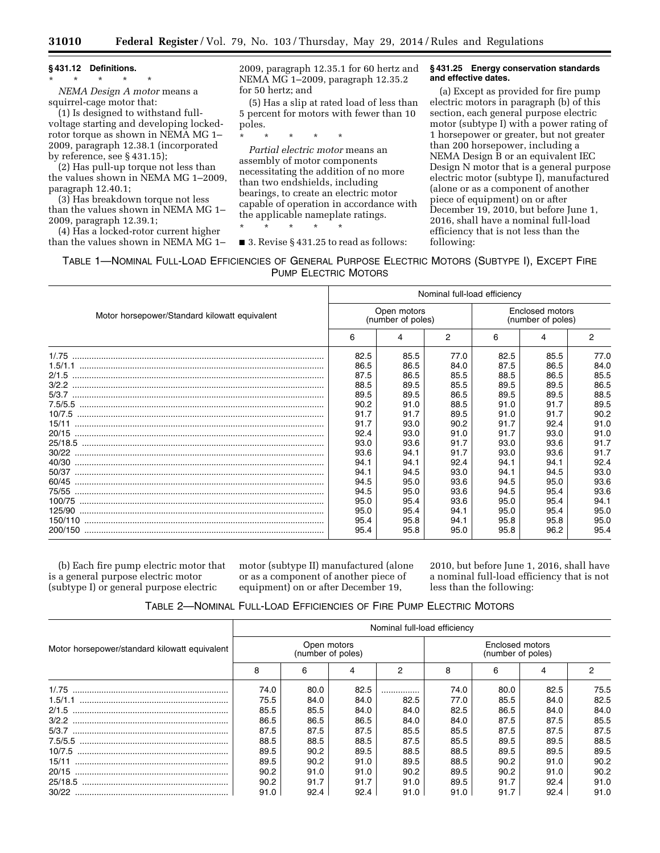# **§ 431.12 Definitions.**

\* \* \* \* \* *NEMA Design A motor* means a squirrel-cage motor that:

(1) Is designed to withstand fullvoltage starting and developing lockedrotor torque as shown in NEMA MG 1– 2009, paragraph 12.38.1 (incorporated by reference, see § 431.15);

(2) Has pull-up torque not less than the values shown in NEMA MG 1–2009, paragraph 12.40.1;

(3) Has breakdown torque not less than the values shown in NEMA MG 1– 2009, paragraph 12.39.1;

(4) Has a locked-rotor current higher than the values shown in NEMA MG 1– 2009, paragraph 12.35.1 for 60 hertz and NEMA MG 1–2009, paragraph 12.35.2 for 50 hertz; and

(5) Has a slip at rated load of less than 5 percent for motors with fewer than 10 poles.

*Partial electric motor* means an assembly of motor components necessitating the addition of no more than two endshields, including bearings, to create an electric motor capable of operation in accordance with the applicable nameplate ratings.

\* \* \* \* \*

\* \* \* \* \*

■ 3. Revise § 431.25 to read as follows:

#### **§ 431.25 Energy conservation standards and effective dates.**

(a) Except as provided for fire pump electric motors in paragraph (b) of this section, each general purpose electric motor (subtype I) with a power rating of 1 horsepower or greater, but not greater than 200 horsepower, including a NEMA Design B or an equivalent IEC Design N motor that is a general purpose electric motor (subtype I), manufactured (alone or as a component of another piece of equipment) on or after December 19, 2010, but before June 1, 2016, shall have a nominal full-load efficiency that is not less than the following:

TABLE 1—NOMINAL FULL-LOAD EFFICIENCIES OF GENERAL PURPOSE ELECTRIC MOTORS (SUBTYPE I), EXCEPT FIRE PUMP ELECTRIC MOTORS

|                                               | Nominal full-load efficiency |                                  |      |                                      |      |      |  |  |
|-----------------------------------------------|------------------------------|----------------------------------|------|--------------------------------------|------|------|--|--|
| Motor horsepower/Standard kilowatt equivalent |                              | Open motors<br>(number of poles) |      | Enclosed motors<br>(number of poles) |      |      |  |  |
|                                               | 6                            | 4                                | 2    | 6                                    | 4    | 2    |  |  |
| 1/0.75                                        | 82.5                         | 85.5                             | 77.0 | 82.5                                 | 85.5 | 77.0 |  |  |
|                                               | 86.5                         | 86.5                             | 84.0 | 87.5                                 | 86.5 | 84.0 |  |  |
|                                               | 87.5                         | 86.5                             | 85.5 | 88.5                                 | 86.5 | 85.5 |  |  |
|                                               | 88.5                         | 89.5                             | 85.5 | 89.5                                 | 89.5 | 86.5 |  |  |
|                                               | 89.5                         | 89.5                             | 86.5 | 89.5                                 | 89.5 | 88.5 |  |  |
|                                               | 90.2                         | 91.0                             | 88.5 | 91.0                                 | 91.7 | 89.5 |  |  |
|                                               | 91.7                         | 91.7                             | 89.5 | 91.0                                 | 91.7 | 90.2 |  |  |
| 15/11                                         | 91.7                         | 93.0                             | 90.2 | 91.7                                 | 92.4 | 91.0 |  |  |
|                                               | 92.4                         | 93.0                             | 91.0 | 91.7                                 | 93.0 | 91.0 |  |  |
|                                               | 93.0                         | 93.6                             | 91.7 | 93.0                                 | 93.6 | 91.7 |  |  |
|                                               | 93.6                         | 94.1                             | 91.7 | 93.0                                 | 93.6 | 91.7 |  |  |
|                                               | 94.1                         | 94.1                             | 92.4 | 94.1                                 | 94.1 | 92.4 |  |  |
| 50/37                                         | 94.1                         | 94.5                             | 93.0 | 94.1                                 | 94.5 | 93.0 |  |  |
|                                               | 94.5                         | 95.0                             | 93.6 | 94.5                                 | 95.0 | 93.6 |  |  |
|                                               | 94.5                         | 95.0                             | 93.6 | 94.5                                 | 95.4 | 93.6 |  |  |
|                                               | 95.0                         | 95.4                             | 93.6 | 95.0                                 | 95.4 | 94.1 |  |  |
|                                               | 95.0                         | 95.4                             | 94.1 | 95.0                                 | 95.4 | 95.0 |  |  |
|                                               | 95.4                         | 95.8                             | 94.1 | 95.8                                 | 95.8 | 95.0 |  |  |
|                                               | 95.4                         | 95.8                             | 95.0 | 95.8                                 | 96.2 | 95.4 |  |  |

(b) Each fire pump electric motor that is a general purpose electric motor (subtype I) or general purpose electric

motor (subtype II) manufactured (alone or as a component of another piece of equipment) on or after December 19,

2010, but before June 1, 2016, shall have a nominal full-load efficiency that is not less than the following:

| TABLE 2-NOMINAL FULL-LOAD EFFICIENCIES OF FIRE PUMP ELECTRIC MOTORS |  |  |
|---------------------------------------------------------------------|--|--|
|---------------------------------------------------------------------|--|--|

|                                               | Nominal full-load efficiency |                                  |      |      |                                      |      |      |      |  |
|-----------------------------------------------|------------------------------|----------------------------------|------|------|--------------------------------------|------|------|------|--|
| Motor horsepower/standard kilowatt equivalent |                              | Open motors<br>(number of poles) |      |      | Enclosed motors<br>(number of poles) |      |      |      |  |
|                                               | 8                            |                                  |      | 2    | 8                                    | 6    |      |      |  |
| 1/0.75                                        | 74.0                         | 80.0                             | 82.5 |      | 74.0                                 | 80.0 | 82.5 | 75.5 |  |
|                                               | 75.5                         | 84.0                             | 84.0 | 82.5 | 77.0                                 | 85.5 | 84.0 | 82.5 |  |
| 2/1.5                                         | 85.5                         | 85.5                             | 84.0 | 84.0 | 82.5                                 | 86.5 | 84.0 | 84.0 |  |
| 3/2.2                                         | 86.5                         | 86.5                             | 86.5 | 84.0 | 84.0                                 | 87.5 | 87.5 | 85.5 |  |
| 5/3.7                                         | 87.5                         | 87.5                             | 87.5 | 85.5 | 85.5                                 | 87.5 | 87.5 | 87.5 |  |
|                                               | 88.5                         | 88.5                             | 88.5 | 87.5 | 85.5                                 | 89.5 | 89.5 | 88.5 |  |
|                                               | 89.5                         | 90.2                             | 89.5 | 88.5 | 88.5                                 | 89.5 | 89.5 | 89.5 |  |
| 15/11                                         | 89.5                         | 90.2                             | 91.0 | 89.5 | 88.5                                 | 90.2 | 91.0 | 90.2 |  |
| 20/15                                         | 90.2                         | 91.0                             | 91.0 | 90.2 | 89.5                                 | 90.2 | 91.0 | 90.2 |  |
| 25/18.5                                       | 90.2                         | 91.7                             | 91.7 | 91.0 | 89.5                                 | 91.7 | 92.4 | 91.0 |  |
|                                               | 91.0                         | 92.4                             | 92.4 | 91.0 | 91.0                                 | 91.7 | 92.4 | 91.0 |  |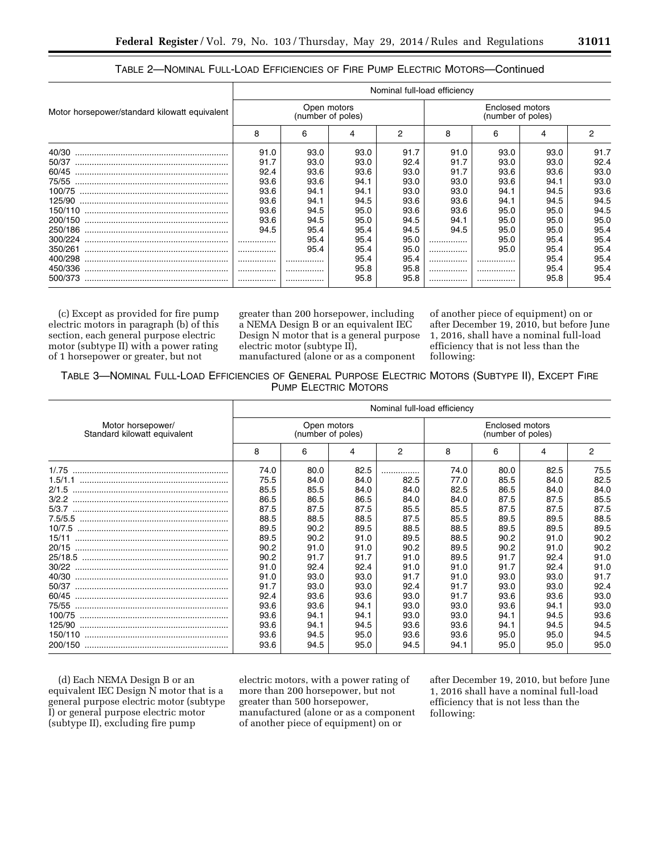|                                               | Nominal full-load efficiency     |      |      |      |                                      |      |      |      |  |
|-----------------------------------------------|----------------------------------|------|------|------|--------------------------------------|------|------|------|--|
| Motor horsepower/standard kilowatt equivalent | Open motors<br>(number of poles) |      |      |      | Enclosed motors<br>(number of poles) |      |      |      |  |
|                                               | 8                                | 6    | 4    | 2    | 8                                    | 6    | 4    | 2    |  |
| 40/30                                         | 91.0                             | 93.0 | 93.0 | 91.7 | 91.0                                 | 93.0 | 93.0 | 91.7 |  |
| 50/37                                         | 91.7                             | 93.0 | 93.0 | 92.4 | 91.7                                 | 93.0 | 93.0 | 92.4 |  |
| 60/45                                         | 92.4                             | 93.6 | 93.6 | 93.0 | 91.7                                 | 93.6 | 93.6 | 93.0 |  |
| 75/55                                         | 93.6                             | 93.6 | 94.1 | 93.0 | 93.0                                 | 93.6 | 94.1 | 93.0 |  |
| 100/75                                        | 93.6                             | 94.1 | 94.1 | 93.0 | 93.0                                 | 94.1 | 94.5 | 93.6 |  |
| 125/90                                        | 93.6                             | 94.1 | 94.5 | 93.6 | 93.6                                 | 94.1 | 94.5 | 94.5 |  |
|                                               | 93.6                             | 94.5 | 95.0 | 93.6 | 93.6                                 | 95.0 | 95.0 | 94.5 |  |
| 200/150                                       | 93.6                             | 94.5 | 95.0 | 94.5 | 94.1                                 | 95.0 | 95.0 | 95.0 |  |
| 250/186                                       | 94.5                             | 95.4 | 95.4 | 94.5 | 94.5                                 | 95.0 | 95.0 | 95.4 |  |
| 300/224                                       |                                  | 95.4 | 95.4 | 95.0 | .                                    | 95.0 | 95.4 | 95.4 |  |
| 350/261                                       |                                  | 95.4 | 95.4 | 95.0 | .                                    | 95.0 | 95.4 | 95.4 |  |
| 400/298                                       |                                  |      | 95.4 | 95.4 | .                                    |      | 95.4 | 95.4 |  |
| 450/336                                       |                                  |      | 95.8 | 95.8 | .                                    |      | 95.4 | 95.4 |  |
| 500/373                                       |                                  |      | 95.8 | 95.8 | .                                    |      | 95.8 | 95.4 |  |

# TABLE 2—NOMINAL FULL-LOAD EFFICIENCIES OF FIRE PUMP ELECTRIC MOTORS—Continued

(c) Except as provided for fire pump electric motors in paragraph (b) of this section, each general purpose electric motor (subtype II) with a power rating of 1 horsepower or greater, but not

greater than 200 horsepower, including a NEMA Design B or an equivalent IEC Design N motor that is a general purpose electric motor (subtype II),

of another piece of equipment) on or after December 19, 2010, but before June 1, 2016, shall have a nominal full-load efficiency that is not less than the following:

manufactured (alone or as a component

TABLE 3—NOMINAL FULL-LOAD EFFICIENCIES OF GENERAL PURPOSE ELECTRIC MOTORS (SUBTYPE II), EXCEPT FIRE PUMP ELECTRIC MOTORS

|                                                   | Nominal full-load efficiency     |      |      |      |                                      |      |      |      |
|---------------------------------------------------|----------------------------------|------|------|------|--------------------------------------|------|------|------|
| Motor horsepower/<br>Standard kilowatt equivalent | Open motors<br>(number of poles) |      |      |      | Enclosed motors<br>(number of poles) |      |      |      |
|                                                   | 8                                | 6    | 4    | 2    | 8                                    | 6    | 4    | 2    |
| 1/0.75                                            | 74.0                             | 80.0 | 82.5 |      | 74.0                                 | 80.0 | 82.5 | 75.5 |
|                                                   | 75.5                             | 84.0 | 84.0 | 82.5 | 77.0                                 | 85.5 | 84.0 | 82.5 |
| 2/1.5                                             | 85.5                             | 85.5 | 84.0 | 84.0 | 82.5                                 | 86.5 | 84.0 | 84.0 |
| 3/2.2                                             | 86.5                             | 86.5 | 86.5 | 84.0 | 84.0                                 | 87.5 | 87.5 | 85.5 |
| 5/3.7                                             | 87.5                             | 87.5 | 87.5 | 85.5 | 85.5                                 | 87.5 | 87.5 | 87.5 |
|                                                   | 88.5                             | 88.5 | 88.5 | 87.5 | 85.5                                 | 89.5 | 89.5 | 88.5 |
|                                                   | 89.5                             | 90.2 | 89.5 | 88.5 | 88.5                                 | 89.5 | 89.5 | 89.5 |
| 15/11                                             | 89.5                             | 90.2 | 91.0 | 89.5 | 88.5                                 | 90.2 | 91.0 | 90.2 |
| 20/15                                             | 90.2                             | 91.0 | 91.0 | 90.2 | 89.5                                 | 90.2 | 91.0 | 90.2 |
|                                                   | 90.2                             | 91.7 | 91.7 | 91.0 | 89.5                                 | 91.7 | 92.4 | 91.0 |
| 30/22                                             | 91.0                             | 92.4 | 92.4 | 91.0 | 91.0                                 | 91.7 | 92.4 | 91.0 |
| 40/30                                             | 91.0                             | 93.0 | 93.0 | 91.7 | 91.0                                 | 93.0 | 93.0 | 91.7 |
| 50/37                                             | 91.7                             | 93.0 | 93.0 | 92.4 | 91.7                                 | 93.0 | 93.0 | 92.4 |
| 60/45                                             | 92.4                             | 93.6 | 93.6 | 93.0 | 91.7                                 | 93.6 | 93.6 | 93.0 |
| 75/55                                             | 93.6                             | 93.6 | 94.1 | 93.0 | 93.0                                 | 93.6 | 94.1 | 93.0 |
|                                                   | 93.6                             | 94.1 | 94.1 | 93.0 | 93.0                                 | 94.1 | 94.5 | 93.6 |
| 125/90                                            | 93.6                             | 94.1 | 94.5 | 93.6 | 93.6                                 | 94.1 | 94.5 | 94.5 |
|                                                   | 93.6                             | 94.5 | 95.0 | 93.6 | 93.6                                 | 95.0 | 95.0 | 94.5 |
| 200/150                                           | 93.6                             | 94.5 | 95.0 | 94.5 | 94.1                                 | 95.0 | 95.0 | 95.0 |

(d) Each NEMA Design B or an equivalent IEC Design N motor that is a general purpose electric motor (subtype I) or general purpose electric motor (subtype II), excluding fire pump

electric motors, with a power rating of more than 200 horsepower, but not greater than 500 horsepower, manufactured (alone or as a component of another piece of equipment) on or

after December 19, 2010, but before June 1, 2016 shall have a nominal full-load efficiency that is not less than the following: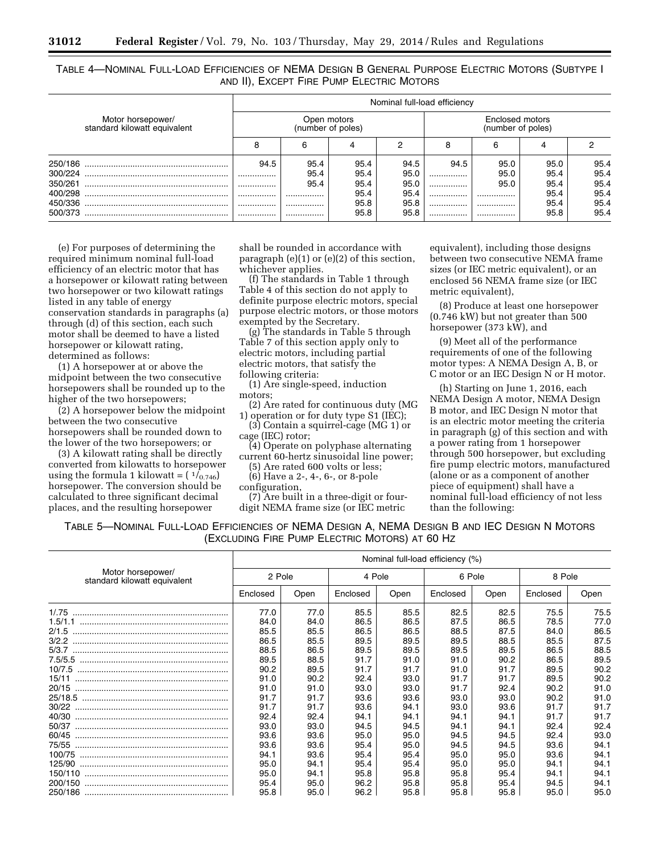TABLE 4—NOMINAL FULL-LOAD EFFICIENCIES OF NEMA DESIGN B GENERAL PURPOSE ELECTRIC MOTORS (SUBTYPE I AND II), EXCEPT FIRE PUMP ELECTRIC MOTORS

|         |                                                   | Nominal full-load efficiency     |      |      |      |                                      |      |      |      |  |
|---------|---------------------------------------------------|----------------------------------|------|------|------|--------------------------------------|------|------|------|--|
|         | Motor horsepower/<br>standard kilowatt equivalent | Open motors<br>(number of poles) |      |      |      | Enclosed motors<br>(number of poles) |      |      |      |  |
|         |                                                   | 8                                |      |      |      |                                      | 6    |      |      |  |
|         |                                                   | 94.5                             | 95.4 | 95.4 | 94.5 | 94.5                                 | 95.0 | 95.0 | 95.4 |  |
| 300/224 |                                                   |                                  | 95.4 | 95.4 | 95.0 |                                      | 95.0 | 95.4 | 95.4 |  |
| 350/261 |                                                   |                                  | 95.4 | 95.4 | 95.0 |                                      | 95.0 | 95.4 | 95.4 |  |
| 400/298 |                                                   |                                  |      | 95.4 | 95.4 |                                      |      | 95.4 | 95.4 |  |
| 450/336 |                                                   |                                  |      | 95.8 | 95.8 |                                      |      | 95.4 | 95.4 |  |
| 500/373 |                                                   |                                  |      | 95.8 | 95.8 |                                      |      | 95.8 | 95.4 |  |

(e) For purposes of determining the required minimum nominal full-load efficiency of an electric motor that has a horsepower or kilowatt rating between two horsepower or two kilowatt ratings listed in any table of energy conservation standards in paragraphs (a) through (d) of this section, each such motor shall be deemed to have a listed horsepower or kilowatt rating, determined as follows:

(1) A horsepower at or above the midpoint between the two consecutive horsepowers shall be rounded up to the higher of the two horsepowers;

(2) A horsepower below the midpoint between the two consecutive horsepowers shall be rounded down to the lower of the two horsepowers; or

(3) A kilowatt rating shall be directly converted from kilowatts to horsepower using the formula 1 kilowatt =  $(\frac{1}{0.746})$ horsepower. The conversion should be calculated to three significant decimal places, and the resulting horsepower

shall be rounded in accordance with paragraph (e)(1) or (e)(2) of this section, whichever applies.

(f) The standards in Table 1 through Table 4 of this section do not apply to definite purpose electric motors, special purpose electric motors, or those motors exempted by the Secretary.

(g) The standards in Table 5 through Table 7 of this section apply only to electric motors, including partial electric motors, that satisfy the following criteria:

(1) Are single-speed, induction motors;

(2) Are rated for continuous duty (MG 1) operation or for duty type S1 (IEC);

(3) Contain a squirrel-cage (MG 1) or cage (IEC) rotor;

(4) Operate on polyphase alternating current 60-hertz sinusoidal line power;

(5) Are rated 600 volts or less;

(6) Have a 2-, 4-, 6-, or 8-pole

(7) Are built in a three-digit or fourdigit NEMA frame size (or IEC metric

equivalent), including those designs between two consecutive NEMA frame sizes (or IEC metric equivalent), or an enclosed 56 NEMA frame size (or IEC metric equivalent),

(8) Produce at least one horsepower (0.746 kW) but not greater than 500 horsepower (373 kW), and

(9) Meet all of the performance requirements of one of the following motor types: A NEMA Design A, B, or C motor or an IEC Design N or H motor.

(h) Starting on June 1, 2016, each NEMA Design A motor, NEMA Design B motor, and IEC Design N motor that is an electric motor meeting the criteria in paragraph (g) of this section and with a power rating from 1 horsepower through 500 horsepower, but excluding fire pump electric motors, manufactured (alone or as a component of another piece of equipment) shall have a nominal full-load efficiency of not less than the following:

TABLE 5—NOMINAL FULL-LOAD EFFICIENCIES OF NEMA DESIGN A, NEMA DESIGN B AND IEC DESIGN N MOTORS (EXCLUDING FIRE PUMP ELECTRIC MOTORS) AT 60 HZ

|                                                   | Nominal full-load efficiency (%) |      |          |      |          |      |          |      |  |
|---------------------------------------------------|----------------------------------|------|----------|------|----------|------|----------|------|--|
| Motor horsepower/<br>standard kilowatt equivalent | 2 Pole                           |      | 4 Pole   |      | 6 Pole   |      | 8 Pole   |      |  |
|                                                   | Enclosed                         | Open | Enclosed | Open | Enclosed | Open | Enclosed | Open |  |
| 1/0.75                                            | 77.0                             | 77.0 | 85.5     | 85.5 | 82.5     | 82.5 | 75.5     | 75.5 |  |
|                                                   | 84.0                             | 84.0 | 86.5     | 86.5 | 87.5     | 86.5 | 78.5     | 77.0 |  |
| 2/1.5                                             | 85.5                             | 85.5 | 86.5     | 86.5 | 88.5     | 87.5 | 84.0     | 86.5 |  |
| 3/2.2                                             | 86.5                             | 85.5 | 89.5     | 89.5 | 89.5     | 88.5 | 85.5     | 87.5 |  |
| 5/3.7                                             | 88.5                             | 86.5 | 89.5     | 89.5 | 89.5     | 89.5 | 86.5     | 88.5 |  |
|                                                   | 89.5                             | 88.5 | 91.7     | 91.0 | 91.0     | 90.2 | 86.5     | 89.5 |  |
| 10/7.5                                            | 90.2                             | 89.5 | 91.7     | 91.7 | 91.0     | 91.7 | 89.5     | 90.2 |  |
| 15/11                                             | 91.0                             | 90.2 | 92.4     | 93.0 | 91.7     | 91.7 | 89.5     | 90.2 |  |
| 20/15                                             | 91.0                             | 91.0 | 93.0     | 93.0 | 91.7     | 92.4 | 90.2     | 91.0 |  |
| 25/18.5                                           | 91.7                             | 91.7 | 93.6     | 93.6 | 93.0     | 93.0 | 90.2     | 91.0 |  |
| 30/22                                             | 91.7                             | 91.7 | 93.6     | 94.1 | 93.0     | 93.6 | 91.7     | 91.7 |  |
| 40/30                                             | 92.4                             | 92.4 | 94.1     | 94.1 | 94.1     | 94.1 | 91.7     | 91.7 |  |
| 50/37                                             | 93.0                             | 93.0 | 94.5     | 94.5 | 94.1     | 94.1 | 92.4     | 92.4 |  |
| 60/45                                             | 93.6                             | 93.6 | 95.0     | 95.0 | 94.5     | 94.5 | 92.4     | 93.0 |  |
| 75/55                                             | 93.6                             | 93.6 | 95.4     | 95.0 | 94.5     | 94.5 | 93.6     | 94.1 |  |
| 100/75                                            | 94.1                             | 93.6 | 95.4     | 95.4 | 95.0     | 95.0 | 93.6     | 94.1 |  |
| 125/90                                            | 95.0                             | 94.1 | 95.4     | 95.4 | 95.0     | 95.0 | 94.1     | 94.1 |  |
| 150/110                                           | 95.0                             | 94.1 | 95.8     | 95.8 | 95.8     | 95.4 | 94.1     | 94.1 |  |
| 200/150                                           | 95.4                             | 95.0 | 96.2     | 95.8 | 95.8     | 95.4 | 94.5     | 94.1 |  |
| 250/186                                           | 95.8                             | 95.0 | 96.2     | 95.8 | 95.8     | 95.8 | 95.0     | 95.0 |  |

configuration,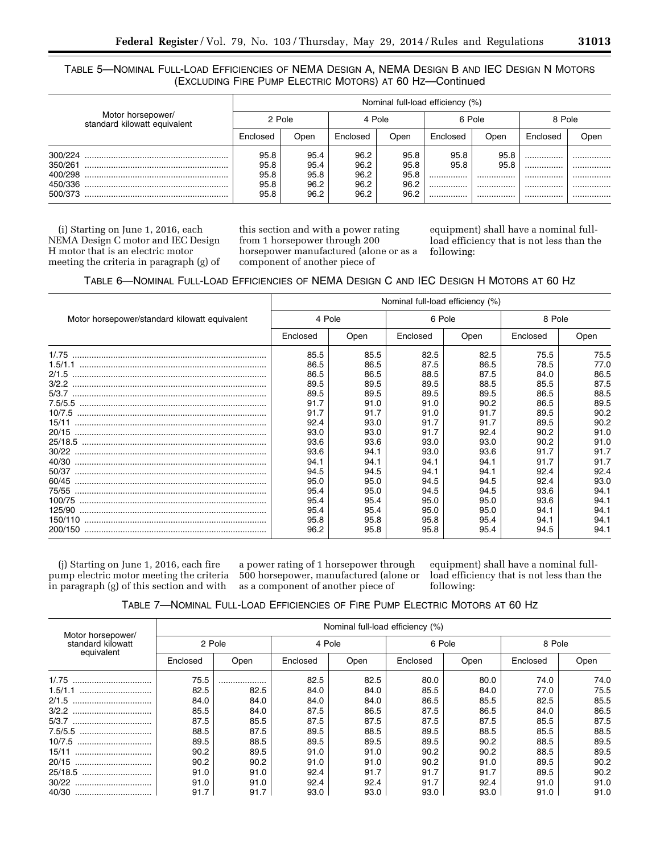# TABLE 5—NOMINAL FULL-LOAD EFFICIENCIES OF NEMA DESIGN A, NEMA DESIGN B AND IEC DESIGN N MOTORS (EXCLUDING FIRE PUMP ELECTRIC MOTORS) AT 60 HZ—Continued

|                                                   |          | Nominal full-load efficiency (%) |                      |                      |                      |              |              |          |          |
|---------------------------------------------------|----------|----------------------------------|----------------------|----------------------|----------------------|--------------|--------------|----------|----------|
| Motor horsepower/<br>standard kilowatt equivalent | 2 Pole   |                                  | 4 Pole               |                      | 6 Pole               |              | 8 Pole       |          |          |
|                                                   | Enclosed | Open                             | Enclosed             | Open                 | Enclosed             | Open         | Enclosed     | Open     |          |
| 300/224<br>350/261                                |          | 95.8<br>95.8                     | 95.4<br>95.4         | 96.2<br>96.2         | 95.8<br>95.8         | 95.8<br>95.8 | 95.8<br>95.8 |          |          |
| 400/298<br>450/336<br>500/373                     |          | 95.8<br>95.8<br>95.8             | 95.8<br>96.2<br>96.2 | 96.2<br>96.2<br>96.2 | 95.8<br>96.2<br>96.2 | <br><br>     | <br><br>     | <br><br> | <br><br> |

(i) Starting on June 1, 2016, each NEMA Design C motor and IEC Design H motor that is an electric motor meeting the criteria in paragraph (g) of this section and with a power rating from 1 horsepower through 200 horsepower manufactured (alone or as a component of another piece of

equipment) shall have a nominal fullload efficiency that is not less than the following:

TABLE 6—NOMINAL FULL-LOAD EFFICIENCIES OF NEMA DESIGN C AND IEC DESIGN H MOTORS AT 60 HZ

|                                               | Nominal full-load efficiency (%) |      |          |      |          |      |  |  |
|-----------------------------------------------|----------------------------------|------|----------|------|----------|------|--|--|
| Motor horsepower/standard kilowatt equivalent | 4 Pole                           |      | 6 Pole   |      | 8 Pole   |      |  |  |
|                                               | Enclosed                         | Open | Enclosed | Open | Enclosed | Open |  |  |
| 1/0.75                                        | 85.5                             | 85.5 | 82.5     | 82.5 | 75.5     | 75.5 |  |  |
|                                               | 86.5                             | 86.5 | 87.5     | 86.5 | 78.5     | 77.0 |  |  |
|                                               | 86.5                             | 86.5 | 88.5     | 87.5 | 84.0     | 86.5 |  |  |
|                                               | 89.5                             | 89.5 | 89.5     | 88.5 | 85.5     | 87.5 |  |  |
|                                               | 89.5                             | 89.5 | 89.5     | 89.5 | 86.5     | 88.5 |  |  |
|                                               | 91.7                             | 91.0 | 91.0     | 90.2 | 86.5     | 89.5 |  |  |
|                                               | 91.7                             | 91.7 | 91.0     | 91.7 | 89.5     | 90.2 |  |  |
|                                               | 92.4                             | 93.0 | 91.7     | 91.7 | 89.5     | 90.2 |  |  |
|                                               | 93.0                             | 93.0 | 91.7     | 92.4 | 90.2     | 91.0 |  |  |
|                                               | 93.6                             | 93.6 | 93.0     | 93.0 | 90.2     | 91.0 |  |  |
|                                               | 93.6                             | 94.1 | 93.0     | 93.6 | 91.7     | 91.7 |  |  |
|                                               | 94.1                             | 94.1 | 94.1     | 94.1 | 91.7     | 91.7 |  |  |
|                                               | 94.5                             | 94.5 | 94.1     | 94.1 | 92.4     | 92.4 |  |  |
|                                               | 95.0                             | 95.0 | 94.5     | 94.5 | 92.4     | 93.0 |  |  |
|                                               | 95.4                             | 95.0 | 94.5     | 94.5 | 93.6     | 94.1 |  |  |
|                                               | 95.4                             | 95.4 | 95.0     | 95.0 | 93.6     | 94.1 |  |  |
|                                               | 95.4                             | 95.4 | 95.0     | 95.0 | 94.1     | 94.1 |  |  |
|                                               | 95.8                             | 95.8 | 95.8     | 95.4 | 94.1     | 94.1 |  |  |
|                                               | 96.2                             | 95.8 | 95.8     | 95.4 | 94.5     | 94.1 |  |  |

(j) Starting on June 1, 2016, each fire pump electric motor meeting the criteria in paragraph (g) of this section and with

a power rating of 1 horsepower through 500 horsepower, manufactured (alone or as a component of another piece of

equipment) shall have a nominal fullload efficiency that is not less than the following:

| TABLE 7-NOMINAL FULL-LOAD EFFICIENCIES OF FIRE PUMP ELECTRIC MOTORS AT 60 HZ |  |
|------------------------------------------------------------------------------|--|
|------------------------------------------------------------------------------|--|

| Motor horsepower/<br>standard kilowatt<br>equivalent | Nominal full-load efficiency (%) |      |          |      |          |      |          |      |  |
|------------------------------------------------------|----------------------------------|------|----------|------|----------|------|----------|------|--|
|                                                      | 2 Pole                           |      | 4 Pole   |      | 6 Pole   |      | 8 Pole   |      |  |
|                                                      | Enclosed                         | Open | Enclosed | Open | Enclosed | Open | Enclosed | Open |  |
| 1/0.75                                               | 75.5                             |      | 82.5     | 82.5 | 80.0     | 80.0 | 74.0     | 74.0 |  |
| 1.5/1.1                                              | 82.5                             | 82.5 | 84.0     | 84.0 | 85.5     | 84.0 | 77.0     | 75.5 |  |
| 2/1.5<br>                                            | 84.0                             | 84.0 | 84.0     | 84.0 | 86.5     | 85.5 | 82.5     | 85.5 |  |
| 3/2.2<br>                                            | 85.5                             | 84.0 | 87.5     | 86.5 | 87.5     | 86.5 | 84.0     | 86.5 |  |
| 5/3.7                                                | 87.5                             | 85.5 | 87.5     | 87.5 | 87.5     | 87.5 | 85.5     | 87.5 |  |
| 7.5/5.5                                              | 88.5                             | 87.5 | 89.5     | 88.5 | 89.5     | 88.5 | 85.5     | 88.5 |  |
| 10/7.5                                               | 89.5                             | 88.5 | 89.5     | 89.5 | 89.5     | 90.2 | 88.5     | 89.5 |  |
| 15/11                                                | 90.2                             | 89.5 | 91.0     | 91.0 | 90.2     | 90.2 | 88.5     | 89.5 |  |
| 20/15<br>                                            | 90.2                             | 90.2 | 91.0     | 91.0 | 90.2     | 91.0 | 89.5     | 90.2 |  |
| 25/18.5                                              | 91.0                             | 91.0 | 92.4     | 91.7 | 91.7     | 91.7 | 89.5     | 90.2 |  |
| 30/22                                                | 91.0                             | 91.0 | 92.4     | 92.4 | 91.7     | 92.4 | 91.0     | 91.0 |  |
|                                                      | 91.7                             | 91.7 | 93.0     | 93.0 | 93.0     | 93.0 | 91.0     | 91.0 |  |